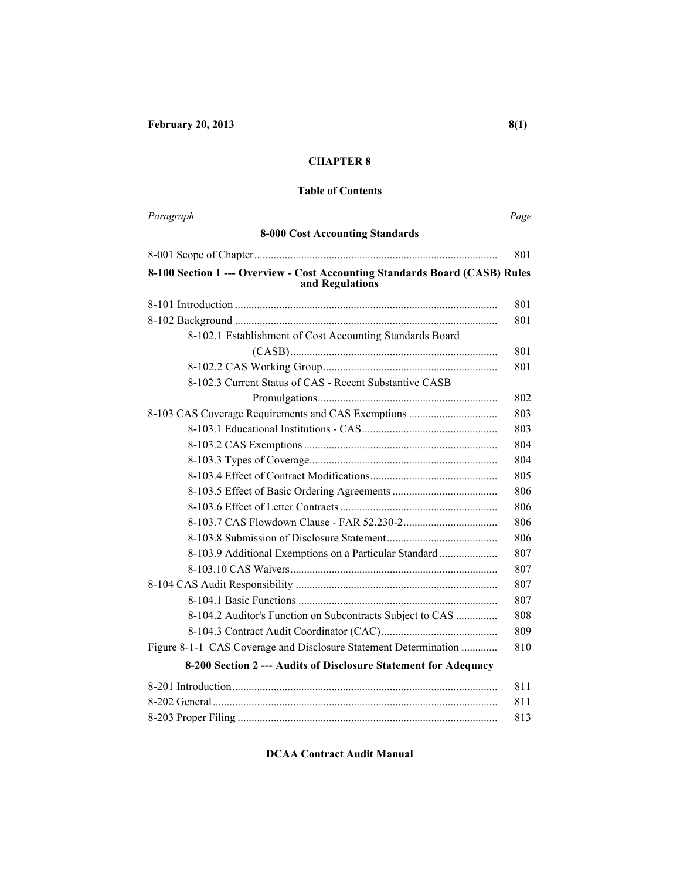# **Table of Contents**

| Paragraph                                                                                      | Page |
|------------------------------------------------------------------------------------------------|------|
| <b>8-000 Cost Accounting Standards</b>                                                         |      |
|                                                                                                | 801  |
| 8-100 Section 1 --- Overview - Cost Accounting Standards Board (CASB) Rules<br>and Regulations |      |
|                                                                                                | 801  |
|                                                                                                | 801  |
| 8-102.1 Establishment of Cost Accounting Standards Board                                       |      |
|                                                                                                | 801  |
|                                                                                                | 801  |
| 8-102.3 Current Status of CAS - Recent Substantive CASB                                        |      |
|                                                                                                | 802  |
| 8-103 CAS Coverage Requirements and CAS Exemptions                                             | 803  |
|                                                                                                | 803  |
|                                                                                                | 804  |
|                                                                                                | 804  |
|                                                                                                | 805  |
|                                                                                                | 806  |
|                                                                                                | 806  |
|                                                                                                | 806  |
|                                                                                                | 806  |
| 8-103.9 Additional Exemptions on a Particular Standard                                         | 807  |
|                                                                                                | 807  |
|                                                                                                | 807  |
|                                                                                                | 807  |
| 8-104.2 Auditor's Function on Subcontracts Subject to CAS                                      | 808  |
|                                                                                                | 809  |
| Figure 8-1-1 CAS Coverage and Disclosure Statement Determination                               | 810  |
| 8-200 Section 2 --- Audits of Disclosure Statement for Adequacy                                |      |
|                                                                                                | 811  |
|                                                                                                | 811  |
|                                                                                                | 813  |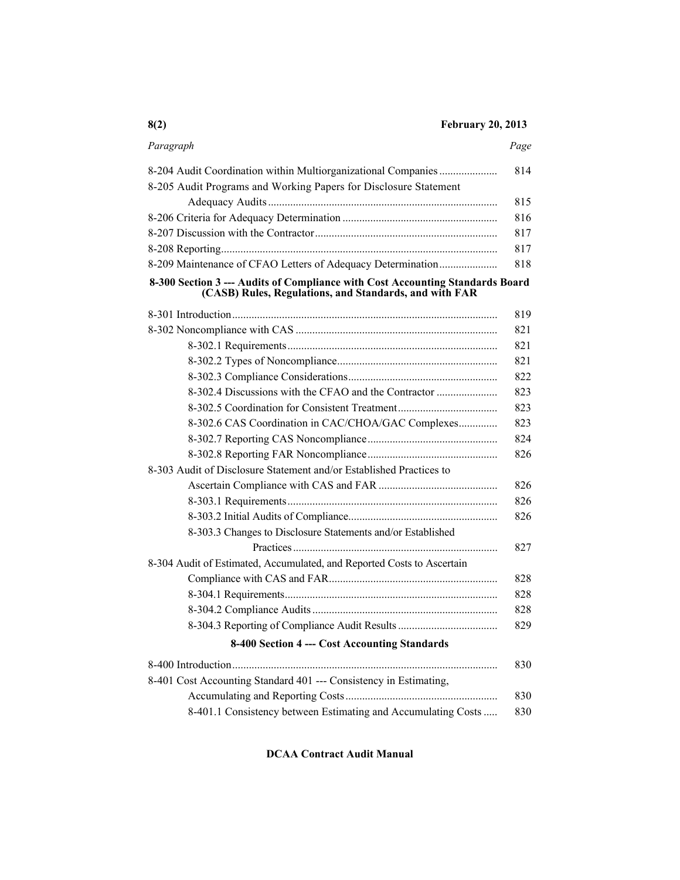| Paragraph                                                                                                                               | Page |
|-----------------------------------------------------------------------------------------------------------------------------------------|------|
| 8-204 Audit Coordination within Multiorganizational Companies                                                                           | 814  |
| 8-205 Audit Programs and Working Papers for Disclosure Statement                                                                        |      |
|                                                                                                                                         | 815  |
|                                                                                                                                         | 816  |
|                                                                                                                                         | 817  |
|                                                                                                                                         | 817  |
| 8-209 Maintenance of CFAO Letters of Adequacy Determination                                                                             | 818  |
| 8-300 Section 3 --- Audits of Compliance with Cost Accounting Standards Board<br>(CASB) Rules, Regulations, and Standards, and with FAR |      |
|                                                                                                                                         | 819  |
|                                                                                                                                         | 821  |
|                                                                                                                                         | 821  |
|                                                                                                                                         | 821  |
|                                                                                                                                         | 822  |
| 8-302.4 Discussions with the CFAO and the Contractor                                                                                    | 823  |
|                                                                                                                                         | 823  |
| 8-302.6 CAS Coordination in CAC/CHOA/GAC Complexes                                                                                      | 823  |
|                                                                                                                                         | 824  |
|                                                                                                                                         | 826  |
| 8-303 Audit of Disclosure Statement and/or Established Practices to                                                                     |      |
|                                                                                                                                         | 826  |
|                                                                                                                                         | 826  |
|                                                                                                                                         | 826  |
| 8-303.3 Changes to Disclosure Statements and/or Established                                                                             |      |
|                                                                                                                                         | 827  |
| 8-304 Audit of Estimated, Accumulated, and Reported Costs to Ascertain                                                                  |      |
|                                                                                                                                         | 828  |
|                                                                                                                                         | 828  |
|                                                                                                                                         | 828  |
| 8-304.3 Reporting of Compliance Audit Results                                                                                           | 829  |
| 8-400 Section 4 --- Cost Accounting Standards                                                                                           |      |
|                                                                                                                                         | 830  |
| 8-401 Cost Accounting Standard 401 --- Consistency in Estimating,                                                                       |      |
|                                                                                                                                         | 830  |
| 8-401.1 Consistency between Estimating and Accumulating Costs                                                                           | 830  |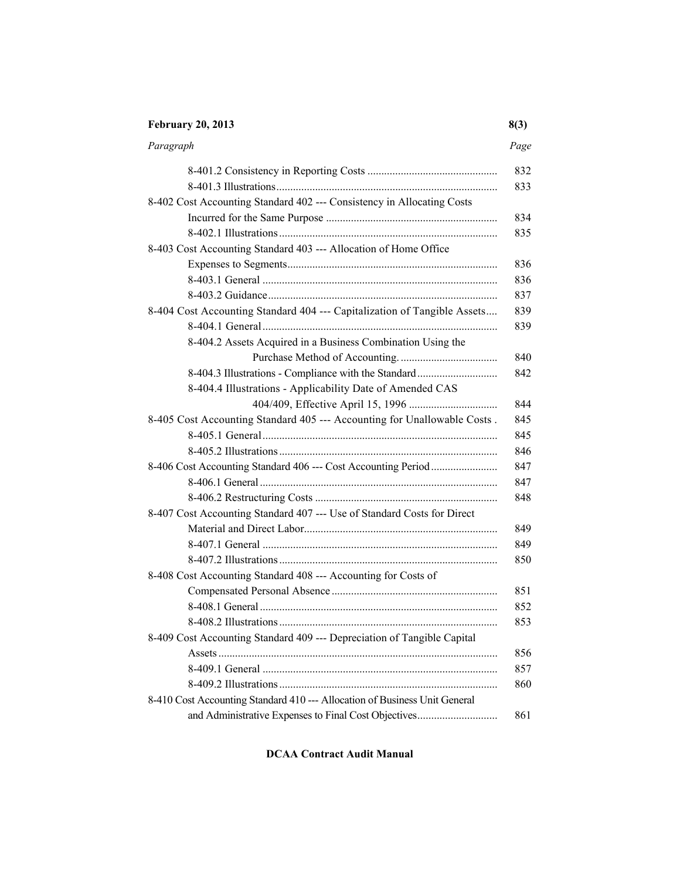# **February 20, 2013** 8(3)

| Paragraph                                                                  | Page |
|----------------------------------------------------------------------------|------|
|                                                                            | 832  |
|                                                                            | 833  |
| 8-402 Cost Accounting Standard 402 --- Consistency in Allocating Costs     |      |
|                                                                            | 834  |
|                                                                            | 835  |
| 8-403 Cost Accounting Standard 403 --- Allocation of Home Office           |      |
|                                                                            | 836  |
|                                                                            | 836  |
|                                                                            | 837  |
| 8-404 Cost Accounting Standard 404 --- Capitalization of Tangible Assets   | 839  |
|                                                                            | 839  |
| 8-404.2 Assets Acquired in a Business Combination Using the                |      |
|                                                                            | 840  |
| 8-404.3 Illustrations - Compliance with the Standard                       | 842  |
| 8-404.4 Illustrations - Applicability Date of Amended CAS                  |      |
|                                                                            | 844  |
| 8-405 Cost Accounting Standard 405 --- Accounting for Unallowable Costs.   | 845  |
|                                                                            | 845  |
|                                                                            | 846  |
|                                                                            | 847  |
|                                                                            | 847  |
|                                                                            | 848  |
| 8-407 Cost Accounting Standard 407 --- Use of Standard Costs for Direct    |      |
|                                                                            | 849  |
|                                                                            | 849  |
|                                                                            | 850  |
| 8-408 Cost Accounting Standard 408 --- Accounting for Costs of             |      |
|                                                                            | 851  |
|                                                                            | 852  |
|                                                                            | 853  |
| 8-409 Cost Accounting Standard 409 --- Depreciation of Tangible Capital    |      |
|                                                                            | 856  |
|                                                                            | 857  |
|                                                                            | 860  |
| 8-410 Cost Accounting Standard 410 --- Allocation of Business Unit General |      |
| and Administrative Expenses to Final Cost Objectives                       | 861  |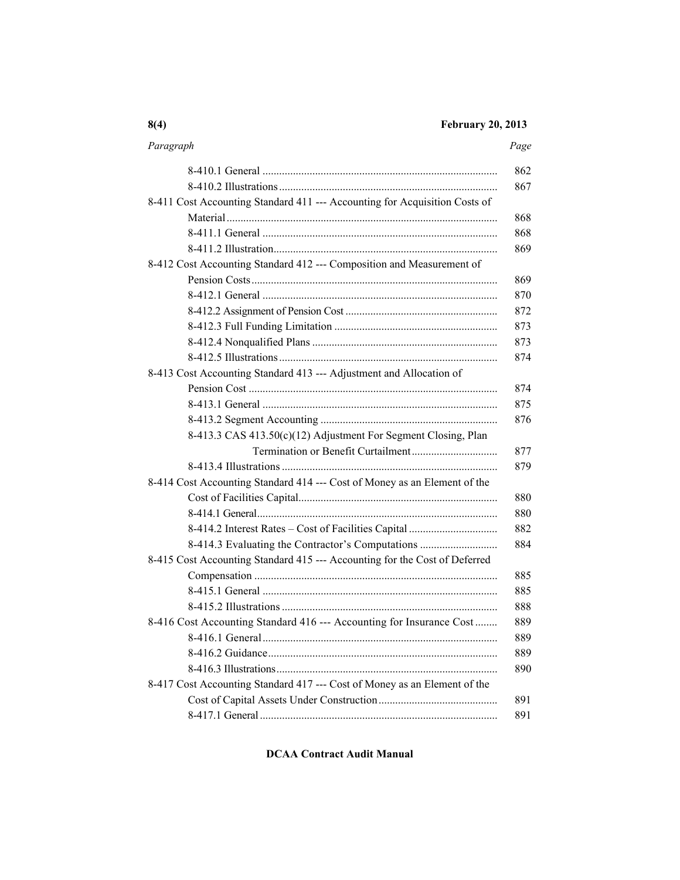# *Paragraph Page*

| 8-411 Cost Accounting Standard 411 --- Accounting for Acquisition Costs of |
|----------------------------------------------------------------------------|
|                                                                            |
|                                                                            |
|                                                                            |
| 8-412 Cost Accounting Standard 412 --- Composition and Measurement of      |
|                                                                            |
|                                                                            |
|                                                                            |
|                                                                            |
|                                                                            |
|                                                                            |
| 8-413 Cost Accounting Standard 413 --- Adjustment and Allocation of        |
|                                                                            |
|                                                                            |
|                                                                            |
| 8-413.3 CAS 413.50(c)(12) Adjustment For Segment Closing, Plan             |
|                                                                            |
|                                                                            |
| 8-414 Cost Accounting Standard 414 --- Cost of Money as an Element of the  |
|                                                                            |
|                                                                            |
| 8-414.2 Interest Rates - Cost of Facilities Capital                        |
| 8-414.3 Evaluating the Contractor's Computations                           |
| 8-415 Cost Accounting Standard 415 --- Accounting for the Cost of Deferred |
|                                                                            |
|                                                                            |
|                                                                            |
| 8-416 Cost Accounting Standard 416 --- Accounting for Insurance Cost       |
|                                                                            |
|                                                                            |
|                                                                            |
| 8-417 Cost Accounting Standard 417 --- Cost of Money as an Element of the  |
|                                                                            |
|                                                                            |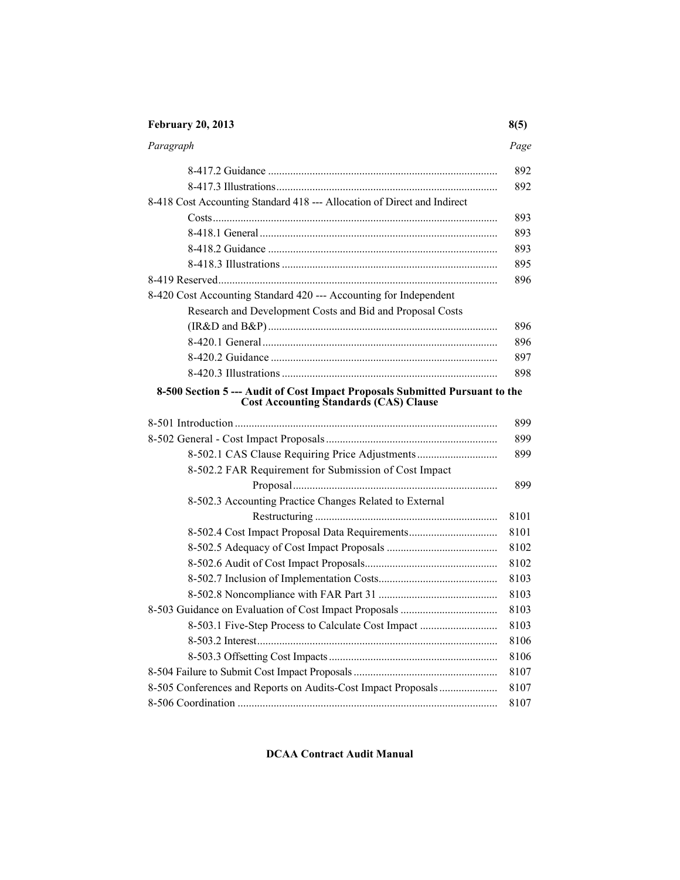# **February 20, 2013**

| I<br>٦<br>×<br>۰,<br>×<br>v<br>۰.<br>×<br>٧ |  |
|---------------------------------------------|--|
|---------------------------------------------|--|

| Paragraph | Page |
|-----------|------|

|                                                                                                                               | 892  |
|-------------------------------------------------------------------------------------------------------------------------------|------|
|                                                                                                                               | 892  |
| 8-418 Cost Accounting Standard 418 --- Allocation of Direct and Indirect                                                      |      |
|                                                                                                                               | 893  |
|                                                                                                                               | 893  |
|                                                                                                                               | 893  |
|                                                                                                                               | 895  |
|                                                                                                                               | 896  |
| 8-420 Cost Accounting Standard 420 --- Accounting for Independent                                                             |      |
| Research and Development Costs and Bid and Proposal Costs                                                                     |      |
|                                                                                                                               | 896  |
|                                                                                                                               | 896  |
|                                                                                                                               | 897  |
|                                                                                                                               | 898  |
| 8-500 Section 5 --- Audit of Cost Impact Proposals Submitted Pursuant to the<br><b>Cost Accounting Standards (CAS) Clause</b> |      |
|                                                                                                                               | 899  |
|                                                                                                                               | 899  |
| 8-502.1 CAS Clause Requiring Price Adjustments                                                                                | 899  |
| 8-502.2 FAR Requirement for Submission of Cost Impact                                                                         |      |
|                                                                                                                               | 899  |
| 8-502.3 Accounting Practice Changes Related to External                                                                       |      |
|                                                                                                                               | 8101 |
| 8-502.4 Cost Impact Proposal Data Requirements                                                                                | 8101 |
|                                                                                                                               | 8102 |
|                                                                                                                               | 8102 |
|                                                                                                                               | 8103 |
|                                                                                                                               | 8103 |
|                                                                                                                               | 8103 |
| 8-503.1 Five-Step Process to Calculate Cost Impact                                                                            | 8103 |
|                                                                                                                               | 8106 |
|                                                                                                                               | 8106 |
|                                                                                                                               | 8107 |
| 8-505 Conferences and Reports on Audits-Cost Impact Proposals                                                                 | 8107 |
|                                                                                                                               | 8107 |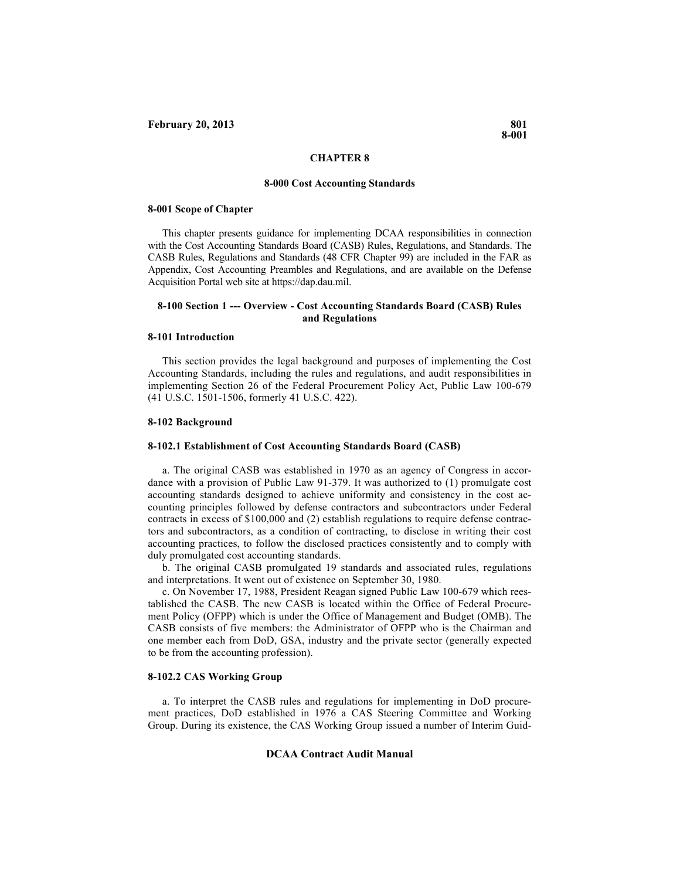#### **CHAPTER 8**

#### **8-000 Cost Accounting Standards**

#### <span id="page-6-0"></span>**8-001 Scope of Chapter**

This chapter presents guidance for implementing DCAA responsibilities in connection with the Cost Accounting Standards Board (CASB) Rules, Regulations, and Standards. The CASB Rules, Regulations and Standards (48 CFR Chapter 99) are included in the FAR as Appendix, Cost Accounting Preambles and Regulations, and are available on the Defense Acquisition Portal web site at https://dap.dau.mil.

#### **8-100 Section 1 --- Overview - Cost Accounting Standards Board (CASB) Rules and Regulations**

#### <span id="page-6-1"></span>**8-101 Introduction**

This section provides the legal background and purposes of implementing the Cost Accounting Standards, including the rules and regulations, and audit responsibilities in implementing Section 26 of the Federal Procurement Policy Act, Public Law 100-679 (41 U.S.C. 1501-1506, formerly 41 U.S.C. 422).

#### <span id="page-6-2"></span>**8-102 Background**

#### <span id="page-6-3"></span>**8-102.1 Establishment of Cost Accounting Standards Board (CASB)**

a. The original CASB was established in 1970 as an agency of Congress in accordance with a provision of Public Law 91-379. It was authorized to (1) promulgate cost accounting standards designed to achieve uniformity and consistency in the cost accounting principles followed by defense contractors and subcontractors under Federal contracts in excess of \$100,000 and (2) establish regulations to require defense contractors and subcontractors, as a condition of contracting, to disclose in writing their cost accounting practices, to follow the disclosed practices consistently and to comply with duly promulgated cost accounting standards.

b. The original CASB promulgated 19 standards and associated rules, regulations and interpretations. It went out of existence on September 30, 1980.

c. On November 17, 1988, President Reagan signed Public Law 100-679 which reestablished the CASB. The new CASB is located within the Office of Federal Procurement Policy (OFPP) which is under the Office of Management and Budget (OMB). The CASB consists of five members: the Administrator of OFPP who is the Chairman and one member each from DoD, GSA, industry and the private sector (generally expected to be from the accounting profession).

#### <span id="page-6-4"></span>**8-102.2 CAS Working Group**

a. To interpret the CASB rules and regulations for implementing in DoD procurement practices, DoD established in 1976 a CAS Steering Committee and Working Group. During its existence, the CAS Working Group issued a number of Interim Guid-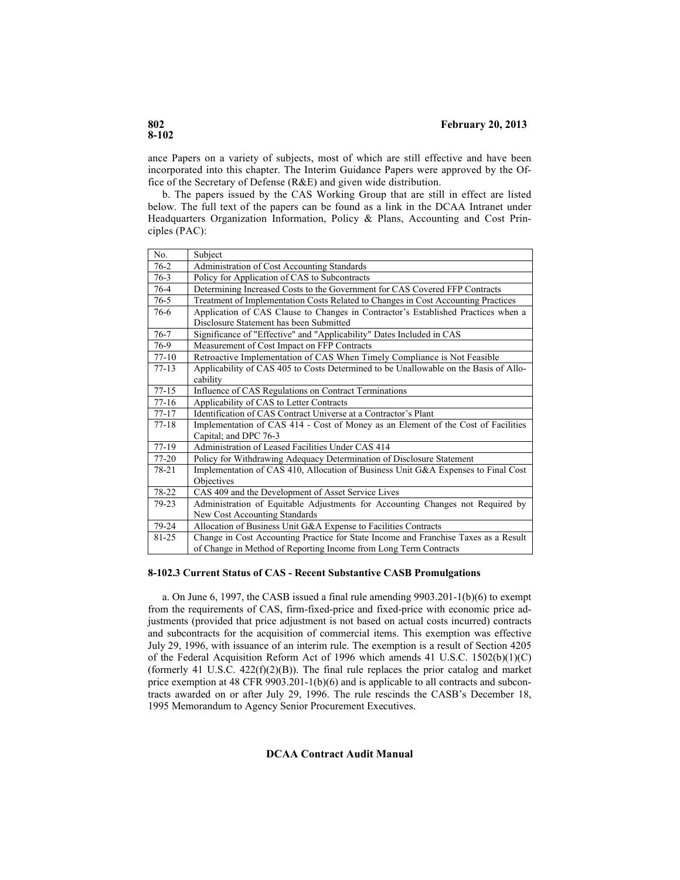ance Papers on a variety of subjects, most of which are still effective and have been incorporated into this chapter. The Interim Guidance Papers were approved by the Office of the Secretary of Defense (R&E) and given wide distribution.

b. The papers issued by the CAS Working Group that are still in effect are listed below. The full text of the papers can be found as a link in the DCAA Intranet under Headquarters Organization Information, Policy & Plans, Accounting and Cost Principles (PAC):

| No.       | Subject                                                                              |
|-----------|--------------------------------------------------------------------------------------|
| $76-2$    | Administration of Cost Accounting Standards                                          |
| 76-3      | Policy for Application of CAS to Subcontracts                                        |
| 76-4      | Determining Increased Costs to the Government for CAS Covered FFP Contracts          |
| $76 - 5$  | Treatment of Implementation Costs Related to Changes in Cost Accounting Practices    |
| 76-6      | Application of CAS Clause to Changes in Contractor's Established Practices when a    |
|           | Disclosure Statement has been Submitted                                              |
| $76-7$    | Significance of "Effective" and "Applicability" Dates Included in CAS                |
| 76-9      | Measurement of Cost Impact on FFP Contracts                                          |
| $77 - 10$ | Retroactive Implementation of CAS When Timely Compliance is Not Feasible             |
| $77-13$   | Applicability of CAS 405 to Costs Determined to be Unallowable on the Basis of Allo- |
|           | cability                                                                             |
| $77 - 15$ | Influence of CAS Regulations on Contract Terminations                                |
| $77 - 16$ | Applicability of CAS to Letter Contracts                                             |
| $77 - 17$ | Identification of CAS Contract Universe at a Contractor's Plant                      |
| $77-18$   | Implementation of CAS 414 - Cost of Money as an Element of the Cost of Facilities    |
|           | Capital; and DPC 76-3                                                                |
| 77-19     | Administration of Leased Facilities Under CAS 414                                    |
| $77 - 20$ | Policy for Withdrawing Adequacy Determination of Disclosure Statement                |
| 78-21     | Implementation of CAS 410, Allocation of Business Unit G&A Expenses to Final Cost    |
|           | Objectives                                                                           |
| 78-22     | CAS 409 and the Development of Asset Service Lives                                   |
| 79-23     | Administration of Equitable Adjustments for Accounting Changes not Required by       |
|           | New Cost Accounting Standards                                                        |
| 79-24     | Allocation of Business Unit G&A Expense to Facilities Contracts                      |
| 81-25     | Change in Cost Accounting Practice for State Income and Franchise Taxes as a Result  |
|           | of Change in Method of Reporting Income from Long Term Contracts                     |

# <span id="page-7-0"></span>**8-102.3 Current Status of CAS - Recent Substantive CASB Promulgations**

a. On June 6, 1997, the CASB issued a final rule amending  $9903.201 - 1(b)(6)$  to exempt from the requirements of CAS, firm-fixed-price and fixed-price with economic price adjustments (provided that price adjustment is not based on actual costs incurred) contracts and subcontracts for the acquisition of commercial items. This exemption was effective July 29, 1996, with issuance of an interim rule. The exemption is a result of Section 4205 of the Federal Acquisition Reform Act of 1996 which amends 41 U.S.C. 1502(b)(1)(C) (formerly 41 U.S.C.  $422(f)(2)(B)$ ). The final rule replaces the prior catalog and market price exemption at 48 CFR 9903.201-1(b)(6) and is applicable to all contracts and subcontracts awarded on or after July 29, 1996. The rule rescinds the CASB's December 18, 1995 Memorandum to Agency Senior Procurement Executives.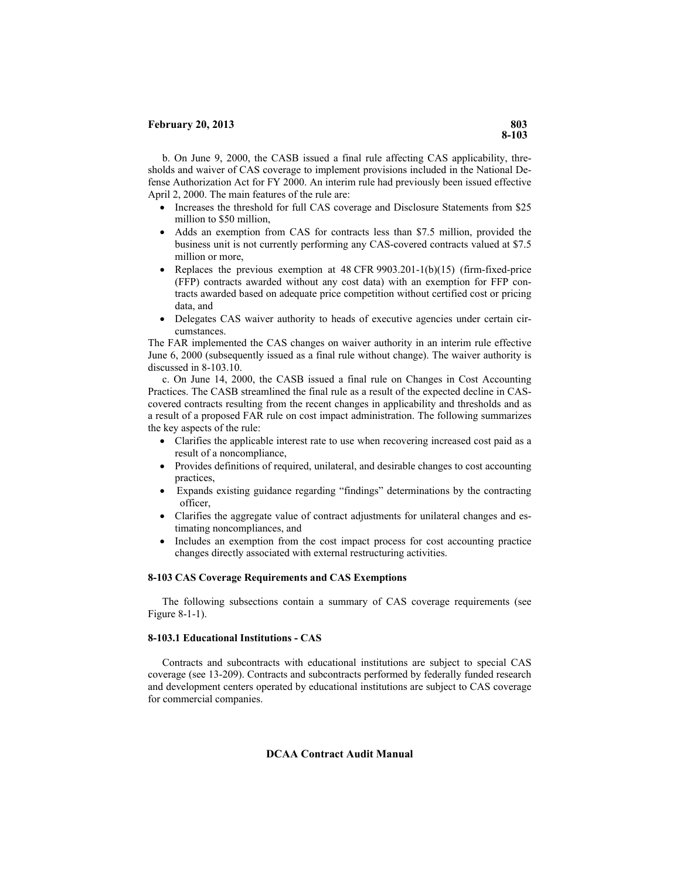b. On June 9, 2000, the CASB issued a final rule affecting CAS applicability, thresholds and waiver of CAS coverage to implement provisions included in the National Defense Authorization Act for FY 2000. An interim rule had previously been issued effective April 2, 2000. The main features of the rule are:

- Increases the threshold for full CAS coverage and Disclosure Statements from \$25 million to \$50 million,
- Adds an exemption from CAS for contracts less than \$7.5 million, provided the business unit is not currently performing any CAS-covered contracts valued at \$7.5 million or more,
- Replaces the previous exemption at  $48$  CFR 9903.201-1(b)(15) (firm-fixed-price (FFP) contracts awarded without any cost data) with an exemption for FFP contracts awarded based on adequate price competition without certified cost or pricing data, and
- Delegates CAS waiver authority to heads of executive agencies under certain circumstances.

The FAR implemented the CAS changes on waiver authority in an interim rule effective June 6, 2000 (subsequently issued as a final rule without change). The waiver authority is discussed in 8-103.10.

c. On June 14, 2000, the CASB issued a final rule on Changes in Cost Accounting Practices. The CASB streamlined the final rule as a result of the expected decline in CAScovered contracts resulting from the recent changes in applicability and thresholds and as a result of a proposed FAR rule on cost impact administration. The following summarizes the key aspects of the rule:

- Clarifies the applicable interest rate to use when recovering increased cost paid as a result of a noncompliance,
- Provides definitions of required, unilateral, and desirable changes to cost accounting practices,
- Expands existing guidance regarding "findings" determinations by the contracting officer,
- Clarifies the aggregate value of contract adjustments for unilateral changes and estimating noncompliances, and
- Includes an exemption from the cost impact process for cost accounting practice changes directly associated with external restructuring activities.

# <span id="page-8-0"></span>**8-103 CAS Coverage Requirements and CAS Exemptions**

The following subsections contain a summary of CAS coverage requirements (see Figure 8-1-1).

# <span id="page-8-1"></span>**8-103.1 Educational Institutions - CAS**

Contracts and subcontracts with educational institutions are subject to special CAS coverage (see 13-209). Contracts and subcontracts performed by federally funded research and development centers operated by educational institutions are subject to CAS coverage for commercial companies.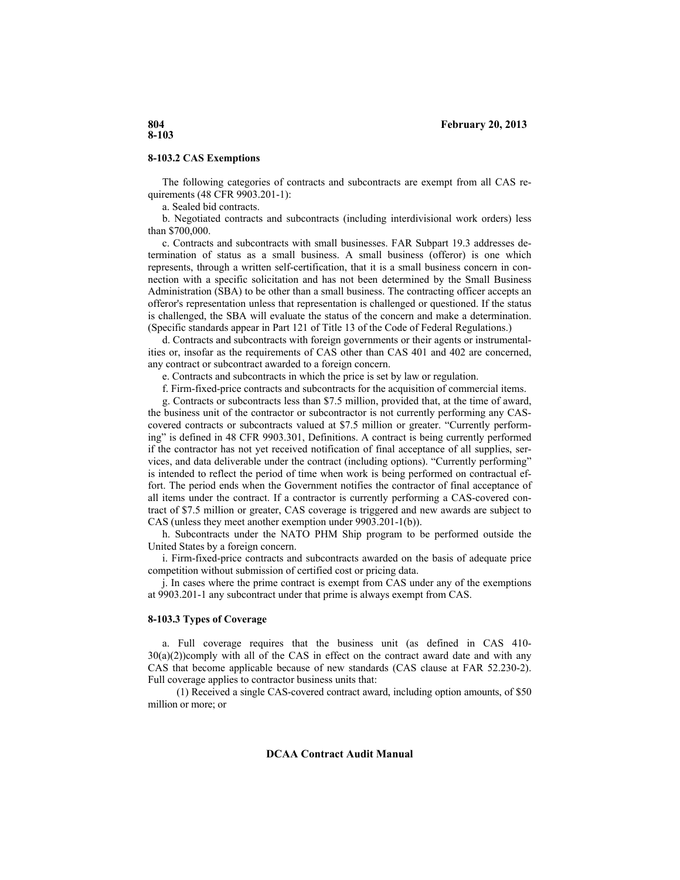#### <span id="page-9-0"></span>**8-103.2 CAS Exemptions**

The following categories of contracts and subcontracts are exempt from all CAS requirements (48 CFR 9903.201-1):

a. Sealed bid contracts.

b. Negotiated contracts and subcontracts (including interdivisional work orders) less than \$700,000.

c. Contracts and subcontracts with small businesses. FAR Subpart 19.3 addresses determination of status as a small business. A small business (offeror) is one which represents, through a written self-certification, that it is a small business concern in connection with a specific solicitation and has not been determined by the Small Business Administration (SBA) to be other than a small business. The contracting officer accepts an offeror's representation unless that representation is challenged or questioned. If the status is challenged, the SBA will evaluate the status of the concern and make a determination. (Specific standards appear in Part 121 of Title 13 of the Code of Federal Regulations.)

d. Contracts and subcontracts with foreign governments or their agents or instrumentalities or, insofar as the requirements of CAS other than CAS 401 and 402 are concerned, any contract or subcontract awarded to a foreign concern.

e. Contracts and subcontracts in which the price is set by law or regulation.

f. Firm-fixed-price contracts and subcontracts for the acquisition of commercial items.

g. Contracts or subcontracts less than \$7.5 million, provided that, at the time of award, the business unit of the contractor or subcontractor is not currently performing any CAScovered contracts or subcontracts valued at \$7.5 million or greater. "Currently performing" is defined in 48 CFR 9903.301, Definitions. A contract is being currently performed if the contractor has not yet received notification of final acceptance of all supplies, services, and data deliverable under the contract (including options). "Currently performing" is intended to reflect the period of time when work is being performed on contractual effort. The period ends when the Government notifies the contractor of final acceptance of all items under the contract. If a contractor is currently performing a CAS-covered contract of \$7.5 million or greater, CAS coverage is triggered and new awards are subject to CAS (unless they meet another exemption under 9903.201-1(b)).

h. Subcontracts under the NATO PHM Ship program to be performed outside the United States by a foreign concern.

i. Firm-fixed-price contracts and subcontracts awarded on the basis of adequate price competition without submission of certified cost or pricing data.

j. In cases where the prime contract is exempt from CAS under any of the exemptions at 9903.201-1 any subcontract under that prime is always exempt from CAS.

#### <span id="page-9-1"></span>**8-103.3 Types of Coverage**

a. Full coverage requires that the business unit (as defined in CAS 410  $30(a)(2)$ )comply with all of the CAS in effect on the contract award date and with any CAS that become applicable because of new standards (CAS clause at FAR 52.230-2). Full coverage applies to contractor business units that:

(1) Received a single CAS-covered contract award, including option amounts, of \$50 million or more; or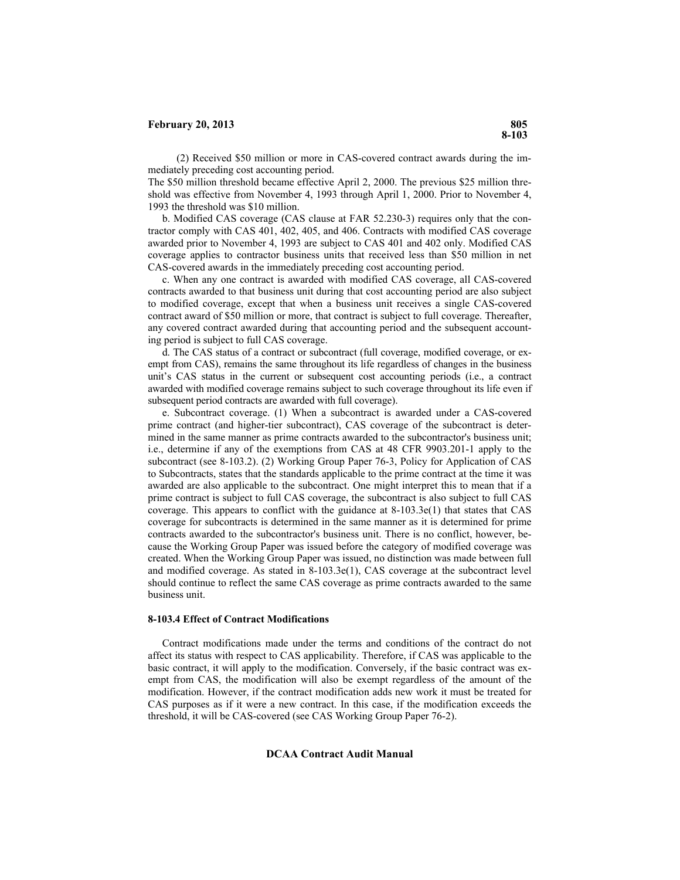(2) Received \$50 million or more in CAS-covered contract awards during the immediately preceding cost accounting period.

The \$50 million threshold became effective April 2, 2000. The previous \$25 million threshold was effective from November 4, 1993 through April 1, 2000. Prior to November 4, 1993 the threshold was \$10 million.

b. Modified CAS coverage (CAS clause at FAR 52.230-3) requires only that the contractor comply with CAS 401, 402, 405, and 406. Contracts with modified CAS coverage awarded prior to November 4, 1993 are subject to CAS 401 and 402 only. Modified CAS coverage applies to contractor business units that received less than \$50 million in net CAS-covered awards in the immediately preceding cost accounting period.

c. When any one contract is awarded with modified CAS coverage, all CAS-covered contracts awarded to that business unit during that cost accounting period are also subject to modified coverage, except that when a business unit receives a single CAS-covered contract award of \$50 million or more, that contract is subject to full coverage. Thereafter, any covered contract awarded during that accounting period and the subsequent accounting period is subject to full CAS coverage.

d. The CAS status of a contract or subcontract (full coverage, modified coverage, or exempt from CAS), remains the same throughout its life regardless of changes in the business unit's CAS status in the current or subsequent cost accounting periods (i.e., a contract awarded with modified coverage remains subject to such coverage throughout its life even if subsequent period contracts are awarded with full coverage).

e. Subcontract coverage. (1) When a subcontract is awarded under a CAS-covered prime contract (and higher-tier subcontract), CAS coverage of the subcontract is determined in the same manner as prime contracts awarded to the subcontractor's business unit; i.e., determine if any of the exemptions from CAS at 48 CFR 9903.201-1 apply to the subcontract (see 8-103.2). (2) Working Group Paper 76-3, Policy for Application of CAS to Subcontracts, states that the standards applicable to the prime contract at the time it was awarded are also applicable to the subcontract. One might interpret this to mean that if a prime contract is subject to full CAS coverage, the subcontract is also subject to full CAS coverage. This appears to conflict with the guidance at  $8-103.3e(1)$  that states that CAS coverage for subcontracts is determined in the same manner as it is determined for prime contracts awarded to the subcontractor's business unit. There is no conflict, however, because the Working Group Paper was issued before the category of modified coverage was created. When the Working Group Paper was issued, no distinction was made between full and modified coverage. As stated in 8-103.3e(1), CAS coverage at the subcontract level should continue to reflect the same CAS coverage as prime contracts awarded to the same business unit.

#### <span id="page-10-0"></span>**8-103.4 Effect of Contract Modifications**

Contract modifications made under the terms and conditions of the contract do not affect its status with respect to CAS applicability. Therefore, if CAS was applicable to the basic contract, it will apply to the modification. Conversely, if the basic contract was exempt from CAS, the modification will also be exempt regardless of the amount of the modification. However, if the contract modification adds new work it must be treated for CAS purposes as if it were a new contract. In this case, if the modification exceeds the threshold, it will be CAS-covered (see CAS Working Group Paper 76-2).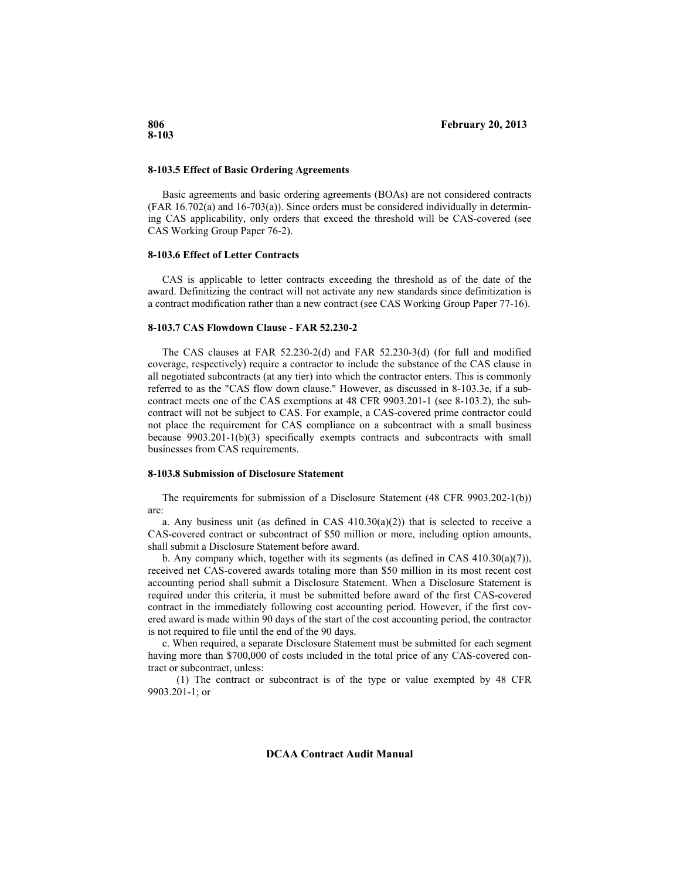### <span id="page-11-0"></span>**8-103.5 Effect of Basic Ordering Agreements**

Basic agreements and basic ordering agreements (BOAs) are not considered contracts (FAR 16.702(a) and 16-703(a)). Since orders must be considered individually in determining CAS applicability, only orders that exceed the threshold will be CAS-covered (see CAS Working Group Paper 76-2).

#### <span id="page-11-1"></span>**8-103.6 Effect of Letter Contracts**

CAS is applicable to letter contracts exceeding the threshold as of the date of the award. Definitizing the contract will not activate any new standards since definitization is a contract modification rather than a new contract (see CAS Working Group Paper 77-16).

#### <span id="page-11-2"></span>**8-103.7 CAS Flowdown Clause - FAR 52.230-2**

The CAS clauses at FAR 52.230-2(d) and FAR 52.230-3(d) (for full and modified coverage, respectively) require a contractor to include the substance of the CAS clause in all negotiated subcontracts (at any tier) into which the contractor enters. This is commonly referred to as the "CAS flow down clause." However, as discussed in 8-103.3e, if a subcontract meets one of the CAS exemptions at 48 CFR 9903.201-1 (see 8-103.2), the subcontract will not be subject to CAS. For example, a CAS-covered prime contractor could not place the requirement for CAS compliance on a subcontract with a small business because 9903.201-1(b)(3) specifically exempts contracts and subcontracts with small businesses from CAS requirements.

#### <span id="page-11-3"></span>**8-103.8 Submission of Disclosure Statement**

The requirements for submission of a Disclosure Statement (48 CFR 9903.202-1(b)) are:

a. Any business unit (as defined in CAS  $410.30(a)(2)$ ) that is selected to receive a CAS-covered contract or subcontract of \$50 million or more, including option amounts, shall submit a Disclosure Statement before award.

b. Any company which, together with its segments (as defined in CAS  $410.30(a)(7)$ ), received net CAS-covered awards totaling more than \$50 million in its most recent cost accounting period shall submit a Disclosure Statement. When a Disclosure Statement is required under this criteria, it must be submitted before award of the first CAS-covered contract in the immediately following cost accounting period. However, if the first covered award is made within 90 days of the start of the cost accounting period, the contractor is not required to file until the end of the 90 days.

c. When required, a separate Disclosure Statement must be submitted for each segment having more than \$700,000 of costs included in the total price of any CAS-covered contract or subcontract, unless:

(1) The contract or subcontract is of the type or value exempted by 48 CFR 9903.201-1; or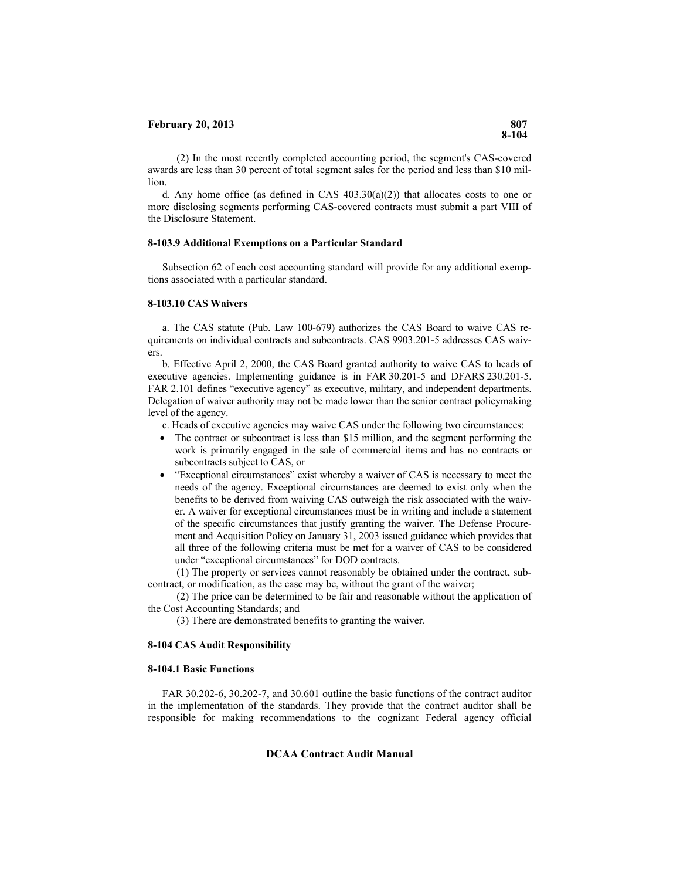(2) In the most recently completed accounting period, the segment's CAS-covered awards are less than 30 percent of total segment sales for the period and less than \$10 million.

d. Any home office (as defined in CAS  $403.30(a)(2)$ ) that allocates costs to one or more disclosing segments performing CAS-covered contracts must submit a part VIII of the Disclosure Statement.

#### <span id="page-12-0"></span>**8-103.9 Additional Exemptions on a Particular Standard**

Subsection 62 of each cost accounting standard will provide for any additional exemptions associated with a particular standard.

#### <span id="page-12-1"></span>**8-103.10 CAS Waivers**

a. The CAS statute (Pub. Law 100-679) authorizes the CAS Board to waive CAS requirements on individual contracts and subcontracts. CAS 9903.201-5 addresses CAS waivers.

b. Effective April 2, 2000, the CAS Board granted authority to waive CAS to heads of executive agencies. Implementing guidance is in FAR 30.201-5 and DFARS 230.201-5. FAR 2.101 defines "executive agency" as executive, military, and independent departments. Delegation of waiver authority may not be made lower than the senior contract policymaking level of the agency.

c. Heads of executive agencies may waive CAS under the following two circumstances:

- The contract or subcontract is less than \$15 million, and the segment performing the work is primarily engaged in the sale of commercial items and has no contracts or subcontracts subject to CAS, or
- "Exceptional circumstances" exist whereby a waiver of CAS is necessary to meet the needs of the agency. Exceptional circumstances are deemed to exist only when the benefits to be derived from waiving CAS outweigh the risk associated with the waiver. A waiver for exceptional circumstances must be in writing and include a statement of the specific circumstances that justify granting the waiver. The Defense Procurement and Acquisition Policy on January 31, 2003 issued guidance which provides that all three of the following criteria must be met for a waiver of CAS to be considered under "exceptional circumstances" for DOD contracts.

(1) The property or services cannot reasonably be obtained under the contract, subcontract, or modification, as the case may be, without the grant of the waiver;

(2) The price can be determined to be fair and reasonable without the application of the Cost Accounting Standards; and

(3) There are demonstrated benefits to granting the waiver.

#### <span id="page-12-2"></span>**8-104 CAS Audit Responsibility**

#### <span id="page-12-3"></span>**8-104.1 Basic Functions**

FAR 30.202-6, 30.202-7, and 30.601 outline the basic functions of the contract auditor in the implementation of the standards. They provide that the contract auditor shall be responsible for making recommendations to the cognizant Federal agency official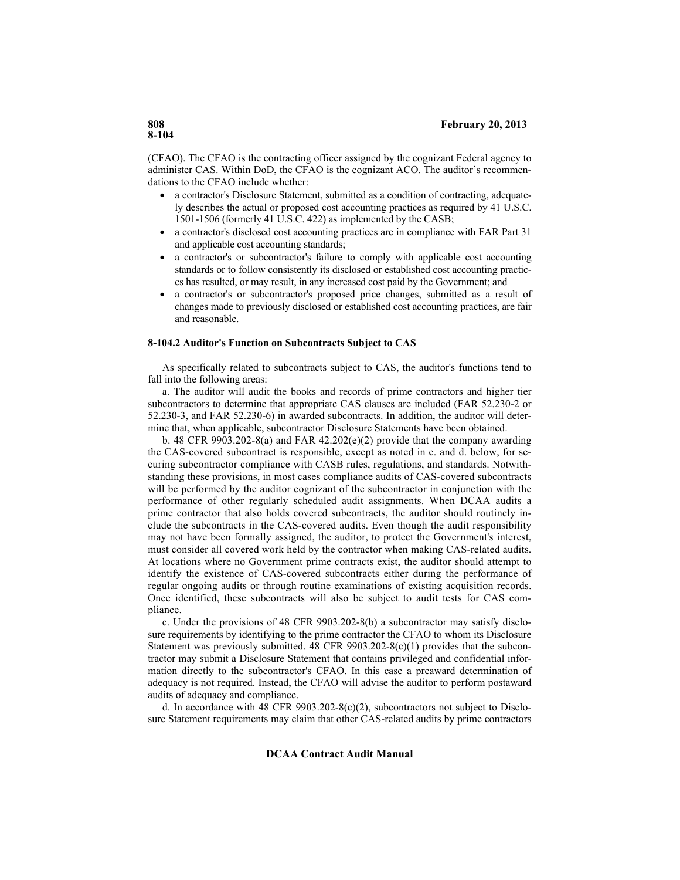# **8-104**

(CFAO). The CFAO is the contracting officer assigned by the cognizant Federal agency to administer CAS. Within DoD, the CFAO is the cognizant ACO. The auditor's recommendations to the CFAO include whether:

- a contractor's Disclosure Statement, submitted as a condition of contracting, adequately describes the actual or proposed cost accounting practices as required by 41 U.S.C. 1501-1506 (formerly 41 U.S.C. 422) as implemented by the CASB;
- a contractor's disclosed cost accounting practices are in compliance with FAR Part 31 and applicable cost accounting standards;
- a contractor's or subcontractor's failure to comply with applicable cost accounting standards or to follow consistently its disclosed or established cost accounting practices has resulted, or may result, in any increased cost paid by the Government; and
- a contractor's or subcontractor's proposed price changes, submitted as a result of changes made to previously disclosed or established cost accounting practices, are fair and reasonable.

# <span id="page-13-0"></span>**8-104.2 Auditor's Function on Subcontracts Subject to CAS**

As specifically related to subcontracts subject to CAS, the auditor's functions tend to fall into the following areas:

a. The auditor will audit the books and records of prime contractors and higher tier subcontractors to determine that appropriate CAS clauses are included (FAR 52.230-2 or 52.230-3, and FAR 52.230-6) in awarded subcontracts. In addition, the auditor will determine that, when applicable, subcontractor Disclosure Statements have been obtained.

b. 48 CFR 9903.202-8(a) and FAR 42.202(e)(2) provide that the company awarding the CAS-covered subcontract is responsible, except as noted in c. and d. below, for securing subcontractor compliance with CASB rules, regulations, and standards. Notwithstanding these provisions, in most cases compliance audits of CAS-covered subcontracts will be performed by the auditor cognizant of the subcontractor in conjunction with the performance of other regularly scheduled audit assignments. When DCAA audits a prime contractor that also holds covered subcontracts, the auditor should routinely include the subcontracts in the CAS-covered audits. Even though the audit responsibility may not have been formally assigned, the auditor, to protect the Government's interest, must consider all covered work held by the contractor when making CAS-related audits. At locations where no Government prime contracts exist, the auditor should attempt to identify the existence of CAS-covered subcontracts either during the performance of regular ongoing audits or through routine examinations of existing acquisition records. Once identified, these subcontracts will also be subject to audit tests for CAS compliance.

c. Under the provisions of 48 CFR 9903.202-8(b) a subcontractor may satisfy disclosure requirements by identifying to the prime contractor the CFAO to whom its Disclosure Statement was previously submitted. 48 CFR 9903.202-8(c)(1) provides that the subcontractor may submit a Disclosure Statement that contains privileged and confidential information directly to the subcontractor's CFAO. In this case a preaward determination of adequacy is not required. Instead, the CFAO will advise the auditor to perform postaward audits of adequacy and compliance.

d. In accordance with 48 CFR 9903.202-8(c)(2), subcontractors not subject to Disclosure Statement requirements may claim that other CAS-related audits by prime contractors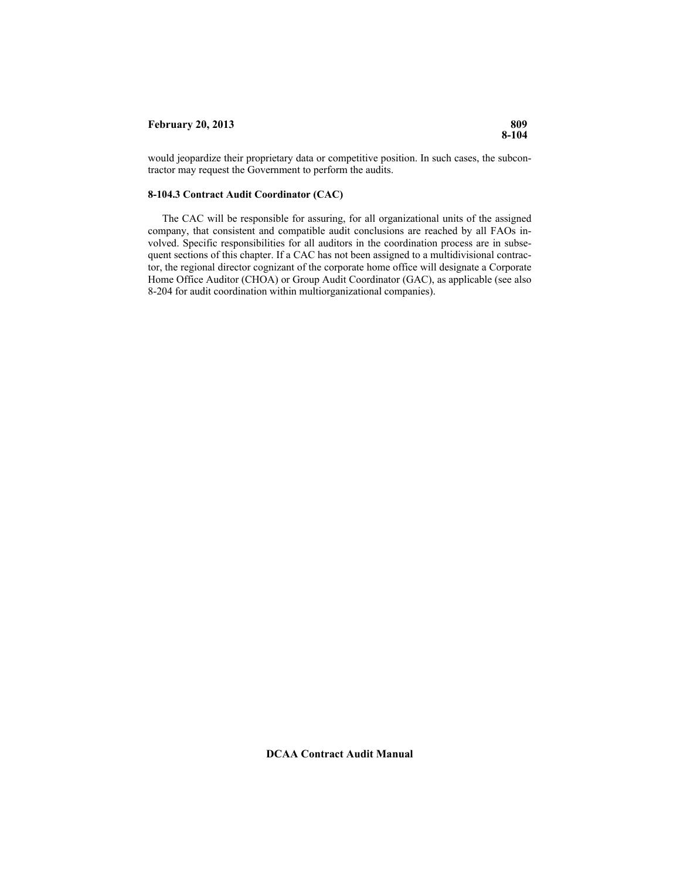### **February 20, 2013** 809

would jeopardize their proprietary data or competitive position. In such cases, the subcontractor may request the Government to perform the audits.

#### <span id="page-14-0"></span>**8-104.3 Contract Audit Coordinator (CAC)**

The CAC will be responsible for assuring, for all organizational units of the assigned company, that consistent and compatible audit conclusions are reached by all FAOs involved. Specific responsibilities for all auditors in the coordination process are in subsequent sections of this chapter. If a CAC has not been assigned to a multidivisional contractor, the regional director cognizant of the corporate home office will designate a Corporate Home Office Auditor (CHOA) or Group Audit Coordinator (GAC), as applicable (see also 8-204 for audit coordination within multiorganizational companies).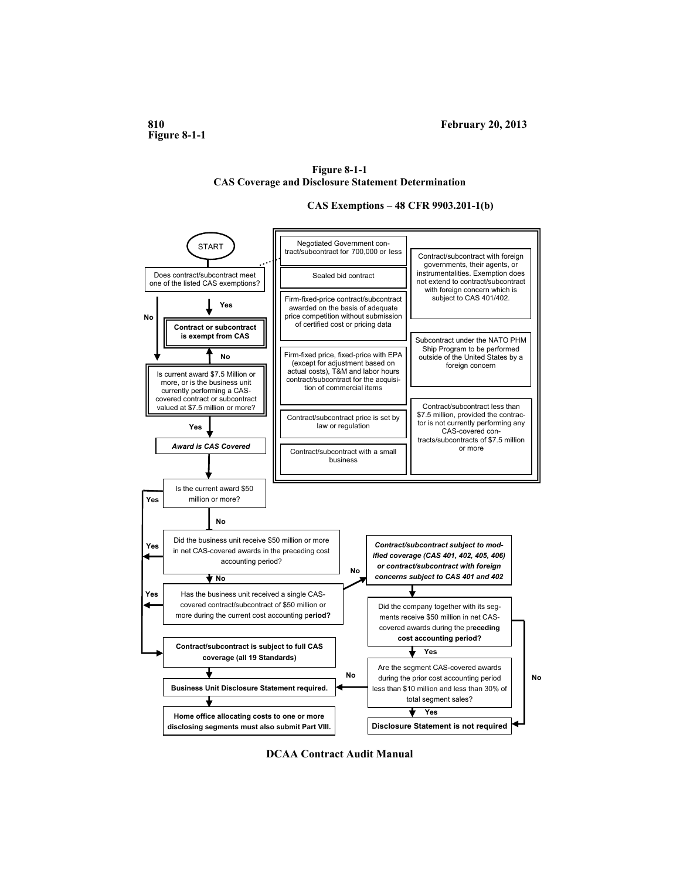

### <span id="page-15-0"></span>**CAS Exemptions – 48 CFR 9903.201-1(b)**



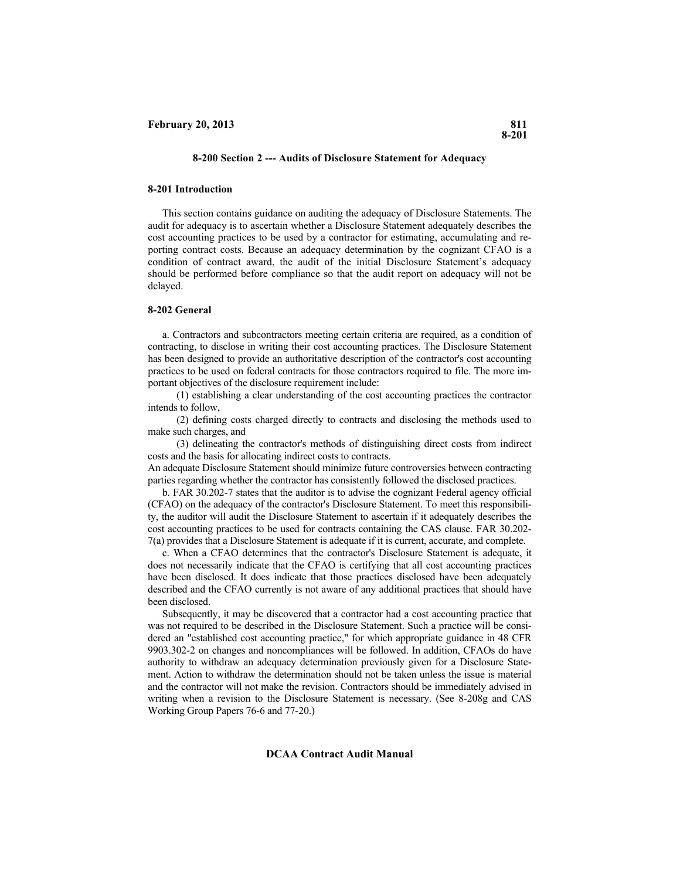#### **8-200 Section 2 --- Audits of Disclosure Statement for Adequacy**

#### <span id="page-16-0"></span>**8-201 Introduction**

This section contains guidance on auditing the adequacy of Disclosure Statements. The audit for adequacy is to ascertain whether a Disclosure Statement adequately describes the cost accounting practices to be used by a contractor for estimating, accumulating and reporting contract costs. Because an adequacy determination by the cognizant CFAO is a condition of contract award, the audit of the initial Disclosure Statement's adequacy should be performed before compliance so that the audit report on adequacy will not be delayed.

#### <span id="page-16-1"></span>**8-202 General**

a. Contractors and subcontractors meeting certain criteria are required, as a condition of contracting, to disclose in writing their cost accounting practices. The Disclosure Statement has been designed to provide an authoritative description of the contractor's cost accounting practices to be used on federal contracts for those contractors required to file. The more important objectives of the disclosure requirement include:

(1) establishing a clear understanding of the cost accounting practices the contractor intends to follow,

(2) defining costs charged directly to contracts and disclosing the methods used to make such charges, and

(3) delineating the contractor's methods of distinguishing direct costs from indirect costs and the basis for allocating indirect costs to contracts.

An adequate Disclosure Statement should minimize future controversies between contracting parties regarding whether the contractor has consistently followed the disclosed practices.

b. FAR 30.202-7 states that the auditor is to advise the cognizant Federal agency official (CFAO) on the adequacy of the contractor's Disclosure Statement. To meet this responsibility, the auditor will audit the Disclosure Statement to ascertain if it adequately describes the cost accounting practices to be used for contracts containing the CAS clause. FAR 30.202 7(a) provides that a Disclosure Statement is adequate if it is current, accurate, and complete.

c. When a CFAO determines that the contractor's Disclosure Statement is adequate, it does not necessarily indicate that the CFAO is certifying that all cost accounting practices have been disclosed. It does indicate that those practices disclosed have been adequately described and the CFAO currently is not aware of any additional practices that should have been disclosed.

Subsequently, it may be discovered that a contractor had a cost accounting practice that was not required to be described in the Disclosure Statement. Such a practice will be considered an "established cost accounting practice," for which appropriate guidance in 48 CFR 9903.302-2 on changes and noncompliances will be followed. In addition, CFAOs do have authority to withdraw an adequacy determination previously given for a Disclosure Statement. Action to withdraw the determination should not be taken unless the issue is material and the contractor will not make the revision. Contractors should be immediately advised in writing when a revision to the Disclosure Statement is necessary. (See 8-208g and CAS Working Group Papers 76-6 and 77-20.)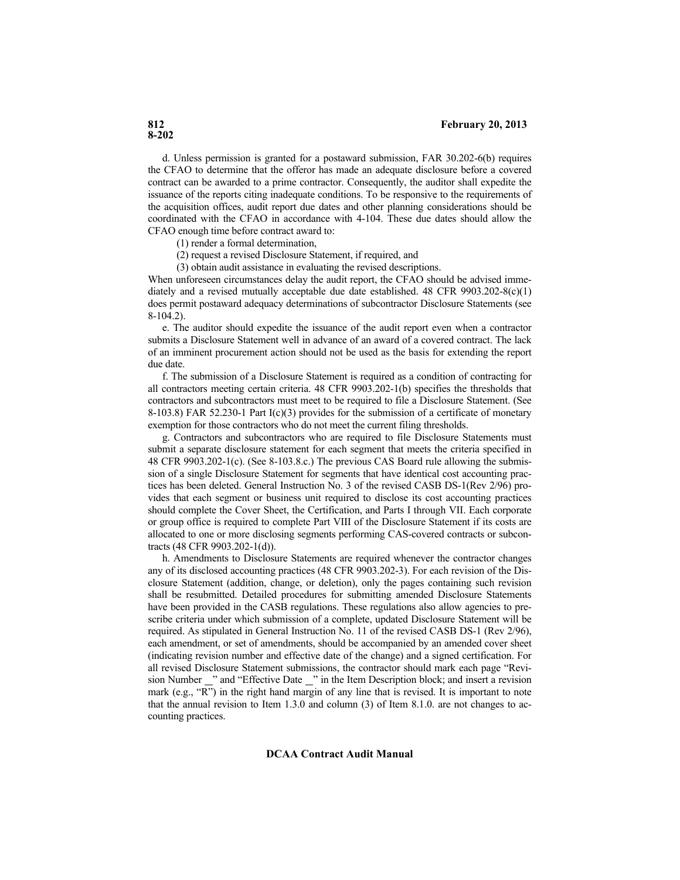d. Unless permission is granted for a postaward submission, FAR 30.202-6(b) requires the CFAO to determine that the offeror has made an adequate disclosure before a covered contract can be awarded to a prime contractor. Consequently, the auditor shall expedite the issuance of the reports citing inadequate conditions. To be responsive to the requirements of the acquisition offices, audit report due dates and other planning considerations should be coordinated with the CFAO in accordance with 4-104. These due dates should allow the CFAO enough time before contract award to:

(1) render a formal determination,

- (2) request a revised Disclosure Statement, if required, and
- (3) obtain audit assistance in evaluating the revised descriptions.

When unforeseen circumstances delay the audit report, the CFAO should be advised immediately and a revised mutually acceptable due date established. 48 CFR 9903.202-8(c)(1) does permit postaward adequacy determinations of subcontractor Disclosure Statements (see 8-104.2).

e. The auditor should expedite the issuance of the audit report even when a contractor submits a Disclosure Statement well in advance of an award of a covered contract. The lack of an imminent procurement action should not be used as the basis for extending the report due date.

f. The submission of a Disclosure Statement is required as a condition of contracting for all contractors meeting certain criteria. 48 CFR 9903.202-1(b) specifies the thresholds that contractors and subcontractors must meet to be required to file a Disclosure Statement. (See 8-103.8) FAR 52.230-1 Part I(c)(3) provides for the submission of a certificate of monetary exemption for those contractors who do not meet the current filing thresholds.

g. Contractors and subcontractors who are required to file Disclosure Statements must submit a separate disclosure statement for each segment that meets the criteria specified in 48 CFR 9903.202-1(c). (See 8-103.8.c.) The previous CAS Board rule allowing the submission of a single Disclosure Statement for segments that have identical cost accounting practices has been deleted. General Instruction No. 3 of the revised CASB DS-1(Rev 2/96) provides that each segment or business unit required to disclose its cost accounting practices should complete the Cover Sheet, the Certification, and Parts I through VII. Each corporate or group office is required to complete Part VIII of the Disclosure Statement if its costs are allocated to one or more disclosing segments performing CAS-covered contracts or subcontracts (48 CFR 9903.202-1(d)).

h. Amendments to Disclosure Statements are required whenever the contractor changes any of its disclosed accounting practices (48 CFR 9903.202-3). For each revision of the Disclosure Statement (addition, change, or deletion), only the pages containing such revision shall be resubmitted. Detailed procedures for submitting amended Disclosure Statements have been provided in the CASB regulations. These regulations also allow agencies to prescribe criteria under which submission of a complete, updated Disclosure Statement will be required. As stipulated in General Instruction No. 11 of the revised CASB DS-1 (Rev 2/96), each amendment, or set of amendments, should be accompanied by an amended cover sheet (indicating revision number and effective date of the change) and a signed certification. For all revised Disclosure Statement submissions, the contractor should mark each page "Revision Number \_" and "Effective Date \_" in the Item Description block; and insert a revision mark  $(e.g., "R")$  in the right hand margin of any line that is revised. It is important to note that the annual revision to Item 1.3.0 and column (3) of Item 8.1.0. are not changes to accounting practices.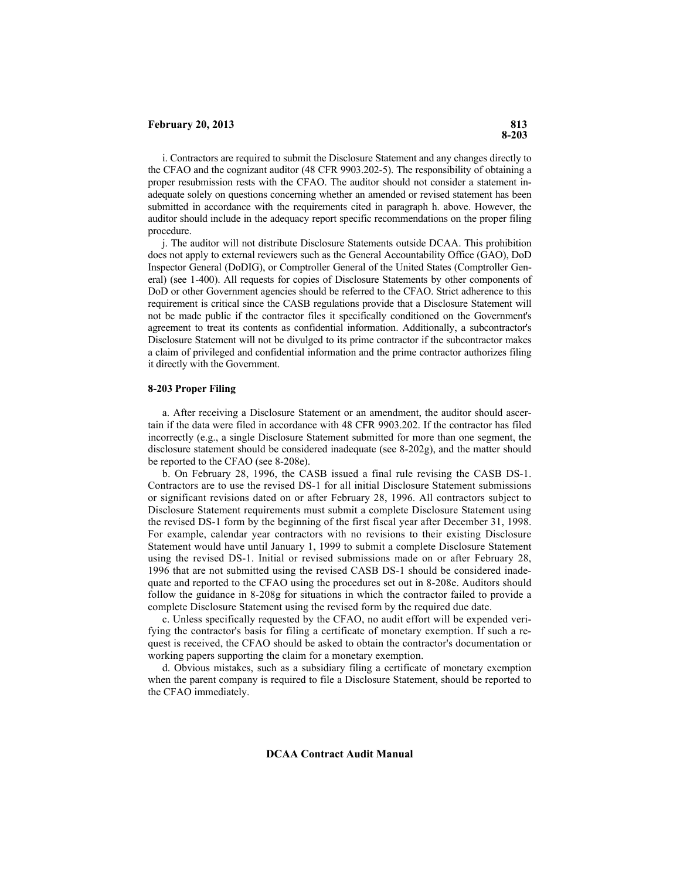i. Contractors are required to submit the Disclosure Statement and any changes directly to the CFAO and the cognizant auditor (48 CFR 9903.202-5). The responsibility of obtaining a proper resubmission rests with the CFAO. The auditor should not consider a statement inadequate solely on questions concerning whether an amended or revised statement has been submitted in accordance with the requirements cited in paragraph h. above. However, the auditor should include in the adequacy report specific recommendations on the proper filing procedure.

j. The auditor will not distribute Disclosure Statements outside DCAA. This prohibition does not apply to external reviewers such as the General Accountability Office (GAO), DoD Inspector General (DoDIG), or Comptroller General of the United States (Comptroller General) (see 1-400). All requests for copies of Disclosure Statements by other components of DoD or other Government agencies should be referred to the CFAO. Strict adherence to this requirement is critical since the CASB regulations provide that a Disclosure Statement will not be made public if the contractor files it specifically conditioned on the Government's agreement to treat its contents as confidential information. Additionally, a subcontractor's Disclosure Statement will not be divulged to its prime contractor if the subcontractor makes a claim of privileged and confidential information and the prime contractor authorizes filing it directly with the Government.

#### <span id="page-18-0"></span>**8-203 Proper Filing**

a. After receiving a Disclosure Statement or an amendment, the auditor should ascertain if the data were filed in accordance with 48 CFR 9903.202. If the contractor has filed incorrectly (e.g., a single Disclosure Statement submitted for more than one segment, the disclosure statement should be considered inadequate (see 8-202g), and the matter should be reported to the CFAO (see 8-208e).

b. On February 28, 1996, the CASB issued a final rule revising the CASB DS-1. Contractors are to use the revised DS-1 for all initial Disclosure Statement submissions or significant revisions dated on or after February 28, 1996. All contractors subject to Disclosure Statement requirements must submit a complete Disclosure Statement using the revised DS-1 form by the beginning of the first fiscal year after December 31, 1998. For example, calendar year contractors with no revisions to their existing Disclosure Statement would have until January 1, 1999 to submit a complete Disclosure Statement using the revised DS-1. Initial or revised submissions made on or after February 28, 1996 that are not submitted using the revised CASB DS-1 should be considered inadequate and reported to the CFAO using the procedures set out in 8-208e. Auditors should follow the guidance in 8-208g for situations in which the contractor failed to provide a complete Disclosure Statement using the revised form by the required due date.

c. Unless specifically requested by the CFAO, no audit effort will be expended verifying the contractor's basis for filing a certificate of monetary exemption. If such a request is received, the CFAO should be asked to obtain the contractor's documentation or working papers supporting the claim for a monetary exemption.

d. Obvious mistakes, such as a subsidiary filing a certificate of monetary exemption when the parent company is required to file a Disclosure Statement, should be reported to the CFAO immediately.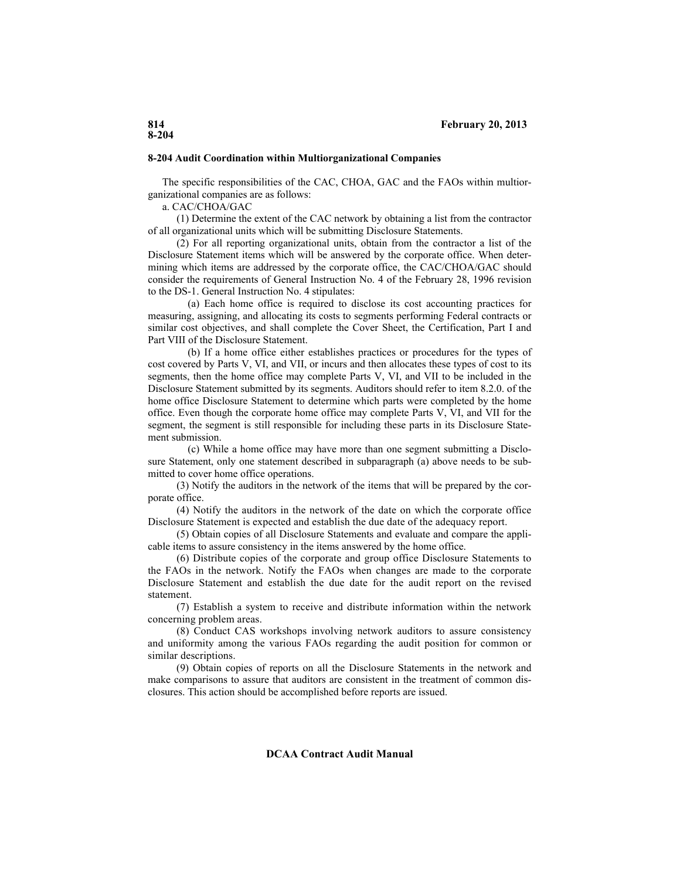#### <span id="page-19-0"></span>**8-204 Audit Coordination within Multiorganizational Companies**

The specific responsibilities of the CAC, CHOA, GAC and the FAOs within multiorganizational companies are as follows:

a. CAC/CHOA/GAC

(1) Determine the extent of the CAC network by obtaining a list from the contractor of all organizational units which will be submitting Disclosure Statements.

(2) For all reporting organizational units, obtain from the contractor a list of the Disclosure Statement items which will be answered by the corporate office. When determining which items are addressed by the corporate office, the CAC/CHOA/GAC should consider the requirements of General Instruction No. 4 of the February 28, 1996 revision to the DS-1. General Instruction No. 4 stipulates:

(a) Each home office is required to disclose its cost accounting practices for measuring, assigning, and allocating its costs to segments performing Federal contracts or similar cost objectives, and shall complete the Cover Sheet, the Certification, Part I and Part VIII of the Disclosure Statement.

(b) If a home office either establishes practices or procedures for the types of cost covered by Parts V, VI, and VII, or incurs and then allocates these types of cost to its segments, then the home office may complete Parts V, VI, and VII to be included in the Disclosure Statement submitted by its segments. Auditors should refer to item 8.2.0. of the home office Disclosure Statement to determine which parts were completed by the home office. Even though the corporate home office may complete Parts V, VI, and VII for the segment, the segment is still responsible for including these parts in its Disclosure Statement submission.

(c) While a home office may have more than one segment submitting a Disclosure Statement, only one statement described in subparagraph (a) above needs to be submitted to cover home office operations.

(3) Notify the auditors in the network of the items that will be prepared by the corporate office.

(4) Notify the auditors in the network of the date on which the corporate office Disclosure Statement is expected and establish the due date of the adequacy report.

(5) Obtain copies of all Disclosure Statements and evaluate and compare the applicable items to assure consistency in the items answered by the home office.

(6) Distribute copies of the corporate and group office Disclosure Statements to the FAOs in the network. Notify the FAOs when changes are made to the corporate Disclosure Statement and establish the due date for the audit report on the revised statement.

(7) Establish a system to receive and distribute information within the network concerning problem areas.

(8) Conduct CAS workshops involving network auditors to assure consistency and uniformity among the various FAOs regarding the audit position for common or similar descriptions.

(9) Obtain copies of reports on all the Disclosure Statements in the network and make comparisons to assure that auditors are consistent in the treatment of common disclosures. This action should be accomplished before reports are issued.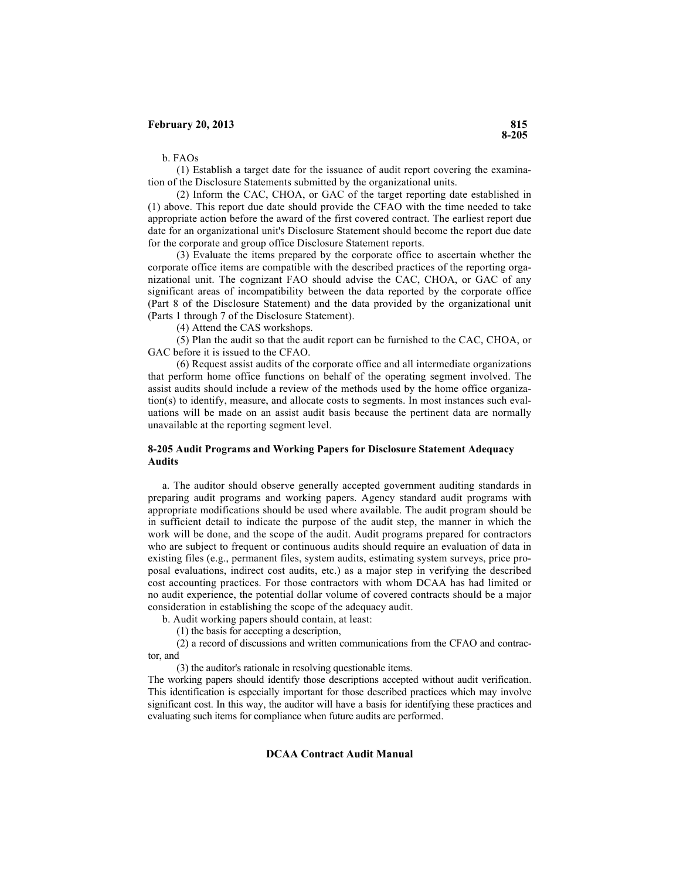b. FAOs

(1) Establish a target date for the issuance of audit report covering the examination of the Disclosure Statements submitted by the organizational units.

(2) Inform the CAC, CHOA, or GAC of the target reporting date established in (1) above. This report due date should provide the CFAO with the time needed to take appropriate action before the award of the first covered contract. The earliest report due date for an organizational unit's Disclosure Statement should become the report due date for the corporate and group office Disclosure Statement reports.

(3) Evaluate the items prepared by the corporate office to ascertain whether the corporate office items are compatible with the described practices of the reporting organizational unit. The cognizant FAO should advise the CAC, CHOA, or GAC of any significant areas of incompatibility between the data reported by the corporate office (Part 8 of the Disclosure Statement) and the data provided by the organizational unit (Parts 1 through 7 of the Disclosure Statement).

(4) Attend the CAS workshops.

(5) Plan the audit so that the audit report can be furnished to the CAC, CHOA, or GAC before it is issued to the CFAO.

(6) Request assist audits of the corporate office and all intermediate organizations that perform home office functions on behalf of the operating segment involved. The assist audits should include a review of the methods used by the home office organization(s) to identify, measure, and allocate costs to segments. In most instances such evaluations will be made on an assist audit basis because the pertinent data are normally unavailable at the reporting segment level.

### <span id="page-20-0"></span>**8-205 Audit Programs and Working Papers for Disclosure Statement Adequacy Audits**

a. The auditor should observe generally accepted government auditing standards in preparing audit programs and working papers. Agency standard audit programs with appropriate modifications should be used where available. The audit program should be in sufficient detail to indicate the purpose of the audit step, the manner in which the work will be done, and the scope of the audit. Audit programs prepared for contractors who are subject to frequent or continuous audits should require an evaluation of data in existing files (e.g., permanent files, system audits, estimating system surveys, price proposal evaluations, indirect cost audits, etc.) as a major step in verifying the described cost accounting practices. For those contractors with whom DCAA has had limited or no audit experience, the potential dollar volume of covered contracts should be a major consideration in establishing the scope of the adequacy audit.

b. Audit working papers should contain, at least:

(1) the basis for accepting a description,

(2) a record of discussions and written communications from the CFAO and contractor, and

(3) the auditor's rationale in resolving questionable items.

The working papers should identify those descriptions accepted without audit verification. This identification is especially important for those described practices which may involve significant cost. In this way, the auditor will have a basis for identifying these practices and evaluating such items for compliance when future audits are performed.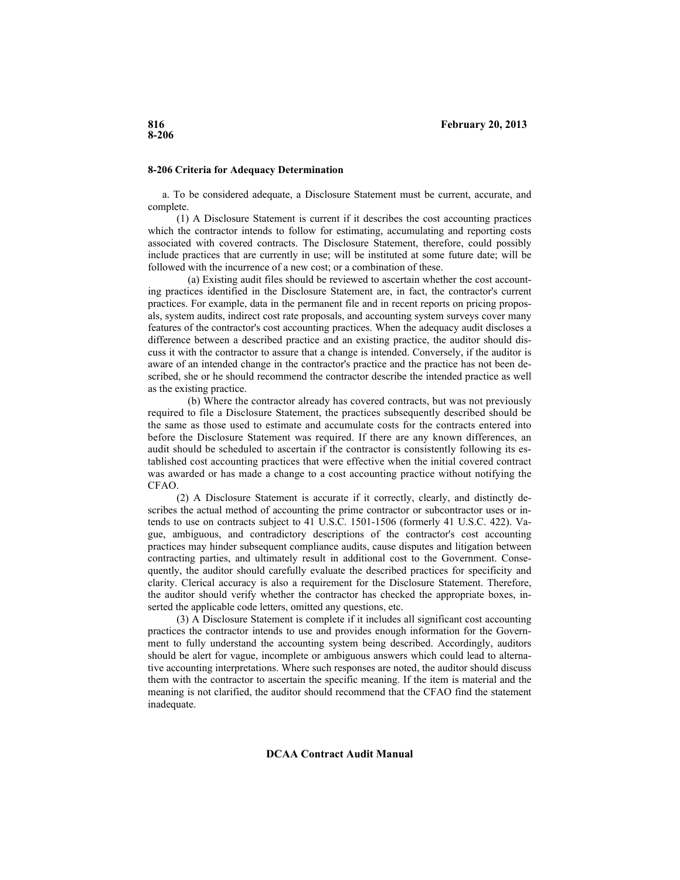#### <span id="page-21-0"></span>**8-206 Criteria for Adequacy Determination**

a. To be considered adequate, a Disclosure Statement must be current, accurate, and complete.

(1) A Disclosure Statement is current if it describes the cost accounting practices which the contractor intends to follow for estimating, accumulating and reporting costs associated with covered contracts. The Disclosure Statement, therefore, could possibly include practices that are currently in use; will be instituted at some future date; will be followed with the incurrence of a new cost; or a combination of these.

(a) Existing audit files should be reviewed to ascertain whether the cost accounting practices identified in the Disclosure Statement are, in fact, the contractor's current practices. For example, data in the permanent file and in recent reports on pricing proposals, system audits, indirect cost rate proposals, and accounting system surveys cover many features of the contractor's cost accounting practices. When the adequacy audit discloses a difference between a described practice and an existing practice, the auditor should discuss it with the contractor to assure that a change is intended. Conversely, if the auditor is aware of an intended change in the contractor's practice and the practice has not been described, she or he should recommend the contractor describe the intended practice as well as the existing practice.

(b) Where the contractor already has covered contracts, but was not previously required to file a Disclosure Statement, the practices subsequently described should be the same as those used to estimate and accumulate costs for the contracts entered into before the Disclosure Statement was required. If there are any known differences, an audit should be scheduled to ascertain if the contractor is consistently following its established cost accounting practices that were effective when the initial covered contract was awarded or has made a change to a cost accounting practice without notifying the CFAO.

(2) A Disclosure Statement is accurate if it correctly, clearly, and distinctly describes the actual method of accounting the prime contractor or subcontractor uses or intends to use on contracts subject to 41 U.S.C. 1501-1506 (formerly 41 U.S.C. 422). Vague, ambiguous, and contradictory descriptions of the contractor's cost accounting practices may hinder subsequent compliance audits, cause disputes and litigation between contracting parties, and ultimately result in additional cost to the Government. Consequently, the auditor should carefully evaluate the described practices for specificity and clarity. Clerical accuracy is also a requirement for the Disclosure Statement. Therefore, the auditor should verify whether the contractor has checked the appropriate boxes, inserted the applicable code letters, omitted any questions, etc.

(3) A Disclosure Statement is complete if it includes all significant cost accounting practices the contractor intends to use and provides enough information for the Government to fully understand the accounting system being described. Accordingly, auditors should be alert for vague, incomplete or ambiguous answers which could lead to alternative accounting interpretations. Where such responses are noted, the auditor should discuss them with the contractor to ascertain the specific meaning. If the item is material and the meaning is not clarified, the auditor should recommend that the CFAO find the statement inadequate.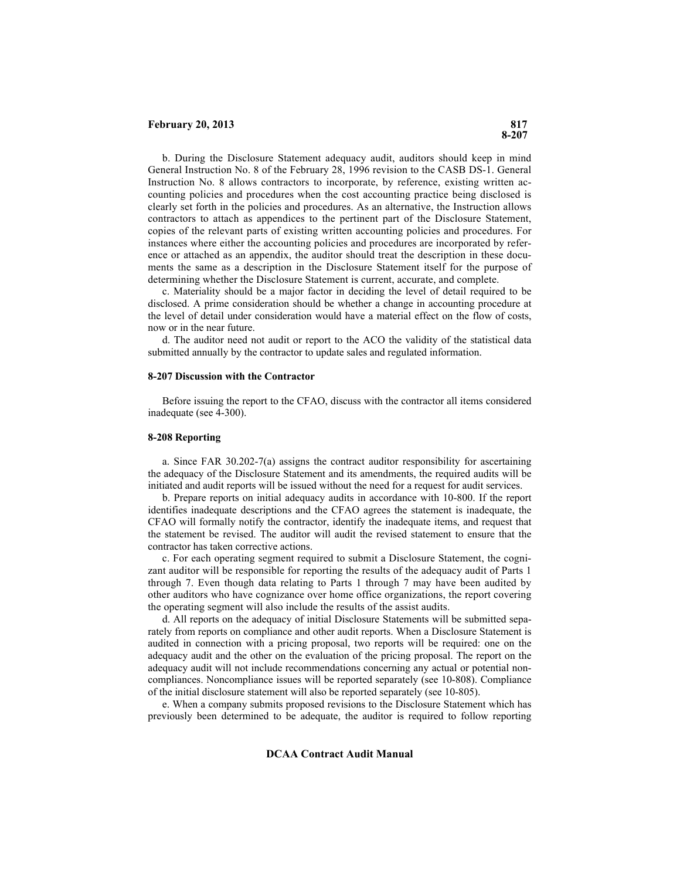b. During the Disclosure Statement adequacy audit, auditors should keep in mind General Instruction No. 8 of the February 28, 1996 revision to the CASB DS-1. General Instruction No. 8 allows contractors to incorporate, by reference, existing written accounting policies and procedures when the cost accounting practice being disclosed is clearly set forth in the policies and procedures. As an alternative, the Instruction allows contractors to attach as appendices to the pertinent part of the Disclosure Statement, copies of the relevant parts of existing written accounting policies and procedures. For instances where either the accounting policies and procedures are incorporated by reference or attached as an appendix, the auditor should treat the description in these documents the same as a description in the Disclosure Statement itself for the purpose of determining whether the Disclosure Statement is current, accurate, and complete.

c. Materiality should be a major factor in deciding the level of detail required to be disclosed. A prime consideration should be whether a change in accounting procedure at the level of detail under consideration would have a material effect on the flow of costs, now or in the near future.

d. The auditor need not audit or report to the ACO the validity of the statistical data submitted annually by the contractor to update sales and regulated information.

#### <span id="page-22-0"></span>**8-207 Discussion with the Contractor**

Before issuing the report to the CFAO, discuss with the contractor all items considered inadequate (see 4-300).

#### <span id="page-22-1"></span>**8-208 Reporting**

a. Since FAR  $30.202-7(a)$  assigns the contract auditor responsibility for ascertaining the adequacy of the Disclosure Statement and its amendments, the required audits will be initiated and audit reports will be issued without the need for a request for audit services.

b. Prepare reports on initial adequacy audits in accordance with 10-800. If the report identifies inadequate descriptions and the CFAO agrees the statement is inadequate, the CFAO will formally notify the contractor, identify the inadequate items, and request that the statement be revised. The auditor will audit the revised statement to ensure that the contractor has taken corrective actions.

c. For each operating segment required to submit a Disclosure Statement, the cognizant auditor will be responsible for reporting the results of the adequacy audit of Parts 1 through 7. Even though data relating to Parts 1 through 7 may have been audited by other auditors who have cognizance over home office organizations, the report covering the operating segment will also include the results of the assist audits.

d. All reports on the adequacy of initial Disclosure Statements will be submitted separately from reports on compliance and other audit reports. When a Disclosure Statement is audited in connection with a pricing proposal, two reports will be required: one on the adequacy audit and the other on the evaluation of the pricing proposal. The report on the adequacy audit will not include recommendations concerning any actual or potential noncompliances. Noncompliance issues will be reported separately (see 10-808). Compliance of the initial disclosure statement will also be reported separately (see 10-805).

e. When a company submits proposed revisions to the Disclosure Statement which has previously been determined to be adequate, the auditor is required to follow reporting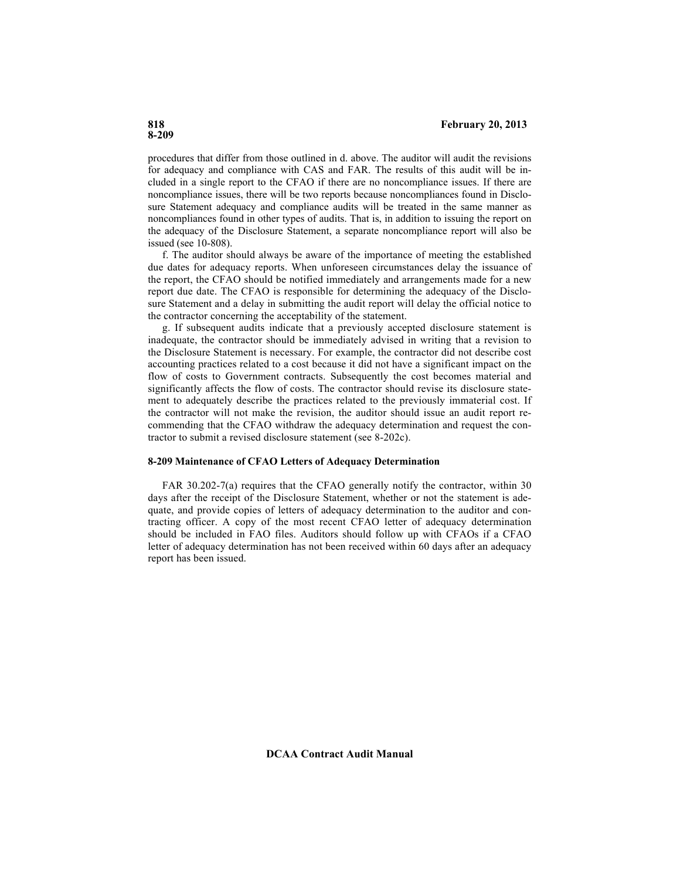procedures that differ from those outlined in d. above. The auditor will audit the revisions for adequacy and compliance with CAS and FAR. The results of this audit will be included in a single report to the CFAO if there are no noncompliance issues. If there are noncompliance issues, there will be two reports because noncompliances found in Disclosure Statement adequacy and compliance audits will be treated in the same manner as noncompliances found in other types of audits. That is, in addition to issuing the report on the adequacy of the Disclosure Statement, a separate noncompliance report will also be issued (see 10-808).

f. The auditor should always be aware of the importance of meeting the established due dates for adequacy reports. When unforeseen circumstances delay the issuance of the report, the CFAO should be notified immediately and arrangements made for a new report due date. The CFAO is responsible for determining the adequacy of the Disclosure Statement and a delay in submitting the audit report will delay the official notice to the contractor concerning the acceptability of the statement.

g. If subsequent audits indicate that a previously accepted disclosure statement is inadequate, the contractor should be immediately advised in writing that a revision to the Disclosure Statement is necessary. For example, the contractor did not describe cost accounting practices related to a cost because it did not have a significant impact on the flow of costs to Government contracts. Subsequently the cost becomes material and significantly affects the flow of costs. The contractor should revise its disclosure statement to adequately describe the practices related to the previously immaterial cost. If the contractor will not make the revision, the auditor should issue an audit report recommending that the CFAO withdraw the adequacy determination and request the contractor to submit a revised disclosure statement (see 8-202c).

#### <span id="page-23-0"></span>**8-209 Maintenance of CFAO Letters of Adequacy Determination**

FAR 30.202-7(a) requires that the CFAO generally notify the contractor, within 30 days after the receipt of the Disclosure Statement, whether or not the statement is adequate, and provide copies of letters of adequacy determination to the auditor and contracting officer. A copy of the most recent CFAO letter of adequacy determination should be included in FAO files. Auditors should follow up with CFAOs if a CFAO letter of adequacy determination has not been received within 60 days after an adequacy report has been issued.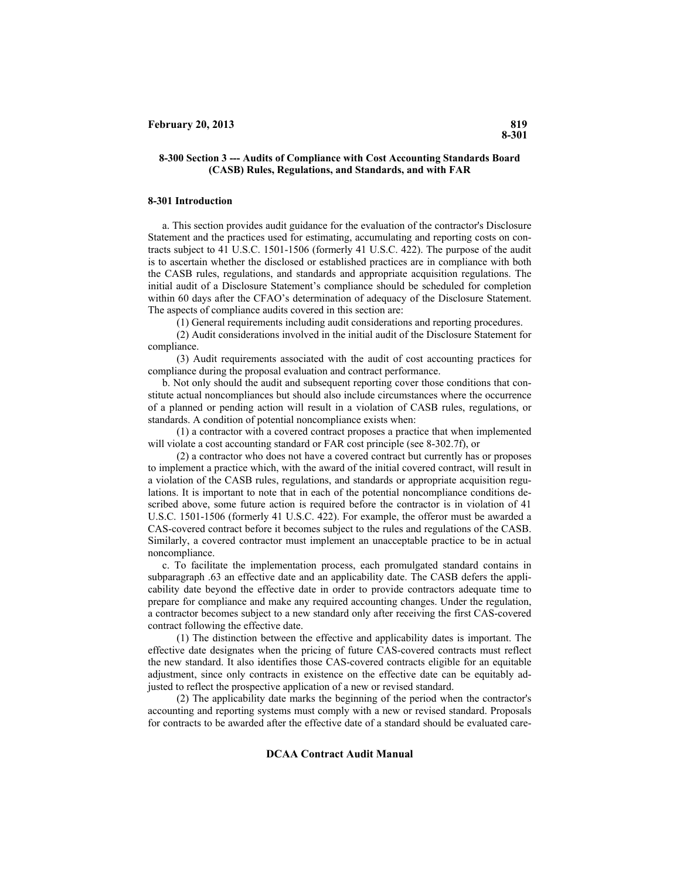#### **8-300 Section 3 --- Audits of Compliance with Cost Accounting Standards Board (CASB) Rules, Regulations, and Standards, and with FAR**

#### <span id="page-24-0"></span>**8-301 Introduction**

a. This section provides audit guidance for the evaluation of the contractor's Disclosure Statement and the practices used for estimating, accumulating and reporting costs on contracts subject to 41 U.S.C. 1501-1506 (formerly 41 U.S.C. 422). The purpose of the audit is to ascertain whether the disclosed or established practices are in compliance with both the CASB rules, regulations, and standards and appropriate acquisition regulations. The initial audit of a Disclosure Statement's compliance should be scheduled for completion within 60 days after the CFAO's determination of adequacy of the Disclosure Statement. The aspects of compliance audits covered in this section are:

(1) General requirements including audit considerations and reporting procedures.

(2) Audit considerations involved in the initial audit of the Disclosure Statement for compliance.

(3) Audit requirements associated with the audit of cost accounting practices for compliance during the proposal evaluation and contract performance.

b. Not only should the audit and subsequent reporting cover those conditions that constitute actual noncompliances but should also include circumstances where the occurrence of a planned or pending action will result in a violation of CASB rules, regulations, or standards. A condition of potential noncompliance exists when:

(1) a contractor with a covered contract proposes a practice that when implemented will violate a cost accounting standard or FAR cost principle (see 8-302.7f), or

(2) a contractor who does not have a covered contract but currently has or proposes to implement a practice which, with the award of the initial covered contract, will result in a violation of the CASB rules, regulations, and standards or appropriate acquisition regulations. It is important to note that in each of the potential noncompliance conditions described above, some future action is required before the contractor is in violation of 41 U.S.C. 1501-1506 (formerly 41 U.S.C. 422). For example, the offeror must be awarded a CAS-covered contract before it becomes subject to the rules and regulations of the CASB. Similarly, a covered contractor must implement an unacceptable practice to be in actual noncompliance.

c. To facilitate the implementation process, each promulgated standard contains in subparagraph .63 an effective date and an applicability date. The CASB defers the applicability date beyond the effective date in order to provide contractors adequate time to prepare for compliance and make any required accounting changes. Under the regulation, a contractor becomes subject to a new standard only after receiving the first CAS-covered contract following the effective date.

(1) The distinction between the effective and applicability dates is important. The effective date designates when the pricing of future CAS-covered contracts must reflect the new standard. It also identifies those CAS-covered contracts eligible for an equitable adjustment, since only contracts in existence on the effective date can be equitably adjusted to reflect the prospective application of a new or revised standard.

(2) The applicability date marks the beginning of the period when the contractor's accounting and reporting systems must comply with a new or revised standard. Proposals for contracts to be awarded after the effective date of a standard should be evaluated care-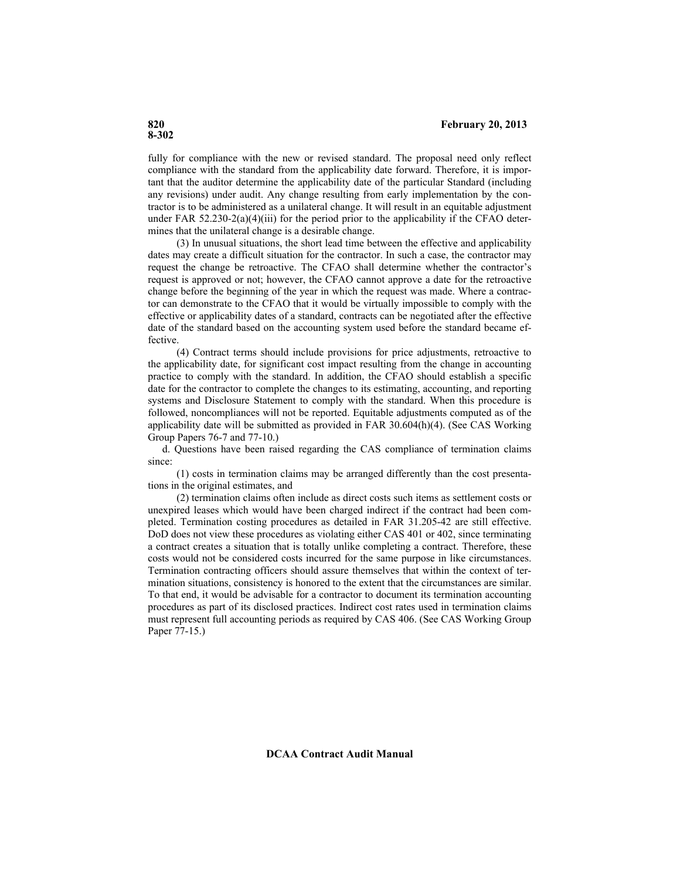fully for compliance with the new or revised standard. The proposal need only reflect compliance with the standard from the applicability date forward. Therefore, it is important that the auditor determine the applicability date of the particular Standard (including any revisions) under audit. Any change resulting from early implementation by the contractor is to be administered as a unilateral change. It will result in an equitable adjustment under FAR  $52.230-2(a)(4)(iii)$  for the period prior to the applicability if the CFAO determines that the unilateral change is a desirable change.

(3) In unusual situations, the short lead time between the effective and applicability dates may create a difficult situation for the contractor. In such a case, the contractor may request the change be retroactive. The CFAO shall determine whether the contractor's request is approved or not; however, the CFAO cannot approve a date for the retroactive change before the beginning of the year in which the request was made. Where a contractor can demonstrate to the CFAO that it would be virtually impossible to comply with the effective or applicability dates of a standard, contracts can be negotiated after the effective date of the standard based on the accounting system used before the standard became effective.

(4) Contract terms should include provisions for price adjustments, retroactive to the applicability date, for significant cost impact resulting from the change in accounting practice to comply with the standard. In addition, the CFAO should establish a specific date for the contractor to complete the changes to its estimating, accounting, and reporting systems and Disclosure Statement to comply with the standard. When this procedure is followed, noncompliances will not be reported. Equitable adjustments computed as of the applicability date will be submitted as provided in FAR 30.604(h)(4). (See CAS Working Group Papers 76-7 and 77-10.)

d. Questions have been raised regarding the CAS compliance of termination claims since:

(1) costs in termination claims may be arranged differently than the cost presentations in the original estimates, and

(2) termination claims often include as direct costs such items as settlement costs or unexpired leases which would have been charged indirect if the contract had been completed. Termination costing procedures as detailed in FAR 31.205-42 are still effective. DoD does not view these procedures as violating either CAS 401 or 402, since terminating a contract creates a situation that is totally unlike completing a contract. Therefore, these costs would not be considered costs incurred for the same purpose in like circumstances. Termination contracting officers should assure themselves that within the context of termination situations, consistency is honored to the extent that the circumstances are similar. To that end, it would be advisable for a contractor to document its termination accounting procedures as part of its disclosed practices. Indirect cost rates used in termination claims must represent full accounting periods as required by CAS 406. (See CAS Working Group Paper 77-15.)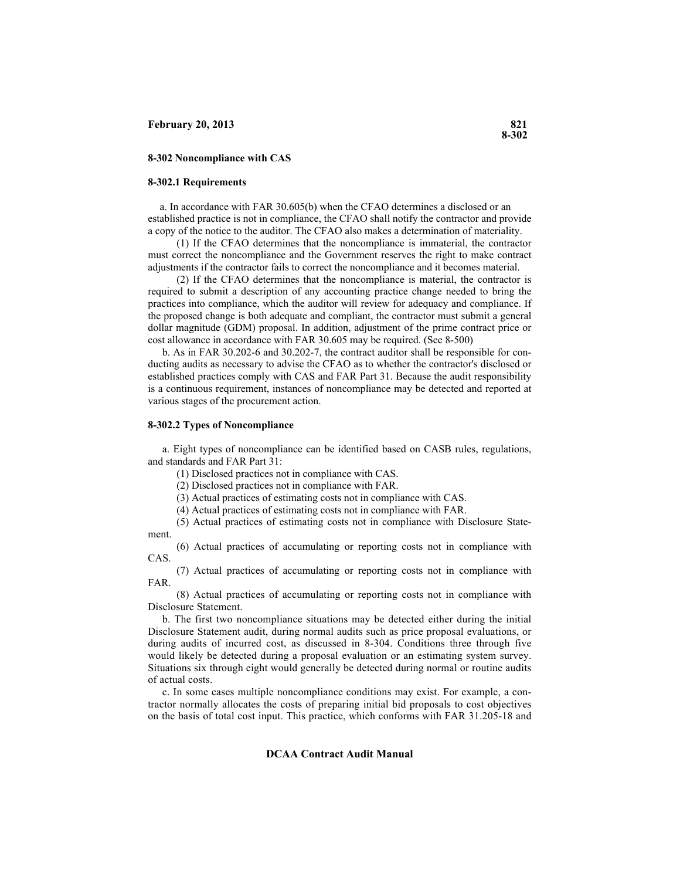#### <span id="page-26-1"></span><span id="page-26-0"></span>**8-302.1 Requirements**

a. In accordance with FAR 30.605(b) when the CFAO determines a disclosed or an established practice is not in compliance, the CFAO shall notify the contractor and provide a copy of the notice to the auditor. The CFAO also makes a determination of materiality.

(1) If the CFAO determines that the noncompliance is immaterial, the contractor must correct the noncompliance and the Government reserves the right to make contract adjustments if the contractor fails to correct the noncompliance and it becomes material.

(2) If the CFAO determines that the noncompliance is material, the contractor is required to submit a description of any accounting practice change needed to bring the practices into compliance, which the auditor will review for adequacy and compliance. If the proposed change is both adequate and compliant, the contractor must submit a general dollar magnitude (GDM) proposal. In addition, adjustment of the prime contract price or cost allowance in accordance with FAR 30.605 may be required. (See 8-500)

b. As in FAR 30.202-6 and 30.202-7, the contract auditor shall be responsible for conducting audits as necessary to advise the CFAO as to whether the contractor's disclosed or established practices comply with CAS and FAR Part 31. Because the audit responsibility is a continuous requirement, instances of noncompliance may be detected and reported at various stages of the procurement action.

#### <span id="page-26-2"></span>**8-302.2 Types of Noncompliance**

a. Eight types of noncompliance can be identified based on CASB rules, regulations, and standards and FAR Part 31:

(1) Disclosed practices not in compliance with CAS.

(2) Disclosed practices not in compliance with FAR.

(3) Actual practices of estimating costs not in compliance with CAS.

(4) Actual practices of estimating costs not in compliance with FAR.

(5) Actual practices of estimating costs not in compliance with Disclosure Statement.

(6) Actual practices of accumulating or reporting costs not in compliance with CAS.

(7) Actual practices of accumulating or reporting costs not in compliance with FAR.

(8) Actual practices of accumulating or reporting costs not in compliance with Disclosure Statement.

b. The first two noncompliance situations may be detected either during the initial Disclosure Statement audit, during normal audits such as price proposal evaluations, or during audits of incurred cost, as discussed in 8-304. Conditions three through five would likely be detected during a proposal evaluation or an estimating system survey. Situations six through eight would generally be detected during normal or routine audits of actual costs.

c. In some cases multiple noncompliance conditions may exist. For example, a contractor normally allocates the costs of preparing initial bid proposals to cost objectives on the basis of total cost input. This practice, which conforms with FAR 31.205-18 and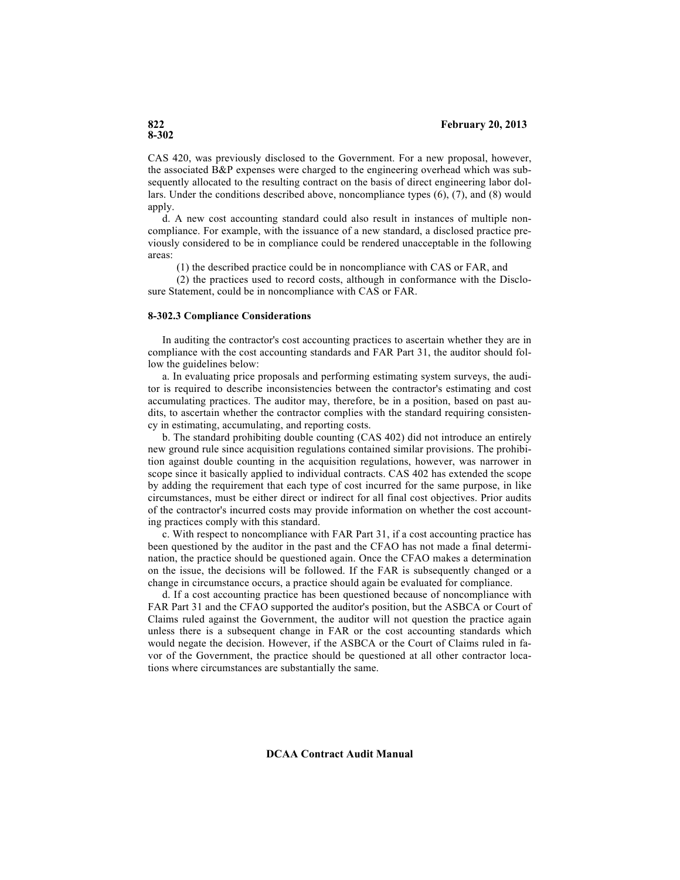CAS 420, was previously disclosed to the Government. For a new proposal, however, the associated B&P expenses were charged to the engineering overhead which was subsequently allocated to the resulting contract on the basis of direct engineering labor dollars. Under the conditions described above, noncompliance types (6), (7), and (8) would apply.

d. A new cost accounting standard could also result in instances of multiple noncompliance. For example, with the issuance of a new standard, a disclosed practice previously considered to be in compliance could be rendered unacceptable in the following areas:

(1) the described practice could be in noncompliance with CAS or FAR, and

(2) the practices used to record costs, although in conformance with the Disclosure Statement, could be in noncompliance with CAS or FAR.

#### <span id="page-27-0"></span>**8-302.3 Compliance Considerations**

In auditing the contractor's cost accounting practices to ascertain whether they are in compliance with the cost accounting standards and FAR Part 31, the auditor should follow the guidelines below:

a. In evaluating price proposals and performing estimating system surveys, the auditor is required to describe inconsistencies between the contractor's estimating and cost accumulating practices. The auditor may, therefore, be in a position, based on past audits, to ascertain whether the contractor complies with the standard requiring consistency in estimating, accumulating, and reporting costs.

b. The standard prohibiting double counting (CAS 402) did not introduce an entirely new ground rule since acquisition regulations contained similar provisions. The prohibition against double counting in the acquisition regulations, however, was narrower in scope since it basically applied to individual contracts. CAS 402 has extended the scope by adding the requirement that each type of cost incurred for the same purpose, in like circumstances, must be either direct or indirect for all final cost objectives. Prior audits of the contractor's incurred costs may provide information on whether the cost accounting practices comply with this standard.

c. With respect to noncompliance with FAR Part 31, if a cost accounting practice has been questioned by the auditor in the past and the CFAO has not made a final determination, the practice should be questioned again. Once the CFAO makes a determination on the issue, the decisions will be followed. If the FAR is subsequently changed or a change in circumstance occurs, a practice should again be evaluated for compliance.

d. If a cost accounting practice has been questioned because of noncompliance with FAR Part 31 and the CFAO supported the auditor's position, but the ASBCA or Court of Claims ruled against the Government, the auditor will not question the practice again unless there is a subsequent change in FAR or the cost accounting standards which would negate the decision. However, if the ASBCA or the Court of Claims ruled in favor of the Government, the practice should be questioned at all other contractor locations where circumstances are substantially the same.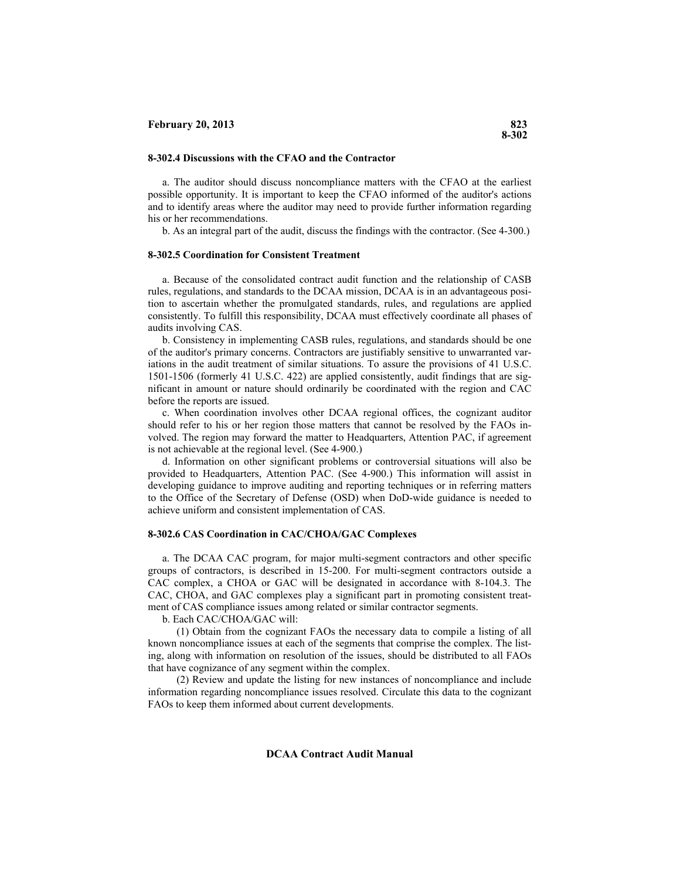#### <span id="page-28-0"></span>**8-302.4 Discussions with the CFAO and the Contractor**

a. The auditor should discuss noncompliance matters with the CFAO at the earliest possible opportunity. It is important to keep the CFAO informed of the auditor's actions and to identify areas where the auditor may need to provide further information regarding his or her recommendations.

b. As an integral part of the audit, discuss the findings with the contractor. (See 4-300.)

#### <span id="page-28-1"></span>**8-302.5 Coordination for Consistent Treatment**

a. Because of the consolidated contract audit function and the relationship of CASB rules, regulations, and standards to the DCAA mission, DCAA is in an advantageous position to ascertain whether the promulgated standards, rules, and regulations are applied consistently. To fulfill this responsibility, DCAA must effectively coordinate all phases of audits involving CAS.

b. Consistency in implementing CASB rules, regulations, and standards should be one of the auditor's primary concerns. Contractors are justifiably sensitive to unwarranted variations in the audit treatment of similar situations. To assure the provisions of 41 U.S.C. 1501-1506 (formerly 41 U.S.C. 422) are applied consistently, audit findings that are significant in amount or nature should ordinarily be coordinated with the region and CAC before the reports are issued.

c. When coordination involves other DCAA regional offices, the cognizant auditor should refer to his or her region those matters that cannot be resolved by the FAOs involved. The region may forward the matter to Headquarters, Attention PAC, if agreement is not achievable at the regional level. (See 4-900.)

d. Information on other significant problems or controversial situations will also be provided to Headquarters, Attention PAC. (See 4-900.) This information will assist in developing guidance to improve auditing and reporting techniques or in referring matters to the Office of the Secretary of Defense (OSD) when DoD-wide guidance is needed to achieve uniform and consistent implementation of CAS.

#### <span id="page-28-2"></span>**8-302.6 CAS Coordination in CAC/CHOA/GAC Complexes**

a. The DCAA CAC program, for major multi-segment contractors and other specific groups of contractors, is described in 15-200. For multi-segment contractors outside a CAC complex, a CHOA or GAC will be designated in accordance with 8-104.3. The CAC, CHOA, and GAC complexes play a significant part in promoting consistent treatment of CAS compliance issues among related or similar contractor segments.

b. Each CAC/CHOA/GAC will:

(1) Obtain from the cognizant FAOs the necessary data to compile a listing of all known noncompliance issues at each of the segments that comprise the complex. The listing, along with information on resolution of the issues, should be distributed to all FAOs that have cognizance of any segment within the complex.

(2) Review and update the listing for new instances of noncompliance and include information regarding noncompliance issues resolved. Circulate this data to the cognizant FAOs to keep them informed about current developments.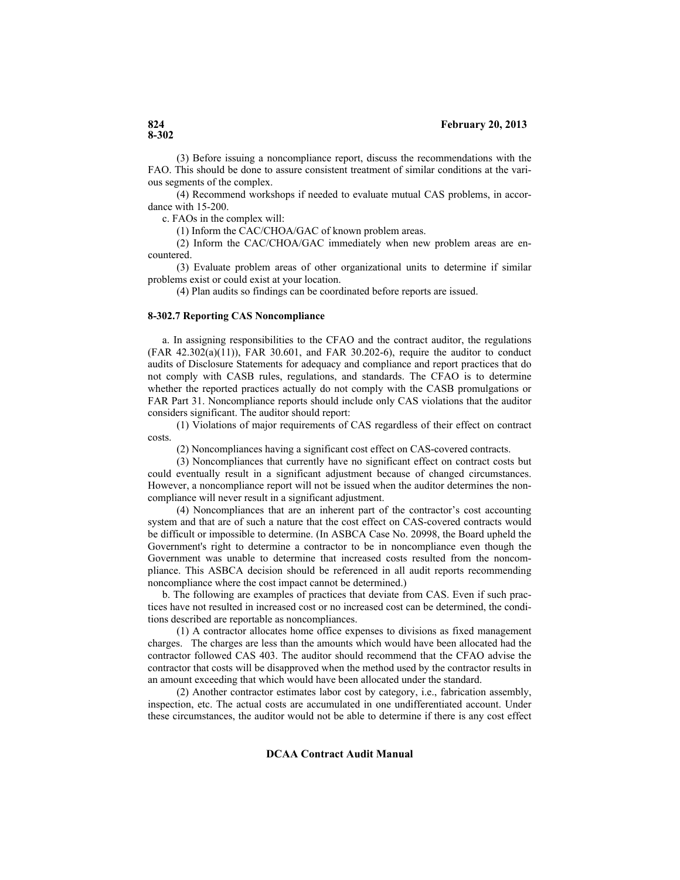(3) Before issuing a noncompliance report, discuss the recommendations with the FAO. This should be done to assure consistent treatment of similar conditions at the various segments of the complex.

(4) Recommend workshops if needed to evaluate mutual CAS problems, in accordance with 15-200.

c. FAOs in the complex will:

(1) Inform the CAC/CHOA/GAC of known problem areas.

(2) Inform the CAC/CHOA/GAC immediately when new problem areas are encountered.

(3) Evaluate problem areas of other organizational units to determine if similar problems exist or could exist at your location.

(4) Plan audits so findings can be coordinated before reports are issued.

### <span id="page-29-0"></span>**8-302.7 Reporting CAS Noncompliance**

a. In assigning responsibilities to the CFAO and the contract auditor, the regulations  $(FAR 42.302(a)(11))$ ,  $FAR 30.601$ , and  $FAR 30.202-6$ ), require the auditor to conduct audits of Disclosure Statements for adequacy and compliance and report practices that do not comply with CASB rules, regulations, and standards. The CFAO is to determine whether the reported practices actually do not comply with the CASB promulgations or FAR Part 31. Noncompliance reports should include only CAS violations that the auditor considers significant. The auditor should report:

(1) Violations of major requirements of CAS regardless of their effect on contract costs.

(2) Noncompliances having a significant cost effect on CAS-covered contracts.

(3) Noncompliances that currently have no significant effect on contract costs but could eventually result in a significant adjustment because of changed circumstances. However, a noncompliance report will not be issued when the auditor determines the noncompliance will never result in a significant adjustment.

(4) Noncompliances that are an inherent part of the contractor's cost accounting system and that are of such a nature that the cost effect on CAS-covered contracts would be difficult or impossible to determine. (In ASBCA Case No. 20998, the Board upheld the Government's right to determine a contractor to be in noncompliance even though the Government was unable to determine that increased costs resulted from the noncompliance. This ASBCA decision should be referenced in all audit reports recommending noncompliance where the cost impact cannot be determined.)

b. The following are examples of practices that deviate from CAS. Even if such practices have not resulted in increased cost or no increased cost can be determined, the conditions described are reportable as noncompliances.

(1) A contractor allocates home office expenses to divisions as fixed management charges. The charges are less than the amounts which would have been allocated had the contractor followed CAS 403. The auditor should recommend that the CFAO advise the contractor that costs will be disapproved when the method used by the contractor results in an amount exceeding that which would have been allocated under the standard.

(2) Another contractor estimates labor cost by category, i.e., fabrication assembly, inspection, etc. The actual costs are accumulated in one undifferentiated account. Under these circumstances, the auditor would not be able to determine if there is any cost effect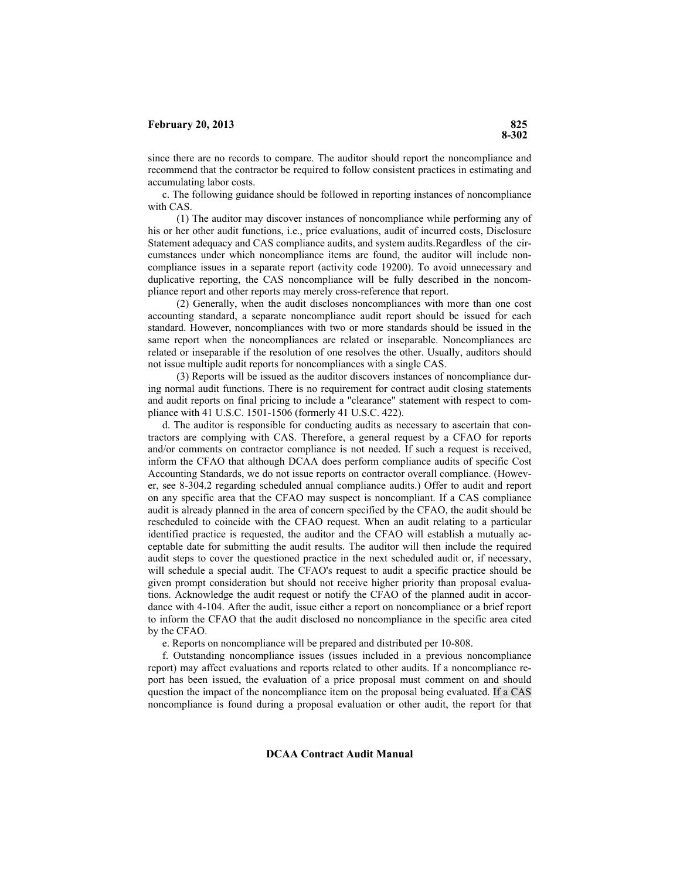since there are no records to compare. The auditor should report the noncompliance and recommend that the contractor be required to follow consistent practices in estimating and accumulating labor costs.

c. The following guidance should be followed in reporting instances of noncompliance with CAS.

(1) The auditor may discover instances of noncompliance while performing any of his or her other audit functions, i.e., price evaluations, audit of incurred costs, Disclosure Statement adequacy and CAS compliance audits, and system audits.Regardless of the circumstances under which noncompliance items are found, the auditor will include noncompliance issues in a separate report (activity code 19200). To avoid unnecessary and duplicative reporting, the CAS noncompliance will be fully described in the noncompliance report and other reports may merely cross-reference that report.

(2) Generally, when the audit discloses noncompliances with more than one cost accounting standard, a separate noncompliance audit report should be issued for each standard. However, noncompliances with two or more standards should be issued in the same report when the noncompliances are related or inseparable. Noncompliances are related or inseparable if the resolution of one resolves the other. Usually, auditors should not issue multiple audit reports for noncompliances with a single CAS.

(3) Reports will be issued as the auditor discovers instances of noncompliance during normal audit functions. There is no requirement for contract audit closing statements and audit reports on final pricing to include a "clearance" statement with respect to compliance with 41 U.S.C. 1501-1506 (formerly 41 U.S.C. 422).

d. The auditor is responsible for conducting audits as necessary to ascertain that contractors are complying with CAS. Therefore, a general request by a CFAO for reports and/or comments on contractor compliance is not needed. If such a request is received, inform the CFAO that although DCAA does perform compliance audits of specific Cost Accounting Standards, we do not issue reports on contractor overall compliance. (However, see 8-304.2 regarding scheduled annual compliance audits.) Offer to audit and report on any specific area that the CFAO may suspect is noncompliant. If a CAS compliance audit is already planned in the area of concern specified by the CFAO, the audit should be rescheduled to coincide with the CFAO request. When an audit relating to a particular identified practice is requested, the auditor and the CFAO will establish a mutually acceptable date for submitting the audit results. The auditor will then include the required audit steps to cover the questioned practice in the next scheduled audit or, if necessary, will schedule a special audit. The CFAO's request to audit a specific practice should be given prompt consideration but should not receive higher priority than proposal evaluations. Acknowledge the audit request or notify the CFAO of the planned audit in accordance with 4-104. After the audit, issue either a report on noncompliance or a brief report to inform the CFAO that the audit disclosed no noncompliance in the specific area cited by the CFAO.

e. Reports on noncompliance will be prepared and distributed per 10-808.

f. Outstanding noncompliance issues (issues included in a previous noncompliance report) may affect evaluations and reports related to other audits. If a noncompliance report has been issued, the evaluation of a price proposal must comment on and should question the impact of the noncompliance item on the proposal being evaluated. If a CAS noncompliance is found during a proposal evaluation or other audit, the report for that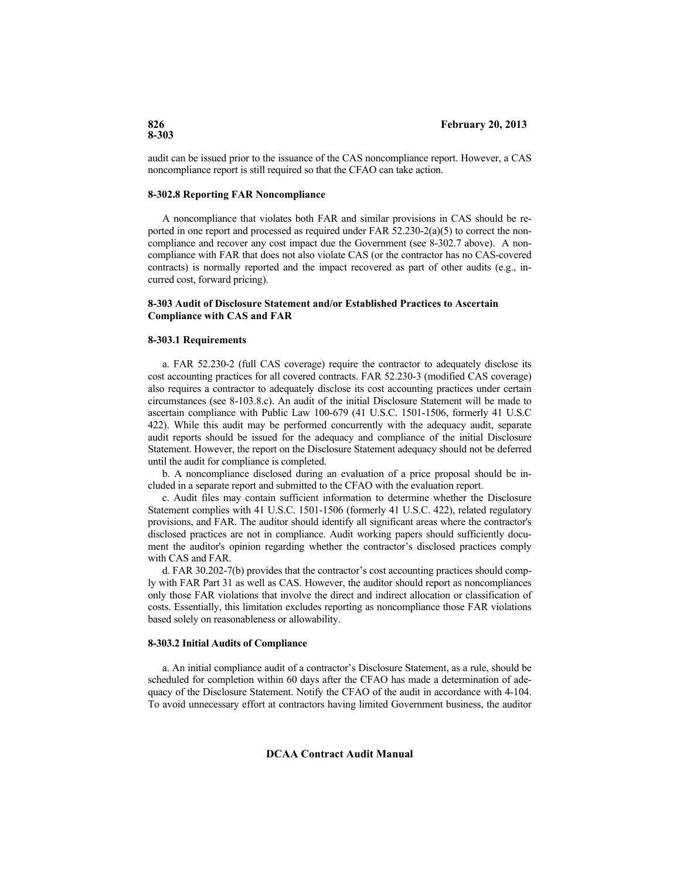audit can be issued prior to the issuance of the CAS noncompliance report. However, a CAS noncompliance report is still required so that the CFAO can take action.

#### <span id="page-31-0"></span>**8-302.8 Reporting FAR Noncompliance**

A noncompliance that violates both FAR and similar provisions in CAS should be reported in one report and processed as required under FAR 52.230-2(a)(5) to correct the noncompliance and recover any cost impact due the Government (see 8-302.7 above). A noncompliance with FAR that does not also violate CAS (or the contractor has no CAS-covered contracts) is normally reported and the impact recovered as part of other audits (e.g., incurred cost, forward pricing).

#### <span id="page-31-1"></span>**8-303 Audit of Disclosure Statement and/or Established Practices to Ascertain Compliance with CAS and FAR**

### <span id="page-31-2"></span>**8-303.1 Requirements**

a. FAR 52.230-2 (full CAS coverage) require the contractor to adequately disclose its cost accounting practices for all covered contracts. FAR 52.230-3 (modified CAS coverage) also requires a contractor to adequately disclose its cost accounting practices under certain circumstances (see 8-103.8.c). An audit of the initial Disclosure Statement will be made to ascertain compliance with Public Law 100-679 (41 U.S.C. 1501-1506, formerly 41 U.S.C 422). While this audit may be performed concurrently with the adequacy audit, separate audit reports should be issued for the adequacy and compliance of the initial Disclosure Statement. However, the report on the Disclosure Statement adequacy should not be deferred until the audit for compliance is completed.

b. A noncompliance disclosed during an evaluation of a price proposal should be included in a separate report and submitted to the CFAO with the evaluation report.

c. Audit files may contain sufficient information to determine whether the Disclosure Statement complies with 41 U.S.C. 1501-1506 (formerly 41 U.S.C. 422), related regulatory provisions, and FAR. The auditor should identify all significant areas where the contractor's disclosed practices are not in compliance. Audit working papers should sufficiently document the auditor's opinion regarding whether the contractor's disclosed practices comply with CAS and FAR.

d. FAR 30.202-7(b) provides that the contractor's cost accounting practices should comply with FAR Part 31 as well as CAS. However, the auditor should report as noncompliances only those FAR violations that involve the direct and indirect allocation or classification of costs. Essentially, this limitation excludes reporting as noncompliance those FAR violations based solely on reasonableness or allowability.

#### <span id="page-31-3"></span>**8-303.2 Initial Audits of Compliance**

a. An initial compliance audit of a contractor's Disclosure Statement, as a rule, should be scheduled for completion within 60 days after the CFAO has made a determination of adequacy of the Disclosure Statement. Notify the CFAO of the audit in accordance with 4-104. To avoid unnecessary effort at contractors having limited Government business, the auditor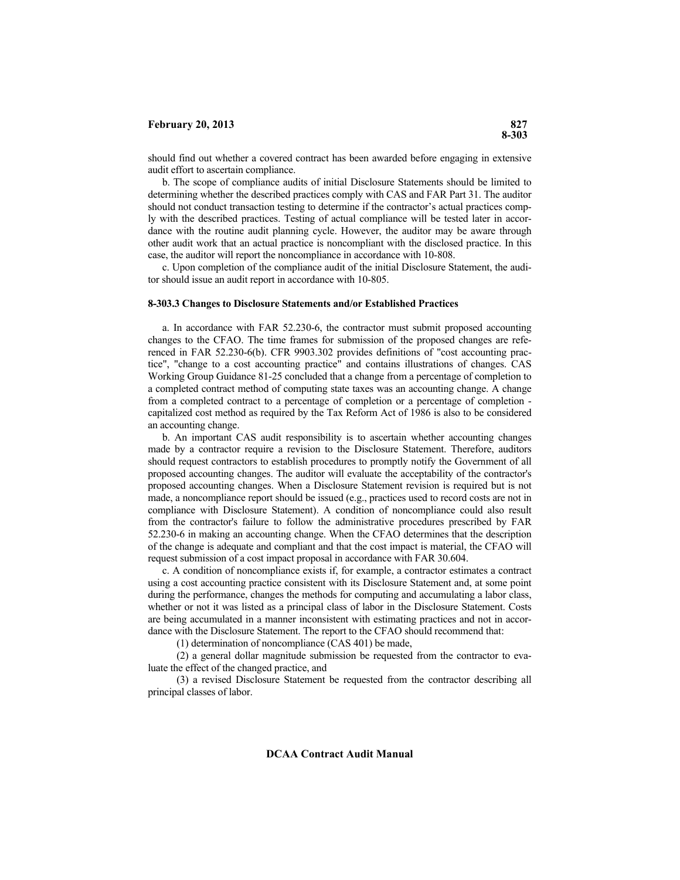should find out whether a covered contract has been awarded before engaging in extensive audit effort to ascertain compliance.

b. The scope of compliance audits of initial Disclosure Statements should be limited to determining whether the described practices comply with CAS and FAR Part 31. The auditor should not conduct transaction testing to determine if the contractor's actual practices comply with the described practices. Testing of actual compliance will be tested later in accordance with the routine audit planning cycle. However, the auditor may be aware through other audit work that an actual practice is noncompliant with the disclosed practice. In this case, the auditor will report the noncompliance in accordance with 10-808.

c. Upon completion of the compliance audit of the initial Disclosure Statement, the auditor should issue an audit report in accordance with 10-805.

#### <span id="page-32-0"></span>**8-303.3 Changes to Disclosure Statements and/or Established Practices**

a. In accordance with FAR 52.230-6, the contractor must submit proposed accounting changes to the CFAO. The time frames for submission of the proposed changes are referenced in FAR 52.230-6(b). CFR 9903.302 provides definitions of "cost accounting practice", "change to a cost accounting practice" and contains illustrations of changes. CAS Working Group Guidance 81-25 concluded that a change from a percentage of completion to a completed contract method of computing state taxes was an accounting change. A change from a completed contract to a percentage of completion or a percentage of completion capitalized cost method as required by the Tax Reform Act of 1986 is also to be considered an accounting change.

b. An important CAS audit responsibility is to ascertain whether accounting changes made by a contractor require a revision to the Disclosure Statement. Therefore, auditors should request contractors to establish procedures to promptly notify the Government of all proposed accounting changes. The auditor will evaluate the acceptability of the contractor's proposed accounting changes. When a Disclosure Statement revision is required but is not made, a noncompliance report should be issued (e.g., practices used to record costs are not in compliance with Disclosure Statement). A condition of noncompliance could also result from the contractor's failure to follow the administrative procedures prescribed by FAR 52.230-6 in making an accounting change. When the CFAO determines that the description of the change is adequate and compliant and that the cost impact is material, the CFAO will request submission of a cost impact proposal in accordance with FAR 30.604.

c. A condition of noncompliance exists if, for example, a contractor estimates a contract using a cost accounting practice consistent with its Disclosure Statement and, at some point during the performance, changes the methods for computing and accumulating a labor class, whether or not it was listed as a principal class of labor in the Disclosure Statement. Costs are being accumulated in a manner inconsistent with estimating practices and not in accordance with the Disclosure Statement. The report to the CFAO should recommend that:

(1) determination of noncompliance (CAS 401) be made,

(2) a general dollar magnitude submission be requested from the contractor to evaluate the effect of the changed practice, and

(3) a revised Disclosure Statement be requested from the contractor describing all principal classes of labor.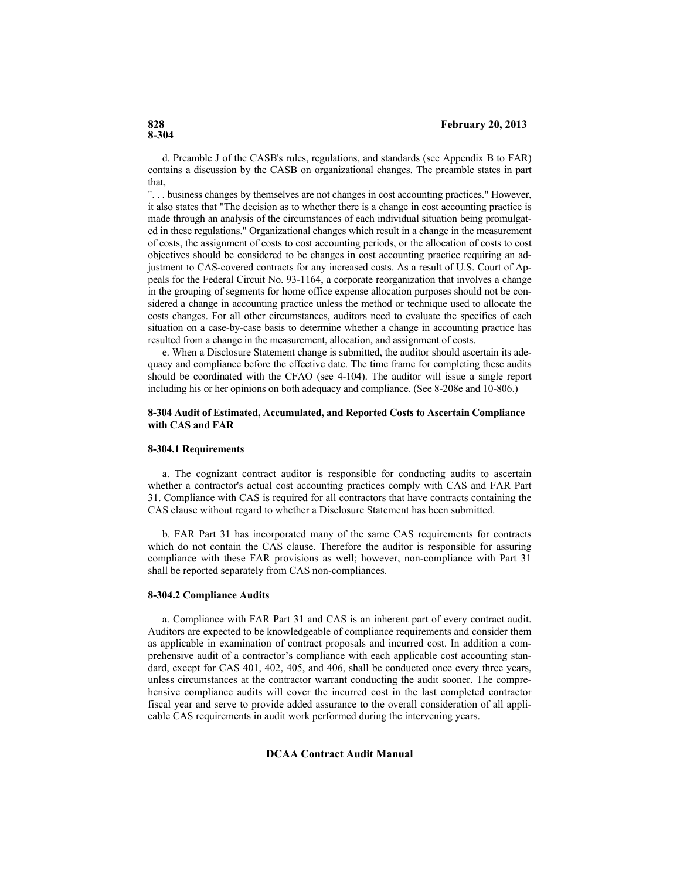d. Preamble J of the CASB's rules, regulations, and standards (see Appendix B to FAR) contains a discussion by the CASB on organizational changes. The preamble states in part that,

". . . business changes by themselves are not changes in cost accounting practices." However, it also states that "The decision as to whether there is a change in cost accounting practice is made through an analysis of the circumstances of each individual situation being promulgated in these regulations." Organizational changes which result in a change in the measurement of costs, the assignment of costs to cost accounting periods, or the allocation of costs to cost objectives should be considered to be changes in cost accounting practice requiring an adjustment to CAS-covered contracts for any increased costs. As a result of U.S. Court of Appeals for the Federal Circuit No. 93-1164, a corporate reorganization that involves a change in the grouping of segments for home office expense allocation purposes should not be considered a change in accounting practice unless the method or technique used to allocate the costs changes. For all other circumstances, auditors need to evaluate the specifics of each situation on a case-by-case basis to determine whether a change in accounting practice has resulted from a change in the measurement, allocation, and assignment of costs.

e. When a Disclosure Statement change is submitted, the auditor should ascertain its adequacy and compliance before the effective date. The time frame for completing these audits should be coordinated with the CFAO (see 4-104). The auditor will issue a single report including his or her opinions on both adequacy and compliance. (See 8-208e and 10-806.)

#### <span id="page-33-0"></span>**8-304 Audit of Estimated, Accumulated, and Reported Costs to Ascertain Compliance with CAS and FAR**

#### <span id="page-33-1"></span>**8-304.1 Requirements**

a. The cognizant contract auditor is responsible for conducting audits to ascertain whether a contractor's actual cost accounting practices comply with CAS and FAR Part 31. Compliance with CAS is required for all contractors that have contracts containing the CAS clause without regard to whether a Disclosure Statement has been submitted.

b. FAR Part 31 has incorporated many of the same CAS requirements for contracts which do not contain the CAS clause. Therefore the auditor is responsible for assuring compliance with these FAR provisions as well; however, non-compliance with Part 31 shall be reported separately from CAS non-compliances.

#### <span id="page-33-2"></span>**8-304.2 Compliance Audits**

a. Compliance with FAR Part 31 and CAS is an inherent part of every contract audit. Auditors are expected to be knowledgeable of compliance requirements and consider them as applicable in examination of contract proposals and incurred cost. In addition a comprehensive audit of a contractor's compliance with each applicable cost accounting standard, except for CAS 401, 402, 405, and 406, shall be conducted once every three years, unless circumstances at the contractor warrant conducting the audit sooner. The comprehensive compliance audits will cover the incurred cost in the last completed contractor fiscal year and serve to provide added assurance to the overall consideration of all applicable CAS requirements in audit work performed during the intervening years.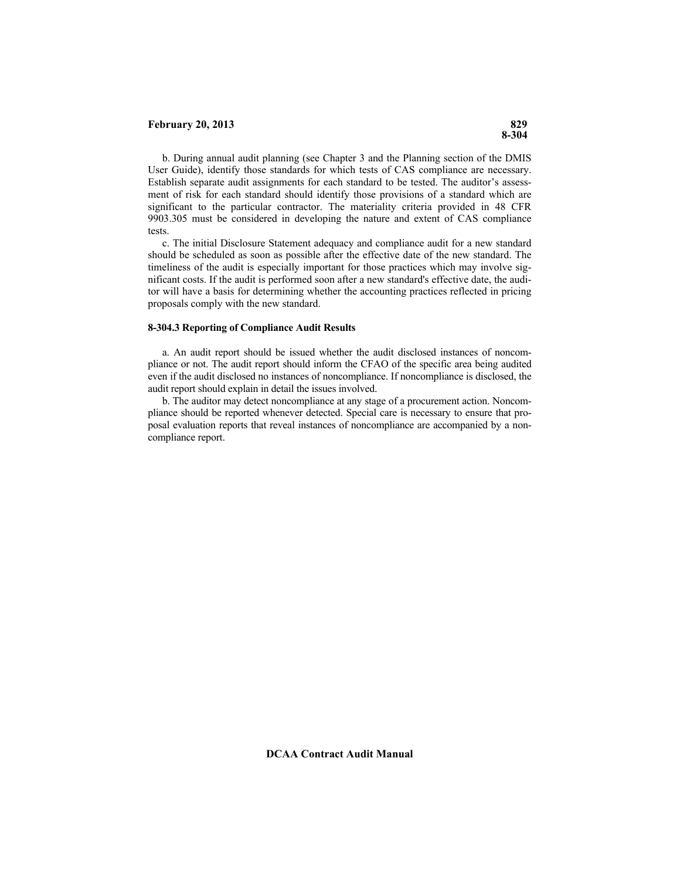b. During annual audit planning (see Chapter 3 and the Planning section of the DMIS User Guide), identify those standards for which tests of CAS compliance are necessary. Establish separate audit assignments for each standard to be tested. The auditor's assessment of risk for each standard should identify those provisions of a standard which are significant to the particular contractor. The materiality criteria provided in 48 CFR 9903.305 must be considered in developing the nature and extent of CAS compliance tests.

c. The initial Disclosure Statement adequacy and compliance audit for a new standard should be scheduled as soon as possible after the effective date of the new standard. The timeliness of the audit is especially important for those practices which may involve significant costs. If the audit is performed soon after a new standard's effective date, the auditor will have a basis for determining whether the accounting practices reflected in pricing proposals comply with the new standard.

#### <span id="page-34-0"></span>**8-304.3 Reporting of Compliance Audit Results**

a. An audit report should be issued whether the audit disclosed instances of noncompliance or not. The audit report should inform the CFAO of the specific area being audited even if the audit disclosed no instances of noncompliance. If noncompliance is disclosed, the audit report should explain in detail the issues involved.

b. The auditor may detect noncompliance at any stage of a procurement action. Noncompliance should be reported whenever detected. Special care is necessary to ensure that proposal evaluation reports that reveal instances of noncompliance are accompanied by a noncompliance report.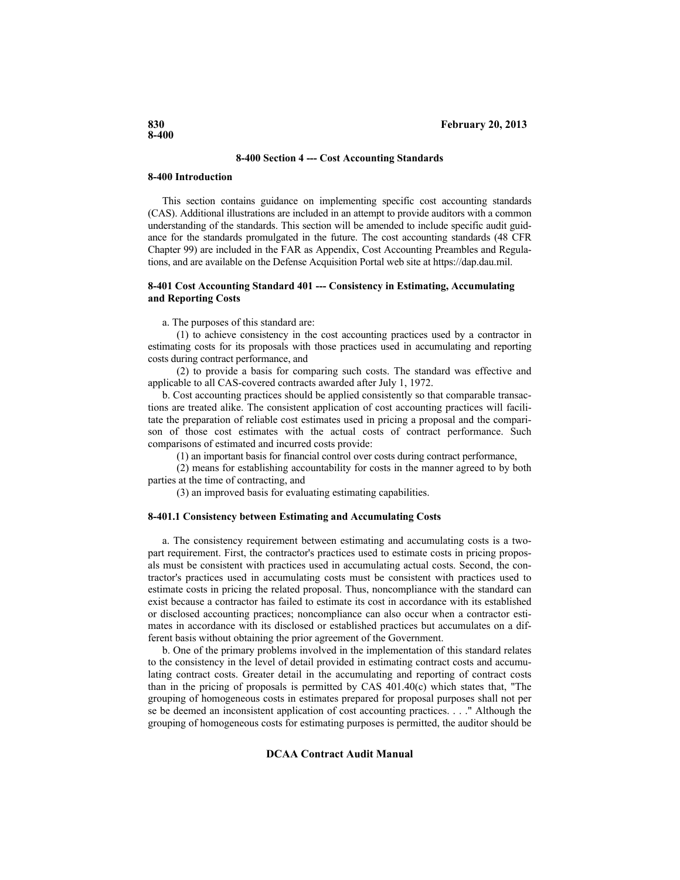#### **8-400 Section 4 --- Cost Accounting Standards**

#### <span id="page-35-0"></span>**8-400 Introduction**

This section contains guidance on implementing specific cost accounting standards (CAS). Additional illustrations are included in an attempt to provide auditors with a common understanding of the standards. This section will be amended to include specific audit guidance for the standards promulgated in the future. The cost accounting standards (48 CFR Chapter 99) are included in the FAR as Appendix, Cost Accounting Preambles and Regulations, and are available on the Defense Acquisition Portal web site at https://dap.dau.mil.

#### <span id="page-35-1"></span>**8-401 Cost Accounting Standard 401 --- Consistency in Estimating, Accumulating and Reporting Costs**

a. The purposes of this standard are:

(1) to achieve consistency in the cost accounting practices used by a contractor in estimating costs for its proposals with those practices used in accumulating and reporting costs during contract performance, and

(2) to provide a basis for comparing such costs. The standard was effective and applicable to all CAS-covered contracts awarded after July 1, 1972.

b. Cost accounting practices should be applied consistently so that comparable transactions are treated alike. The consistent application of cost accounting practices will facilitate the preparation of reliable cost estimates used in pricing a proposal and the comparison of those cost estimates with the actual costs of contract performance. Such comparisons of estimated and incurred costs provide:

(1) an important basis for financial control over costs during contract performance,

(2) means for establishing accountability for costs in the manner agreed to by both parties at the time of contracting, and

(3) an improved basis for evaluating estimating capabilities.

#### <span id="page-35-2"></span>**8-401.1 Consistency between Estimating and Accumulating Costs**

a. The consistency requirement between estimating and accumulating costs is a twopart requirement. First, the contractor's practices used to estimate costs in pricing proposals must be consistent with practices used in accumulating actual costs. Second, the contractor's practices used in accumulating costs must be consistent with practices used to estimate costs in pricing the related proposal. Thus, noncompliance with the standard can exist because a contractor has failed to estimate its cost in accordance with its established or disclosed accounting practices; noncompliance can also occur when a contractor estimates in accordance with its disclosed or established practices but accumulates on a different basis without obtaining the prior agreement of the Government.

b. One of the primary problems involved in the implementation of this standard relates to the consistency in the level of detail provided in estimating contract costs and accumulating contract costs. Greater detail in the accumulating and reporting of contract costs than in the pricing of proposals is permitted by CAS 401.40(c) which states that, "The grouping of homogeneous costs in estimates prepared for proposal purposes shall not per se be deemed an inconsistent application of cost accounting practices. . . ." Although the grouping of homogeneous costs for estimating purposes is permitted, the auditor should be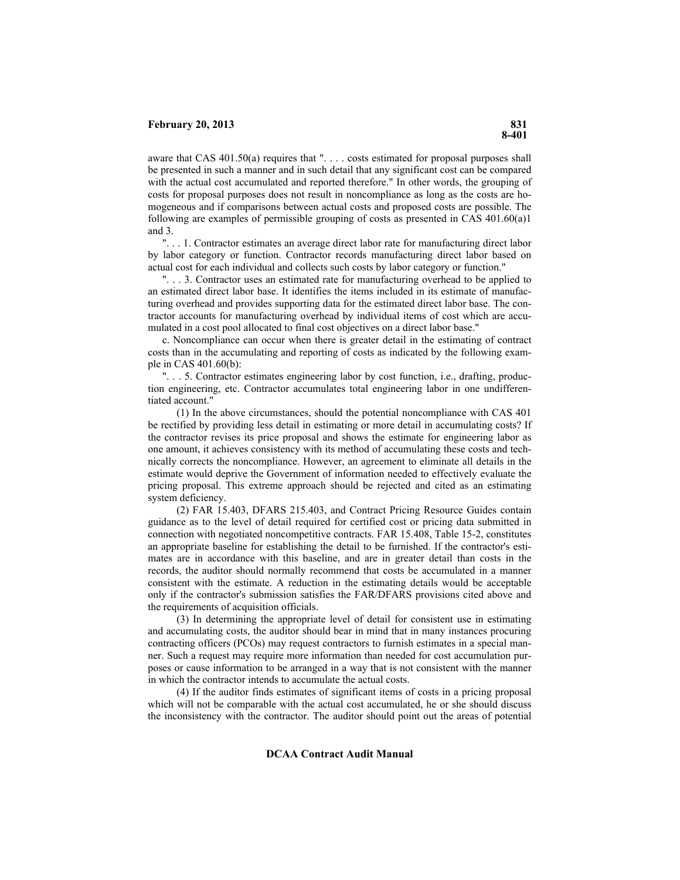aware that CAS 401.50(a) requires that ". . . . costs estimated for proposal purposes shall be presented in such a manner and in such detail that any significant cost can be compared with the actual cost accumulated and reported therefore." In other words, the grouping of costs for proposal purposes does not result in noncompliance as long as the costs are homogeneous and if comparisons between actual costs and proposed costs are possible. The following are examples of permissible grouping of costs as presented in CAS 401.60(a)1 and 3.

". . . 1. Contractor estimates an average direct labor rate for manufacturing direct labor by labor category or function. Contractor records manufacturing direct labor based on actual cost for each individual and collects such costs by labor category or function."

". . . 3. Contractor uses an estimated rate for manufacturing overhead to be applied to an estimated direct labor base. It identifies the items included in its estimate of manufacturing overhead and provides supporting data for the estimated direct labor base. The contractor accounts for manufacturing overhead by individual items of cost which are accumulated in a cost pool allocated to final cost objectives on a direct labor base."

c. Noncompliance can occur when there is greater detail in the estimating of contract costs than in the accumulating and reporting of costs as indicated by the following example in CAS 401.60(b):

". . . 5. Contractor estimates engineering labor by cost function, i.e., drafting, production engineering, etc. Contractor accumulates total engineering labor in one undifferentiated account."

(1) In the above circumstances, should the potential noncompliance with CAS 401 be rectified by providing less detail in estimating or more detail in accumulating costs? If the contractor revises its price proposal and shows the estimate for engineering labor as one amount, it achieves consistency with its method of accumulating these costs and technically corrects the noncompliance. However, an agreement to eliminate all details in the estimate would deprive the Government of information needed to effectively evaluate the pricing proposal. This extreme approach should be rejected and cited as an estimating system deficiency.

(2) FAR 15.403, DFARS 215.403, and Contract Pricing Resource Guides contain guidance as to the level of detail required for certified cost or pricing data submitted in connection with negotiated noncompetitive contracts. FAR 15.408, Table 15-2, constitutes an appropriate baseline for establishing the detail to be furnished. If the contractor's estimates are in accordance with this baseline, and are in greater detail than costs in the records, the auditor should normally recommend that costs be accumulated in a manner consistent with the estimate. A reduction in the estimating details would be acceptable only if the contractor's submission satisfies the FAR/DFARS provisions cited above and the requirements of acquisition officials.

(3) In determining the appropriate level of detail for consistent use in estimating and accumulating costs, the auditor should bear in mind that in many instances procuring contracting officers (PCOs) may request contractors to furnish estimates in a special manner. Such a request may require more information than needed for cost accumulation purposes or cause information to be arranged in a way that is not consistent with the manner in which the contractor intends to accumulate the actual costs.

(4) If the auditor finds estimates of significant items of costs in a pricing proposal which will not be comparable with the actual cost accumulated, he or she should discuss the inconsistency with the contractor. The auditor should point out the areas of potential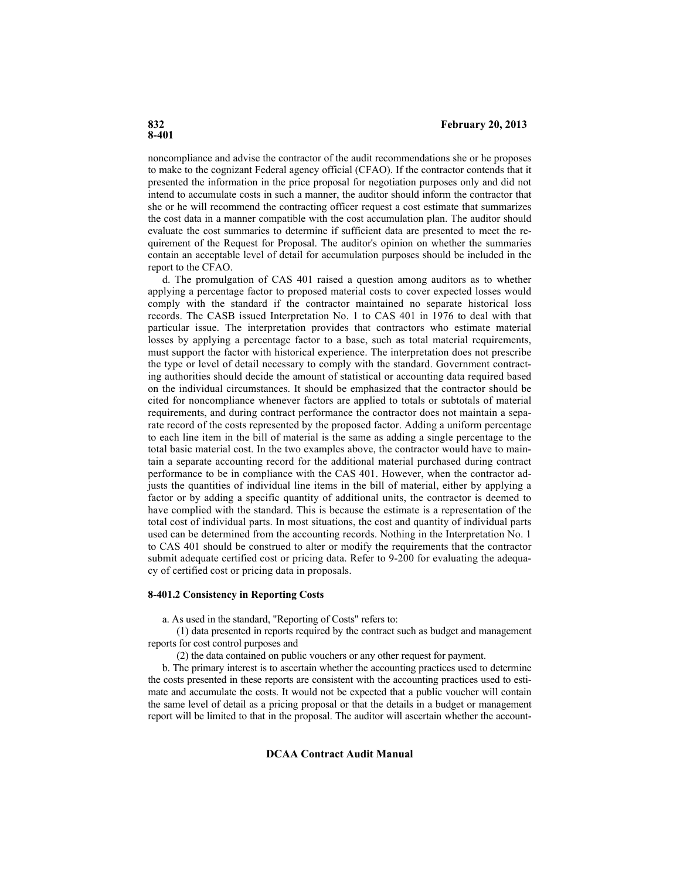noncompliance and advise the contractor of the audit recommendations she or he proposes to make to the cognizant Federal agency official (CFAO). If the contractor contends that it presented the information in the price proposal for negotiation purposes only and did not intend to accumulate costs in such a manner, the auditor should inform the contractor that she or he will recommend the contracting officer request a cost estimate that summarizes the cost data in a manner compatible with the cost accumulation plan. The auditor should evaluate the cost summaries to determine if sufficient data are presented to meet the requirement of the Request for Proposal. The auditor's opinion on whether the summaries contain an acceptable level of detail for accumulation purposes should be included in the report to the CFAO.

d. The promulgation of CAS 401 raised a question among auditors as to whether applying a percentage factor to proposed material costs to cover expected losses would comply with the standard if the contractor maintained no separate historical loss records. The CASB issued Interpretation No. 1 to CAS 401 in 1976 to deal with that particular issue. The interpretation provides that contractors who estimate material losses by applying a percentage factor to a base, such as total material requirements, must support the factor with historical experience. The interpretation does not prescribe the type or level of detail necessary to comply with the standard. Government contracting authorities should decide the amount of statistical or accounting data required based on the individual circumstances. It should be emphasized that the contractor should be cited for noncompliance whenever factors are applied to totals or subtotals of material requirements, and during contract performance the contractor does not maintain a separate record of the costs represented by the proposed factor. Adding a uniform percentage to each line item in the bill of material is the same as adding a single percentage to the total basic material cost. In the two examples above, the contractor would have to maintain a separate accounting record for the additional material purchased during contract performance to be in compliance with the CAS 401. However, when the contractor adjusts the quantities of individual line items in the bill of material, either by applying a factor or by adding a specific quantity of additional units, the contractor is deemed to have complied with the standard. This is because the estimate is a representation of the total cost of individual parts. In most situations, the cost and quantity of individual parts used can be determined from the accounting records. Nothing in the Interpretation No. 1 to CAS 401 should be construed to alter or modify the requirements that the contractor submit adequate certified cost or pricing data. Refer to 9-200 for evaluating the adequacy of certified cost or pricing data in proposals.

# **8-401.2 Consistency in Reporting Costs**

a. As used in the standard, "Reporting of Costs" refers to:

(1) data presented in reports required by the contract such as budget and management reports for cost control purposes and

(2) the data contained on public vouchers or any other request for payment.

b. The primary interest is to ascertain whether the accounting practices used to determine the costs presented in these reports are consistent with the accounting practices used to estimate and accumulate the costs. It would not be expected that a public voucher will contain the same level of detail as a pricing proposal or that the details in a budget or management report will be limited to that in the proposal. The auditor will ascertain whether the account-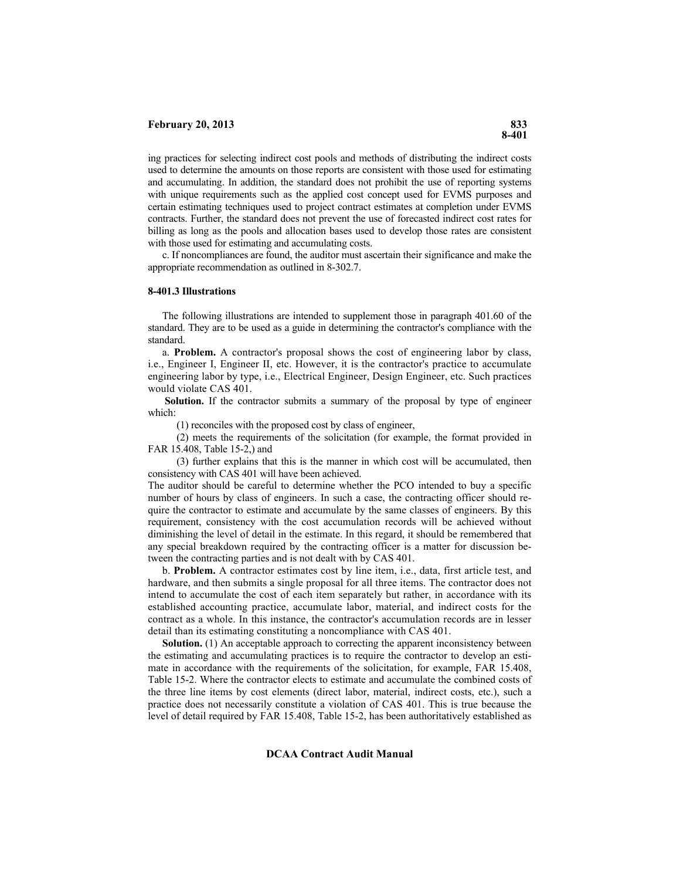ing practices for selecting indirect cost pools and methods of distributing the indirect costs used to determine the amounts on those reports are consistent with those used for estimating and accumulating. In addition, the standard does not prohibit the use of reporting systems with unique requirements such as the applied cost concept used for EVMS purposes and certain estimating techniques used to project contract estimates at completion under EVMS contracts. Further, the standard does not prevent the use of forecasted indirect cost rates for billing as long as the pools and allocation bases used to develop those rates are consistent with those used for estimating and accumulating costs.

c. If noncompliances are found, the auditor must ascertain their significance and make the appropriate recommendation as outlined in 8-302.7.

#### **8-401.3 Illustrations**

The following illustrations are intended to supplement those in paragraph 401.60 of the standard. They are to be used as a guide in determining the contractor's compliance with the standard.

a. **Problem.** A contractor's proposal shows the cost of engineering labor by class, i.e., Engineer I, Engineer II, etc. However, it is the contractor's practice to accumulate engineering labor by type, i.e., Electrical Engineer, Design Engineer, etc. Such practices would violate CAS 401.

**Solution.** If the contractor submits a summary of the proposal by type of engineer which:

(1) reconciles with the proposed cost by class of engineer,

(2) meets the requirements of the solicitation (for example, the format provided in FAR 15.408, Table 15-2,) and

(3) further explains that this is the manner in which cost will be accumulated, then consistency with CAS 401 will have been achieved.

The auditor should be careful to determine whether the PCO intended to buy a specific number of hours by class of engineers. In such a case, the contracting officer should require the contractor to estimate and accumulate by the same classes of engineers. By this requirement, consistency with the cost accumulation records will be achieved without diminishing the level of detail in the estimate. In this regard, it should be remembered that any special breakdown required by the contracting officer is a matter for discussion between the contracting parties and is not dealt with by CAS 401.

b. **Problem.** A contractor estimates cost by line item, i.e., data, first article test, and hardware, and then submits a single proposal for all three items. The contractor does not intend to accumulate the cost of each item separately but rather, in accordance with its established accounting practice, accumulate labor, material, and indirect costs for the contract as a whole. In this instance, the contractor's accumulation records are in lesser detail than its estimating constituting a noncompliance with CAS 401.

**Solution.** (1) An acceptable approach to correcting the apparent inconsistency between the estimating and accumulating practices is to require the contractor to develop an estimate in accordance with the requirements of the solicitation, for example, FAR 15.408, Table 15-2. Where the contractor elects to estimate and accumulate the combined costs of the three line items by cost elements (direct labor, material, indirect costs, etc.), such a practice does not necessarily constitute a violation of CAS 401. This is true because the level of detail required by FAR 15.408, Table 15-2, has been authoritatively established as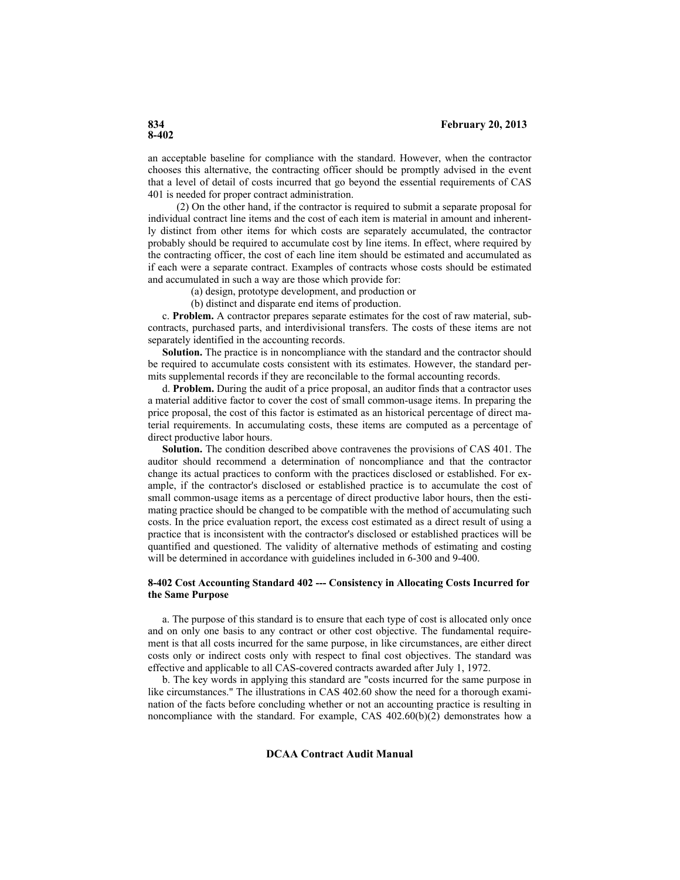an acceptable baseline for compliance with the standard. However, when the contractor chooses this alternative, the contracting officer should be promptly advised in the event that a level of detail of costs incurred that go beyond the essential requirements of CAS 401 is needed for proper contract administration.

(2) On the other hand, if the contractor is required to submit a separate proposal for individual contract line items and the cost of each item is material in amount and inherently distinct from other items for which costs are separately accumulated, the contractor probably should be required to accumulate cost by line items. In effect, where required by the contracting officer, the cost of each line item should be estimated and accumulated as if each were a separate contract. Examples of contracts whose costs should be estimated and accumulated in such a way are those which provide for:

(a) design, prototype development, and production or

(b) distinct and disparate end items of production.

c. **Problem.** A contractor prepares separate estimates for the cost of raw material, subcontracts, purchased parts, and interdivisional transfers. The costs of these items are not separately identified in the accounting records.

**Solution.** The practice is in noncompliance with the standard and the contractor should be required to accumulate costs consistent with its estimates. However, the standard permits supplemental records if they are reconcilable to the formal accounting records.

d. **Problem.** During the audit of a price proposal, an auditor finds that a contractor uses a material additive factor to cover the cost of small common-usage items. In preparing the price proposal, the cost of this factor is estimated as an historical percentage of direct material requirements. In accumulating costs, these items are computed as a percentage of direct productive labor hours.

**Solution.** The condition described above contravenes the provisions of CAS 401. The auditor should recommend a determination of noncompliance and that the contractor change its actual practices to conform with the practices disclosed or established. For example, if the contractor's disclosed or established practice is to accumulate the cost of small common-usage items as a percentage of direct productive labor hours, then the estimating practice should be changed to be compatible with the method of accumulating such costs. In the price evaluation report, the excess cost estimated as a direct result of using a practice that is inconsistent with the contractor's disclosed or established practices will be quantified and questioned. The validity of alternative methods of estimating and costing will be determined in accordance with guidelines included in 6-300 and 9-400.

# **8-402 Cost Accounting Standard 402 --- Consistency in Allocating Costs Incurred for the Same Purpose**

a. The purpose of this standard is to ensure that each type of cost is allocated only once and on only one basis to any contract or other cost objective. The fundamental requirement is that all costs incurred for the same purpose, in like circumstances, are either direct costs only or indirect costs only with respect to final cost objectives. The standard was effective and applicable to all CAS-covered contracts awarded after July 1, 1972.

b. The key words in applying this standard are "costs incurred for the same purpose in like circumstances." The illustrations in CAS 402.60 show the need for a thorough examination of the facts before concluding whether or not an accounting practice is resulting in noncompliance with the standard. For example, CAS 402.60(b)(2) demonstrates how a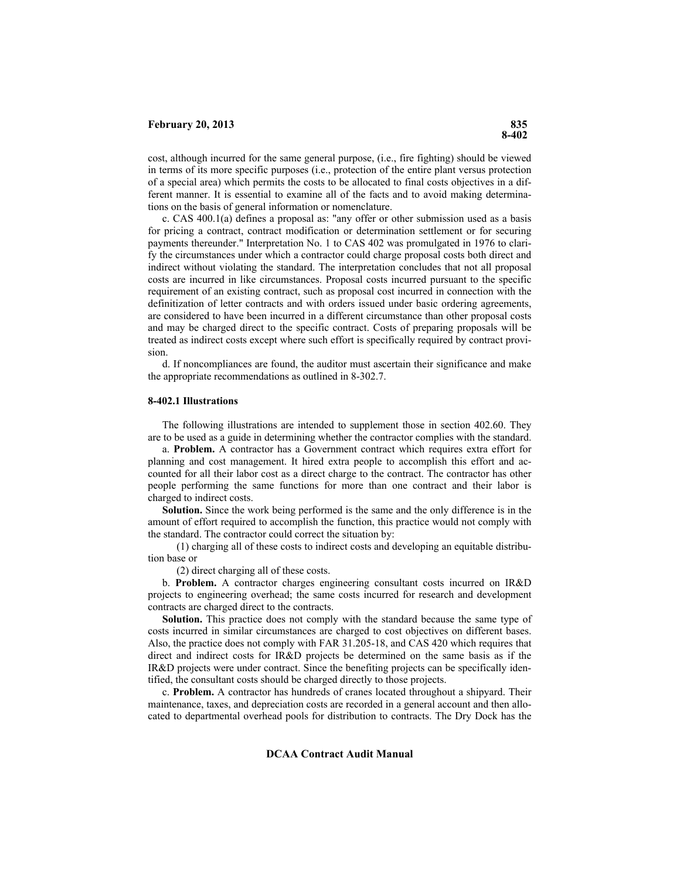cost, although incurred for the same general purpose, (i.e., fire fighting) should be viewed in terms of its more specific purposes (i.e., protection of the entire plant versus protection of a special area) which permits the costs to be allocated to final costs objectives in a different manner. It is essential to examine all of the facts and to avoid making determinations on the basis of general information or nomenclature.

c. CAS 400.1(a) defines a proposal as: "any offer or other submission used as a basis for pricing a contract, contract modification or determination settlement or for securing payments thereunder." Interpretation No. 1 to CAS 402 was promulgated in 1976 to clarify the circumstances under which a contractor could charge proposal costs both direct and indirect without violating the standard. The interpretation concludes that not all proposal costs are incurred in like circumstances. Proposal costs incurred pursuant to the specific requirement of an existing contract, such as proposal cost incurred in connection with the definitization of letter contracts and with orders issued under basic ordering agreements, are considered to have been incurred in a different circumstance than other proposal costs and may be charged direct to the specific contract. Costs of preparing proposals will be treated as indirect costs except where such effort is specifically required by contract provision.

d. If noncompliances are found, the auditor must ascertain their significance and make the appropriate recommendations as outlined in 8-302.7.

#### **8-402.1 Illustrations**

The following illustrations are intended to supplement those in section 402.60. They are to be used as a guide in determining whether the contractor complies with the standard.

a. **Problem.** A contractor has a Government contract which requires extra effort for planning and cost management. It hired extra people to accomplish this effort and accounted for all their labor cost as a direct charge to the contract. The contractor has other people performing the same functions for more than one contract and their labor is charged to indirect costs.

**Solution.** Since the work being performed is the same and the only difference is in the amount of effort required to accomplish the function, this practice would not comply with the standard. The contractor could correct the situation by:

(1) charging all of these costs to indirect costs and developing an equitable distribution base or

(2) direct charging all of these costs.

b. **Problem.** A contractor charges engineering consultant costs incurred on IR&D projects to engineering overhead; the same costs incurred for research and development contracts are charged direct to the contracts.

**Solution.** This practice does not comply with the standard because the same type of costs incurred in similar circumstances are charged to cost objectives on different bases. Also, the practice does not comply with FAR 31.205-18, and CAS 420 which requires that direct and indirect costs for IR&D projects be determined on the same basis as if the IR&D projects were under contract. Since the benefiting projects can be specifically identified, the consultant costs should be charged directly to those projects.

c. **Problem.** A contractor has hundreds of cranes located throughout a shipyard. Their maintenance, taxes, and depreciation costs are recorded in a general account and then allocated to departmental overhead pools for distribution to contracts. The Dry Dock has the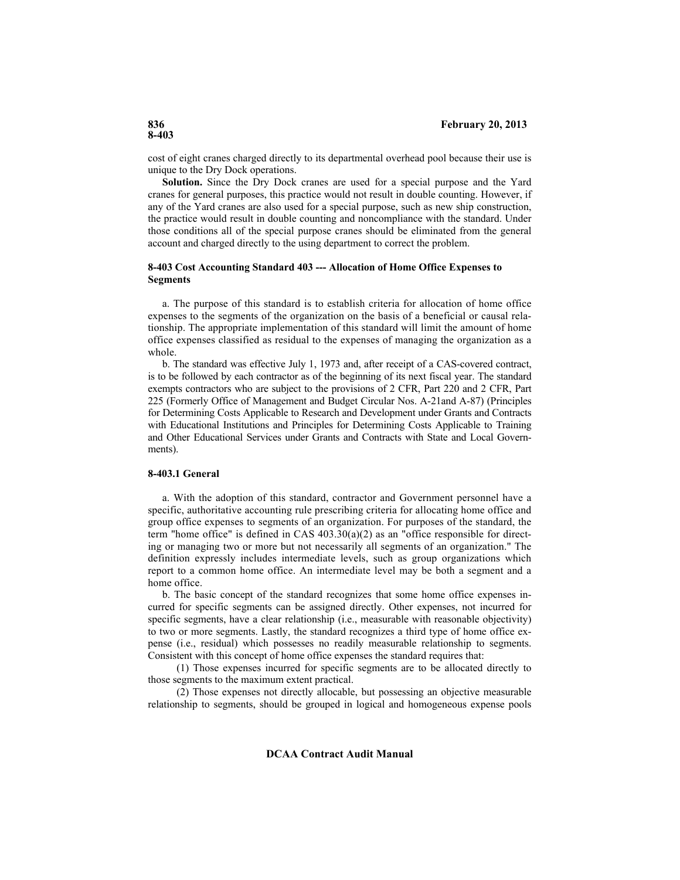cost of eight cranes charged directly to its departmental overhead pool because their use is unique to the Dry Dock operations.

**Solution.** Since the Dry Dock cranes are used for a special purpose and the Yard cranes for general purposes, this practice would not result in double counting. However, if any of the Yard cranes are also used for a special purpose, such as new ship construction, the practice would result in double counting and noncompliance with the standard. Under those conditions all of the special purpose cranes should be eliminated from the general account and charged directly to the using department to correct the problem.

# **8-403 Cost Accounting Standard 403 --- Allocation of Home Office Expenses to Segments**

a. The purpose of this standard is to establish criteria for allocation of home office expenses to the segments of the organization on the basis of a beneficial or causal relationship. The appropriate implementation of this standard will limit the amount of home office expenses classified as residual to the expenses of managing the organization as a whole.

b. The standard was effective July 1, 1973 and, after receipt of a CAS-covered contract, is to be followed by each contractor as of the beginning of its next fiscal year. The standard exempts contractors who are subject to the provisions of 2 CFR, Part 220 and 2 CFR, Part 225 (Formerly Office of Management and Budget Circular Nos. A-21and A-87) (Principles for Determining Costs Applicable to Research and Development under Grants and Contracts with Educational Institutions and Principles for Determining Costs Applicable to Training and Other Educational Services under Grants and Contracts with State and Local Governments).

# **8-403.1 General**

a. With the adoption of this standard, contractor and Government personnel have a specific, authoritative accounting rule prescribing criteria for allocating home office and group office expenses to segments of an organization. For purposes of the standard, the term "home office" is defined in CAS  $403.30(a)(2)$  as an "office responsible for directing or managing two or more but not necessarily all segments of an organization." The definition expressly includes intermediate levels, such as group organizations which report to a common home office. An intermediate level may be both a segment and a home office.

b. The basic concept of the standard recognizes that some home office expenses incurred for specific segments can be assigned directly. Other expenses, not incurred for specific segments, have a clear relationship (i.e., measurable with reasonable objectivity) to two or more segments. Lastly, the standard recognizes a third type of home office expense (i.e., residual) which possesses no readily measurable relationship to segments. Consistent with this concept of home office expenses the standard requires that:

(1) Those expenses incurred for specific segments are to be allocated directly to those segments to the maximum extent practical.

(2) Those expenses not directly allocable, but possessing an objective measurable relationship to segments, should be grouped in logical and homogeneous expense pools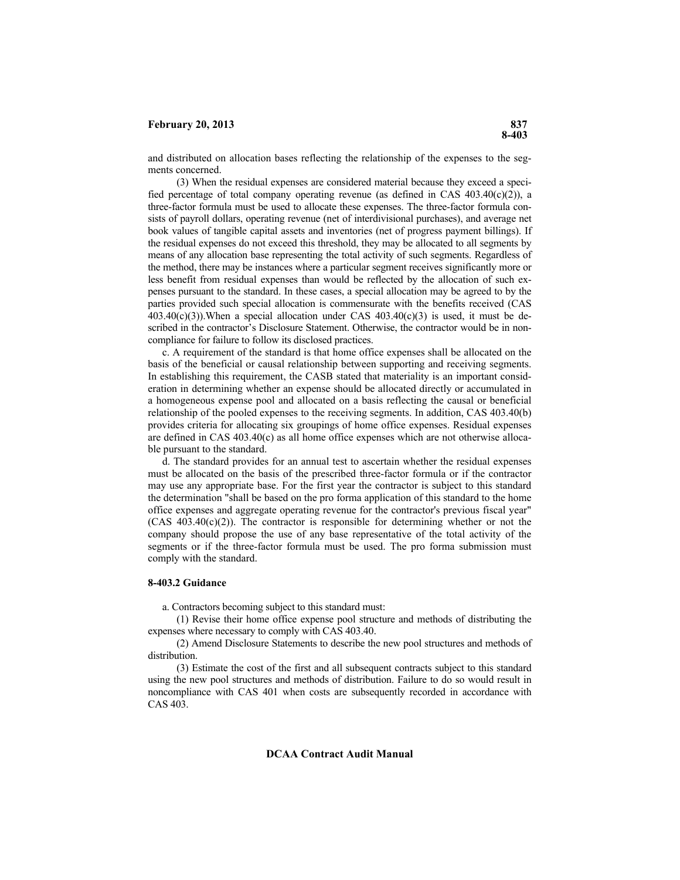and distributed on allocation bases reflecting the relationship of the expenses to the segments concerned.

(3) When the residual expenses are considered material because they exceed a specified percentage of total company operating revenue (as defined in CAS  $403.40(c)(2)$ ), a three-factor formula must be used to allocate these expenses. The three-factor formula consists of payroll dollars, operating revenue (net of interdivisional purchases), and average net book values of tangible capital assets and inventories (net of progress payment billings). If the residual expenses do not exceed this threshold, they may be allocated to all segments by means of any allocation base representing the total activity of such segments. Regardless of the method, there may be instances where a particular segment receives significantly more or less benefit from residual expenses than would be reflected by the allocation of such expenses pursuant to the standard. In these cases, a special allocation may be agreed to by the parties provided such special allocation is commensurate with the benefits received (CAS  $403.40(c)(3)$ ). When a special allocation under CAS  $403.40(c)(3)$  is used, it must be described in the contractor's Disclosure Statement. Otherwise, the contractor would be in noncompliance for failure to follow its disclosed practices.

c. A requirement of the standard is that home office expenses shall be allocated on the basis of the beneficial or causal relationship between supporting and receiving segments. In establishing this requirement, the CASB stated that materiality is an important consideration in determining whether an expense should be allocated directly or accumulated in a homogeneous expense pool and allocated on a basis reflecting the causal or beneficial relationship of the pooled expenses to the receiving segments. In addition, CAS 403.40(b) provides criteria for allocating six groupings of home office expenses. Residual expenses are defined in CAS 403.40(c) as all home office expenses which are not otherwise allocable pursuant to the standard.

d. The standard provides for an annual test to ascertain whether the residual expenses must be allocated on the basis of the prescribed three-factor formula or if the contractor may use any appropriate base. For the first year the contractor is subject to this standard the determination "shall be based on the pro forma application of this standard to the home office expenses and aggregate operating revenue for the contractor's previous fiscal year"  $(CAS 403.40(c)(2))$ . The contractor is responsible for determining whether or not the company should propose the use of any base representative of the total activity of the segments or if the three-factor formula must be used. The pro forma submission must comply with the standard.

#### **8-403.2 Guidance**

a. Contractors becoming subject to this standard must:

(1) Revise their home office expense pool structure and methods of distributing the expenses where necessary to comply with CAS 403.40.

(2) Amend Disclosure Statements to describe the new pool structures and methods of distribution.

(3) Estimate the cost of the first and all subsequent contracts subject to this standard using the new pool structures and methods of distribution. Failure to do so would result in noncompliance with CAS 401 when costs are subsequently recorded in accordance with CAS 403.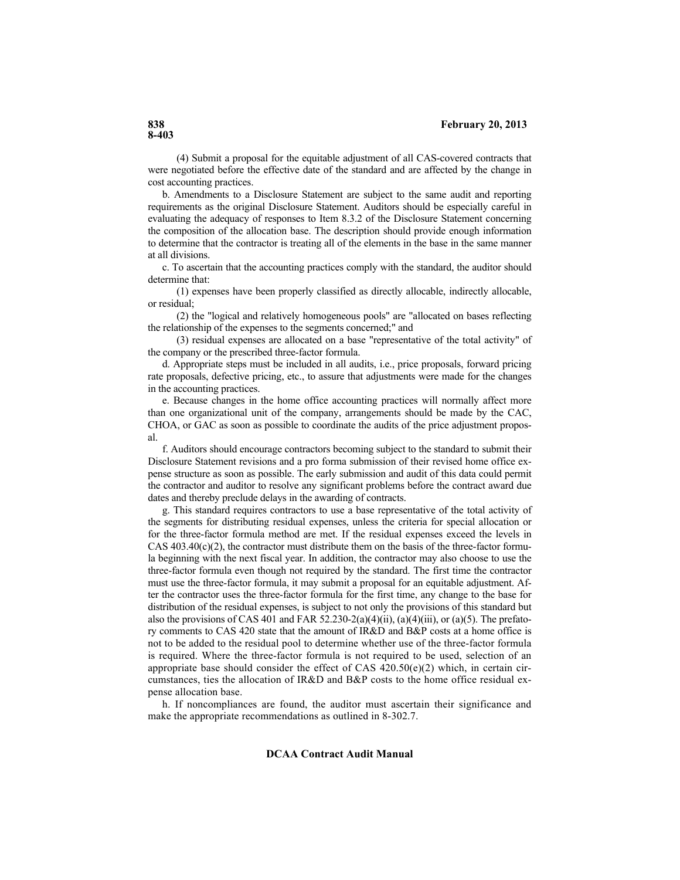(4) Submit a proposal for the equitable adjustment of all CAS-covered contracts that were negotiated before the effective date of the standard and are affected by the change in cost accounting practices.

b. Amendments to a Disclosure Statement are subject to the same audit and reporting requirements as the original Disclosure Statement. Auditors should be especially careful in evaluating the adequacy of responses to Item 8.3.2 of the Disclosure Statement concerning the composition of the allocation base. The description should provide enough information to determine that the contractor is treating all of the elements in the base in the same manner at all divisions.

c. To ascertain that the accounting practices comply with the standard, the auditor should determine that:

(1) expenses have been properly classified as directly allocable, indirectly allocable, or residual;

(2) the "logical and relatively homogeneous pools" are "allocated on bases reflecting the relationship of the expenses to the segments concerned;" and

(3) residual expenses are allocated on a base "representative of the total activity" of the company or the prescribed three-factor formula.

d. Appropriate steps must be included in all audits, i.e., price proposals, forward pricing rate proposals, defective pricing, etc., to assure that adjustments were made for the changes in the accounting practices.

e. Because changes in the home office accounting practices will normally affect more than one organizational unit of the company, arrangements should be made by the CAC, CHOA, or GAC as soon as possible to coordinate the audits of the price adjustment proposal.

f. Auditors should encourage contractors becoming subject to the standard to submit their Disclosure Statement revisions and a pro forma submission of their revised home office expense structure as soon as possible. The early submission and audit of this data could permit the contractor and auditor to resolve any significant problems before the contract award due dates and thereby preclude delays in the awarding of contracts.

g. This standard requires contractors to use a base representative of the total activity of the segments for distributing residual expenses, unless the criteria for special allocation or for the three-factor formula method are met. If the residual expenses exceed the levels in  $CAS 403.40(c)(2)$ , the contractor must distribute them on the basis of the three-factor formula beginning with the next fiscal year. In addition, the contractor may also choose to use the three-factor formula even though not required by the standard. The first time the contractor must use the three-factor formula, it may submit a proposal for an equitable adjustment. After the contractor uses the three-factor formula for the first time, any change to the base for distribution of the residual expenses, is subject to not only the provisions of this standard but also the provisions of CAS 401 and FAR 52.230-2(a)(4)(ii), (a)(4)(iii), or (a)(5). The prefatory comments to CAS 420 state that the amount of IR&D and B&P costs at a home office is not to be added to the residual pool to determine whether use of the three-factor formula is required. Where the three-factor formula is not required to be used, selection of an appropriate base should consider the effect of CAS  $420.50(e)(2)$  which, in certain circumstances, ties the allocation of IR&D and B&P costs to the home office residual expense allocation base.

h. If noncompliances are found, the auditor must ascertain their significance and make the appropriate recommendations as outlined in 8-302.7.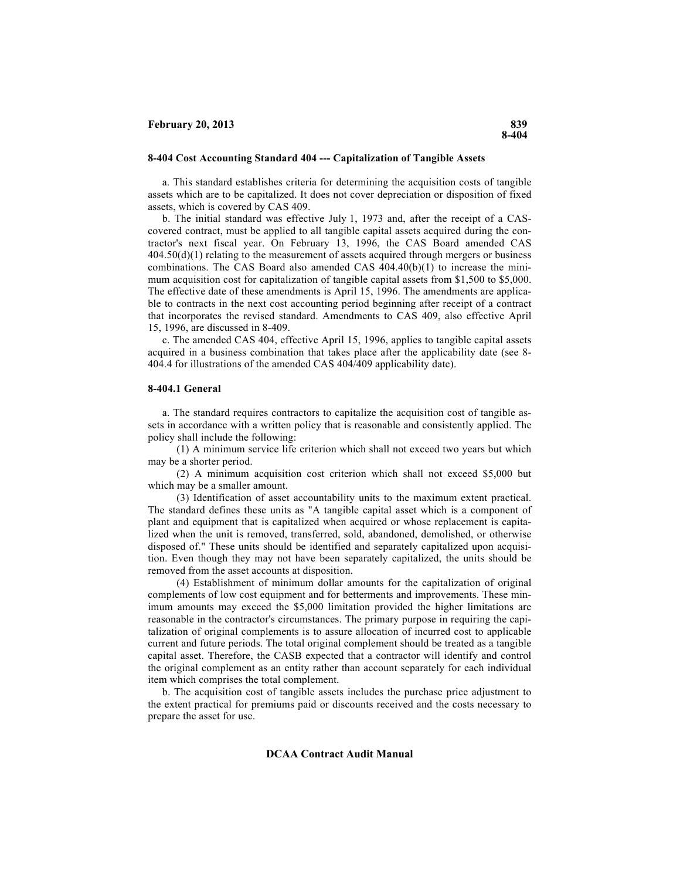### **8-404 Cost Accounting Standard 404 --- Capitalization of Tangible Assets**

a. This standard establishes criteria for determining the acquisition costs of tangible assets which are to be capitalized. It does not cover depreciation or disposition of fixed assets, which is covered by CAS 409.

b. The initial standard was effective July 1, 1973 and, after the receipt of a CAScovered contract, must be applied to all tangible capital assets acquired during the contractor's next fiscal year. On February 13, 1996, the CAS Board amended CAS  $404.50(d)(1)$  relating to the measurement of assets acquired through mergers or business combinations. The CAS Board also amended CAS  $404.40(b)(1)$  to increase the minimum acquisition cost for capitalization of tangible capital assets from \$1,500 to \$5,000. The effective date of these amendments is April 15, 1996. The amendments are applicable to contracts in the next cost accounting period beginning after receipt of a contract that incorporates the revised standard. Amendments to CAS 409, also effective April 15, 1996, are discussed in 8-409.

c. The amended CAS 404, effective April 15, 1996, applies to tangible capital assets acquired in a business combination that takes place after the applicability date (see 8 404.4 for illustrations of the amended CAS 404/409 applicability date).

## **8-404.1 General**

a. The standard requires contractors to capitalize the acquisition cost of tangible assets in accordance with a written policy that is reasonable and consistently applied. The policy shall include the following:

(1) A minimum service life criterion which shall not exceed two years but which may be a shorter period.

(2) A minimum acquisition cost criterion which shall not exceed \$5,000 but which may be a smaller amount.

(3) Identification of asset accountability units to the maximum extent practical. The standard defines these units as "A tangible capital asset which is a component of plant and equipment that is capitalized when acquired or whose replacement is capitalized when the unit is removed, transferred, sold, abandoned, demolished, or otherwise disposed of." These units should be identified and separately capitalized upon acquisition. Even though they may not have been separately capitalized, the units should be removed from the asset accounts at disposition.

(4) Establishment of minimum dollar amounts for the capitalization of original complements of low cost equipment and for betterments and improvements. These minimum amounts may exceed the \$5,000 limitation provided the higher limitations are reasonable in the contractor's circumstances. The primary purpose in requiring the capitalization of original complements is to assure allocation of incurred cost to applicable current and future periods. The total original complement should be treated as a tangible capital asset. Therefore, the CASB expected that a contractor will identify and control the original complement as an entity rather than account separately for each individual item which comprises the total complement.

b. The acquisition cost of tangible assets includes the purchase price adjustment to the extent practical for premiums paid or discounts received and the costs necessary to prepare the asset for use.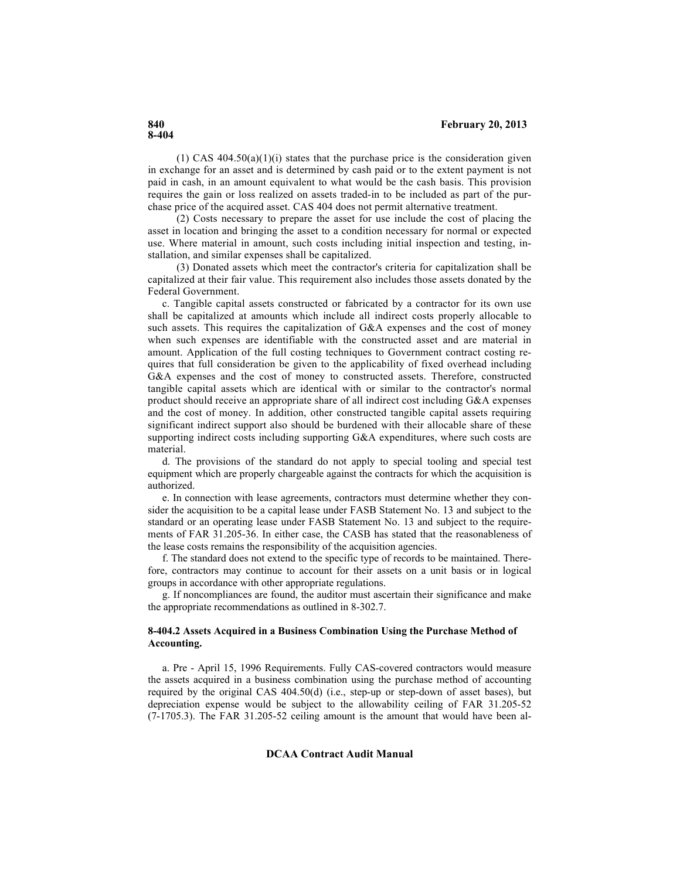(1) CAS  $404.50(a)(1)(i)$  states that the purchase price is the consideration given in exchange for an asset and is determined by cash paid or to the extent payment is not paid in cash, in an amount equivalent to what would be the cash basis. This provision requires the gain or loss realized on assets traded-in to be included as part of the purchase price of the acquired asset. CAS 404 does not permit alternative treatment.

(2) Costs necessary to prepare the asset for use include the cost of placing the asset in location and bringing the asset to a condition necessary for normal or expected use. Where material in amount, such costs including initial inspection and testing, installation, and similar expenses shall be capitalized.

(3) Donated assets which meet the contractor's criteria for capitalization shall be capitalized at their fair value. This requirement also includes those assets donated by the Federal Government.

c. Tangible capital assets constructed or fabricated by a contractor for its own use shall be capitalized at amounts which include all indirect costs properly allocable to such assets. This requires the capitalization of G&A expenses and the cost of money when such expenses are identifiable with the constructed asset and are material in amount. Application of the full costing techniques to Government contract costing requires that full consideration be given to the applicability of fixed overhead including G&A expenses and the cost of money to constructed assets. Therefore, constructed tangible capital assets which are identical with or similar to the contractor's normal product should receive an appropriate share of all indirect cost including G&A expenses and the cost of money. In addition, other constructed tangible capital assets requiring significant indirect support also should be burdened with their allocable share of these supporting indirect costs including supporting G&A expenditures, where such costs are material.

d. The provisions of the standard do not apply to special tooling and special test equipment which are properly chargeable against the contracts for which the acquisition is authorized.

e. In connection with lease agreements, contractors must determine whether they consider the acquisition to be a capital lease under FASB Statement No. 13 and subject to the standard or an operating lease under FASB Statement No. 13 and subject to the requirements of FAR 31.205-36. In either case, the CASB has stated that the reasonableness of the lease costs remains the responsibility of the acquisition agencies.

f. The standard does not extend to the specific type of records to be maintained. Therefore, contractors may continue to account for their assets on a unit basis or in logical groups in accordance with other appropriate regulations.

g. If noncompliances are found, the auditor must ascertain their significance and make the appropriate recommendations as outlined in 8-302.7.

### **8-404.2 Assets Acquired in a Business Combination Using the Purchase Method of Accounting.**

a. Pre - April 15, 1996 Requirements. Fully CAS-covered contractors would measure the assets acquired in a business combination using the purchase method of accounting required by the original CAS 404.50(d) (i.e., step-up or step-down of asset bases), but depreciation expense would be subject to the allowability ceiling of FAR 31.205-52 (7-1705.3). The FAR 31.205-52 ceiling amount is the amount that would have been al-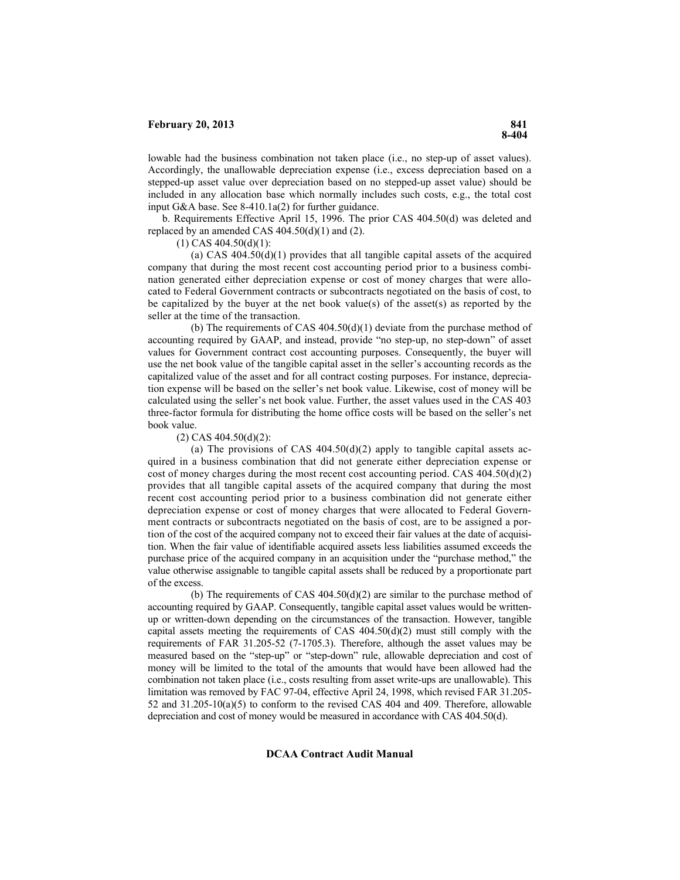lowable had the business combination not taken place (i.e., no step-up of asset values). Accordingly, the unallowable depreciation expense (i.e., excess depreciation based on a stepped-up asset value over depreciation based on no stepped-up asset value) should be included in any allocation base which normally includes such costs, e.g., the total cost input G&A base. See 8-410.1a(2) for further guidance.

b. Requirements Effective April 15, 1996. The prior CAS 404.50(d) was deleted and replaced by an amended CAS  $404.50(d)(1)$  and  $(2)$ .

(1) CAS 404.50(d)(1):

(a) CAS  $404.50(d)(1)$  provides that all tangible capital assets of the acquired company that during the most recent cost accounting period prior to a business combination generated either depreciation expense or cost of money charges that were allocated to Federal Government contracts or subcontracts negotiated on the basis of cost, to be capitalized by the buyer at the net book value(s) of the asset(s) as reported by the seller at the time of the transaction.

(b) The requirements of CAS 404.50(d)(1) deviate from the purchase method of accounting required by GAAP, and instead, provide "no step-up, no step-down" of asset values for Government contract cost accounting purposes. Consequently, the buyer will use the net book value of the tangible capital asset in the seller's accounting records as the capitalized value of the asset and for all contract costing purposes. For instance, depreciation expense will be based on the seller's net book value. Likewise, cost of money will be calculated using the seller's net book value. Further, the asset values used in the CAS 403 three-factor formula for distributing the home office costs will be based on the seller's net book value.

(2) CAS 404.50(d)(2):

(a) The provisions of CAS  $404.50(d)(2)$  apply to tangible capital assets acquired in a business combination that did not generate either depreciation expense or cost of money charges during the most recent cost accounting period. CAS 404.50(d)(2) provides that all tangible capital assets of the acquired company that during the most recent cost accounting period prior to a business combination did not generate either depreciation expense or cost of money charges that were allocated to Federal Government contracts or subcontracts negotiated on the basis of cost, are to be assigned a portion of the cost of the acquired company not to exceed their fair values at the date of acquisition. When the fair value of identifiable acquired assets less liabilities assumed exceeds the purchase price of the acquired company in an acquisition under the "purchase method," the value otherwise assignable to tangible capital assets shall be reduced by a proportionate part of the excess.

(b) The requirements of CAS 404.50(d)(2) are similar to the purchase method of accounting required by GAAP. Consequently, tangible capital asset values would be writtenup or written-down depending on the circumstances of the transaction. However, tangible capital assets meeting the requirements of CAS  $404.50(d)(2)$  must still comply with the requirements of FAR 31.205-52 (7-1705.3). Therefore, although the asset values may be measured based on the "step-up" or "step-down" rule, allowable depreciation and cost of money will be limited to the total of the amounts that would have been allowed had the combination not taken place (i.e., costs resulting from asset write-ups are unallowable). This limitation was removed by FAC 97-04, effective April 24, 1998, which revised FAR 31.205 52 and  $31.205-10(a)(5)$  to conform to the revised CAS 404 and 409. Therefore, allowable depreciation and cost of money would be measured in accordance with CAS 404.50(d).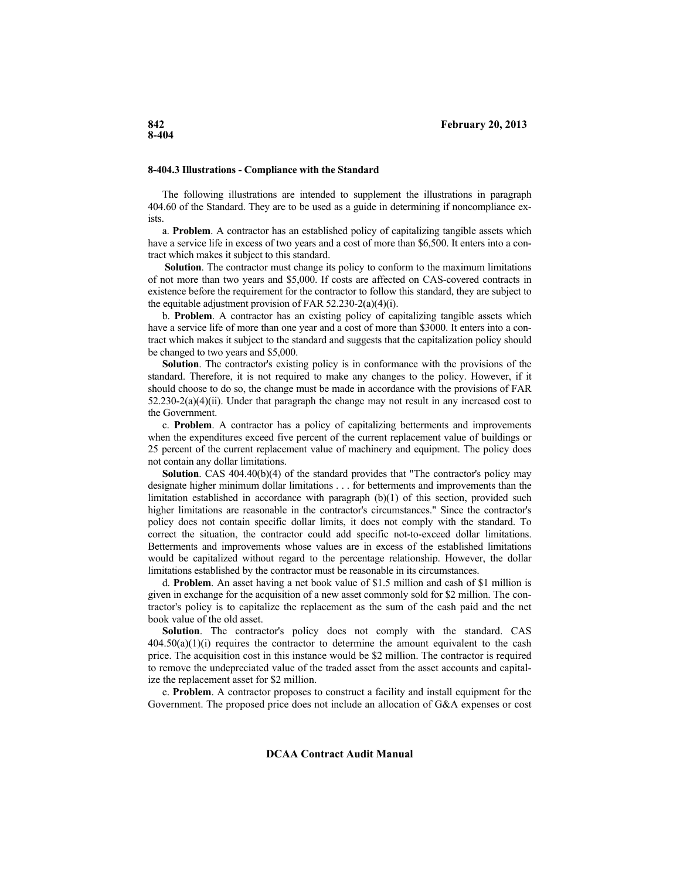# **8-404.3 Illustrations - Compliance with the Standard**

The following illustrations are intended to supplement the illustrations in paragraph 404.60 of the Standard. They are to be used as a guide in determining if noncompliance exists.

a. **Problem**. A contractor has an established policy of capitalizing tangible assets which have a service life in excess of two years and a cost of more than \$6,500. It enters into a contract which makes it subject to this standard.

**Solution**. The contractor must change its policy to conform to the maximum limitations of not more than two years and \$5,000. If costs are affected on CAS-covered contracts in existence before the requirement for the contractor to follow this standard, they are subject to the equitable adjustment provision of FAR  $52.230-2(a)(4)(i)$ .

b. **Problem**. A contractor has an existing policy of capitalizing tangible assets which have a service life of more than one year and a cost of more than \$3000. It enters into a contract which makes it subject to the standard and suggests that the capitalization policy should be changed to two years and \$5,000.

**Solution**. The contractor's existing policy is in conformance with the provisions of the standard. Therefore, it is not required to make any changes to the policy. However, if it should choose to do so, the change must be made in accordance with the provisions of FAR  $52.230-2(a)(4)(ii)$ . Under that paragraph the change may not result in any increased cost to the Government.

c. **Problem**. A contractor has a policy of capitalizing betterments and improvements when the expenditures exceed five percent of the current replacement value of buildings or 25 percent of the current replacement value of machinery and equipment. The policy does not contain any dollar limitations.

**Solution**. CAS 404.40(b)(4) of the standard provides that "The contractor's policy may designate higher minimum dollar limitations . . . for betterments and improvements than the limitation established in accordance with paragraph (b)(1) of this section, provided such higher limitations are reasonable in the contractor's circumstances." Since the contractor's policy does not contain specific dollar limits, it does not comply with the standard. To correct the situation, the contractor could add specific not-to-exceed dollar limitations. Betterments and improvements whose values are in excess of the established limitations would be capitalized without regard to the percentage relationship. However, the dollar limitations established by the contractor must be reasonable in its circumstances.

d. **Problem**. An asset having a net book value of \$1.5 million and cash of \$1 million is given in exchange for the acquisition of a new asset commonly sold for \$2 million. The contractor's policy is to capitalize the replacement as the sum of the cash paid and the net book value of the old asset.

**Solution**. The contractor's policy does not comply with the standard. CAS  $404.50(a)(1)(i)$  requires the contractor to determine the amount equivalent to the cash price. The acquisition cost in this instance would be \$2 million. The contractor is required to remove the undepreciated value of the traded asset from the asset accounts and capitalize the replacement asset for \$2 million.

e. **Problem**. A contractor proposes to construct a facility and install equipment for the Government. The proposed price does not include an allocation of G&A expenses or cost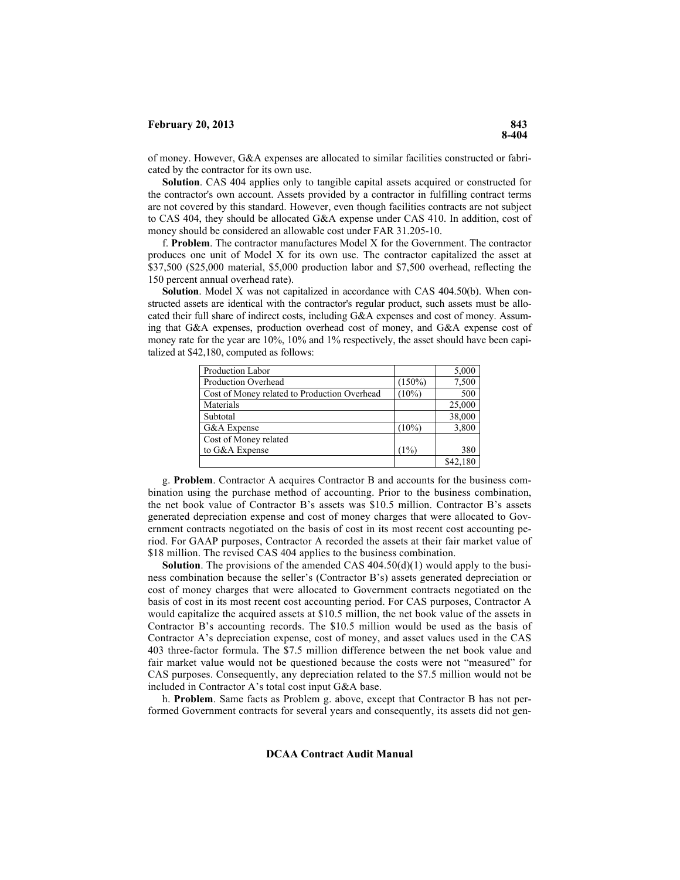of money. However, G&A expenses are allocated to similar facilities constructed or fabricated by the contractor for its own use.

**Solution**. CAS 404 applies only to tangible capital assets acquired or constructed for the contractor's own account. Assets provided by a contractor in fulfilling contract terms are not covered by this standard. However, even though facilities contracts are not subject to CAS 404, they should be allocated G&A expense under CAS 410. In addition, cost of money should be considered an allowable cost under FAR 31.205-10.

f. **Problem**. The contractor manufactures Model X for the Government. The contractor produces one unit of Model X for its own use. The contractor capitalized the asset at \$37,500 (\$25,000 material, \$5,000 production labor and \$7,500 overhead, reflecting the 150 percent annual overhead rate).

**Solution**. Model X was not capitalized in accordance with CAS 404.50(b). When constructed assets are identical with the contractor's regular product, such assets must be allocated their full share of indirect costs, including G&A expenses and cost of money. Assuming that G&A expenses, production overhead cost of money, and G&A expense cost of money rate for the year are 10%, 10% and 1% respectively, the asset should have been capitalized at \$42,180, computed as follows:

| Production Labor                             |           | 5,000  |
|----------------------------------------------|-----------|--------|
| Production Overhead                          | $(150\%)$ | 7,500  |
| Cost of Money related to Production Overhead | $(10\%)$  | 500    |
| Materials                                    |           | 25,000 |
| Subtotal                                     |           | 38,000 |
| G&A Expense                                  | $(10\%)$  | 3,800  |
| Cost of Money related                        |           |        |
| to G&A Expense                               | (1%)      | 380    |
|                                              |           |        |

g. **Problem**. Contractor A acquires Contractor B and accounts for the business combination using the purchase method of accounting. Prior to the business combination, the net book value of Contractor B's assets was \$10.5 million. Contractor B's assets generated depreciation expense and cost of money charges that were allocated to Government contracts negotiated on the basis of cost in its most recent cost accounting period. For GAAP purposes, Contractor A recorded the assets at their fair market value of \$18 million. The revised CAS 404 applies to the business combination.

**Solution**. The provisions of the amended CAS 404.50(d)(1) would apply to the business combination because the seller's (Contractor B's) assets generated depreciation or cost of money charges that were allocated to Government contracts negotiated on the basis of cost in its most recent cost accounting period. For CAS purposes, Contractor A would capitalize the acquired assets at \$10.5 million, the net book value of the assets in Contractor B's accounting records. The \$10.5 million would be used as the basis of Contractor A's depreciation expense, cost of money, and asset values used in the CAS 403 three-factor formula. The \$7.5 million difference between the net book value and fair market value would not be questioned because the costs were not "measured" for CAS purposes. Consequently, any depreciation related to the \$7.5 million would not be included in Contractor A's total cost input G&A base.

h. **Problem**. Same facts as Problem g. above, except that Contractor B has not performed Government contracts for several years and consequently, its assets did not gen-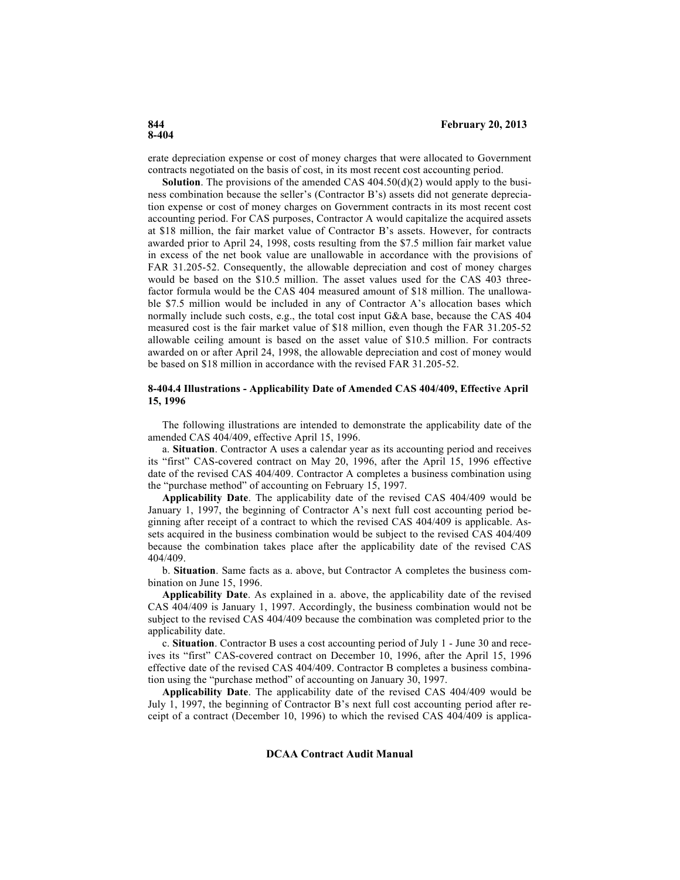# **8-404**

erate depreciation expense or cost of money charges that were allocated to Government contracts negotiated on the basis of cost, in its most recent cost accounting period.

**Solution**. The provisions of the amended CAS 404.50(d)(2) would apply to the business combination because the seller's (Contractor B's) assets did not generate depreciation expense or cost of money charges on Government contracts in its most recent cost accounting period. For CAS purposes, Contractor A would capitalize the acquired assets at \$18 million, the fair market value of Contractor B's assets. However, for contracts awarded prior to April 24, 1998, costs resulting from the \$7.5 million fair market value in excess of the net book value are unallowable in accordance with the provisions of FAR 31.205-52. Consequently, the allowable depreciation and cost of money charges would be based on the \$10.5 million. The asset values used for the CAS 403 threefactor formula would be the CAS 404 measured amount of \$18 million. The unallowable \$7.5 million would be included in any of Contractor A's allocation bases which normally include such costs, e.g., the total cost input G&A base, because the CAS  $404$ measured cost is the fair market value of \$18 million, even though the FAR 31.205-52 allowable ceiling amount is based on the asset value of \$10.5 million. For contracts awarded on or after April 24, 1998, the allowable depreciation and cost of money would be based on \$18 million in accordance with the revised FAR 31.205-52.

## **8-404.4 Illustrations - Applicability Date of Amended CAS 404/409, Effective April 15, 1996**

The following illustrations are intended to demonstrate the applicability date of the amended CAS 404/409, effective April 15, 1996.

a. **Situation**. Contractor A uses a calendar year as its accounting period and receives its "first" CAS-covered contract on May 20, 1996, after the April 15, 1996 effective date of the revised CAS 404/409. Contractor A completes a business combination using the "purchase method" of accounting on February 15, 1997.

**Applicability Date**. The applicability date of the revised CAS 404/409 would be January 1, 1997, the beginning of Contractor A's next full cost accounting period beginning after receipt of a contract to which the revised CAS 404/409 is applicable. Assets acquired in the business combination would be subject to the revised CAS 404/409 because the combination takes place after the applicability date of the revised CAS 404/409.

b. **Situation**. Same facts as a. above, but Contractor A completes the business combination on June 15, 1996.

**Applicability Date**. As explained in a. above, the applicability date of the revised CAS 404/409 is January 1, 1997. Accordingly, the business combination would not be subject to the revised CAS 404/409 because the combination was completed prior to the applicability date.

c. **Situation**. Contractor B uses a cost accounting period of July 1 - June 30 and receives its "first" CAS-covered contract on December 10, 1996, after the April 15, 1996 effective date of the revised CAS 404/409. Contractor B completes a business combination using the "purchase method" of accounting on January 30, 1997.

**Applicability Date**. The applicability date of the revised CAS 404/409 would be July 1, 1997, the beginning of Contractor B's next full cost accounting period after receipt of a contract (December 10, 1996) to which the revised CAS 404/409 is applica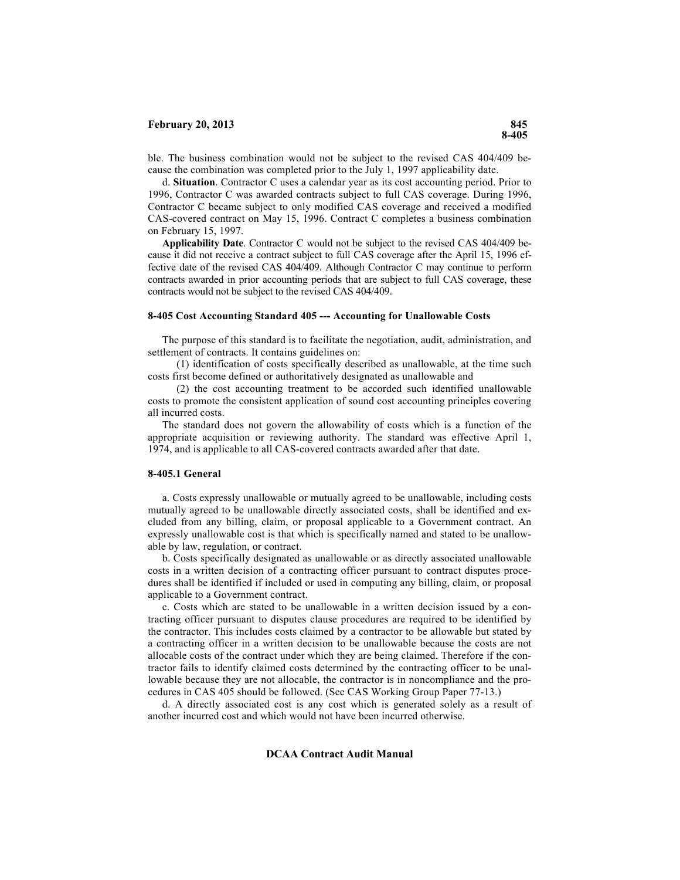ble. The business combination would not be subject to the revised CAS 404/409 because the combination was completed prior to the July 1, 1997 applicability date.

d. **Situation**. Contractor C uses a calendar year as its cost accounting period. Prior to 1996, Contractor C was awarded contracts subject to full CAS coverage. During 1996, Contractor C became subject to only modified CAS coverage and received a modified CAS-covered contract on May 15, 1996. Contract C completes a business combination on February 15, 1997.

**Applicability Date**. Contractor C would not be subject to the revised CAS 404/409 because it did not receive a contract subject to full CAS coverage after the April 15, 1996 effective date of the revised CAS 404/409. Although Contractor C may continue to perform contracts awarded in prior accounting periods that are subject to full CAS coverage, these contracts would not be subject to the revised CAS 404/409.

## **8-405 Cost Accounting Standard 405 --- Accounting for Unallowable Costs**

The purpose of this standard is to facilitate the negotiation, audit, administration, and settlement of contracts. It contains guidelines on:

(1) identification of costs specifically described as unallowable, at the time such costs first become defined or authoritatively designated as unallowable and

(2) the cost accounting treatment to be accorded such identified unallowable costs to promote the consistent application of sound cost accounting principles covering all incurred costs.

The standard does not govern the allowability of costs which is a function of the appropriate acquisition or reviewing authority. The standard was effective April 1, 1974, and is applicable to all CAS-covered contracts awarded after that date.

#### **8-405.1 General**

a. Costs expressly unallowable or mutually agreed to be unallowable, including costs mutually agreed to be unallowable directly associated costs, shall be identified and excluded from any billing, claim, or proposal applicable to a Government contract. An expressly unallowable cost is that which is specifically named and stated to be unallowable by law, regulation, or contract.

b. Costs specifically designated as unallowable or as directly associated unallowable costs in a written decision of a contracting officer pursuant to contract disputes procedures shall be identified if included or used in computing any billing, claim, or proposal applicable to a Government contract.

c. Costs which are stated to be unallowable in a written decision issued by a contracting officer pursuant to disputes clause procedures are required to be identified by the contractor. This includes costs claimed by a contractor to be allowable but stated by a contracting officer in a written decision to be unallowable because the costs are not allocable costs of the contract under which they are being claimed. Therefore if the contractor fails to identify claimed costs determined by the contracting officer to be unallowable because they are not allocable, the contractor is in noncompliance and the procedures in CAS 405 should be followed. (See CAS Working Group Paper 77-13.)

d. A directly associated cost is any cost which is generated solely as a result of another incurred cost and which would not have been incurred otherwise.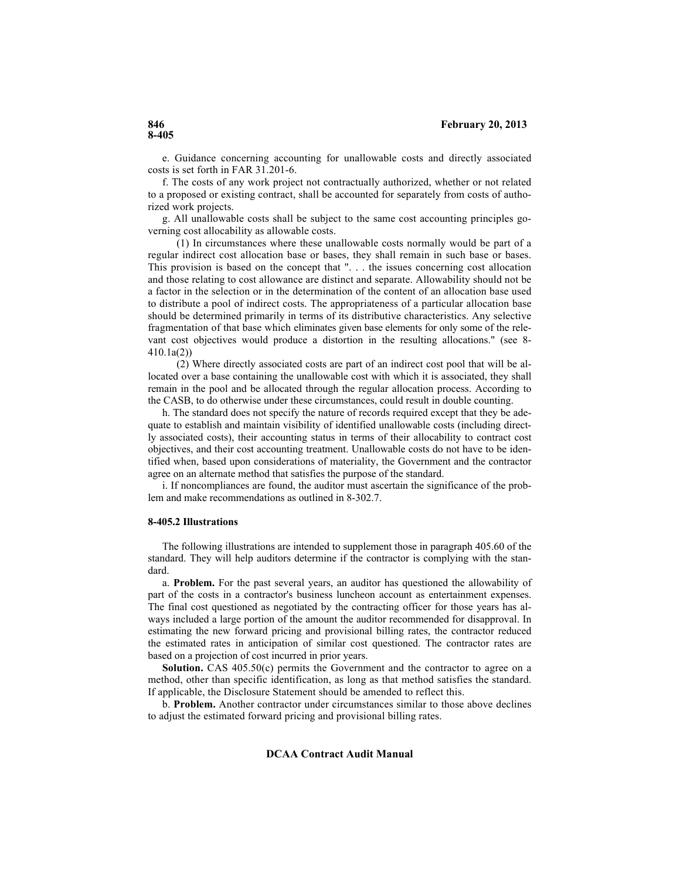e. Guidance concerning accounting for unallowable costs and directly associated costs is set forth in FAR 31.201-6.

f. The costs of any work project not contractually authorized, whether or not related to a proposed or existing contract, shall be accounted for separately from costs of authorized work projects.

g. All unallowable costs shall be subject to the same cost accounting principles governing cost allocability as allowable costs.

(1) In circumstances where these unallowable costs normally would be part of a regular indirect cost allocation base or bases, they shall remain in such base or bases. This provision is based on the concept that ". . . the issues concerning cost allocation and those relating to cost allowance are distinct and separate. Allowability should not be a factor in the selection or in the determination of the content of an allocation base used to distribute a pool of indirect costs. The appropriateness of a particular allocation base should be determined primarily in terms of its distributive characteristics. Any selective fragmentation of that base which eliminates given base elements for only some of the relevant cost objectives would produce a distortion in the resulting allocations." (see 8 410.1a(2))

(2) Where directly associated costs are part of an indirect cost pool that will be allocated over a base containing the unallowable cost with which it is associated, they shall remain in the pool and be allocated through the regular allocation process. According to the CASB, to do otherwise under these circumstances, could result in double counting.

h. The standard does not specify the nature of records required except that they be adequate to establish and maintain visibility of identified unallowable costs (including directly associated costs), their accounting status in terms of their allocability to contract cost objectives, and their cost accounting treatment. Unallowable costs do not have to be identified when, based upon considerations of materiality, the Government and the contractor agree on an alternate method that satisfies the purpose of the standard.

i. If noncompliances are found, the auditor must ascertain the significance of the problem and make recommendations as outlined in 8-302.7.

#### **8-405.2 Illustrations**

The following illustrations are intended to supplement those in paragraph 405.60 of the standard. They will help auditors determine if the contractor is complying with the standard.

a. **Problem.** For the past several years, an auditor has questioned the allowability of part of the costs in a contractor's business luncheon account as entertainment expenses. The final cost questioned as negotiated by the contracting officer for those years has always included a large portion of the amount the auditor recommended for disapproval. In estimating the new forward pricing and provisional billing rates, the contractor reduced the estimated rates in anticipation of similar cost questioned. The contractor rates are based on a projection of cost incurred in prior years.

**Solution.** CAS 405.50(c) permits the Government and the contractor to agree on a method, other than specific identification, as long as that method satisfies the standard. If applicable, the Disclosure Statement should be amended to reflect this.

b. **Problem.** Another contractor under circumstances similar to those above declines to adjust the estimated forward pricing and provisional billing rates.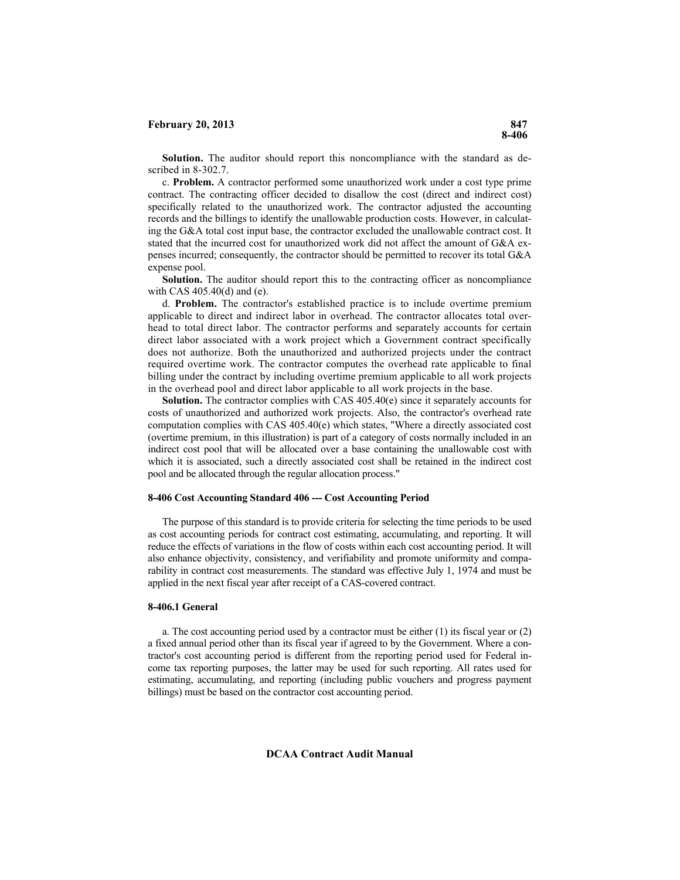**Solution.** The auditor should report this noncompliance with the standard as described in 8-302.7.

c. **Problem.** A contractor performed some unauthorized work under a cost type prime contract. The contracting officer decided to disallow the cost (direct and indirect cost) specifically related to the unauthorized work. The contractor adjusted the accounting records and the billings to identify the unallowable production costs. However, in calculating the G&A total cost input base, the contractor excluded the unallowable contract cost. It stated that the incurred cost for unauthorized work did not affect the amount of G&A expenses incurred; consequently, the contractor should be permitted to recover its total G&A expense pool.

**Solution.** The auditor should report this to the contracting officer as noncompliance with CAS 405.40(d) and (e).

d. **Problem.** The contractor's established practice is to include overtime premium applicable to direct and indirect labor in overhead. The contractor allocates total overhead to total direct labor. The contractor performs and separately accounts for certain direct labor associated with a work project which a Government contract specifically does not authorize. Both the unauthorized and authorized projects under the contract required overtime work. The contractor computes the overhead rate applicable to final billing under the contract by including overtime premium applicable to all work projects in the overhead pool and direct labor applicable to all work projects in the base.

**Solution.** The contractor complies with CAS 405.40(e) since it separately accounts for costs of unauthorized and authorized work projects. Also, the contractor's overhead rate computation complies with CAS 405.40(e) which states, "Where a directly associated cost (overtime premium, in this illustration) is part of a category of costs normally included in an indirect cost pool that will be allocated over a base containing the unallowable cost with which it is associated, such a directly associated cost shall be retained in the indirect cost pool and be allocated through the regular allocation process."

# **8-406 Cost Accounting Standard 406 --- Cost Accounting Period**

The purpose of this standard is to provide criteria for selecting the time periods to be used as cost accounting periods for contract cost estimating, accumulating, and reporting. It will reduce the effects of variations in the flow of costs within each cost accounting period. It will also enhance objectivity, consistency, and verifiability and promote uniformity and comparability in contract cost measurements. The standard was effective July 1, 1974 and must be applied in the next fiscal year after receipt of a CAS-covered contract.

#### **8-406.1 General**

a. The cost accounting period used by a contractor must be either  $(1)$  its fiscal year or  $(2)$ a fixed annual period other than its fiscal year if agreed to by the Government. Where a contractor's cost accounting period is different from the reporting period used for Federal income tax reporting purposes, the latter may be used for such reporting. All rates used for estimating, accumulating, and reporting (including public vouchers and progress payment billings) must be based on the contractor cost accounting period.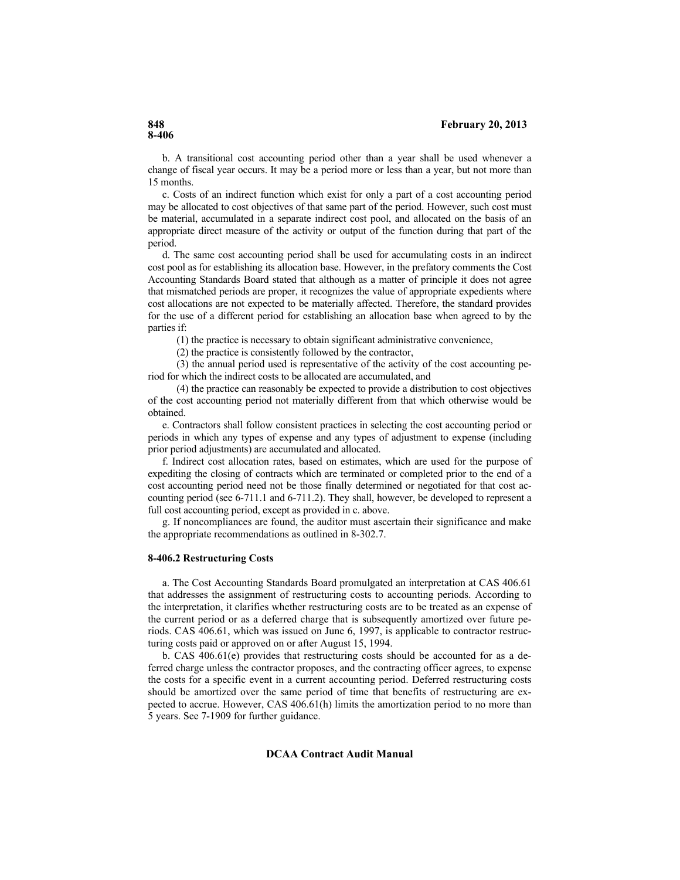b. A transitional cost accounting period other than a year shall be used whenever a change of fiscal year occurs. It may be a period more or less than a year, but not more than 15 months.

c. Costs of an indirect function which exist for only a part of a cost accounting period may be allocated to cost objectives of that same part of the period. However, such cost must be material, accumulated in a separate indirect cost pool, and allocated on the basis of an appropriate direct measure of the activity or output of the function during that part of the period.

d. The same cost accounting period shall be used for accumulating costs in an indirect cost pool as for establishing its allocation base. However, in the prefatory comments the Cost Accounting Standards Board stated that although as a matter of principle it does not agree that mismatched periods are proper, it recognizes the value of appropriate expedients where cost allocations are not expected to be materially affected. Therefore, the standard provides for the use of a different period for establishing an allocation base when agreed to by the parties if:

(1) the practice is necessary to obtain significant administrative convenience,

(2) the practice is consistently followed by the contractor,

(3) the annual period used is representative of the activity of the cost accounting period for which the indirect costs to be allocated are accumulated, and

(4) the practice can reasonably be expected to provide a distribution to cost objectives of the cost accounting period not materially different from that which otherwise would be obtained.

e. Contractors shall follow consistent practices in selecting the cost accounting period or periods in which any types of expense and any types of adjustment to expense (including prior period adjustments) are accumulated and allocated.

f. Indirect cost allocation rates, based on estimates, which are used for the purpose of expediting the closing of contracts which are terminated or completed prior to the end of a cost accounting period need not be those finally determined or negotiated for that cost accounting period (see 6-711.1 and 6-711.2). They shall, however, be developed to represent a full cost accounting period, except as provided in c. above.

g. If noncompliances are found, the auditor must ascertain their significance and make the appropriate recommendations as outlined in 8-302.7.

# **8-406.2 Restructuring Costs**

a. The Cost Accounting Standards Board promulgated an interpretation at CAS 406.61 that addresses the assignment of restructuring costs to accounting periods. According to the interpretation, it clarifies whether restructuring costs are to be treated as an expense of the current period or as a deferred charge that is subsequently amortized over future periods. CAS 406.61, which was issued on June 6, 1997, is applicable to contractor restructuring costs paid or approved on or after August 15, 1994.

b. CAS 406.61(e) provides that restructuring costs should be accounted for as a deferred charge unless the contractor proposes, and the contracting officer agrees, to expense the costs for a specific event in a current accounting period. Deferred restructuring costs should be amortized over the same period of time that benefits of restructuring are expected to accrue. However, CAS 406.61(h) limits the amortization period to no more than 5 years. See 7-1909 for further guidance.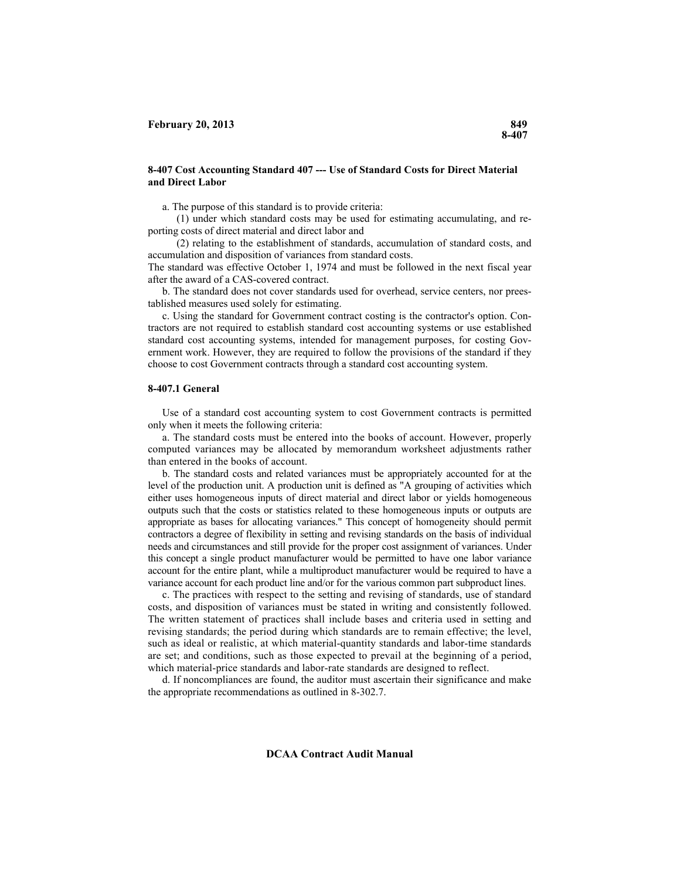# **8-407 Cost Accounting Standard 407 --- Use of Standard Costs for Direct Material and Direct Labor**

a. The purpose of this standard is to provide criteria:

(1) under which standard costs may be used for estimating accumulating, and reporting costs of direct material and direct labor and

(2) relating to the establishment of standards, accumulation of standard costs, and accumulation and disposition of variances from standard costs.

The standard was effective October 1, 1974 and must be followed in the next fiscal year after the award of a CAS-covered contract.

b. The standard does not cover standards used for overhead, service centers, nor preestablished measures used solely for estimating.

c. Using the standard for Government contract costing is the contractor's option. Contractors are not required to establish standard cost accounting systems or use established standard cost accounting systems, intended for management purposes, for costing Government work. However, they are required to follow the provisions of the standard if they choose to cost Government contracts through a standard cost accounting system.

#### **8-407.1 General**

Use of a standard cost accounting system to cost Government contracts is permitted only when it meets the following criteria:

a. The standard costs must be entered into the books of account. However, properly computed variances may be allocated by memorandum worksheet adjustments rather than entered in the books of account.

b. The standard costs and related variances must be appropriately accounted for at the level of the production unit. A production unit is defined as "A grouping of activities which either uses homogeneous inputs of direct material and direct labor or yields homogeneous outputs such that the costs or statistics related to these homogeneous inputs or outputs are appropriate as bases for allocating variances." This concept of homogeneity should permit contractors a degree of flexibility in setting and revising standards on the basis of individual needs and circumstances and still provide for the proper cost assignment of variances. Under this concept a single product manufacturer would be permitted to have one labor variance account for the entire plant, while a multiproduct manufacturer would be required to have a variance account for each product line and/or for the various common part subproduct lines.

c. The practices with respect to the setting and revising of standards, use of standard costs, and disposition of variances must be stated in writing and consistently followed. The written statement of practices shall include bases and criteria used in setting and revising standards; the period during which standards are to remain effective; the level, such as ideal or realistic, at which material-quantity standards and labor-time standards are set; and conditions, such as those expected to prevail at the beginning of a period, which material-price standards and labor-rate standards are designed to reflect.

d. If noncompliances are found, the auditor must ascertain their significance and make the appropriate recommendations as outlined in 8-302.7.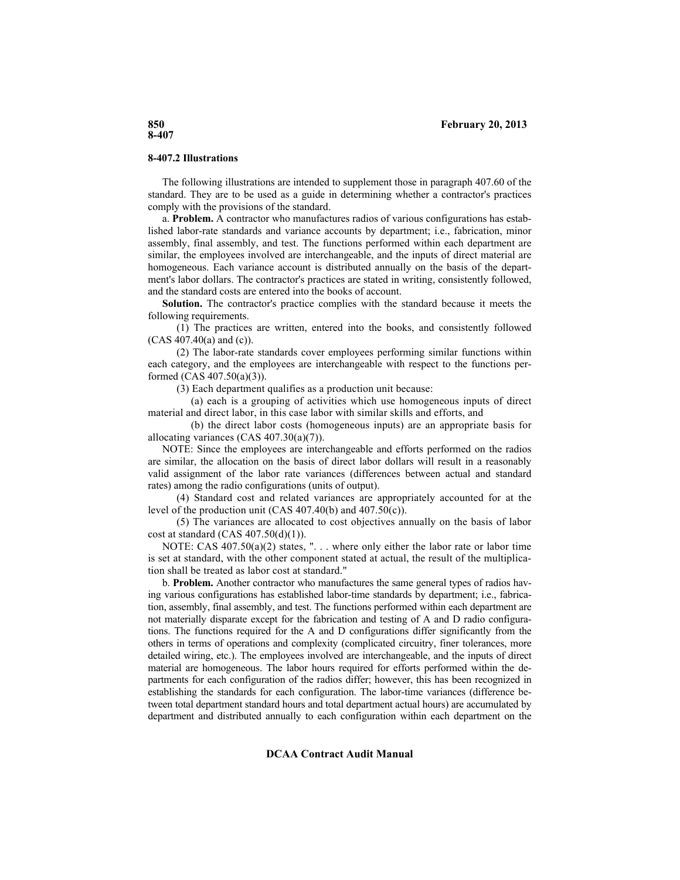#### **8-407.2 Illustrations**

The following illustrations are intended to supplement those in paragraph 407.60 of the standard. They are to be used as a guide in determining whether a contractor's practices comply with the provisions of the standard.

a. **Problem.** A contractor who manufactures radios of various configurations has established labor-rate standards and variance accounts by department; i.e., fabrication, minor assembly, final assembly, and test. The functions performed within each department are similar, the employees involved are interchangeable, and the inputs of direct material are homogeneous. Each variance account is distributed annually on the basis of the department's labor dollars. The contractor's practices are stated in writing, consistently followed, and the standard costs are entered into the books of account.

**Solution.** The contractor's practice complies with the standard because it meets the following requirements.

(1) The practices are written, entered into the books, and consistently followed  $(CAS 407.40(a)$  and  $(c)$ ).

(2) The labor-rate standards cover employees performing similar functions within each category, and the employees are interchangeable with respect to the functions performed (CAS 407.50(a)(3)).

(3) Each department qualifies as a production unit because:

(a) each is a grouping of activities which use homogeneous inputs of direct material and direct labor, in this case labor with similar skills and efforts, and

(b) the direct labor costs (homogeneous inputs) are an appropriate basis for allocating variances (CAS 407.30(a)(7)).

NOTE: Since the employees are interchangeable and efforts performed on the radios are similar, the allocation on the basis of direct labor dollars will result in a reasonably valid assignment of the labor rate variances (differences between actual and standard rates) among the radio configurations (units of output).

(4) Standard cost and related variances are appropriately accounted for at the level of the production unit (CAS 407.40(b) and 407.50(c)).

(5) The variances are allocated to cost objectives annually on the basis of labor cost at standard  $(CAS 407.50(d)(1))$ .

NOTE: CAS  $407.50(a)(2)$  states, "... where only either the labor rate or labor time is set at standard, with the other component stated at actual, the result of the multiplication shall be treated as labor cost at standard."

b. **Problem.** Another contractor who manufactures the same general types of radios having various configurations has established labor-time standards by department; i.e., fabrication, assembly, final assembly, and test. The functions performed within each department are not materially disparate except for the fabrication and testing of A and D radio configurations. The functions required for the A and D configurations differ significantly from the others in terms of operations and complexity (complicated circuitry, finer tolerances, more detailed wiring, etc.). The employees involved are interchangeable, and the inputs of direct material are homogeneous. The labor hours required for efforts performed within the departments for each configuration of the radios differ; however, this has been recognized in establishing the standards for each configuration. The labor-time variances (difference between total department standard hours and total department actual hours) are accumulated by department and distributed annually to each configuration within each department on the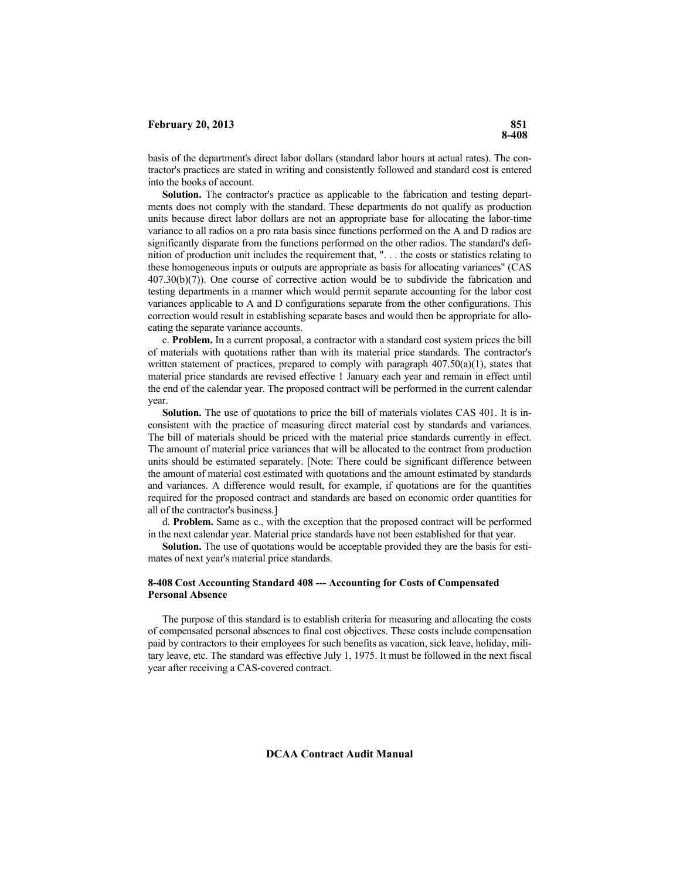basis of the department's direct labor dollars (standard labor hours at actual rates). The contractor's practices are stated in writing and consistently followed and standard cost is entered into the books of account.

**Solution.** The contractor's practice as applicable to the fabrication and testing departments does not comply with the standard. These departments do not qualify as production units because direct labor dollars are not an appropriate base for allocating the labor-time variance to all radios on a pro rata basis since functions performed on the A and D radios are significantly disparate from the functions performed on the other radios. The standard's definition of production unit includes the requirement that, ". . . the costs or statistics relating to these homogeneous inputs or outputs are appropriate as basis for allocating variances" (CAS 407.30(b)(7)). One course of corrective action would be to subdivide the fabrication and testing departments in a manner which would permit separate accounting for the labor cost variances applicable to A and D configurations separate from the other configurations. This correction would result in establishing separate bases and would then be appropriate for allocating the separate variance accounts.

c. **Problem.** In a current proposal, a contractor with a standard cost system prices the bill of materials with quotations rather than with its material price standards. The contractor's written statement of practices, prepared to comply with paragraph  $407.50(a)(1)$ , states that material price standards are revised effective 1 January each year and remain in effect until the end of the calendar year. The proposed contract will be performed in the current calendar year.

**Solution.** The use of quotations to price the bill of materials violates CAS 401. It is inconsistent with the practice of measuring direct material cost by standards and variances. The bill of materials should be priced with the material price standards currently in effect. The amount of material price variances that will be allocated to the contract from production units should be estimated separately. [Note: There could be significant difference between the amount of material cost estimated with quotations and the amount estimated by standards and variances. A difference would result, for example, if quotations are for the quantities required for the proposed contract and standards are based on economic order quantities for all of the contractor's business.]

d. **Problem.** Same as c., with the exception that the proposed contract will be performed in the next calendar year. Material price standards have not been established for that year.

**Solution.** The use of quotations would be acceptable provided they are the basis for estimates of next year's material price standards.

## **8-408 Cost Accounting Standard 408 --- Accounting for Costs of Compensated Personal Absence**

The purpose of this standard is to establish criteria for measuring and allocating the costs of compensated personal absences to final cost objectives. These costs include compensation paid by contractors to their employees for such benefits as vacation, sick leave, holiday, military leave, etc. The standard was effective July 1, 1975. It must be followed in the next fiscal year after receiving a CAS-covered contract.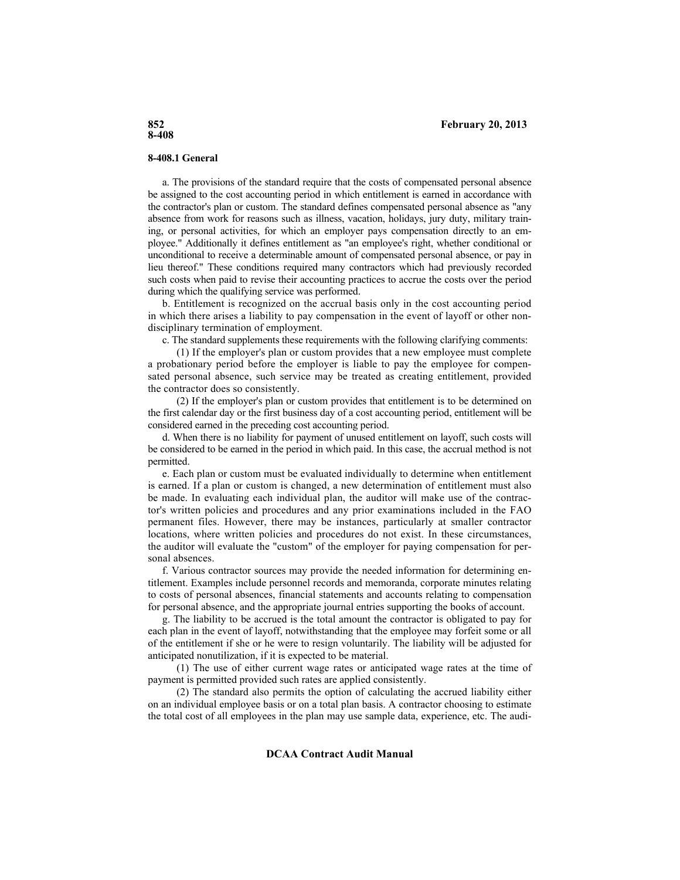### **8-408.1 General**

a. The provisions of the standard require that the costs of compensated personal absence be assigned to the cost accounting period in which entitlement is earned in accordance with the contractor's plan or custom. The standard defines compensated personal absence as "any absence from work for reasons such as illness, vacation, holidays, jury duty, military training, or personal activities, for which an employer pays compensation directly to an employee." Additionally it defines entitlement as "an employee's right, whether conditional or unconditional to receive a determinable amount of compensated personal absence, or pay in lieu thereof." These conditions required many contractors which had previously recorded such costs when paid to revise their accounting practices to accrue the costs over the period during which the qualifying service was performed.

b. Entitlement is recognized on the accrual basis only in the cost accounting period in which there arises a liability to pay compensation in the event of layoff or other nondisciplinary termination of employment.

c. The standard supplements these requirements with the following clarifying comments:

(1) If the employer's plan or custom provides that a new employee must complete a probationary period before the employer is liable to pay the employee for compensated personal absence, such service may be treated as creating entitlement, provided the contractor does so consistently.

(2) If the employer's plan or custom provides that entitlement is to be determined on the first calendar day or the first business day of a cost accounting period, entitlement will be considered earned in the preceding cost accounting period.

d. When there is no liability for payment of unused entitlement on layoff, such costs will be considered to be earned in the period in which paid. In this case, the accrual method is not permitted.

e. Each plan or custom must be evaluated individually to determine when entitlement is earned. If a plan or custom is changed, a new determination of entitlement must also be made. In evaluating each individual plan, the auditor will make use of the contractor's written policies and procedures and any prior examinations included in the FAO permanent files. However, there may be instances, particularly at smaller contractor locations, where written policies and procedures do not exist. In these circumstances, the auditor will evaluate the "custom" of the employer for paying compensation for personal absences.

f. Various contractor sources may provide the needed information for determining entitlement. Examples include personnel records and memoranda, corporate minutes relating to costs of personal absences, financial statements and accounts relating to compensation for personal absence, and the appropriate journal entries supporting the books of account.

g. The liability to be accrued is the total amount the contractor is obligated to pay for each plan in the event of layoff, notwithstanding that the employee may forfeit some or all of the entitlement if she or he were to resign voluntarily. The liability will be adjusted for anticipated nonutilization, if it is expected to be material.

(1) The use of either current wage rates or anticipated wage rates at the time of payment is permitted provided such rates are applied consistently.

(2) The standard also permits the option of calculating the accrued liability either on an individual employee basis or on a total plan basis. A contractor choosing to estimate the total cost of all employees in the plan may use sample data, experience, etc. The audi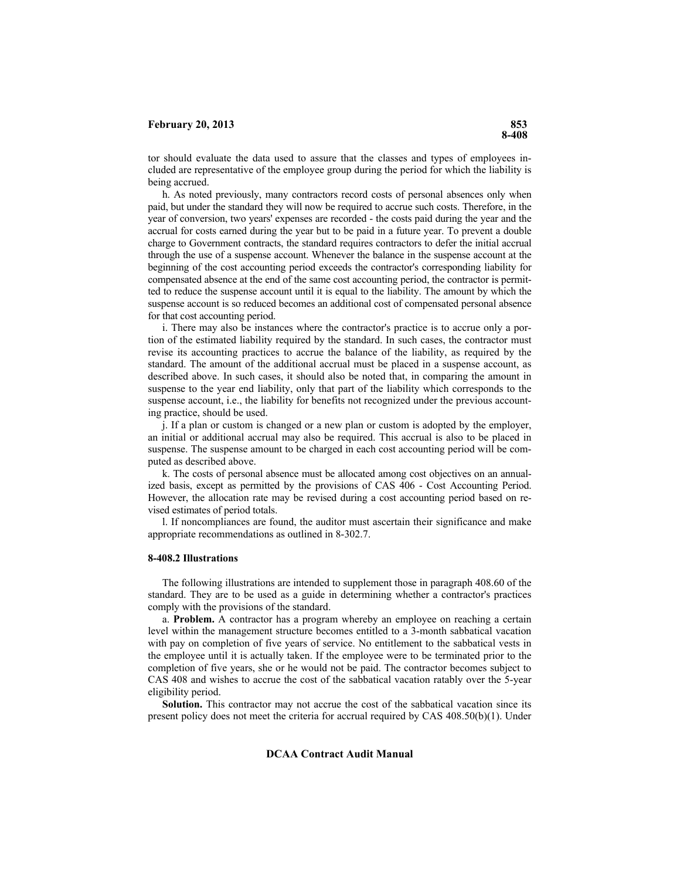tor should evaluate the data used to assure that the classes and types of employees included are representative of the employee group during the period for which the liability is being accrued.

h. As noted previously, many contractors record costs of personal absences only when paid, but under the standard they will now be required to accrue such costs. Therefore, in the year of conversion, two years' expenses are recorded - the costs paid during the year and the accrual for costs earned during the year but to be paid in a future year. To prevent a double charge to Government contracts, the standard requires contractors to defer the initial accrual through the use of a suspense account. Whenever the balance in the suspense account at the beginning of the cost accounting period exceeds the contractor's corresponding liability for compensated absence at the end of the same cost accounting period, the contractor is permitted to reduce the suspense account until it is equal to the liability. The amount by which the suspense account is so reduced becomes an additional cost of compensated personal absence for that cost accounting period.

i. There may also be instances where the contractor's practice is to accrue only a portion of the estimated liability required by the standard. In such cases, the contractor must revise its accounting practices to accrue the balance of the liability, as required by the standard. The amount of the additional accrual must be placed in a suspense account, as described above. In such cases, it should also be noted that, in comparing the amount in suspense to the year end liability, only that part of the liability which corresponds to the suspense account, i.e., the liability for benefits not recognized under the previous accounting practice, should be used.

j. If a plan or custom is changed or a new plan or custom is adopted by the employer, an initial or additional accrual may also be required. This accrual is also to be placed in suspense. The suspense amount to be charged in each cost accounting period will be computed as described above.

k. The costs of personal absence must be allocated among cost objectives on an annualized basis, except as permitted by the provisions of CAS 406 - Cost Accounting Period. However, the allocation rate may be revised during a cost accounting period based on revised estimates of period totals.

l. If noncompliances are found, the auditor must ascertain their significance and make appropriate recommendations as outlined in 8-302.7.

### **8-408.2 Illustrations**

The following illustrations are intended to supplement those in paragraph 408.60 of the standard. They are to be used as a guide in determining whether a contractor's practices comply with the provisions of the standard.

a. **Problem.** A contractor has a program whereby an employee on reaching a certain level within the management structure becomes entitled to a 3-month sabbatical vacation with pay on completion of five years of service. No entitlement to the sabbatical vests in the employee until it is actually taken. If the employee were to be terminated prior to the completion of five years, she or he would not be paid. The contractor becomes subject to CAS 408 and wishes to accrue the cost of the sabbatical vacation ratably over the 5-year eligibility period.

**Solution.** This contractor may not accrue the cost of the sabbatical vacation since its present policy does not meet the criteria for accrual required by CAS 408.50(b)(1). Under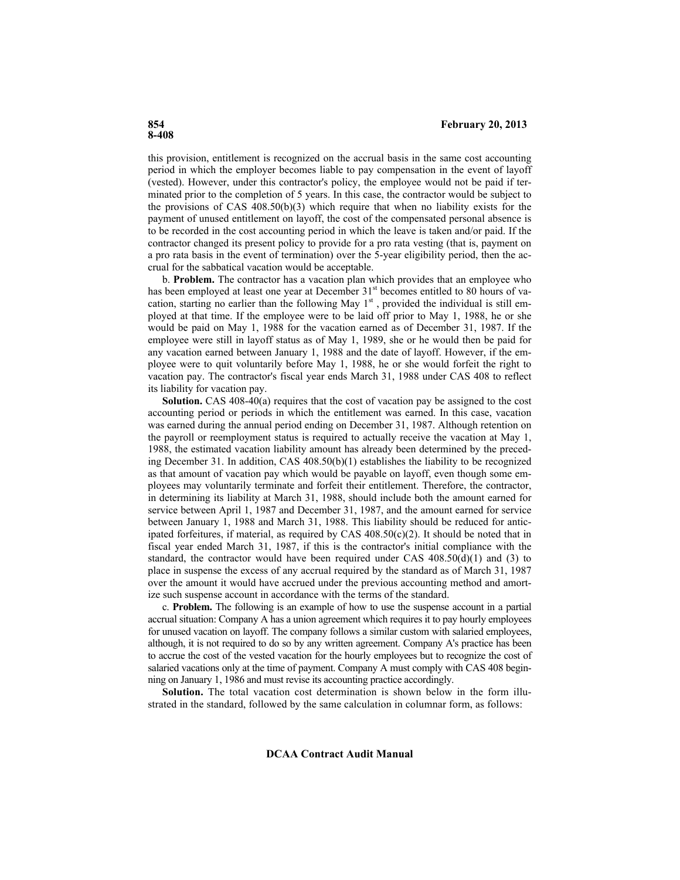this provision, entitlement is recognized on the accrual basis in the same cost accounting period in which the employer becomes liable to pay compensation in the event of layoff (vested). However, under this contractor's policy, the employee would not be paid if terminated prior to the completion of 5 years. In this case, the contractor would be subject to the provisions of CAS 408.50(b)(3) which require that when no liability exists for the payment of unused entitlement on layoff, the cost of the compensated personal absence is to be recorded in the cost accounting period in which the leave is taken and/or paid. If the contractor changed its present policy to provide for a pro rata vesting (that is, payment on a pro rata basis in the event of termination) over the 5-year eligibility period, then the accrual for the sabbatical vacation would be acceptable.

b. **Problem.** The contractor has a vacation plan which provides that an employee who has been employed at least one year at December 31<sup>st</sup> becomes entitled to 80 hours of vacation, starting no earlier than the following May  $1<sup>st</sup>$ , provided the individual is still employed at that time. If the employee were to be laid off prior to May 1, 1988, he or she would be paid on May 1, 1988 for the vacation earned as of December 31, 1987. If the employee were still in layoff status as of May 1, 1989, she or he would then be paid for any vacation earned between January 1, 1988 and the date of layoff. However, if the employee were to quit voluntarily before May 1, 1988, he or she would forfeit the right to vacation pay. The contractor's fiscal year ends March 31, 1988 under CAS 408 to reflect its liability for vacation pay.

**Solution.** CAS 408-40(a) requires that the cost of vacation pay be assigned to the cost accounting period or periods in which the entitlement was earned. In this case, vacation was earned during the annual period ending on December 31, 1987. Although retention on the payroll or reemployment status is required to actually receive the vacation at May 1, 1988, the estimated vacation liability amount has already been determined by the preceding December 31. In addition, CAS 408.50(b)(1) establishes the liability to be recognized as that amount of vacation pay which would be payable on layoff, even though some employees may voluntarily terminate and forfeit their entitlement. Therefore, the contractor, in determining its liability at March 31, 1988, should include both the amount earned for service between April 1, 1987 and December 31, 1987, and the amount earned for service between January 1, 1988 and March 31, 1988. This liability should be reduced for anticipated for feitures, if material, as required by  $CAS\ 408.50(c)(2)$ . It should be noted that in fiscal year ended March 31, 1987, if this is the contractor's initial compliance with the standard, the contractor would have been required under CAS  $408.50(d)(1)$  and (3) to place in suspense the excess of any accrual required by the standard as of March 31, 1987 over the amount it would have accrued under the previous accounting method and amortize such suspense account in accordance with the terms of the standard.

c. **Problem.** The following is an example of how to use the suspense account in a partial accrual situation: Company A has a union agreement which requires it to pay hourly employees for unused vacation on layoff. The company follows a similar custom with salaried employees, although, it is not required to do so by any written agreement. Company A's practice has been to accrue the cost of the vested vacation for the hourly employees but to recognize the cost of salaried vacations only at the time of payment. Company A must comply with CAS 408 beginning on January 1, 1986 and must revise its accounting practice accordingly.

**Solution.** The total vacation cost determination is shown below in the form illustrated in the standard, followed by the same calculation in columnar form, as follows: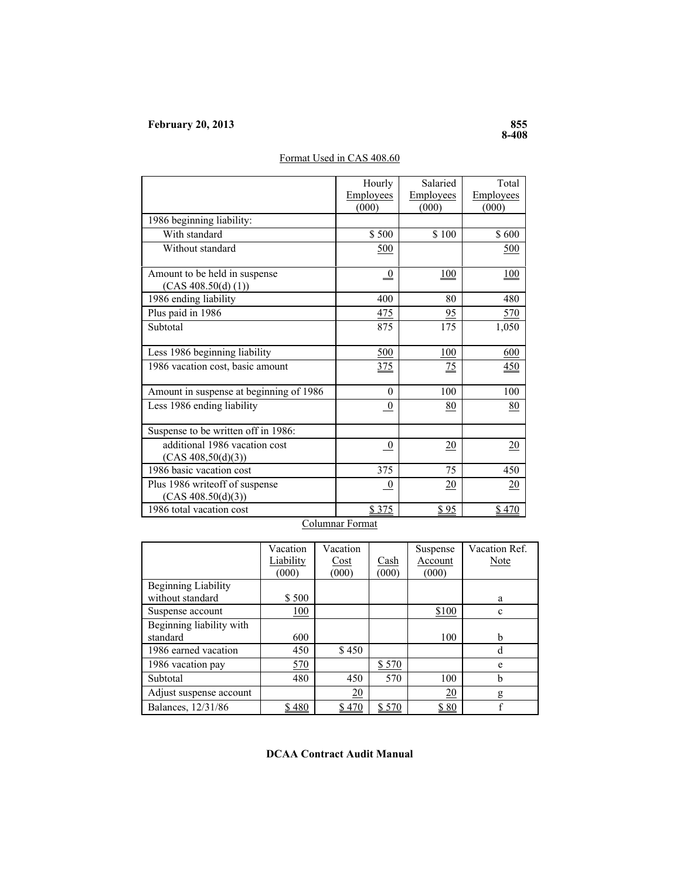|                                                      | Hourly           | Salaried                 | Total      |
|------------------------------------------------------|------------------|--------------------------|------------|
|                                                      | Employees        | Employees                | Employees  |
|                                                      | (000)            | (000)                    | (000)      |
| 1986 beginning liability:                            |                  |                          |            |
| With standard                                        | \$500            | \$100                    | \$600      |
| Without standard                                     | 500              |                          | 500        |
| Amount to be held in suspense                        | $\overline{0}$   | <u>100</u>               | 100        |
| (CAS 408.50(d) (1))                                  |                  |                          |            |
| 1986 ending liability                                | 400              | 80                       | 480        |
| Plus paid in 1986                                    | 475              | 95                       | 570        |
| Subtotal                                             | 875              | 175                      | 1,050      |
| Less 1986 beginning liability                        | 500              | <b>100</b>               | 600        |
| 1986 vacation cost, basic amount                     | <u>375</u>       | $\overline{\mathbf{25}}$ | <u>450</u> |
| Amount in suspense at beginning of 1986              | $\theta$         | 100                      | 100        |
| Less 1986 ending liability                           | $\boldsymbol{0}$ | 80                       | 80         |
| Suspense to be written off in 1986:                  |                  |                          |            |
| additional 1986 vacation cost<br>(CAS 408, 50(d)(3)) | $\overline{0}$   | 20                       | 20         |
| 1986 basic vacation cost                             | 375              | 75                       | 450        |
| Plus 1986 writeoff of suspense                       | $\boldsymbol{0}$ | 20                       | 20         |
| (CAS 408.50(d)(3))                                   |                  |                          |            |
| 1986 total vacation cost                             | \$375            | <u>s 95</u>              | \$470      |

# Format Used in CAS 408.60

Columnar Format

|                            | Vacation     | Vacation |       | Suspense  | Vacation Ref. |
|----------------------------|--------------|----------|-------|-----------|---------------|
|                            | Liability    | Cost     | Cash  | Account   | Note          |
|                            | (000)        | (000)    | (000) | (000)     |               |
| <b>Beginning Liability</b> |              |          |       |           |               |
| without standard           | \$500        |          |       |           | a             |
| Suspense account           | 100          |          |       | \$100     | $\mathbf c$   |
| Beginning liability with   |              |          |       |           |               |
| standard                   | 600          |          |       | 100       | b             |
| 1986 earned vacation       | 450          | \$450    |       |           | d             |
| 1986 vacation pay          | 570          |          | \$570 |           | e             |
| Subtotal                   | 480          | 450      | 570   | 100       | b             |
| Adjust suspense account    |              | 20       |       | <u>20</u> | g             |
| Balances, 12/31/86         | <u>\$480</u> | \$470    | \$570 | \$80      | £             |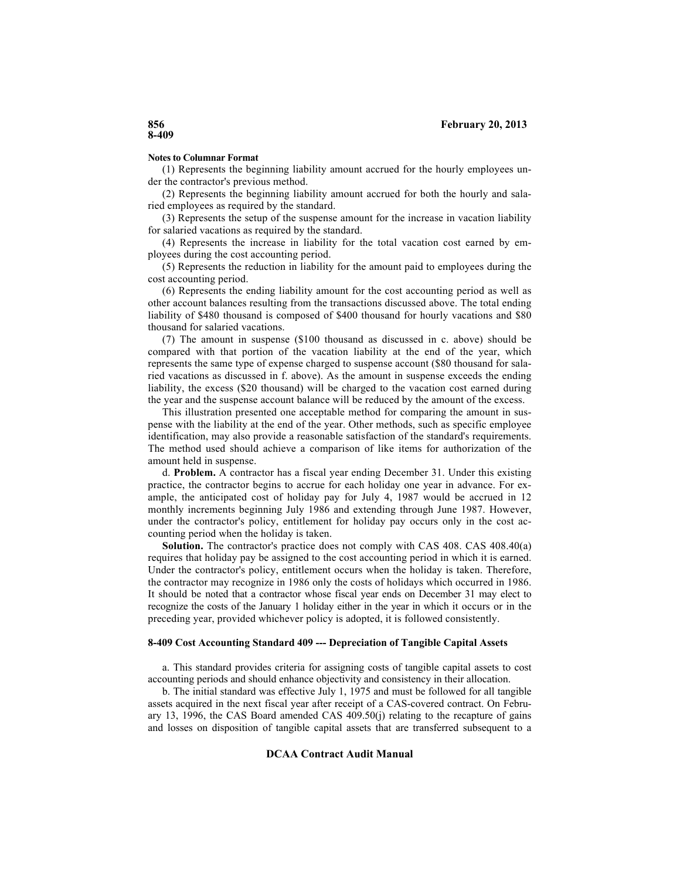# **8-409**

#### **Notes to Columnar Format**

(1) Represents the beginning liability amount accrued for the hourly employees under the contractor's previous method.

(2) Represents the beginning liability amount accrued for both the hourly and salaried employees as required by the standard.

(3) Represents the setup of the suspense amount for the increase in vacation liability for salaried vacations as required by the standard.

(4) Represents the increase in liability for the total vacation cost earned by employees during the cost accounting period.

(5) Represents the reduction in liability for the amount paid to employees during the cost accounting period.

(6) Represents the ending liability amount for the cost accounting period as well as other account balances resulting from the transactions discussed above. The total ending liability of \$480 thousand is composed of \$400 thousand for hourly vacations and \$80 thousand for salaried vacations.

(7) The amount in suspense (\$100 thousand as discussed in c. above) should be compared with that portion of the vacation liability at the end of the year, which represents the same type of expense charged to suspense account (\$80 thousand for salaried vacations as discussed in f. above). As the amount in suspense exceeds the ending liability, the excess (\$20 thousand) will be charged to the vacation cost earned during the year and the suspense account balance will be reduced by the amount of the excess.

This illustration presented one acceptable method for comparing the amount in suspense with the liability at the end of the year. Other methods, such as specific employee identification, may also provide a reasonable satisfaction of the standard's requirements. The method used should achieve a comparison of like items for authorization of the amount held in suspense.

d. **Problem.** A contractor has a fiscal year ending December 31. Under this existing practice, the contractor begins to accrue for each holiday one year in advance. For example, the anticipated cost of holiday pay for July 4, 1987 would be accrued in 12 monthly increments beginning July 1986 and extending through June 1987. However, under the contractor's policy, entitlement for holiday pay occurs only in the cost accounting period when the holiday is taken.

**Solution.** The contractor's practice does not comply with CAS 408. CAS 408.40(a) requires that holiday pay be assigned to the cost accounting period in which it is earned. Under the contractor's policy, entitlement occurs when the holiday is taken. Therefore, the contractor may recognize in 1986 only the costs of holidays which occurred in 1986. It should be noted that a contractor whose fiscal year ends on December 31 may elect to recognize the costs of the January 1 holiday either in the year in which it occurs or in the preceding year, provided whichever policy is adopted, it is followed consistently.

#### **8-409 Cost Accounting Standard 409 --- Depreciation of Tangible Capital Assets**

a. This standard provides criteria for assigning costs of tangible capital assets to cost accounting periods and should enhance objectivity and consistency in their allocation.

b. The initial standard was effective July 1, 1975 and must be followed for all tangible assets acquired in the next fiscal year after receipt of a CAS-covered contract. On February 13, 1996, the CAS Board amended CAS 409.50(j) relating to the recapture of gains and losses on disposition of tangible capital assets that are transferred subsequent to a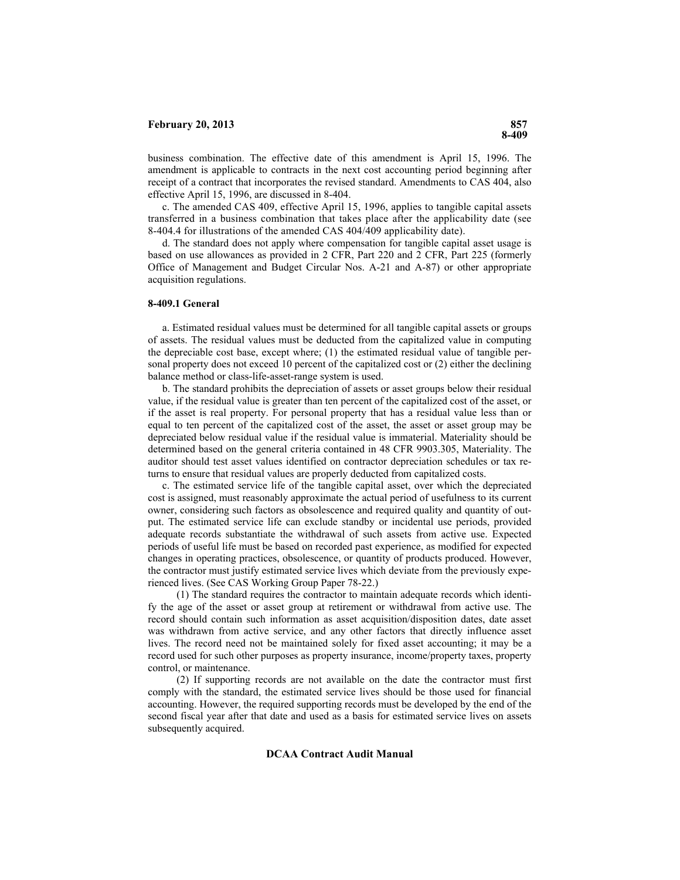business combination. The effective date of this amendment is April 15, 1996. The amendment is applicable to contracts in the next cost accounting period beginning after receipt of a contract that incorporates the revised standard. Amendments to CAS 404, also effective April 15, 1996, are discussed in 8-404.

c. The amended CAS 409, effective April 15, 1996, applies to tangible capital assets transferred in a business combination that takes place after the applicability date (see 8-404.4 for illustrations of the amended CAS 404/409 applicability date).

d. The standard does not apply where compensation for tangible capital asset usage is based on use allowances as provided in 2 CFR, Part 220 and 2 CFR, Part 225 (formerly Office of Management and Budget Circular Nos. A-21 and A-87) or other appropriate acquisition regulations.

#### **8-409.1 General**

a. Estimated residual values must be determined for all tangible capital assets or groups of assets. The residual values must be deducted from the capitalized value in computing the depreciable cost base, except where; (1) the estimated residual value of tangible personal property does not exceed 10 percent of the capitalized cost or (2) either the declining balance method or class-life-asset-range system is used.

b. The standard prohibits the depreciation of assets or asset groups below their residual value, if the residual value is greater than ten percent of the capitalized cost of the asset, or if the asset is real property. For personal property that has a residual value less than or equal to ten percent of the capitalized cost of the asset, the asset or asset group may be depreciated below residual value if the residual value is immaterial. Materiality should be determined based on the general criteria contained in 48 CFR 9903.305, Materiality. The auditor should test asset values identified on contractor depreciation schedules or tax returns to ensure that residual values are properly deducted from capitalized costs.

c. The estimated service life of the tangible capital asset, over which the depreciated cost is assigned, must reasonably approximate the actual period of usefulness to its current owner, considering such factors as obsolescence and required quality and quantity of output. The estimated service life can exclude standby or incidental use periods, provided adequate records substantiate the withdrawal of such assets from active use. Expected periods of useful life must be based on recorded past experience, as modified for expected changes in operating practices, obsolescence, or quantity of products produced. However, the contractor must justify estimated service lives which deviate from the previously experienced lives. (See CAS Working Group Paper 78-22.)

(1) The standard requires the contractor to maintain adequate records which identify the age of the asset or asset group at retirement or withdrawal from active use. The record should contain such information as asset acquisition/disposition dates, date asset was withdrawn from active service, and any other factors that directly influence asset lives. The record need not be maintained solely for fixed asset accounting; it may be a record used for such other purposes as property insurance, income/property taxes, property control, or maintenance.

(2) If supporting records are not available on the date the contractor must first comply with the standard, the estimated service lives should be those used for financial accounting. However, the required supporting records must be developed by the end of the second fiscal year after that date and used as a basis for estimated service lives on assets subsequently acquired.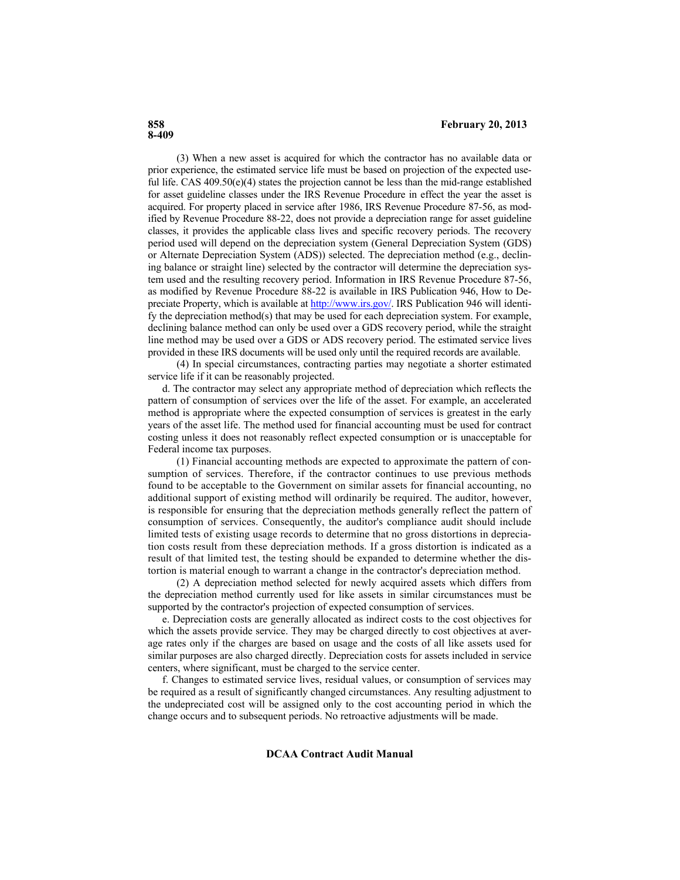**8-409** 

(3) When a new asset is acquired for which the contractor has no available data or prior experience, the estimated service life must be based on projection of the expected useful life. CAS 409.50(e)(4) states the projection cannot be less than the mid-range established for asset guideline classes under the IRS Revenue Procedure in effect the year the asset is acquired. For property placed in service after 1986, IRS Revenue Procedure 87-56, as modified by Revenue Procedure 88-22, does not provide a depreciation range for asset guideline classes, it provides the applicable class lives and specific recovery periods. The recovery period used will depend on the depreciation system (General Depreciation System (GDS) or Alternate Depreciation System (ADS)) selected. The depreciation method (e.g., declining balance or straight line) selected by the contractor will determine the depreciation system used and the resulting recovery period. Information in IRS Revenue Procedure 87-56, as modified by Revenue Procedure 88-22 is available in IRS Publication 946, How to Depreciate Property, which is available at <http://www.irs.gov/>. IRS Publication 946 will identify the depreciation method(s) that may be used for each depreciation system. For example, declining balance method can only be used over a GDS recovery period, while the straight line method may be used over a GDS or ADS recovery period. The estimated service lives provided in these IRS documents will be used only until the required records are available.

(4) In special circumstances, contracting parties may negotiate a shorter estimated service life if it can be reasonably projected.

d. The contractor may select any appropriate method of depreciation which reflects the pattern of consumption of services over the life of the asset. For example, an accelerated method is appropriate where the expected consumption of services is greatest in the early years of the asset life. The method used for financial accounting must be used for contract costing unless it does not reasonably reflect expected consumption or is unacceptable for Federal income tax purposes.

(1) Financial accounting methods are expected to approximate the pattern of consumption of services. Therefore, if the contractor continues to use previous methods found to be acceptable to the Government on similar assets for financial accounting, no additional support of existing method will ordinarily be required. The auditor, however, is responsible for ensuring that the depreciation methods generally reflect the pattern of consumption of services. Consequently, the auditor's compliance audit should include limited tests of existing usage records to determine that no gross distortions in depreciation costs result from these depreciation methods. If a gross distortion is indicated as a result of that limited test, the testing should be expanded to determine whether the distortion is material enough to warrant a change in the contractor's depreciation method.

(2) A depreciation method selected for newly acquired assets which differs from the depreciation method currently used for like assets in similar circumstances must be supported by the contractor's projection of expected consumption of services.

e. Depreciation costs are generally allocated as indirect costs to the cost objectives for which the assets provide service. They may be charged directly to cost objectives at average rates only if the charges are based on usage and the costs of all like assets used for similar purposes are also charged directly. Depreciation costs for assets included in service centers, where significant, must be charged to the service center.

f. Changes to estimated service lives, residual values, or consumption of services may be required as a result of significantly changed circumstances. Any resulting adjustment to the undepreciated cost will be assigned only to the cost accounting period in which the change occurs and to subsequent periods. No retroactive adjustments will be made.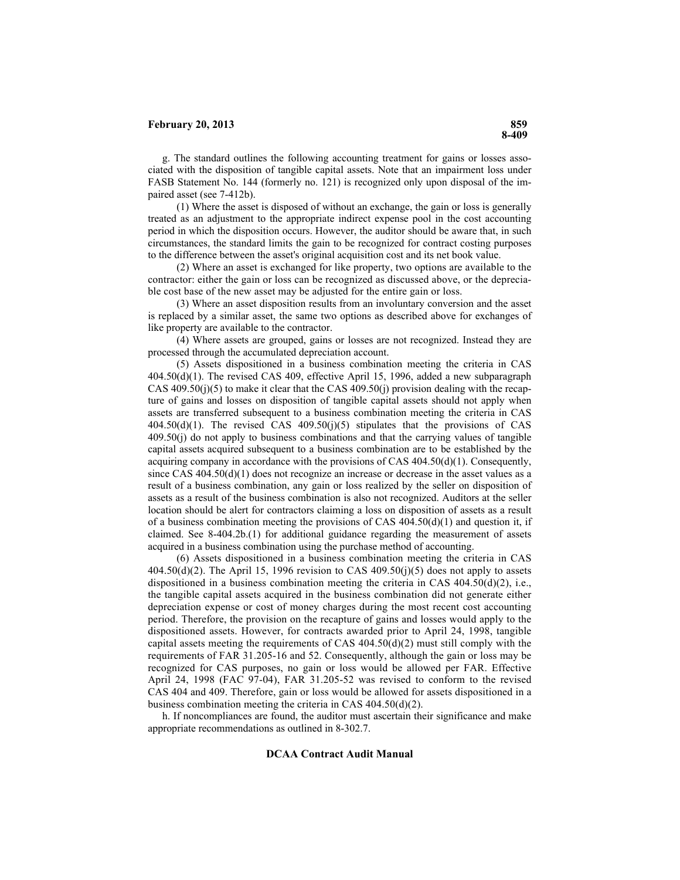g. The standard outlines the following accounting treatment for gains or losses associated with the disposition of tangible capital assets. Note that an impairment loss under FASB Statement No. 144 (formerly no. 121) is recognized only upon disposal of the impaired asset (see 7-412b).

(1) Where the asset is disposed of without an exchange, the gain or loss is generally treated as an adjustment to the appropriate indirect expense pool in the cost accounting period in which the disposition occurs. However, the auditor should be aware that, in such circumstances, the standard limits the gain to be recognized for contract costing purposes to the difference between the asset's original acquisition cost and its net book value.

(2) Where an asset is exchanged for like property, two options are available to the contractor: either the gain or loss can be recognized as discussed above, or the depreciable cost base of the new asset may be adjusted for the entire gain or loss.

(3) Where an asset disposition results from an involuntary conversion and the asset is replaced by a similar asset, the same two options as described above for exchanges of like property are available to the contractor.

(4) Where assets are grouped, gains or losses are not recognized. Instead they are processed through the accumulated depreciation account.

(5) Assets dispositioned in a business combination meeting the criteria in CAS 404.50(d)(1). The revised CAS 409, effective April 15, 1996, added a new subparagraph CAS  $409.50(i)(5)$  to make it clear that the CAS  $409.50(i)$  provision dealing with the recapture of gains and losses on disposition of tangible capital assets should not apply when assets are transferred subsequent to a business combination meeting the criteria in CAS  $404.50(d)(1)$ . The revised CAS  $409.50(i)(5)$  stipulates that the provisions of CAS 409.50(j) do not apply to business combinations and that the carrying values of tangible capital assets acquired subsequent to a business combination are to be established by the acquiring company in accordance with the provisions of CAS  $404.50(d)(1)$ . Consequently, since CAS  $404.50(d)(1)$  does not recognize an increase or decrease in the asset values as a result of a business combination, any gain or loss realized by the seller on disposition of assets as a result of the business combination is also not recognized. Auditors at the seller location should be alert for contractors claiming a loss on disposition of assets as a result of a business combination meeting the provisions of CAS  $404.50(d)(1)$  and question it, if claimed. See 8-404.2b.(1) for additional guidance regarding the measurement of assets acquired in a business combination using the purchase method of accounting.

(6) Assets dispositioned in a business combination meeting the criteria in CAS  $404.50(d)(2)$ . The April 15, 1996 revision to CAS  $409.50(i)(5)$  does not apply to assets dispositioned in a business combination meeting the criteria in CAS  $404.50(d)(2)$ , i.e., the tangible capital assets acquired in the business combination did not generate either depreciation expense or cost of money charges during the most recent cost accounting period. Therefore, the provision on the recapture of gains and losses would apply to the dispositioned assets. However, for contracts awarded prior to April 24, 1998, tangible capital assets meeting the requirements of CAS  $404.50(d)(2)$  must still comply with the requirements of FAR 31.205-16 and 52. Consequently, although the gain or loss may be recognized for CAS purposes, no gain or loss would be allowed per FAR. Effective April 24, 1998 (FAC 97-04), FAR 31.205-52 was revised to conform to the revised CAS 404 and 409. Therefore, gain or loss would be allowed for assets dispositioned in a business combination meeting the criteria in CAS 404.50(d)(2).

h. If noncompliances are found, the auditor must ascertain their significance and make appropriate recommendations as outlined in 8-302.7.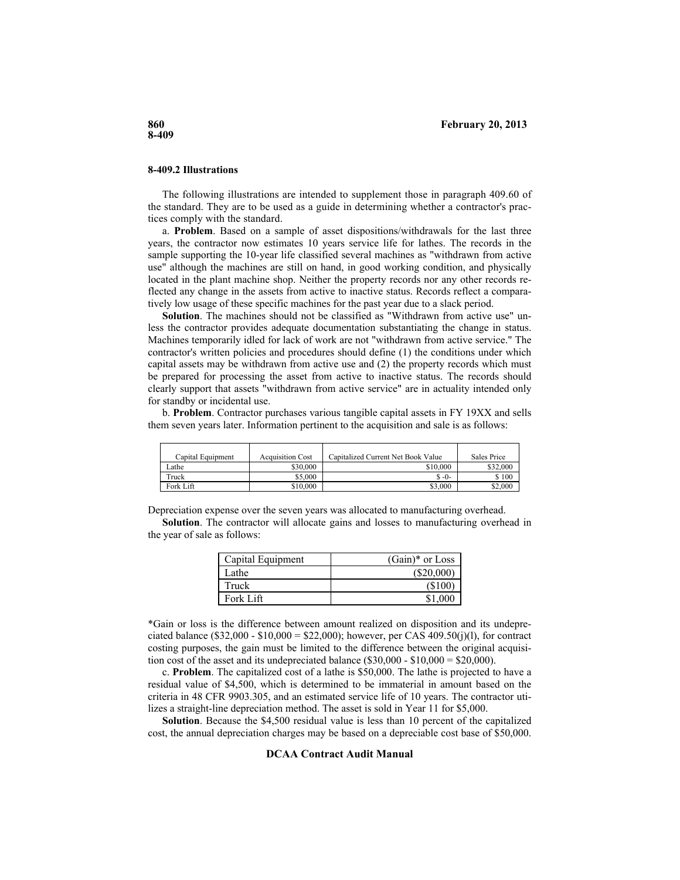#### **8-409.2 Illustrations**

The following illustrations are intended to supplement those in paragraph 409.60 of the standard. They are to be used as a guide in determining whether a contractor's practices comply with the standard.

a. **Problem**. Based on a sample of asset dispositions/withdrawals for the last three years, the contractor now estimates 10 years service life for lathes. The records in the sample supporting the 10-year life classified several machines as "withdrawn from active use" although the machines are still on hand, in good working condition, and physically located in the plant machine shop. Neither the property records nor any other records reflected any change in the assets from active to inactive status. Records reflect a comparatively low usage of these specific machines for the past year due to a slack period.

**Solution**. The machines should not be classified as "Withdrawn from active use" unless the contractor provides adequate documentation substantiating the change in status. Machines temporarily idled for lack of work are not "withdrawn from active service." The contractor's written policies and procedures should define (1) the conditions under which capital assets may be withdrawn from active use and (2) the property records which must be prepared for processing the asset from active to inactive status. The records should clearly support that assets "withdrawn from active service" are in actuality intended only for standby or incidental use.

b. **Problem**. Contractor purchases various tangible capital assets in FY 19XX and sells them seven years later. Information pertinent to the acquisition and sale is as follows:

| Capital Equipment | <b>Acquisition Cost</b> | Capitalized Current Net Book Value | Sales Price |
|-------------------|-------------------------|------------------------------------|-------------|
| Lathe             | \$30,000                | \$10,000                           | \$32,000    |
| Truck             | \$5,000                 | $S - 0 -$                          | \$100       |
| Fork Lift         | \$10,000                | \$3.000                            | \$2,000     |

Depreciation expense over the seven years was allocated to manufacturing overhead.

**Solution**. The contractor will allocate gains and losses to manufacturing overhead in the year of sale as follows:

| Capital Equipment | $(Gain)*$ or Loss |
|-------------------|-------------------|
| Lathe             | $(\$20,000)$      |
| Truck             | 68100)            |
| Fork Lift         | \$1.000           |

\*Gain or loss is the difference between amount realized on disposition and its undepreciated balance (\$32,000 -  $$10,000 = $22,000$ ); however, per CAS 409.50(j)(1), for contract costing purposes, the gain must be limited to the difference between the original acquisition cost of the asset and its undepreciated balance  $(\$30,000 - \$10,000 = \$20,000)$ .

c. **Problem**. The capitalized cost of a lathe is \$50,000. The lathe is projected to have a residual value of \$4,500, which is determined to be immaterial in amount based on the criteria in 48 CFR 9903.305, and an estimated service life of 10 years. The contractor utilizes a straight-line depreciation method. The asset is sold in Year 11 for \$5,000.

**Solution**. Because the \$4,500 residual value is less than 10 percent of the capitalized cost, the annual depreciation charges may be based on a depreciable cost base of \$50,000.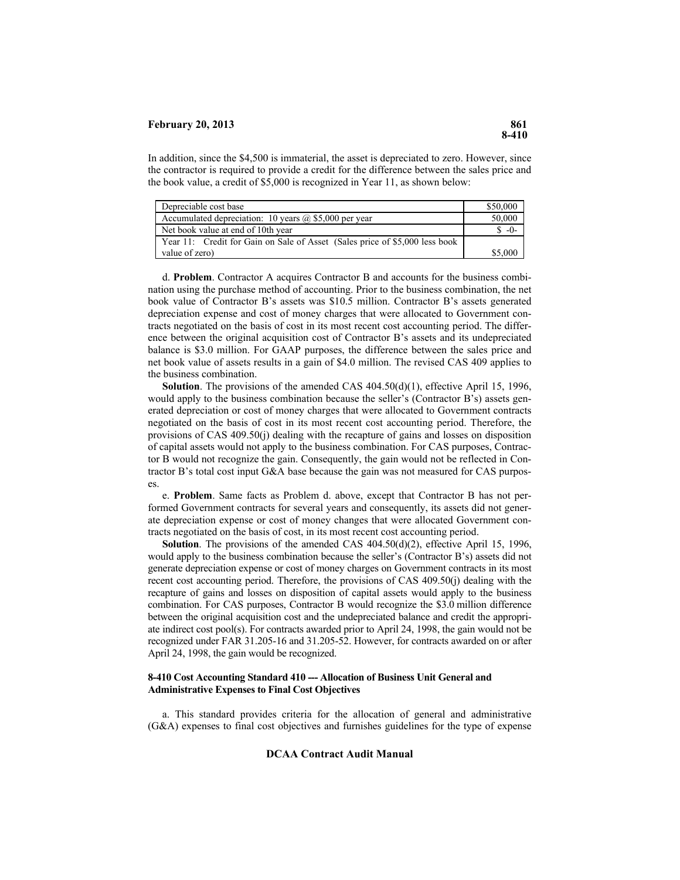In addition, since the \$4,500 is immaterial, the asset is depreciated to zero. However, since the contractor is required to provide a credit for the difference between the sales price and the book value, a credit of \$5,000 is recognized in Year 11, as shown below:

| Depreciable cost base                                                       | \$50,000 |
|-----------------------------------------------------------------------------|----------|
| Accumulated depreciation: 10 years $(a)$ \$5,000 per year                   | 50,000   |
| Net book value at end of 10th year                                          | $$ -0-$  |
| Year 11: Credit for Gain on Sale of Asset (Sales price of \$5,000 less book |          |
| value of zero)                                                              | \$5,000  |

d. **Problem**. Contractor A acquires Contractor B and accounts for the business combination using the purchase method of accounting. Prior to the business combination, the net book value of Contractor B's assets was \$10.5 million. Contractor B's assets generated depreciation expense and cost of money charges that were allocated to Government contracts negotiated on the basis of cost in its most recent cost accounting period. The difference between the original acquisition cost of Contractor B's assets and its undepreciated balance is \$3.0 million. For GAAP purposes, the difference between the sales price and net book value of assets results in a gain of \$4.0 million. The revised CAS 409 applies to the business combination.

**Solution**. The provisions of the amended CAS 404.50(d)(1), effective April 15, 1996, would apply to the business combination because the seller's (Contractor B's) assets generated depreciation or cost of money charges that were allocated to Government contracts negotiated on the basis of cost in its most recent cost accounting period. Therefore, the provisions of CAS 409.50(j) dealing with the recapture of gains and losses on disposition of capital assets would not apply to the business combination. For CAS purposes, Contractor B would not recognize the gain. Consequently, the gain would not be reflected in Contractor B's total cost input G&A base because the gain was not measured for CAS purposes.

e. **Problem**. Same facts as Problem d. above, except that Contractor B has not performed Government contracts for several years and consequently, its assets did not generate depreciation expense or cost of money changes that were allocated Government contracts negotiated on the basis of cost, in its most recent cost accounting period.

**Solution**. The provisions of the amended CAS 404.50(d)(2), effective April 15, 1996, would apply to the business combination because the seller's (Contractor B's) assets did not generate depreciation expense or cost of money charges on Government contracts in its most recent cost accounting period. Therefore, the provisions of CAS 409.50(j) dealing with the recapture of gains and losses on disposition of capital assets would apply to the business combination. For CAS purposes, Contractor B would recognize the \$3.0 million difference between the original acquisition cost and the undepreciated balance and credit the appropriate indirect cost pool(s). For contracts awarded prior to April 24, 1998, the gain would not be recognized under FAR 31.205-16 and 31.205-52. However, for contracts awarded on or after April 24, 1998, the gain would be recognized.

# **8-410 Cost Accounting Standard 410 --- Allocation of Business Unit General and Administrative Expenses to Final Cost Objectives**

a. This standard provides criteria for the allocation of general and administrative (G&A) expenses to final cost objectives and furnishes guidelines for the type of expense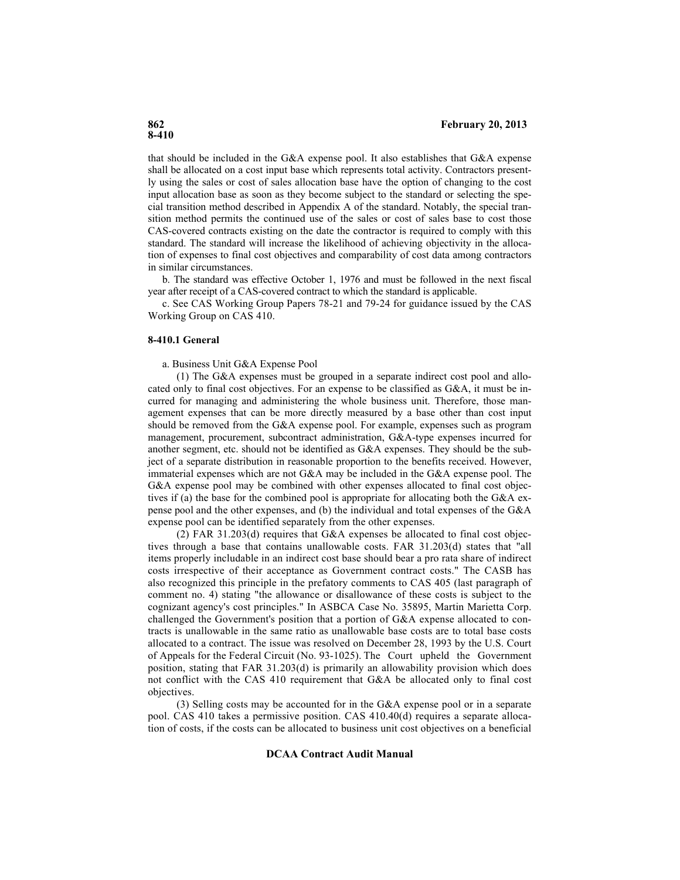that should be included in the G&A expense pool. It also establishes that G&A expense shall be allocated on a cost input base which represents total activity. Contractors presently using the sales or cost of sales allocation base have the option of changing to the cost input allocation base as soon as they become subject to the standard or selecting the special transition method described in Appendix A of the standard. Notably, the special transition method permits the continued use of the sales or cost of sales base to cost those CAS-covered contracts existing on the date the contractor is required to comply with this standard. The standard will increase the likelihood of achieving objectivity in the allocation of expenses to final cost objectives and comparability of cost data among contractors in similar circumstances.

b. The standard was effective October 1, 1976 and must be followed in the next fiscal year after receipt of a CAS-covered contract to which the standard is applicable.

c. See CAS Working Group Papers 78-21 and 79-24 for guidance issued by the CAS Working Group on CAS 410.

### **8-410.1 General**

a. Business Unit G&A Expense Pool

(1) The G&A expenses must be grouped in a separate indirect cost pool and allocated only to final cost objectives. For an expense to be classified as G&A, it must be incurred for managing and administering the whole business unit. Therefore, those management expenses that can be more directly measured by a base other than cost input should be removed from the G&A expense pool. For example, expenses such as program management, procurement, subcontract administration, G&A-type expenses incurred for another segment, etc. should not be identified as G&A expenses. They should be the subject of a separate distribution in reasonable proportion to the benefits received. However, immaterial expenses which are not G&A may be included in the G&A expense pool. The G&A expense pool may be combined with other expenses allocated to final cost objectives if (a) the base for the combined pool is appropriate for allocating both the G&A expense pool and the other expenses, and (b) the individual and total expenses of the G&A expense pool can be identified separately from the other expenses.

(2) FAR 31.203(d) requires that G&A expenses be allocated to final cost objectives through a base that contains unallowable costs. FAR 31.203(d) states that "all items properly includable in an indirect cost base should bear a pro rata share of indirect costs irrespective of their acceptance as Government contract costs." The CASB has also recognized this principle in the prefatory comments to CAS 405 (last paragraph of comment no. 4) stating "the allowance or disallowance of these costs is subject to the cognizant agency's cost principles." In ASBCA Case No. 35895, Martin Marietta Corp. challenged the Government's position that a portion of G&A expense allocated to contracts is unallowable in the same ratio as unallowable base costs are to total base costs allocated to a contract. The issue was resolved on December 28, 1993 by the U.S. Court of Appeals for the Federal Circuit (No. 93-1025). The Court upheld the Government position, stating that FAR 31.203(d) is primarily an allowability provision which does not conflict with the CAS 410 requirement that G&A be allocated only to final cost objectives.

(3) Selling costs may be accounted for in the G&A expense pool or in a separate pool. CAS 410 takes a permissive position. CAS 410.40(d) requires a separate allocation of costs, if the costs can be allocated to business unit cost objectives on a beneficial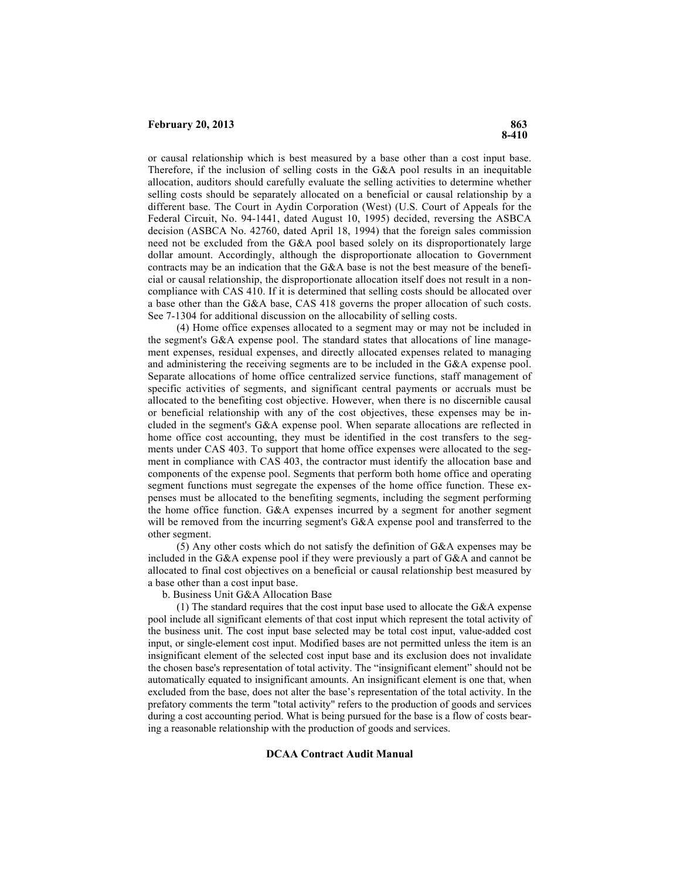or causal relationship which is best measured by a base other than a cost input base. Therefore, if the inclusion of selling costs in the G&A pool results in an inequitable allocation, auditors should carefully evaluate the selling activities to determine whether selling costs should be separately allocated on a beneficial or causal relationship by a different base. The Court in Aydin Corporation (West) (U.S. Court of Appeals for the Federal Circuit, No. 94-1441, dated August 10, 1995) decided, reversing the ASBCA decision (ASBCA No. 42760, dated April 18, 1994) that the foreign sales commission need not be excluded from the G&A pool based solely on its disproportionately large dollar amount. Accordingly, although the disproportionate allocation to Government contracts may be an indication that the G&A base is not the best measure of the beneficial or causal relationship, the disproportionate allocation itself does not result in a noncompliance with CAS 410. If it is determined that selling costs should be allocated over a base other than the G&A base, CAS 418 governs the proper allocation of such costs. See 7-1304 for additional discussion on the allocability of selling costs.

(4) Home office expenses allocated to a segment may or may not be included in the segment's G&A expense pool. The standard states that allocations of line management expenses, residual expenses, and directly allocated expenses related to managing and administering the receiving segments are to be included in the G&A expense pool. Separate allocations of home office centralized service functions, staff management of specific activities of segments, and significant central payments or accruals must be allocated to the benefiting cost objective. However, when there is no discernible causal or beneficial relationship with any of the cost objectives, these expenses may be included in the segment's G&A expense pool. When separate allocations are reflected in home office cost accounting, they must be identified in the cost transfers to the segments under CAS 403. To support that home office expenses were allocated to the segment in compliance with CAS 403, the contractor must identify the allocation base and components of the expense pool. Segments that perform both home office and operating segment functions must segregate the expenses of the home office function. These expenses must be allocated to the benefiting segments, including the segment performing the home office function. G&A expenses incurred by a segment for another segment will be removed from the incurring segment's G&A expense pool and transferred to the other segment.

(5) Any other costs which do not satisfy the definition of G&A expenses may be included in the G&A expense pool if they were previously a part of G&A and cannot be allocated to final cost objectives on a beneficial or causal relationship best measured by a base other than a cost input base.

b. Business Unit G&A Allocation Base

(1) The standard requires that the cost input base used to allocate the G&A expense pool include all significant elements of that cost input which represent the total activity of the business unit. The cost input base selected may be total cost input, value-added cost input, or single-element cost input. Modified bases are not permitted unless the item is an insignificant element of the selected cost input base and its exclusion does not invalidate the chosen base's representation of total activity. The "insignificant element" should not be automatically equated to insignificant amounts. An insignificant element is one that, when excluded from the base, does not alter the base's representation of the total activity. In the prefatory comments the term "total activity" refers to the production of goods and services during a cost accounting period. What is being pursued for the base is a flow of costs bearing a reasonable relationship with the production of goods and services.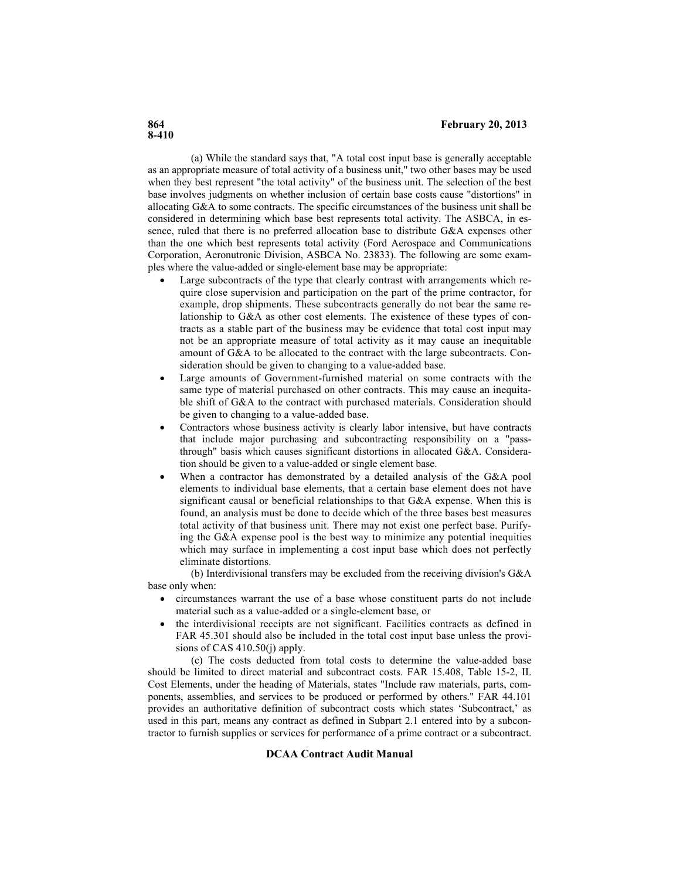(a) While the standard says that, "A total cost input base is generally acceptable as an appropriate measure of total activity of a business unit," two other bases may be used when they best represent "the total activity" of the business unit. The selection of the best base involves judgments on whether inclusion of certain base costs cause "distortions" in allocating G&A to some contracts. The specific circumstances of the business unit shall be considered in determining which base best represents total activity. The ASBCA, in essence, ruled that there is no preferred allocation base to distribute G&A expenses other than the one which best represents total activity (Ford Aerospace and Communications Corporation, Aeronutronic Division, ASBCA No. 23833). The following are some examples where the value-added or single-element base may be appropriate:

- Large subcontracts of the type that clearly contrast with arrangements which require close supervision and participation on the part of the prime contractor, for example, drop shipments. These subcontracts generally do not bear the same relationship to G&A as other cost elements. The existence of these types of contracts as a stable part of the business may be evidence that total cost input may not be an appropriate measure of total activity as it may cause an inequitable amount of G&A to be allocated to the contract with the large subcontracts. Consideration should be given to changing to a value-added base.
- Large amounts of Government-furnished material on some contracts with the same type of material purchased on other contracts. This may cause an inequitable shift of G&A to the contract with purchased materials. Consideration should be given to changing to a value-added base.
- Contractors whose business activity is clearly labor intensive, but have contracts that include major purchasing and subcontracting responsibility on a "passthrough" basis which causes significant distortions in allocated G&A. Consideration should be given to a value-added or single element base.
- When a contractor has demonstrated by a detailed analysis of the G&A pool elements to individual base elements, that a certain base element does not have significant causal or beneficial relationships to that G&A expense. When this is found, an analysis must be done to decide which of the three bases best measures total activity of that business unit. There may not exist one perfect base. Purifying the G&A expense pool is the best way to minimize any potential inequities which may surface in implementing a cost input base which does not perfectly eliminate distortions.

(b) Interdivisional transfers may be excluded from the receiving division's G&A base only when:

- circumstances warrant the use of a base whose constituent parts do not include material such as a value-added or a single-element base, or
- the interdivisional receipts are not significant. Facilities contracts as defined in FAR 45.301 should also be included in the total cost input base unless the provisions of CAS 410.50(i) apply.

(c) The costs deducted from total costs to determine the value-added base should be limited to direct material and subcontract costs. FAR 15.408, Table 15-2, II. Cost Elements, under the heading of Materials, states "Include raw materials, parts, components, assemblies, and services to be produced or performed by others." FAR 44.101 provides an authoritative definition of subcontract costs which states 'Subcontract,' as used in this part, means any contract as defined in Subpart 2.1 entered into by a subcontractor to furnish supplies or services for performance of a prime contract or a subcontract.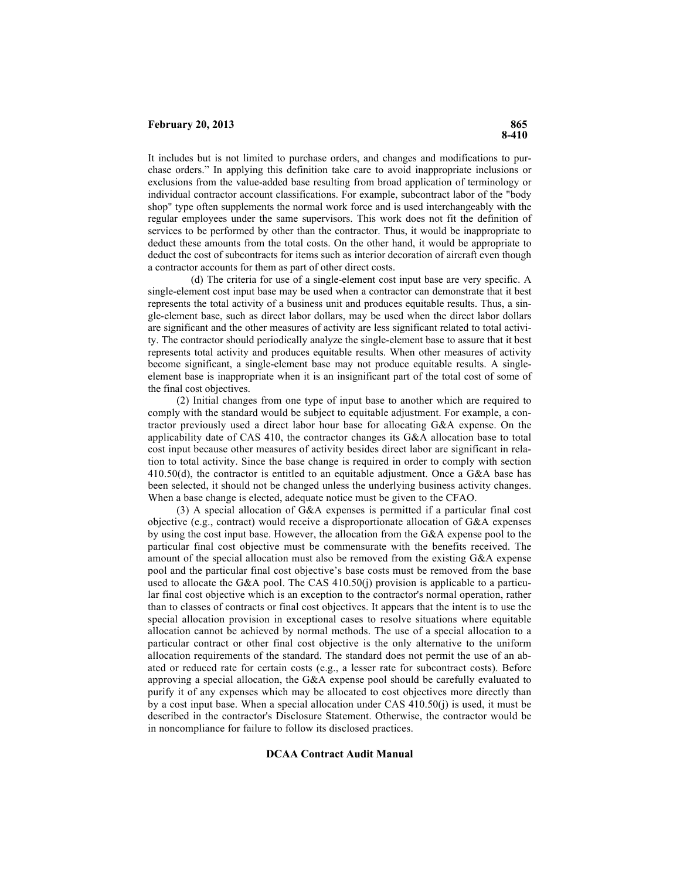It includes but is not limited to purchase orders, and changes and modifications to purchase orders." In applying this definition take care to avoid inappropriate inclusions or exclusions from the value-added base resulting from broad application of terminology or individual contractor account classifications. For example, subcontract labor of the "body shop" type often supplements the normal work force and is used interchangeably with the regular employees under the same supervisors. This work does not fit the definition of services to be performed by other than the contractor. Thus, it would be inappropriate to deduct these amounts from the total costs. On the other hand, it would be appropriate to deduct the cost of subcontracts for items such as interior decoration of aircraft even though a contractor accounts for them as part of other direct costs.

(d) The criteria for use of a single-element cost input base are very specific. A single-element cost input base may be used when a contractor can demonstrate that it best represents the total activity of a business unit and produces equitable results. Thus, a single-element base, such as direct labor dollars, may be used when the direct labor dollars are significant and the other measures of activity are less significant related to total activity. The contractor should periodically analyze the single-element base to assure that it best represents total activity and produces equitable results. When other measures of activity become significant, a single-element base may not produce equitable results. A singleelement base is inappropriate when it is an insignificant part of the total cost of some of the final cost objectives.

(2) Initial changes from one type of input base to another which are required to comply with the standard would be subject to equitable adjustment. For example, a contractor previously used a direct labor hour base for allocating G&A expense. On the applicability date of CAS 410, the contractor changes its G&A allocation base to total cost input because other measures of activity besides direct labor are significant in relation to total activity. Since the base change is required in order to comply with section  $410.50(d)$ , the contractor is entitled to an equitable adjustment. Once a G&A base has been selected, it should not be changed unless the underlying business activity changes. When a base change is elected, adequate notice must be given to the CFAO.

(3) A special allocation of G&A expenses is permitted if a particular final cost objective (e.g., contract) would receive a disproportionate allocation of G&A expenses by using the cost input base. However, the allocation from the G&A expense pool to the particular final cost objective must be commensurate with the benefits received. The amount of the special allocation must also be removed from the existing G&A expense pool and the particular final cost objective's base costs must be removed from the base used to allocate the G&A pool. The CAS  $410.50(i)$  provision is applicable to a particular final cost objective which is an exception to the contractor's normal operation, rather than to classes of contracts or final cost objectives. It appears that the intent is to use the special allocation provision in exceptional cases to resolve situations where equitable allocation cannot be achieved by normal methods. The use of a special allocation to a particular contract or other final cost objective is the only alternative to the uniform allocation requirements of the standard. The standard does not permit the use of an abated or reduced rate for certain costs (e.g., a lesser rate for subcontract costs). Before approving a special allocation, the G&A expense pool should be carefully evaluated to purify it of any expenses which may be allocated to cost objectives more directly than by a cost input base. When a special allocation under CAS 410.50(j) is used, it must be described in the contractor's Disclosure Statement. Otherwise, the contractor would be in noncompliance for failure to follow its disclosed practices.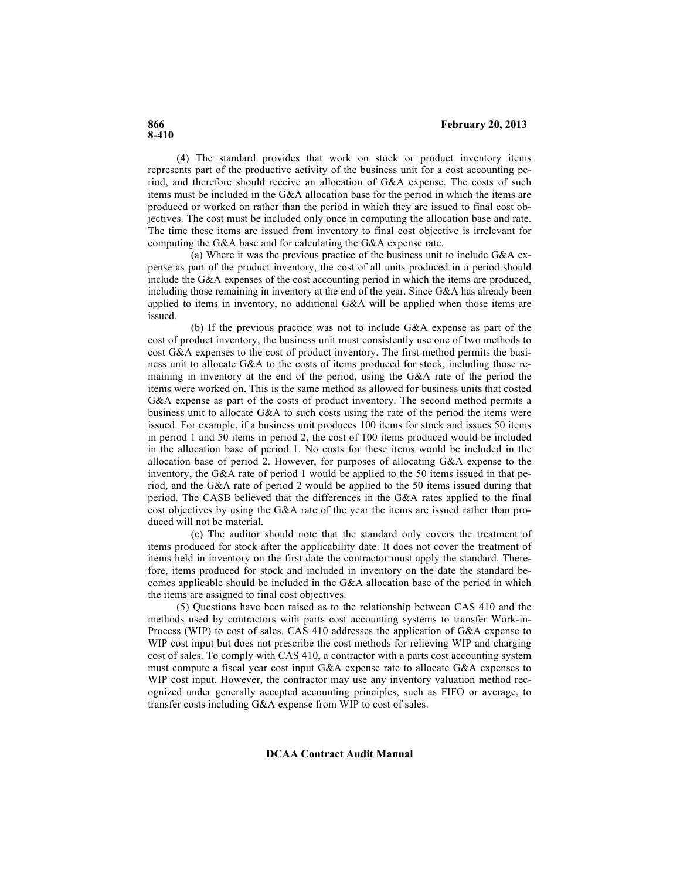(4) The standard provides that work on stock or product inventory items represents part of the productive activity of the business unit for a cost accounting period, and therefore should receive an allocation of G&A expense. The costs of such items must be included in the G&A allocation base for the period in which the items are produced or worked on rather than the period in which they are issued to final cost objectives. The cost must be included only once in computing the allocation base and rate. The time these items are issued from inventory to final cost objective is irrelevant for computing the G&A base and for calculating the G&A expense rate.

(a) Where it was the previous practice of the business unit to include G&A expense as part of the product inventory, the cost of all units produced in a period should include the G&A expenses of the cost accounting period in which the items are produced, including those remaining in inventory at the end of the year. Since G&A has already been applied to items in inventory, no additional G&A will be applied when those items are issued.

(b) If the previous practice was not to include G&A expense as part of the cost of product inventory, the business unit must consistently use one of two methods to cost G&A expenses to the cost of product inventory. The first method permits the business unit to allocate G&A to the costs of items produced for stock, including those remaining in inventory at the end of the period, using the G&A rate of the period the items were worked on. This is the same method as allowed for business units that costed G&A expense as part of the costs of product inventory. The second method permits a business unit to allocate  $G\&A$  to such costs using the rate of the period the items were issued. For example, if a business unit produces 100 items for stock and issues 50 items in period 1 and 50 items in period 2, the cost of 100 items produced would be included in the allocation base of period 1. No costs for these items would be included in the allocation base of period 2. However, for purposes of allocating G&A expense to the inventory, the G&A rate of period 1 would be applied to the 50 items issued in that period, and the G&A rate of period 2 would be applied to the 50 items issued during that period. The CASB believed that the differences in the G&A rates applied to the final cost objectives by using the G&A rate of the year the items are issued rather than produced will not be material.

(c) The auditor should note that the standard only covers the treatment of items produced for stock after the applicability date. It does not cover the treatment of items held in inventory on the first date the contractor must apply the standard. Therefore, items produced for stock and included in inventory on the date the standard becomes applicable should be included in the G&A allocation base of the period in which the items are assigned to final cost objectives.

(5) Questions have been raised as to the relationship between CAS 410 and the methods used by contractors with parts cost accounting systems to transfer Work-in-Process (WIP) to cost of sales. CAS 410 addresses the application of G&A expense to WIP cost input but does not prescribe the cost methods for relieving WIP and charging cost of sales. To comply with CAS 410, a contractor with a parts cost accounting system must compute a fiscal year cost input G&A expense rate to allocate G&A expenses to WIP cost input. However, the contractor may use any inventory valuation method recognized under generally accepted accounting principles, such as FIFO or average, to transfer costs including G&A expense from WIP to cost of sales.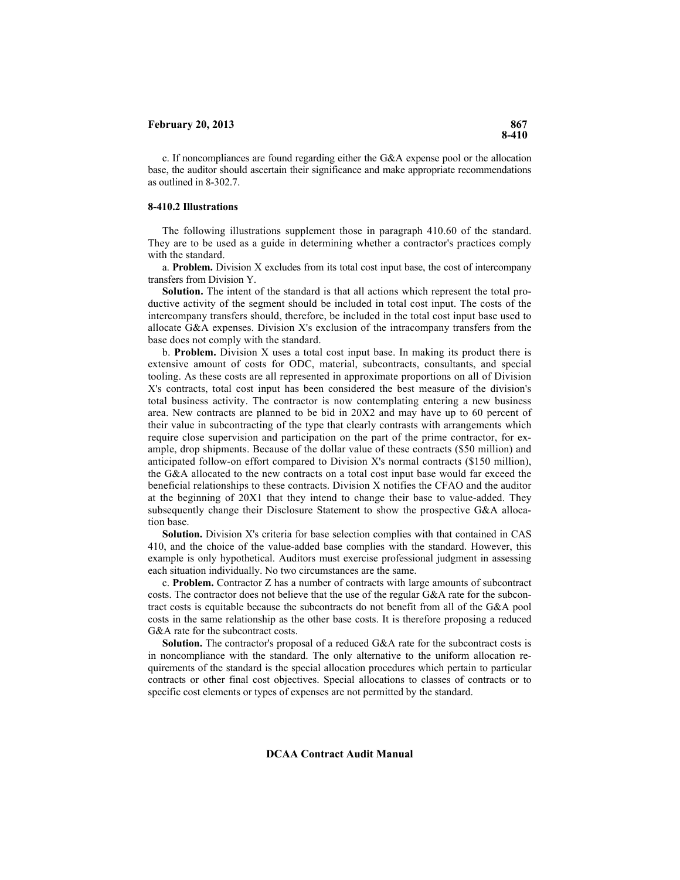c. If noncompliances are found regarding either the G&A expense pool or the allocation base, the auditor should ascertain their significance and make appropriate recommendations as outlined in 8-302.7.

#### **8-410.2 Illustrations**

The following illustrations supplement those in paragraph 410.60 of the standard. They are to be used as a guide in determining whether a contractor's practices comply with the standard.

a. **Problem.** Division X excludes from its total cost input base, the cost of intercompany transfers from Division Y.

**Solution.** The intent of the standard is that all actions which represent the total productive activity of the segment should be included in total cost input. The costs of the intercompany transfers should, therefore, be included in the total cost input base used to allocate G&A expenses. Division X's exclusion of the intracompany transfers from the base does not comply with the standard.

b. **Problem.** Division X uses a total cost input base. In making its product there is extensive amount of costs for ODC, material, subcontracts, consultants, and special tooling. As these costs are all represented in approximate proportions on all of Division X's contracts, total cost input has been considered the best measure of the division's total business activity. The contractor is now contemplating entering a new business area. New contracts are planned to be bid in 20X2 and may have up to 60 percent of their value in subcontracting of the type that clearly contrasts with arrangements which require close supervision and participation on the part of the prime contractor, for example, drop shipments. Because of the dollar value of these contracts (\$50 million) and anticipated follow-on effort compared to Division X's normal contracts (\$150 million), the G&A allocated to the new contracts on a total cost input base would far exceed the beneficial relationships to these contracts. Division X notifies the CFAO and the auditor at the beginning of 20X1 that they intend to change their base to value-added. They subsequently change their Disclosure Statement to show the prospective G&A allocation base.

**Solution.** Division X's criteria for base selection complies with that contained in CAS 410, and the choice of the value-added base complies with the standard. However, this example is only hypothetical. Auditors must exercise professional judgment in assessing each situation individually. No two circumstances are the same.

c. **Problem.** Contractor Z has a number of contracts with large amounts of subcontract costs. The contractor does not believe that the use of the regular G&A rate for the subcontract costs is equitable because the subcontracts do not benefit from all of the G&A pool costs in the same relationship as the other base costs. It is therefore proposing a reduced G&A rate for the subcontract costs.

**Solution.** The contractor's proposal of a reduced G&A rate for the subcontract costs is in noncompliance with the standard. The only alternative to the uniform allocation requirements of the standard is the special allocation procedures which pertain to particular contracts or other final cost objectives. Special allocations to classes of contracts or to specific cost elements or types of expenses are not permitted by the standard.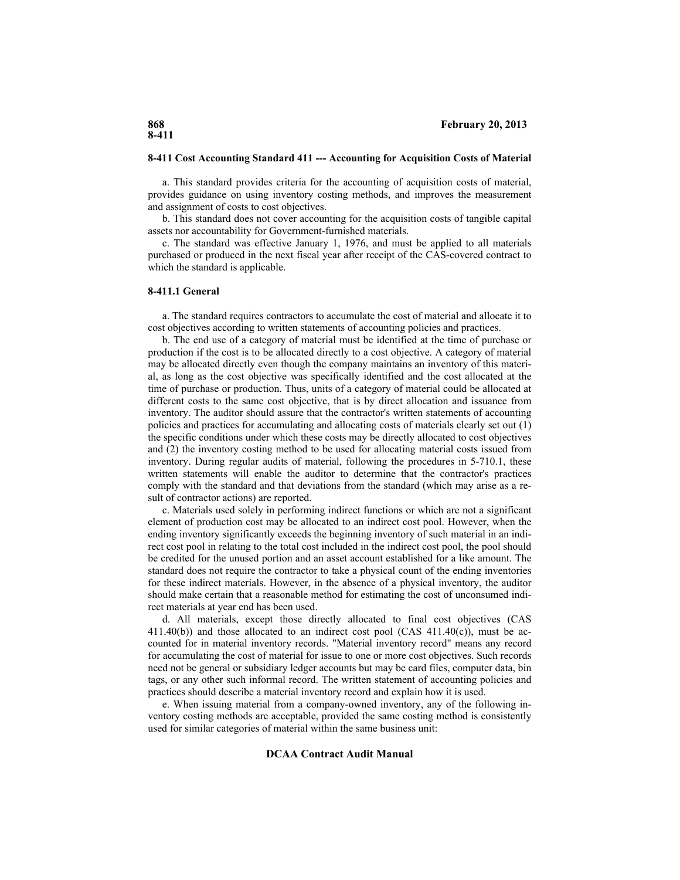#### **8-411 Cost Accounting Standard 411 --- Accounting for Acquisition Costs of Material**

a. This standard provides criteria for the accounting of acquisition costs of material, provides guidance on using inventory costing methods, and improves the measurement and assignment of costs to cost objectives.

b. This standard does not cover accounting for the acquisition costs of tangible capital assets nor accountability for Government-furnished materials.

c. The standard was effective January 1, 1976, and must be applied to all materials purchased or produced in the next fiscal year after receipt of the CAS-covered contract to which the standard is applicable.

#### **8-411.1 General**

a. The standard requires contractors to accumulate the cost of material and allocate it to cost objectives according to written statements of accounting policies and practices.

b. The end use of a category of material must be identified at the time of purchase or production if the cost is to be allocated directly to a cost objective. A category of material may be allocated directly even though the company maintains an inventory of this material, as long as the cost objective was specifically identified and the cost allocated at the time of purchase or production. Thus, units of a category of material could be allocated at different costs to the same cost objective, that is by direct allocation and issuance from inventory. The auditor should assure that the contractor's written statements of accounting policies and practices for accumulating and allocating costs of materials clearly set out (1) the specific conditions under which these costs may be directly allocated to cost objectives and (2) the inventory costing method to be used for allocating material costs issued from inventory. During regular audits of material, following the procedures in 5-710.1, these written statements will enable the auditor to determine that the contractor's practices comply with the standard and that deviations from the standard (which may arise as a result of contractor actions) are reported.

c. Materials used solely in performing indirect functions or which are not a significant element of production cost may be allocated to an indirect cost pool. However, when the ending inventory significantly exceeds the beginning inventory of such material in an indirect cost pool in relating to the total cost included in the indirect cost pool, the pool should be credited for the unused portion and an asset account established for a like amount. The standard does not require the contractor to take a physical count of the ending inventories for these indirect materials. However, in the absence of a physical inventory, the auditor should make certain that a reasonable method for estimating the cost of unconsumed indirect materials at year end has been used.

d. All materials, except those directly allocated to final cost objectives (CAS  $411.40(b)$ ) and those allocated to an indirect cost pool (CAS  $411.40(c)$ ), must be accounted for in material inventory records. "Material inventory record" means any record for accumulating the cost of material for issue to one or more cost objectives. Such records need not be general or subsidiary ledger accounts but may be card files, computer data, bin tags, or any other such informal record. The written statement of accounting policies and practices should describe a material inventory record and explain how it is used.

e. When issuing material from a company-owned inventory, any of the following inventory costing methods are acceptable, provided the same costing method is consistently used for similar categories of material within the same business unit: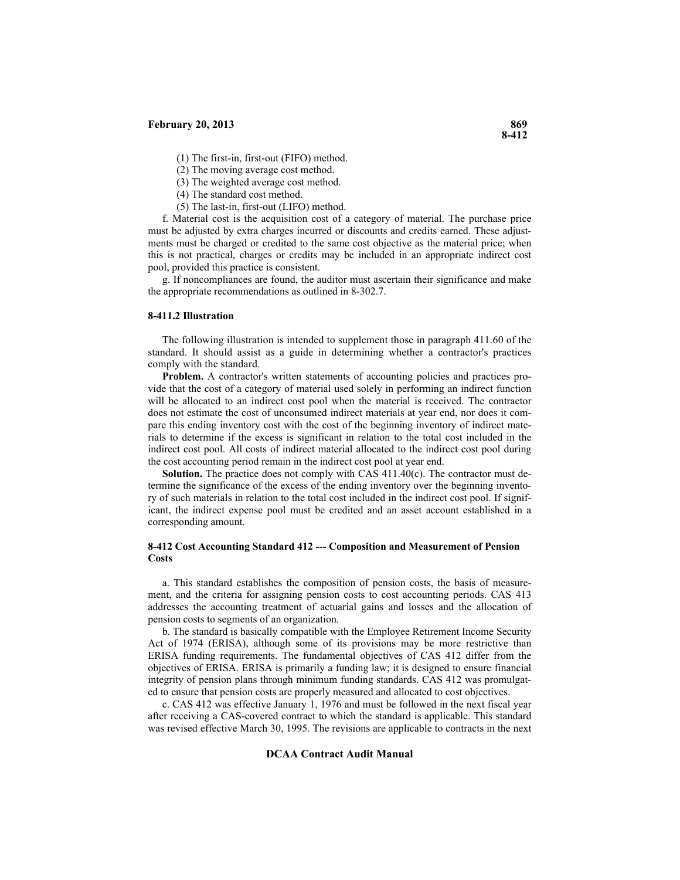- (1) The first-in, first-out (FIFO) method.
- (2) The moving average cost method.
- (3) The weighted average cost method.
- (4) The standard cost method.
- (5) The last-in, first-out (LIFO) method.

f. Material cost is the acquisition cost of a category of material. The purchase price must be adjusted by extra charges incurred or discounts and credits earned. These adjustments must be charged or credited to the same cost objective as the material price; when this is not practical, charges or credits may be included in an appropriate indirect cost pool, provided this practice is consistent.

g. If noncompliances are found, the auditor must ascertain their significance and make the appropriate recommendations as outlined in 8-302.7.

#### **8-411.2 Illustration**

The following illustration is intended to supplement those in paragraph 411.60 of the standard. It should assist as a guide in determining whether a contractor's practices comply with the standard.

**Problem.** A contractor's written statements of accounting policies and practices provide that the cost of a category of material used solely in performing an indirect function will be allocated to an indirect cost pool when the material is received. The contractor does not estimate the cost of unconsumed indirect materials at year end, nor does it compare this ending inventory cost with the cost of the beginning inventory of indirect materials to determine if the excess is significant in relation to the total cost included in the indirect cost pool. All costs of indirect material allocated to the indirect cost pool during the cost accounting period remain in the indirect cost pool at year end.

**Solution.** The practice does not comply with CAS 411.40(c). The contractor must determine the significance of the excess of the ending inventory over the beginning inventory of such materials in relation to the total cost included in the indirect cost pool. If significant, the indirect expense pool must be credited and an asset account established in a corresponding amount.

#### **8-412 Cost Accounting Standard 412 --- Composition and Measurement of Pension Costs**

a. This standard establishes the composition of pension costs, the basis of measurement, and the criteria for assigning pension costs to cost accounting periods. CAS 413 addresses the accounting treatment of actuarial gains and losses and the allocation of pension costs to segments of an organization.

b. The standard is basically compatible with the Employee Retirement Income Security Act of 1974 (ERISA), although some of its provisions may be more restrictive than ERISA funding requirements. The fundamental objectives of CAS 412 differ from the objectives of ERISA. ERISA is primarily a funding law; it is designed to ensure financial integrity of pension plans through minimum funding standards. CAS 412 was promulgated to ensure that pension costs are properly measured and allocated to cost objectives.

c. CAS 412 was effective January 1, 1976 and must be followed in the next fiscal year after receiving a CAS-covered contract to which the standard is applicable. This standard was revised effective March 30, 1995. The revisions are applicable to contracts in the next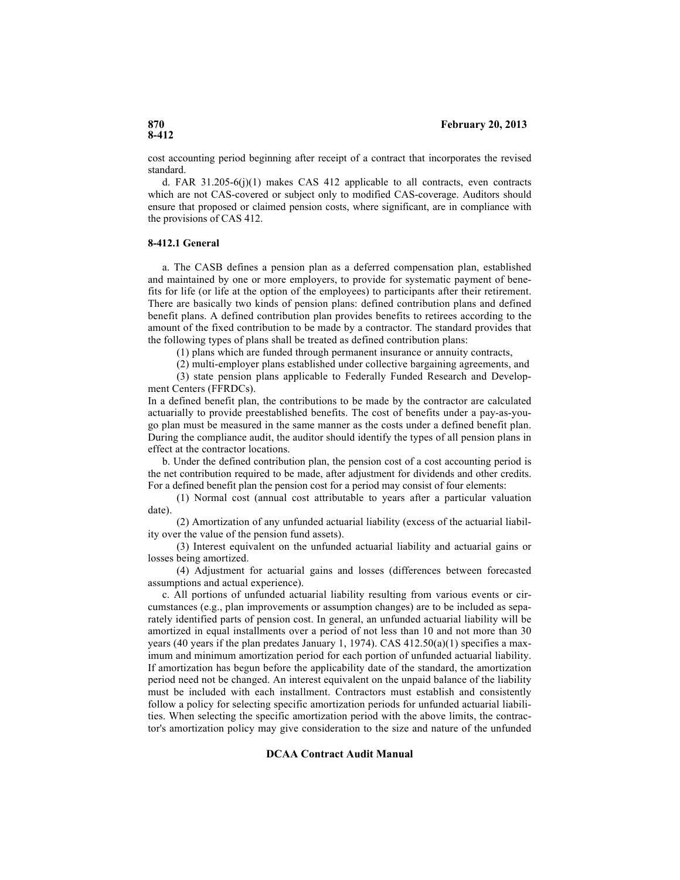# **8-412**

cost accounting period beginning after receipt of a contract that incorporates the revised standard.

d. FAR  $31.205-6(j)(1)$  makes CAS 412 applicable to all contracts, even contracts which are not CAS-covered or subject only to modified CAS-coverage. Auditors should ensure that proposed or claimed pension costs, where significant, are in compliance with the provisions of CAS 412.

# **8-412.1 General**

a. The CASB defines a pension plan as a deferred compensation plan, established and maintained by one or more employers, to provide for systematic payment of benefits for life (or life at the option of the employees) to participants after their retirement. There are basically two kinds of pension plans: defined contribution plans and defined benefit plans. A defined contribution plan provides benefits to retirees according to the amount of the fixed contribution to be made by a contractor. The standard provides that the following types of plans shall be treated as defined contribution plans:

(1) plans which are funded through permanent insurance or annuity contracts,

(2) multi-employer plans established under collective bargaining agreements, and

(3) state pension plans applicable to Federally Funded Research and Development Centers (FFRDCs).

In a defined benefit plan, the contributions to be made by the contractor are calculated actuarially to provide preestablished benefits. The cost of benefits under a pay-as-yougo plan must be measured in the same manner as the costs under a defined benefit plan. During the compliance audit, the auditor should identify the types of all pension plans in effect at the contractor locations.

b. Under the defined contribution plan, the pension cost of a cost accounting period is the net contribution required to be made, after adjustment for dividends and other credits. For a defined benefit plan the pension cost for a period may consist of four elements:

(1) Normal cost (annual cost attributable to years after a particular valuation date).

(2) Amortization of any unfunded actuarial liability (excess of the actuarial liability over the value of the pension fund assets).

(3) Interest equivalent on the unfunded actuarial liability and actuarial gains or losses being amortized.

(4) Adjustment for actuarial gains and losses (differences between forecasted assumptions and actual experience).

c. All portions of unfunded actuarial liability resulting from various events or circumstances (e.g., plan improvements or assumption changes) are to be included as separately identified parts of pension cost. In general, an unfunded actuarial liability will be amortized in equal installments over a period of not less than 10 and not more than 30 years (40 years if the plan predates January 1, 1974). CAS  $412.50(a)(1)$  specifies a maximum and minimum amortization period for each portion of unfunded actuarial liability. If amortization has begun before the applicability date of the standard, the amortization period need not be changed. An interest equivalent on the unpaid balance of the liability must be included with each installment. Contractors must establish and consistently follow a policy for selecting specific amortization periods for unfunded actuarial liabilities. When selecting the specific amortization period with the above limits, the contractor's amortization policy may give consideration to the size and nature of the unfunded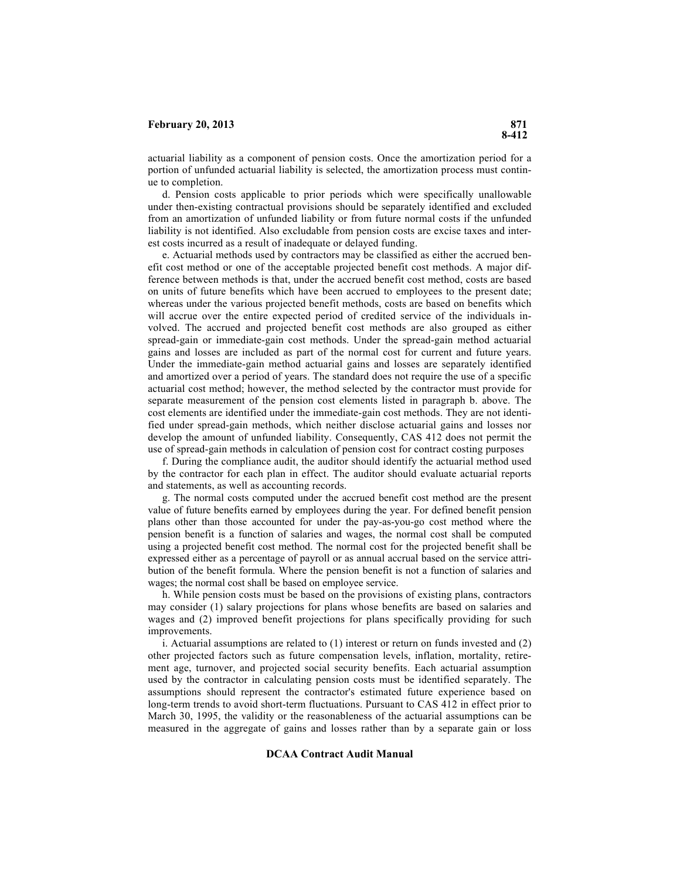actuarial liability as a component of pension costs. Once the amortization period for a portion of unfunded actuarial liability is selected, the amortization process must continue to completion.

d. Pension costs applicable to prior periods which were specifically unallowable under then-existing contractual provisions should be separately identified and excluded from an amortization of unfunded liability or from future normal costs if the unfunded liability is not identified. Also excludable from pension costs are excise taxes and interest costs incurred as a result of inadequate or delayed funding.

e. Actuarial methods used by contractors may be classified as either the accrued benefit cost method or one of the acceptable projected benefit cost methods. A major difference between methods is that, under the accrued benefit cost method, costs are based on units of future benefits which have been accrued to employees to the present date; whereas under the various projected benefit methods, costs are based on benefits which will accrue over the entire expected period of credited service of the individuals involved. The accrued and projected benefit cost methods are also grouped as either spread-gain or immediate-gain cost methods. Under the spread-gain method actuarial gains and losses are included as part of the normal cost for current and future years. Under the immediate-gain method actuarial gains and losses are separately identified and amortized over a period of years. The standard does not require the use of a specific actuarial cost method; however, the method selected by the contractor must provide for separate measurement of the pension cost elements listed in paragraph b. above. The cost elements are identified under the immediate-gain cost methods. They are not identified under spread-gain methods, which neither disclose actuarial gains and losses nor develop the amount of unfunded liability. Consequently, CAS 412 does not permit the use of spread-gain methods in calculation of pension cost for contract costing purposes

f. During the compliance audit, the auditor should identify the actuarial method used by the contractor for each plan in effect. The auditor should evaluate actuarial reports and statements, as well as accounting records.

g. The normal costs computed under the accrued benefit cost method are the present value of future benefits earned by employees during the year. For defined benefit pension plans other than those accounted for under the pay-as-you-go cost method where the pension benefit is a function of salaries and wages, the normal cost shall be computed using a projected benefit cost method. The normal cost for the projected benefit shall be expressed either as a percentage of payroll or as annual accrual based on the service attribution of the benefit formula. Where the pension benefit is not a function of salaries and wages; the normal cost shall be based on employee service.

h. While pension costs must be based on the provisions of existing plans, contractors may consider (1) salary projections for plans whose benefits are based on salaries and wages and (2) improved benefit projections for plans specifically providing for such improvements.

i. Actuarial assumptions are related to (1) interest or return on funds invested and (2) other projected factors such as future compensation levels, inflation, mortality, retirement age, turnover, and projected social security benefits. Each actuarial assumption used by the contractor in calculating pension costs must be identified separately. The assumptions should represent the contractor's estimated future experience based on long-term trends to avoid short-term fluctuations. Pursuant to CAS 412 in effect prior to March 30, 1995, the validity or the reasonableness of the actuarial assumptions can be measured in the aggregate of gains and losses rather than by a separate gain or loss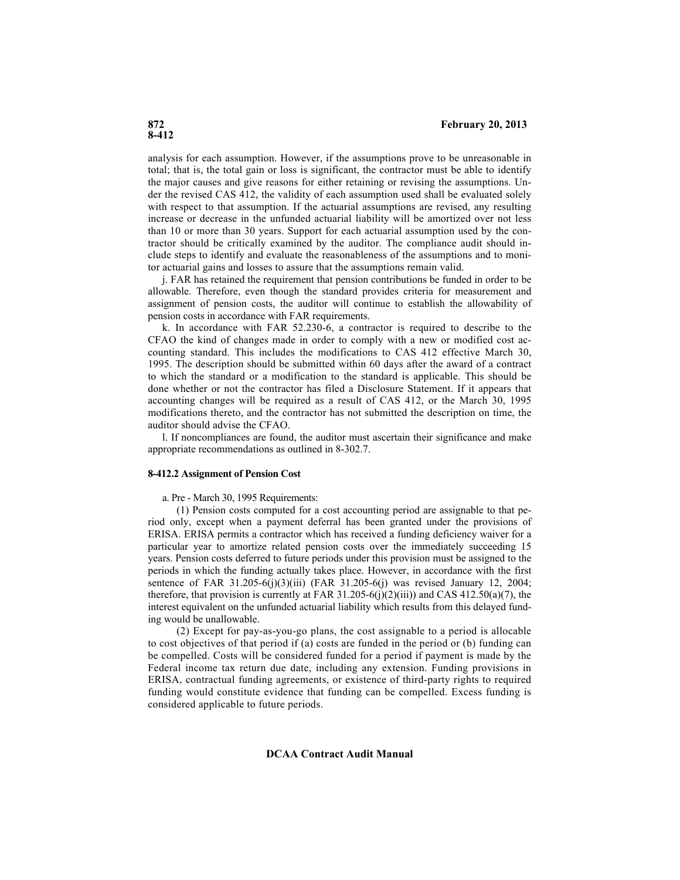analysis for each assumption. However, if the assumptions prove to be unreasonable in total; that is, the total gain or loss is significant, the contractor must be able to identify the major causes and give reasons for either retaining or revising the assumptions. Under the revised CAS 412, the validity of each assumption used shall be evaluated solely with respect to that assumption. If the actuarial assumptions are revised, any resulting increase or decrease in the unfunded actuarial liability will be amortized over not less than 10 or more than 30 years. Support for each actuarial assumption used by the contractor should be critically examined by the auditor. The compliance audit should include steps to identify and evaluate the reasonableness of the assumptions and to monitor actuarial gains and losses to assure that the assumptions remain valid.

j. FAR has retained the requirement that pension contributions be funded in order to be allowable. Therefore, even though the standard provides criteria for measurement and assignment of pension costs, the auditor will continue to establish the allowability of pension costs in accordance with FAR requirements.

k. In accordance with FAR 52.230-6, a contractor is required to describe to the CFAO the kind of changes made in order to comply with a new or modified cost accounting standard. This includes the modifications to CAS 412 effective March 30, 1995. The description should be submitted within 60 days after the award of a contract to which the standard or a modification to the standard is applicable. This should be done whether or not the contractor has filed a Disclosure Statement. If it appears that accounting changes will be required as a result of CAS 412, or the March 30, 1995 modifications thereto, and the contractor has not submitted the description on time, the auditor should advise the CFAO.

l. If noncompliances are found, the auditor must ascertain their significance and make appropriate recommendations as outlined in 8-302.7.

#### **8-412.2 Assignment of Pension Cost**

a. Pre - March 30, 1995 Requirements:

(1) Pension costs computed for a cost accounting period are assignable to that period only, except when a payment deferral has been granted under the provisions of ERISA. ERISA permits a contractor which has received a funding deficiency waiver for a particular year to amortize related pension costs over the immediately succeeding 15 years. Pension costs deferred to future periods under this provision must be assigned to the periods in which the funding actually takes place. However, in accordance with the first sentence of FAR 31.205-6(j)(3)(iii) (FAR 31.205-6(j) was revised January 12, 2004; therefore, that provision is currently at FAR 31.205-6(j)(2)(iii)) and CAS 412.50(a)(7), the interest equivalent on the unfunded actuarial liability which results from this delayed funding would be unallowable.

(2) Except for pay-as-you-go plans, the cost assignable to a period is allocable to cost objectives of that period if (a) costs are funded in the period or (b) funding can be compelled. Costs will be considered funded for a period if payment is made by the Federal income tax return due date, including any extension. Funding provisions in ERISA, contractual funding agreements, or existence of third-party rights to required funding would constitute evidence that funding can be compelled. Excess funding is considered applicable to future periods.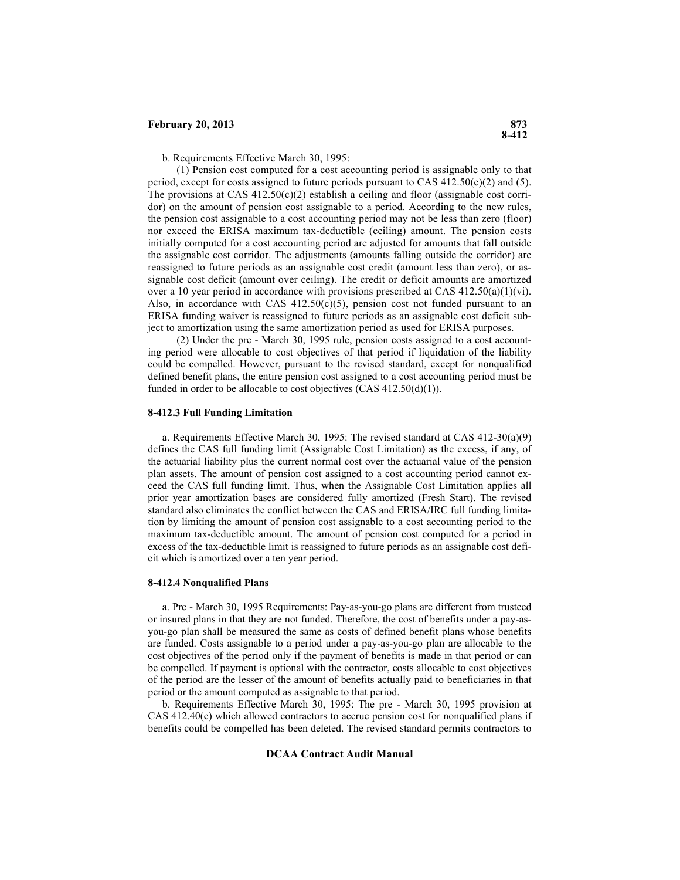b. Requirements Effective March 30, 1995:

(1) Pension cost computed for a cost accounting period is assignable only to that period, except for costs assigned to future periods pursuant to CAS  $412.50(c)(2)$  and (5). The provisions at CAS  $412.50(c)(2)$  establish a ceiling and floor (assignable cost corridor) on the amount of pension cost assignable to a period. According to the new rules, the pension cost assignable to a cost accounting period may not be less than zero (floor) nor exceed the ERISA maximum tax-deductible (ceiling) amount. The pension costs initially computed for a cost accounting period are adjusted for amounts that fall outside the assignable cost corridor. The adjustments (amounts falling outside the corridor) are reassigned to future periods as an assignable cost credit (amount less than zero), or assignable cost deficit (amount over ceiling). The credit or deficit amounts are amortized over a 10 year period in accordance with provisions prescribed at CAS  $412.50(a)(1)(vi)$ . Also, in accordance with CAS  $412.50(c)(5)$ , pension cost not funded pursuant to an ERISA funding waiver is reassigned to future periods as an assignable cost deficit subject to amortization using the same amortization period as used for ERISA purposes.

(2) Under the pre - March 30, 1995 rule, pension costs assigned to a cost accounting period were allocable to cost objectives of that period if liquidation of the liability could be compelled. However, pursuant to the revised standard, except for nonqualified defined benefit plans, the entire pension cost assigned to a cost accounting period must be funded in order to be allocable to cost objectives (CAS 412.50(d)(1)).

#### **8-412.3 Full Funding Limitation**

a. Requirements Effective March 30, 1995: The revised standard at CAS 412-30(a)(9) defines the CAS full funding limit (Assignable Cost Limitation) as the excess, if any, of the actuarial liability plus the current normal cost over the actuarial value of the pension plan assets. The amount of pension cost assigned to a cost accounting period cannot exceed the CAS full funding limit. Thus, when the Assignable Cost Limitation applies all prior year amortization bases are considered fully amortized (Fresh Start). The revised standard also eliminates the conflict between the CAS and ERISA/IRC full funding limitation by limiting the amount of pension cost assignable to a cost accounting period to the maximum tax-deductible amount. The amount of pension cost computed for a period in excess of the tax-deductible limit is reassigned to future periods as an assignable cost deficit which is amortized over a ten year period.

#### **8-412.4 Nonqualified Plans**

a. Pre - March 30, 1995 Requirements: Pay-as-you-go plans are different from trusteed or insured plans in that they are not funded. Therefore, the cost of benefits under a pay-asyou-go plan shall be measured the same as costs of defined benefit plans whose benefits are funded. Costs assignable to a period under a pay-as-you-go plan are allocable to the cost objectives of the period only if the payment of benefits is made in that period or can be compelled. If payment is optional with the contractor, costs allocable to cost objectives of the period are the lesser of the amount of benefits actually paid to beneficiaries in that period or the amount computed as assignable to that period.

b. Requirements Effective March 30, 1995: The pre - March 30, 1995 provision at CAS 412.40(c) which allowed contractors to accrue pension cost for nonqualified plans if benefits could be compelled has been deleted. The revised standard permits contractors to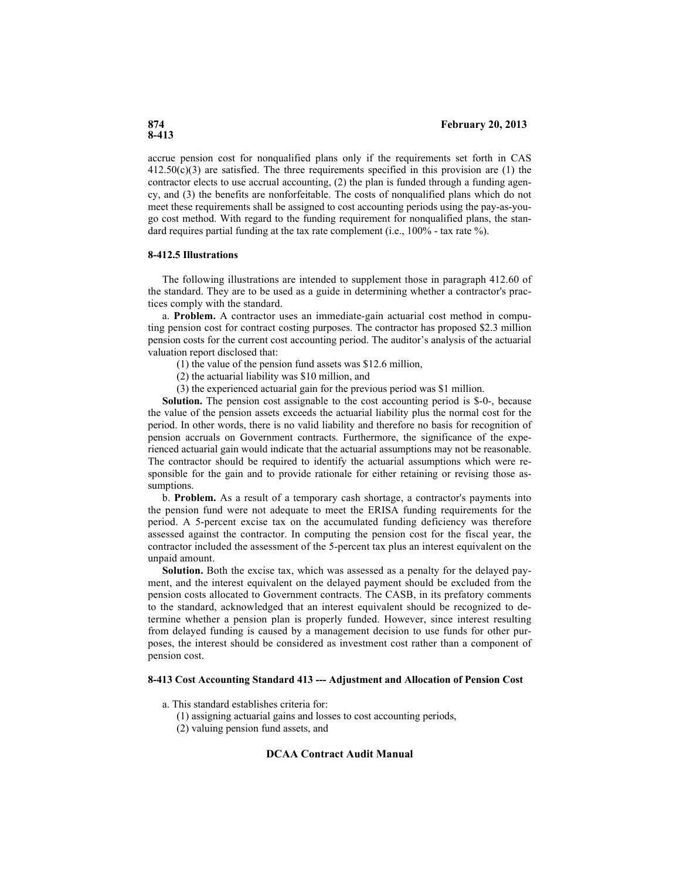# **8-413**

accrue pension cost for nonqualified plans only if the requirements set forth in CAS  $412.50(c)(3)$  are satisfied. The three requirements specified in this provision are (1) the contractor elects to use accrual accounting, (2) the plan is funded through a funding agency, and (3) the benefits are nonforfeitable. The costs of nonqualified plans which do not meet these requirements shall be assigned to cost accounting periods using the pay-as-yougo cost method. With regard to the funding requirement for nonqualified plans, the standard requires partial funding at the tax rate complement (i.e., 100% - tax rate %).

# **8-412.5 Illustrations**

The following illustrations are intended to supplement those in paragraph 412.60 of the standard. They are to be used as a guide in determining whether a contractor's practices comply with the standard.

a. **Problem.** A contractor uses an immediate-gain actuarial cost method in computing pension cost for contract costing purposes. The contractor has proposed \$2.3 million pension costs for the current cost accounting period. The auditor's analysis of the actuarial valuation report disclosed that:

- (1) the value of the pension fund assets was \$12.6 million,
- (2) the actuarial liability was \$10 million, and
- (3) the experienced actuarial gain for the previous period was \$1 million.

**Solution.** The pension cost assignable to the cost accounting period is \$-0-, because the value of the pension assets exceeds the actuarial liability plus the normal cost for the period. In other words, there is no valid liability and therefore no basis for recognition of pension accruals on Government contracts. Furthermore, the significance of the experienced actuarial gain would indicate that the actuarial assumptions may not be reasonable. The contractor should be required to identify the actuarial assumptions which were responsible for the gain and to provide rationale for either retaining or revising those assumptions.

b. **Problem.** As a result of a temporary cash shortage, a contractor's payments into the pension fund were not adequate to meet the ERISA funding requirements for the period. A 5-percent excise tax on the accumulated funding deficiency was therefore assessed against the contractor. In computing the pension cost for the fiscal year, the contractor included the assessment of the 5-percent tax plus an interest equivalent on the unpaid amount.

**Solution.** Both the excise tax, which was assessed as a penalty for the delayed payment, and the interest equivalent on the delayed payment should be excluded from the pension costs allocated to Government contracts. The CASB, in its prefatory comments to the standard, acknowledged that an interest equivalent should be recognized to determine whether a pension plan is properly funded. However, since interest resulting from delayed funding is caused by a management decision to use funds for other purposes, the interest should be considered as investment cost rather than a component of pension cost.

# **8-413 Cost Accounting Standard 413 --- Adjustment and Allocation of Pension Cost**

a. This standard establishes criteria for:

- (1) assigning actuarial gains and losses to cost accounting periods,
- (2) valuing pension fund assets, and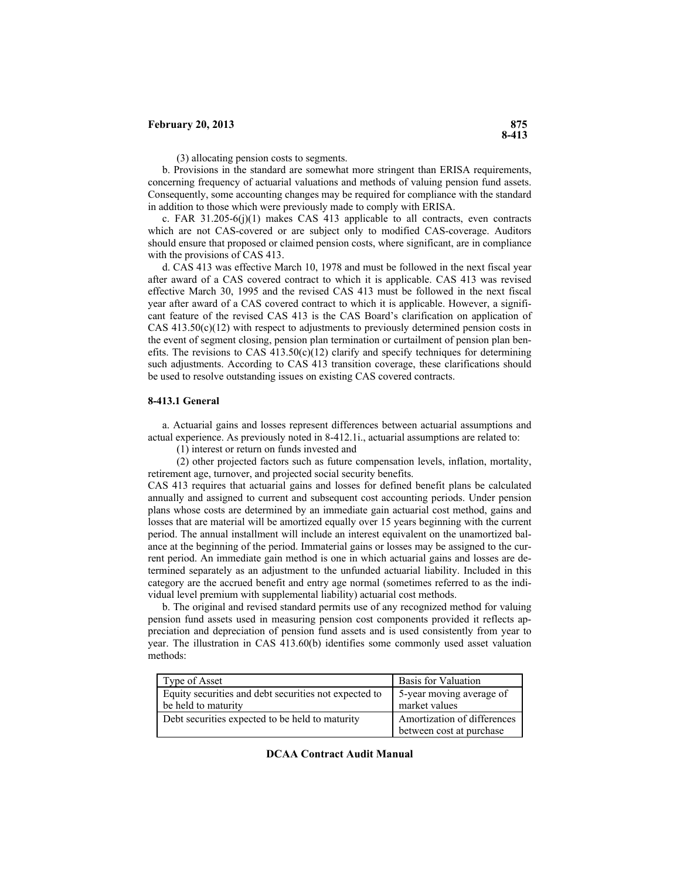(3) allocating pension costs to segments.

b. Provisions in the standard are somewhat more stringent than ERISA requirements, concerning frequency of actuarial valuations and methods of valuing pension fund assets. Consequently, some accounting changes may be required for compliance with the standard in addition to those which were previously made to comply with ERISA.

c. FAR  $31.205-6(j)(1)$  makes CAS 413 applicable to all contracts, even contracts which are not CAS-covered or are subject only to modified CAS-coverage. Auditors should ensure that proposed or claimed pension costs, where significant, are in compliance with the provisions of CAS 413.

d. CAS 413 was effective March 10, 1978 and must be followed in the next fiscal year after award of a CAS covered contract to which it is applicable. CAS 413 was revised effective March 30, 1995 and the revised CAS 413 must be followed in the next fiscal year after award of a CAS covered contract to which it is applicable. However, a significant feature of the revised CAS 413 is the CAS Board's clarification on application of CAS  $413.50(c)(12)$  with respect to adjustments to previously determined pension costs in the event of segment closing, pension plan termination or curtailment of pension plan benefits. The revisions to CAS  $413.50(c)(12)$  clarify and specify techniques for determining such adjustments. According to CAS 413 transition coverage, these clarifications should be used to resolve outstanding issues on existing CAS covered contracts.

# **8-413.1 General**

a. Actuarial gains and losses represent differences between actuarial assumptions and actual experience. As previously noted in 8-412.1i., actuarial assumptions are related to:

(1) interest or return on funds invested and

(2) other projected factors such as future compensation levels, inflation, mortality, retirement age, turnover, and projected social security benefits.

CAS 413 requires that actuarial gains and losses for defined benefit plans be calculated annually and assigned to current and subsequent cost accounting periods. Under pension plans whose costs are determined by an immediate gain actuarial cost method, gains and losses that are material will be amortized equally over 15 years beginning with the current period. The annual installment will include an interest equivalent on the unamortized balance at the beginning of the period. Immaterial gains or losses may be assigned to the current period. An immediate gain method is one in which actuarial gains and losses are determined separately as an adjustment to the unfunded actuarial liability. Included in this category are the accrued benefit and entry age normal (sometimes referred to as the individual level premium with supplemental liability) actuarial cost methods.

b. The original and revised standard permits use of any recognized method for valuing pension fund assets used in measuring pension cost components provided it reflects appreciation and depreciation of pension fund assets and is used consistently from year to year. The illustration in CAS 413.60(b) identifies some commonly used asset valuation methods:

| Type of Asset                                         | Basis for Valuation         |
|-------------------------------------------------------|-----------------------------|
| Equity securities and debt securities not expected to | 5-year moving average of    |
| be held to maturity                                   | market values               |
| Debt securities expected to be held to maturity       | Amortization of differences |
|                                                       | between cost at purchase    |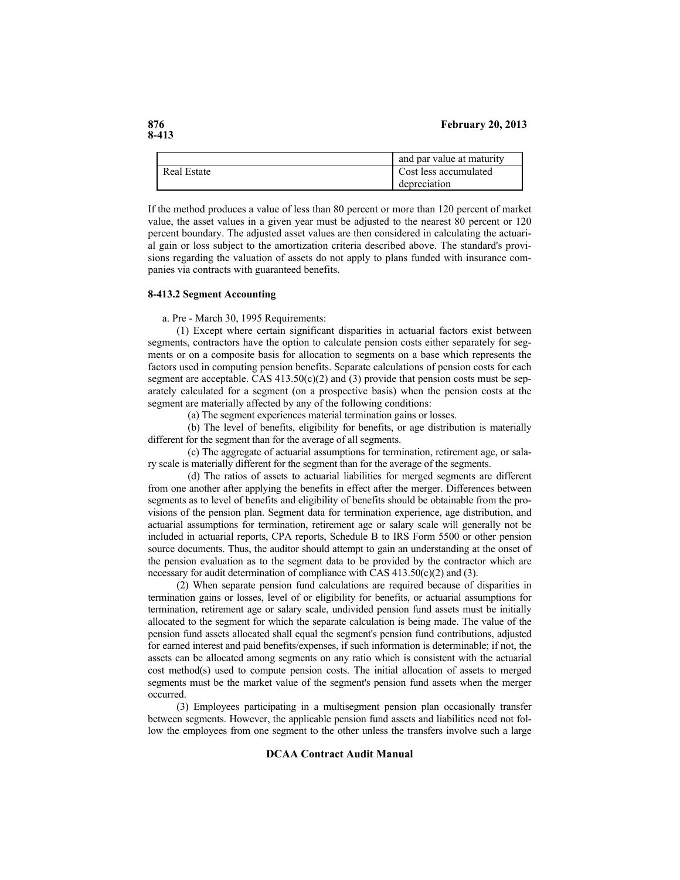|             | and par value at maturity |
|-------------|---------------------------|
| Real Estate | Cost less accumulated     |
|             | depreciation              |

If the method produces a value of less than 80 percent or more than 120 percent of market value, the asset values in a given year must be adjusted to the nearest 80 percent or 120 percent boundary. The adjusted asset values are then considered in calculating the actuarial gain or loss subject to the amortization criteria described above. The standard's provisions regarding the valuation of assets do not apply to plans funded with insurance companies via contracts with guaranteed benefits.

# **8-413.2 Segment Accounting**

a. Pre - March 30, 1995 Requirements:

(1) Except where certain significant disparities in actuarial factors exist between segments, contractors have the option to calculate pension costs either separately for segments or on a composite basis for allocation to segments on a base which represents the factors used in computing pension benefits. Separate calculations of pension costs for each segment are acceptable. CAS  $413.50(c)(2)$  and (3) provide that pension costs must be separately calculated for a segment (on a prospective basis) when the pension costs at the segment are materially affected by any of the following conditions:

(a) The segment experiences material termination gains or losses.

(b) The level of benefits, eligibility for benefits, or age distribution is materially different for the segment than for the average of all segments.

(c) The aggregate of actuarial assumptions for termination, retirement age, or salary scale is materially different for the segment than for the average of the segments.

(d) The ratios of assets to actuarial liabilities for merged segments are different from one another after applying the benefits in effect after the merger. Differences between segments as to level of benefits and eligibility of benefits should be obtainable from the provisions of the pension plan. Segment data for termination experience, age distribution, and actuarial assumptions for termination, retirement age or salary scale will generally not be included in actuarial reports, CPA reports, Schedule B to IRS Form 5500 or other pension source documents. Thus, the auditor should attempt to gain an understanding at the onset of the pension evaluation as to the segment data to be provided by the contractor which are necessary for audit determination of compliance with CAS  $413.50(c)(2)$  and (3).

(2) When separate pension fund calculations are required because of disparities in termination gains or losses, level of or eligibility for benefits, or actuarial assumptions for termination, retirement age or salary scale, undivided pension fund assets must be initially allocated to the segment for which the separate calculation is being made. The value of the pension fund assets allocated shall equal the segment's pension fund contributions, adjusted for earned interest and paid benefits/expenses, if such information is determinable; if not, the assets can be allocated among segments on any ratio which is consistent with the actuarial cost method(s) used to compute pension costs. The initial allocation of assets to merged segments must be the market value of the segment's pension fund assets when the merger occurred.

(3) Employees participating in a multisegment pension plan occasionally transfer between segments. However, the applicable pension fund assets and liabilities need not follow the employees from one segment to the other unless the transfers involve such a large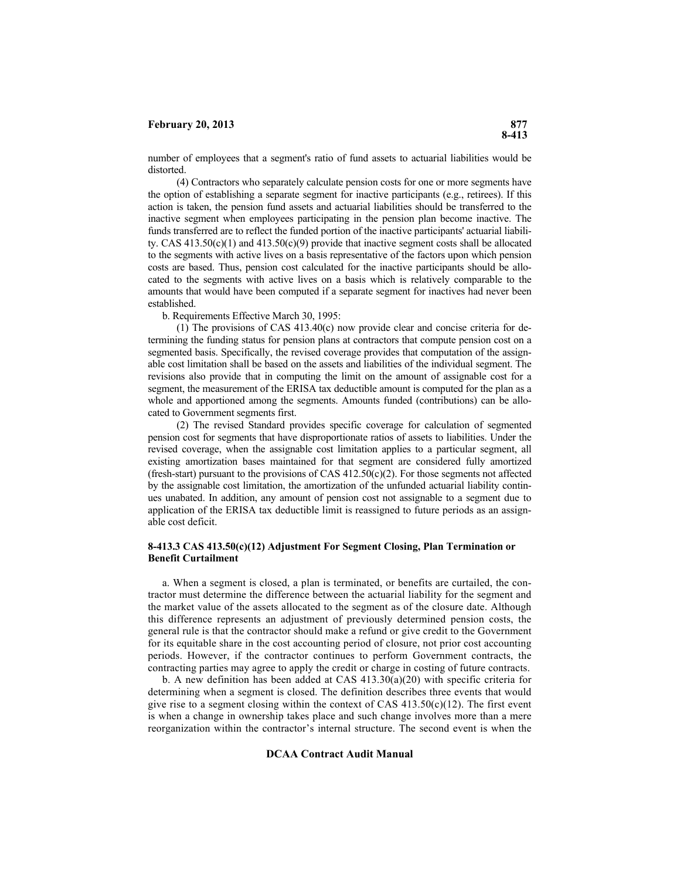number of employees that a segment's ratio of fund assets to actuarial liabilities would be distorted.

(4) Contractors who separately calculate pension costs for one or more segments have the option of establishing a separate segment for inactive participants (e.g., retirees). If this action is taken, the pension fund assets and actuarial liabilities should be transferred to the inactive segment when employees participating in the pension plan become inactive. The funds transferred are to reflect the funded portion of the inactive participants' actuarial liability. CAS  $413.50(c)(1)$  and  $413.50(c)(9)$  provide that inactive segment costs shall be allocated to the segments with active lives on a basis representative of the factors upon which pension costs are based. Thus, pension cost calculated for the inactive participants should be allocated to the segments with active lives on a basis which is relatively comparable to the amounts that would have been computed if a separate segment for inactives had never been established.

b. Requirements Effective March 30, 1995:

(1) The provisions of CAS 413.40(c) now provide clear and concise criteria for determining the funding status for pension plans at contractors that compute pension cost on a segmented basis. Specifically, the revised coverage provides that computation of the assignable cost limitation shall be based on the assets and liabilities of the individual segment. The revisions also provide that in computing the limit on the amount of assignable cost for a segment, the measurement of the ERISA tax deductible amount is computed for the plan as a whole and apportioned among the segments. Amounts funded (contributions) can be allocated to Government segments first.

(2) The revised Standard provides specific coverage for calculation of segmented pension cost for segments that have disproportionate ratios of assets to liabilities. Under the revised coverage, when the assignable cost limitation applies to a particular segment, all existing amortization bases maintained for that segment are considered fully amortized (fresh-start) pursuant to the provisions of CAS  $412.50(c)(2)$ . For those segments not affected by the assignable cost limitation, the amortization of the unfunded actuarial liability continues unabated. In addition, any amount of pension cost not assignable to a segment due to application of the ERISA tax deductible limit is reassigned to future periods as an assignable cost deficit.

#### **8-413.3 CAS 413.50(c)(12) Adjustment For Segment Closing, Plan Termination or Benefit Curtailment**

a. When a segment is closed, a plan is terminated, or benefits are curtailed, the contractor must determine the difference between the actuarial liability for the segment and the market value of the assets allocated to the segment as of the closure date. Although this difference represents an adjustment of previously determined pension costs, the general rule is that the contractor should make a refund or give credit to the Government for its equitable share in the cost accounting period of closure, not prior cost accounting periods. However, if the contractor continues to perform Government contracts, the contracting parties may agree to apply the credit or charge in costing of future contracts.

b. A new definition has been added at CAS  $413.30(a)(20)$  with specific criteria for determining when a segment is closed. The definition describes three events that would give rise to a segment closing within the context of CAS  $413.50(c)(12)$ . The first event is when a change in ownership takes place and such change involves more than a mere reorganization within the contractor's internal structure. The second event is when the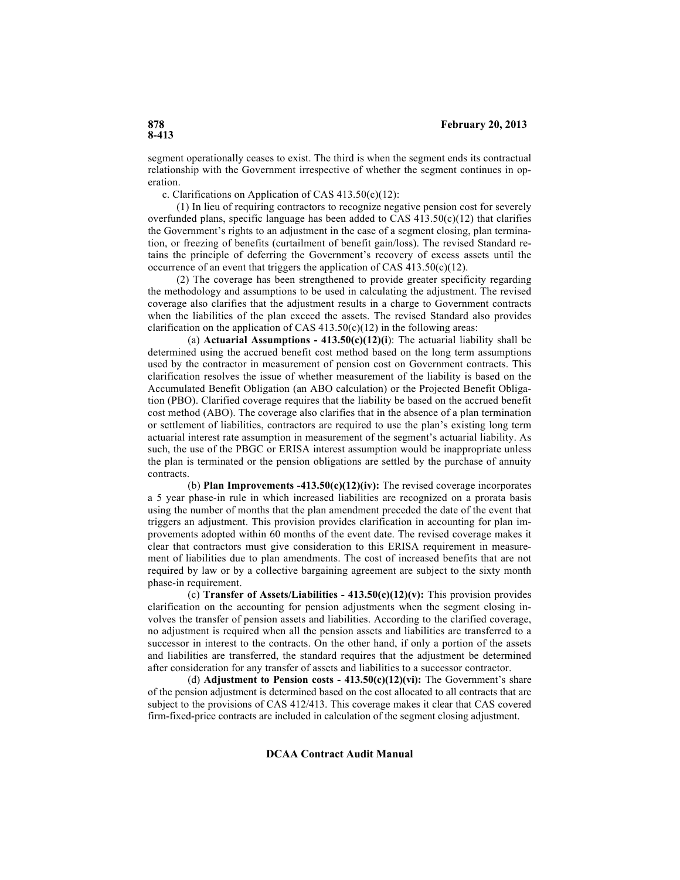segment operationally ceases to exist. The third is when the segment ends its contractual relationship with the Government irrespective of whether the segment continues in operation.

c. Clarifications on Application of CAS 413.50(c)(12):

(1) In lieu of requiring contractors to recognize negative pension cost for severely overfunded plans, specific language has been added to CAS  $413.50(c)(12)$  that clarifies the Government's rights to an adjustment in the case of a segment closing, plan termination, or freezing of benefits (curtailment of benefit gain/loss). The revised Standard retains the principle of deferring the Government's recovery of excess assets until the occurrence of an event that triggers the application of CAS  $413.50(c)(12)$ .

(2) The coverage has been strengthened to provide greater specificity regarding the methodology and assumptions to be used in calculating the adjustment. The revised coverage also clarifies that the adjustment results in a charge to Government contracts when the liabilities of the plan exceed the assets. The revised Standard also provides clarification on the application of CAS  $413.50(c)(12)$  in the following areas:

(a) **Actuarial Assumptions - 413.50(c)(12)(i**): The actuarial liability shall be determined using the accrued benefit cost method based on the long term assumptions used by the contractor in measurement of pension cost on Government contracts. This clarification resolves the issue of whether measurement of the liability is based on the Accumulated Benefit Obligation (an ABO calculation) or the Projected Benefit Obligation (PBO). Clarified coverage requires that the liability be based on the accrued benefit cost method (ABO). The coverage also clarifies that in the absence of a plan termination or settlement of liabilities, contractors are required to use the plan's existing long term actuarial interest rate assumption in measurement of the segment's actuarial liability. As such, the use of the PBGC or ERISA interest assumption would be inappropriate unless the plan is terminated or the pension obligations are settled by the purchase of annuity contracts.

(b) **Plan Improvements -413.50(c)(12)(iv):** The revised coverage incorporates a 5 year phase-in rule in which increased liabilities are recognized on a prorata basis using the number of months that the plan amendment preceded the date of the event that triggers an adjustment. This provision provides clarification in accounting for plan improvements adopted within 60 months of the event date. The revised coverage makes it clear that contractors must give consideration to this ERISA requirement in measurement of liabilities due to plan amendments. The cost of increased benefits that are not required by law or by a collective bargaining agreement are subject to the sixty month phase-in requirement.

(c) **Transfer of Assets/Liabilities - 413.50(c)(12)(v):** This provision provides clarification on the accounting for pension adjustments when the segment closing involves the transfer of pension assets and liabilities. According to the clarified coverage, no adjustment is required when all the pension assets and liabilities are transferred to a successor in interest to the contracts. On the other hand, if only a portion of the assets and liabilities are transferred, the standard requires that the adjustment be determined after consideration for any transfer of assets and liabilities to a successor contractor.

(d) **Adjustment to Pension costs - 413.50(c)(12)(vi):** The Government's share of the pension adjustment is determined based on the cost allocated to all contracts that are subject to the provisions of CAS 412/413. This coverage makes it clear that CAS covered firm-fixed-price contracts are included in calculation of the segment closing adjustment.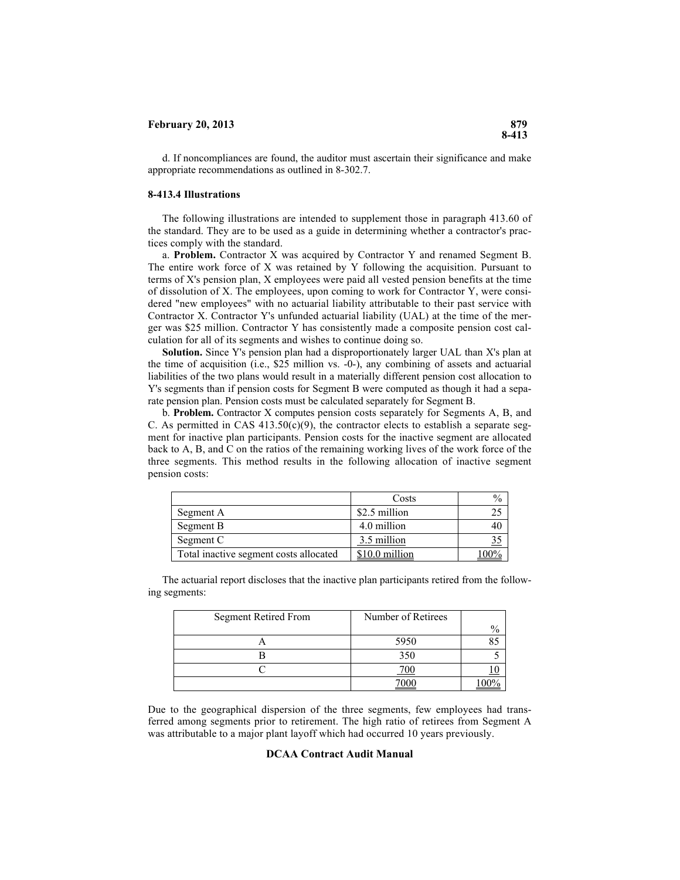d. If noncompliances are found, the auditor must ascertain their significance and make appropriate recommendations as outlined in 8-302.7.

#### **8-413.4 Illustrations**

The following illustrations are intended to supplement those in paragraph 413.60 of the standard. They are to be used as a guide in determining whether a contractor's practices comply with the standard.

a. **Problem.** Contractor X was acquired by Contractor Y and renamed Segment B. The entire work force of X was retained by Y following the acquisition. Pursuant to terms of X's pension plan, X employees were paid all vested pension benefits at the time of dissolution of X. The employees, upon coming to work for Contractor Y, were considered "new employees" with no actuarial liability attributable to their past service with Contractor X. Contractor Y's unfunded actuarial liability (UAL) at the time of the merger was \$25 million. Contractor Y has consistently made a composite pension cost calculation for all of its segments and wishes to continue doing so.

**Solution.** Since Y's pension plan had a disproportionately larger UAL than X's plan at the time of acquisition (i.e., \$25 million vs. -0-), any combining of assets and actuarial liabilities of the two plans would result in a materially different pension cost allocation to Y's segments than if pension costs for Segment B were computed as though it had a separate pension plan. Pension costs must be calculated separately for Segment B.

b. **Problem.** Contractor X computes pension costs separately for Segments A, B, and C. As permitted in CAS  $413.50(c)(9)$ , the contractor elects to establish a separate segment for inactive plan participants. Pension costs for the inactive segment are allocated back to A, B, and C on the ratios of the remaining working lives of the work force of the three segments. This method results in the following allocation of inactive segment pension costs:

|                                        | Costs          |     |
|----------------------------------------|----------------|-----|
| Segment A                              | \$2.5 million  |     |
| Segment B                              | 4.0 million    |     |
| Segment C                              | 3.5 million    | ر ر |
| Total inactive segment costs allocated | \$10.0 million |     |

The actuarial report discloses that the inactive plan participants retired from the following segments:

| Segment Retired From | Number of Retirees |      |
|----------------------|--------------------|------|
|                      |                    | $\%$ |
|                      | 5950               |      |
|                      | 350                |      |
|                      |                    |      |
|                      |                    |      |

Due to the geographical dispersion of the three segments, few employees had transferred among segments prior to retirement. The high ratio of retirees from Segment A was attributable to a major plant layoff which had occurred 10 years previously.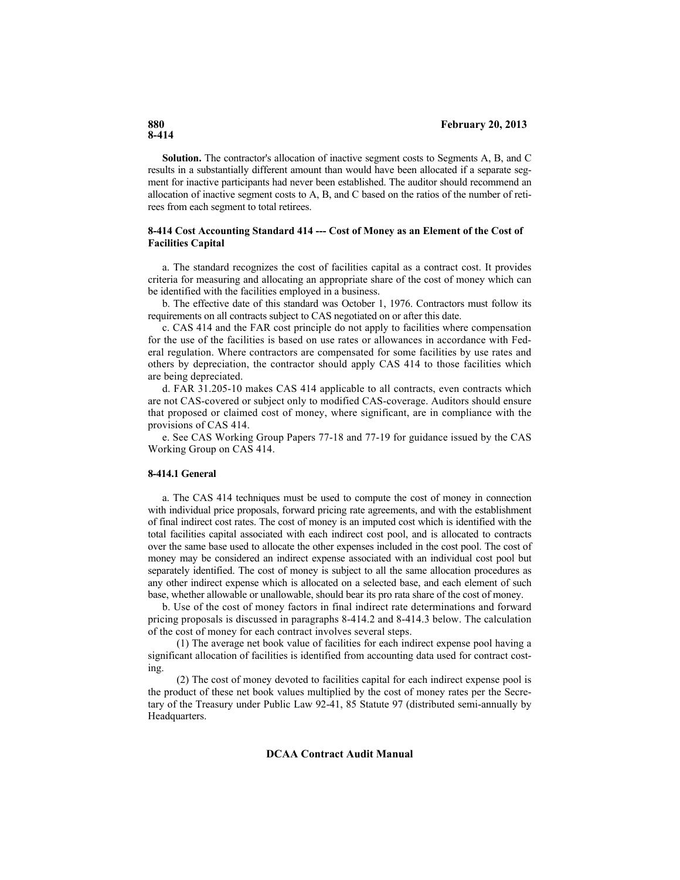**Solution.** The contractor's allocation of inactive segment costs to Segments A, B, and C results in a substantially different amount than would have been allocated if a separate segment for inactive participants had never been established. The auditor should recommend an allocation of inactive segment costs to A, B, and C based on the ratios of the number of retirees from each segment to total retirees.

# **8-414 Cost Accounting Standard 414 --- Cost of Money as an Element of the Cost of Facilities Capital**

a. The standard recognizes the cost of facilities capital as a contract cost. It provides criteria for measuring and allocating an appropriate share of the cost of money which can be identified with the facilities employed in a business.

b. The effective date of this standard was October 1, 1976. Contractors must follow its requirements on all contracts subject to CAS negotiated on or after this date.

c. CAS 414 and the FAR cost principle do not apply to facilities where compensation for the use of the facilities is based on use rates or allowances in accordance with Federal regulation. Where contractors are compensated for some facilities by use rates and others by depreciation, the contractor should apply CAS 414 to those facilities which are being depreciated.

d. FAR 31.205-10 makes CAS 414 applicable to all contracts, even contracts which are not CAS-covered or subject only to modified CAS-coverage. Auditors should ensure that proposed or claimed cost of money, where significant, are in compliance with the provisions of CAS 414.

e. See CAS Working Group Papers 77-18 and 77-19 for guidance issued by the CAS Working Group on CAS 414.

# **8-414.1 General**

a. The CAS 414 techniques must be used to compute the cost of money in connection with individual price proposals, forward pricing rate agreements, and with the establishment of final indirect cost rates. The cost of money is an imputed cost which is identified with the total facilities capital associated with each indirect cost pool, and is allocated to contracts over the same base used to allocate the other expenses included in the cost pool. The cost of money may be considered an indirect expense associated with an individual cost pool but separately identified. The cost of money is subject to all the same allocation procedures as any other indirect expense which is allocated on a selected base, and each element of such base, whether allowable or unallowable, should bear its pro rata share of the cost of money.

b. Use of the cost of money factors in final indirect rate determinations and forward pricing proposals is discussed in paragraphs 8-414.2 and 8-414.3 below. The calculation of the cost of money for each contract involves several steps.

(1) The average net book value of facilities for each indirect expense pool having a significant allocation of facilities is identified from accounting data used for contract costing.

(2) The cost of money devoted to facilities capital for each indirect expense pool is the product of these net book values multiplied by the cost of money rates per the Secretary of the Treasury under Public Law 92-41, 85 Statute 97 (distributed semi-annually by Headquarters.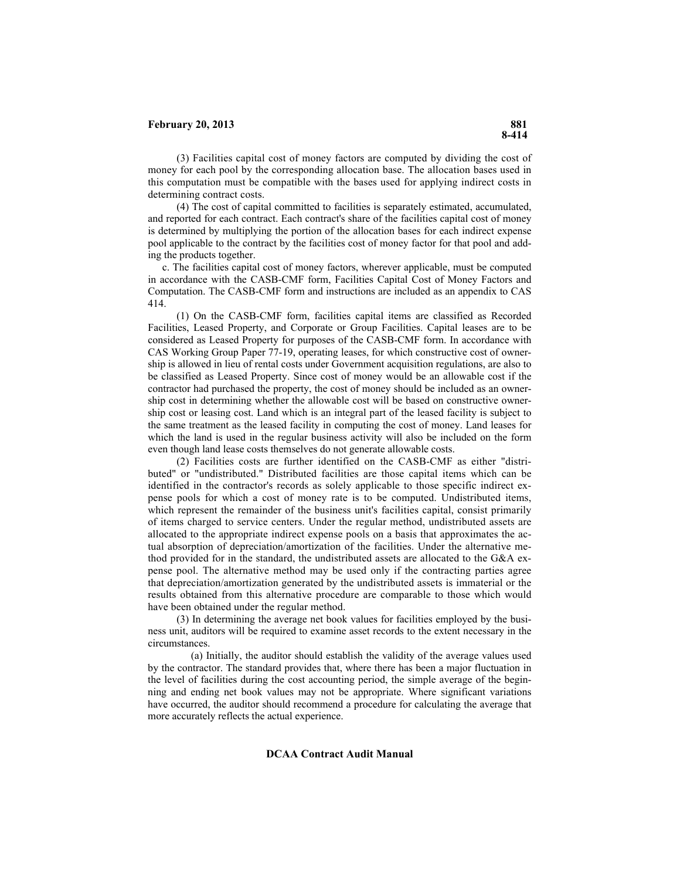(3) Facilities capital cost of money factors are computed by dividing the cost of money for each pool by the corresponding allocation base. The allocation bases used in this computation must be compatible with the bases used for applying indirect costs in determining contract costs.

(4) The cost of capital committed to facilities is separately estimated, accumulated, and reported for each contract. Each contract's share of the facilities capital cost of money is determined by multiplying the portion of the allocation bases for each indirect expense pool applicable to the contract by the facilities cost of money factor for that pool and adding the products together.

c. The facilities capital cost of money factors, wherever applicable, must be computed in accordance with the CASB-CMF form, Facilities Capital Cost of Money Factors and Computation. The CASB-CMF form and instructions are included as an appendix to CAS 414.

(1) On the CASB-CMF form, facilities capital items are classified as Recorded Facilities, Leased Property, and Corporate or Group Facilities. Capital leases are to be considered as Leased Property for purposes of the CASB-CMF form. In accordance with CAS Working Group Paper 77-19, operating leases, for which constructive cost of ownership is allowed in lieu of rental costs under Government acquisition regulations, are also to be classified as Leased Property. Since cost of money would be an allowable cost if the contractor had purchased the property, the cost of money should be included as an ownership cost in determining whether the allowable cost will be based on constructive ownership cost or leasing cost. Land which is an integral part of the leased facility is subject to the same treatment as the leased facility in computing the cost of money. Land leases for which the land is used in the regular business activity will also be included on the form even though land lease costs themselves do not generate allowable costs.

(2) Facilities costs are further identified on the CASB-CMF as either "distributed" or "undistributed." Distributed facilities are those capital items which can be identified in the contractor's records as solely applicable to those specific indirect expense pools for which a cost of money rate is to be computed. Undistributed items, which represent the remainder of the business unit's facilities capital, consist primarily of items charged to service centers. Under the regular method, undistributed assets are allocated to the appropriate indirect expense pools on a basis that approximates the actual absorption of depreciation/amortization of the facilities. Under the alternative method provided for in the standard, the undistributed assets are allocated to the  $G\&A$  expense pool. The alternative method may be used only if the contracting parties agree that depreciation/amortization generated by the undistributed assets is immaterial or the results obtained from this alternative procedure are comparable to those which would have been obtained under the regular method.

(3) In determining the average net book values for facilities employed by the business unit, auditors will be required to examine asset records to the extent necessary in the circumstances.

(a) Initially, the auditor should establish the validity of the average values used by the contractor. The standard provides that, where there has been a major fluctuation in the level of facilities during the cost accounting period, the simple average of the beginning and ending net book values may not be appropriate. Where significant variations have occurred, the auditor should recommend a procedure for calculating the average that more accurately reflects the actual experience.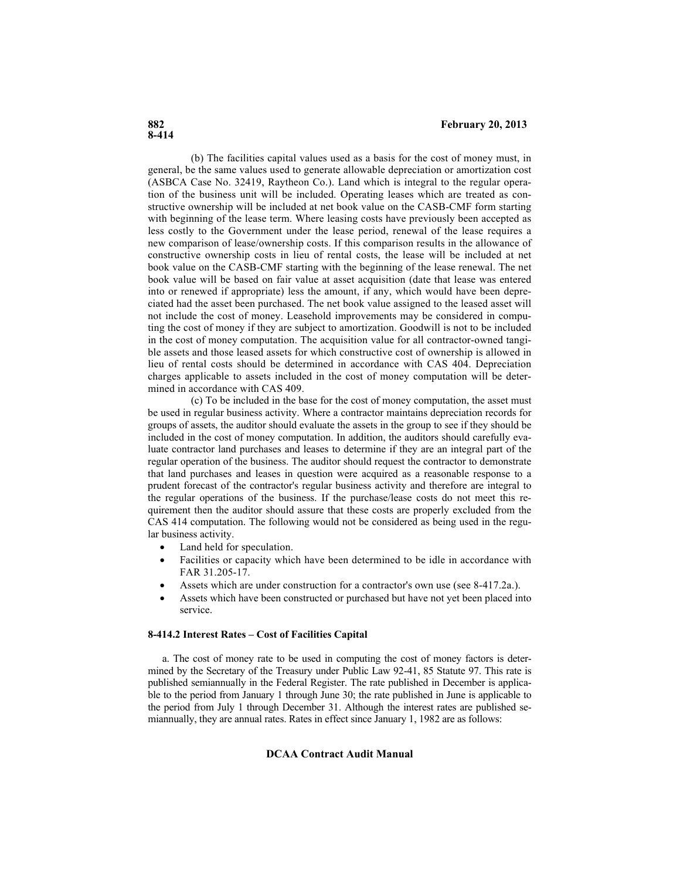(b) The facilities capital values used as a basis for the cost of money must, in general, be the same values used to generate allowable depreciation or amortization cost (ASBCA Case No. 32419, Raytheon Co.). Land which is integral to the regular operation of the business unit will be included. Operating leases which are treated as constructive ownership will be included at net book value on the CASB-CMF form starting with beginning of the lease term. Where leasing costs have previously been accepted as less costly to the Government under the lease period, renewal of the lease requires a new comparison of lease/ownership costs. If this comparison results in the allowance of constructive ownership costs in lieu of rental costs, the lease will be included at net book value on the CASB-CMF starting with the beginning of the lease renewal. The net book value will be based on fair value at asset acquisition (date that lease was entered into or renewed if appropriate) less the amount, if any, which would have been depreciated had the asset been purchased. The net book value assigned to the leased asset will not include the cost of money. Leasehold improvements may be considered in computing the cost of money if they are subject to amortization. Goodwill is not to be included in the cost of money computation. The acquisition value for all contractor-owned tangible assets and those leased assets for which constructive cost of ownership is allowed in lieu of rental costs should be determined in accordance with CAS 404. Depreciation charges applicable to assets included in the cost of money computation will be determined in accordance with CAS 409.

(c) To be included in the base for the cost of money computation, the asset must be used in regular business activity. Where a contractor maintains depreciation records for groups of assets, the auditor should evaluate the assets in the group to see if they should be included in the cost of money computation. In addition, the auditors should carefully evaluate contractor land purchases and leases to determine if they are an integral part of the regular operation of the business. The auditor should request the contractor to demonstrate that land purchases and leases in question were acquired as a reasonable response to a prudent forecast of the contractor's regular business activity and therefore are integral to the regular operations of the business. If the purchase/lease costs do not meet this requirement then the auditor should assure that these costs are properly excluded from the CAS 414 computation. The following would not be considered as being used in the regular business activity.

- Land held for speculation.
- Facilities or capacity which have been determined to be idle in accordance with FAR 31.205-17.
- Assets which are under construction for a contractor's own use (see 8-417.2a.).
- Assets which have been constructed or purchased but have not yet been placed into service.

# **8-414.2 Interest Rates – Cost of Facilities Capital**

a. The cost of money rate to be used in computing the cost of money factors is determined by the Secretary of the Treasury under Public Law 92-41, 85 Statute 97. This rate is published semiannually in the Federal Register. The rate published in December is applicable to the period from January 1 through June 30; the rate published in June is applicable to the period from July 1 through December 31. Although the interest rates are published semiannually, they are annual rates. Rates in effect since January 1, 1982 are as follows: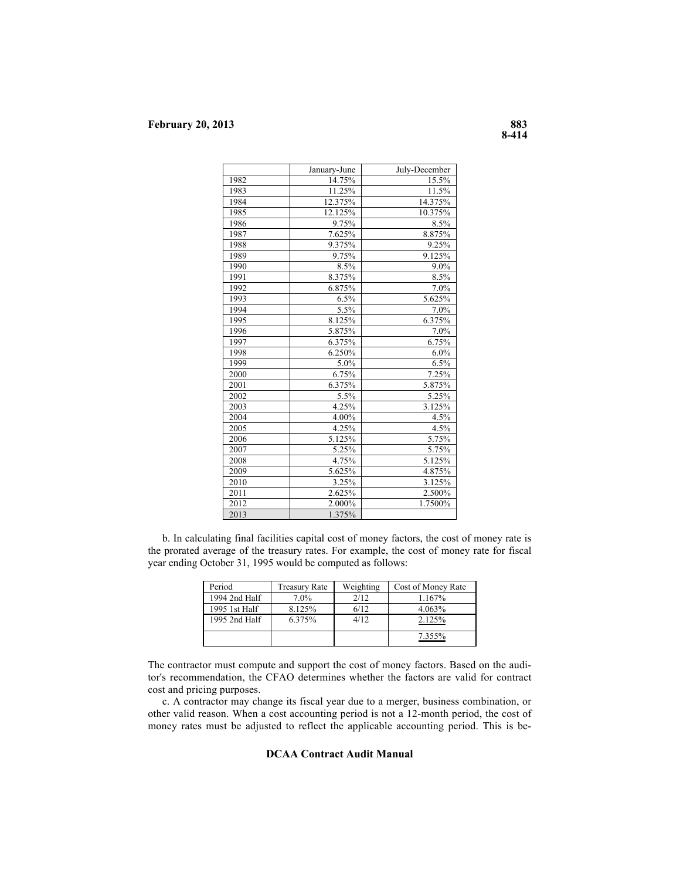|      | January-June | July-December |
|------|--------------|---------------|
| 1982 | 14.75%       | 15.5%         |
| 1983 | 11.25%       | 11.5%         |
| 1984 | 12.375%      | 14.375%       |
|      |              |               |
| 1985 | 12.125%      | 10.375%       |
| 1986 | 9.75%        | 8.5%          |
| 1987 | 7.625%       | 8.875%        |
| 1988 | 9.375%       | 9.25%         |
| 1989 | 9.75%        | 9.125%        |
| 1990 | 8.5%         | $9.0\%$       |
| 1991 | 8.375%       | 8.5%          |
| 1992 | 6.875%       | 7.0%          |
| 1993 | 6.5%         | 5.625%        |
| 1994 | 5.5%         | 7.0%          |
| 1995 | 8.125%       | 6.375%        |
| 1996 | 5.875%       | 7.0%          |
| 1997 | 6.375%       | 6.75%         |
| 1998 | 6.250%       | 6.0%          |
| 1999 | 5.0%         | 6.5%          |
| 2000 | 6.75%        | 7.25%         |
| 2001 | 6.375%       | 5.875%        |
| 2002 | 5.5%         | $5.25\%$      |
| 2003 | 4.25%        | 3.125%        |
| 2004 | 4.00%        | 4.5%          |
| 2005 | 4.25%        | 4.5%          |
| 2006 | 5.125%       | 5.75%         |
| 2007 | 5.25%        | 5.75%         |
| 2008 | 4.75%        | 5.125%        |
| 2009 | 5.625%       | 4.875%        |
| 2010 | 3.25%        | 3.125%        |
| 2011 | 2.625%       | 2.500%        |
| 2012 | 2.000%       | 1.7500%       |
| 2013 | 1.375%       |               |

b. In calculating final facilities capital cost of money factors, the cost of money rate is the prorated average of the treasury rates. For example, the cost of money rate for fiscal year ending October 31, 1995 would be computed as follows:

| Period        | Treasury Rate | Weighting | Cost of Money Rate |
|---------------|---------------|-----------|--------------------|
| 1994 2nd Half | 7.0%          | 2/12      | 1.167%             |
| 1995 1st Half | 8.125%        | 6/12      | 4.063%             |
| 1995 2nd Half | 6.375%        | 4/12      | 2.125%             |
|               |               |           | 7 355%             |

The contractor must compute and support the cost of money factors. Based on the auditor's recommendation, the CFAO determines whether the factors are valid for contract cost and pricing purposes.

c. A contractor may change its fiscal year due to a merger, business combination, or other valid reason. When a cost accounting period is not a 12-month period, the cost of money rates must be adjusted to reflect the applicable accounting period. This is be-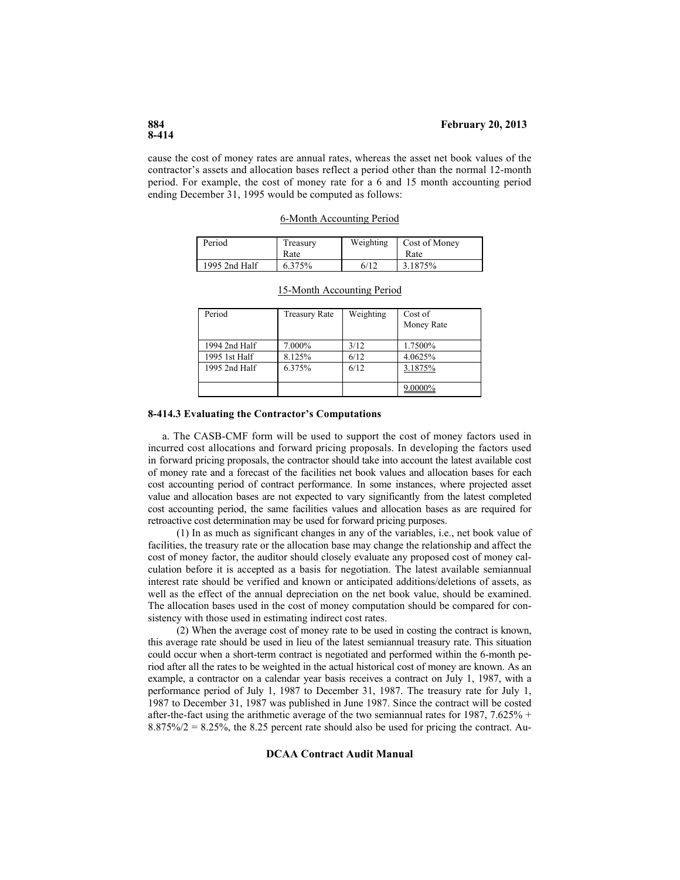cause the cost of money rates are annual rates, whereas the asset net book values of the contractor's assets and allocation bases reflect a period other than the normal 12-month period. For example, the cost of money rate for a 6 and 15 month accounting period ending December 31, 1995 would be computed as follows:

# 6-Month Accounting Period

| Period        | Treasury<br>Rate | Weighting | Cost of Money<br>Rate |
|---------------|------------------|-----------|-----------------------|
| 1995 2nd Half | 6.375%           | 6/12      | 3.1875\%              |

# 15-Month Accounting Period

| Period        | Treasury Rate | Weighting | Cost of<br>Money Rate |
|---------------|---------------|-----------|-----------------------|
| 1994 2nd Half | 7.000%        | 3/12      | 1.7500%               |
| 1995 1st Half | 8.125%        | 6/12      | 4.0625%               |
| 1995 2nd Half | 6.375%        | 6/12      | 3.1875%               |
|               |               |           | 9.0000%               |

# **8-414.3 Evaluating the Contractor's Computations**

a. The CASB-CMF form will be used to support the cost of money factors used in incurred cost allocations and forward pricing proposals. In developing the factors used in forward pricing proposals, the contractor should take into account the latest available cost of money rate and a forecast of the facilities net book values and allocation bases for each cost accounting period of contract performance. In some instances, where projected asset value and allocation bases are not expected to vary significantly from the latest completed cost accounting period, the same facilities values and allocation bases as are required for retroactive cost determination may be used for forward pricing purposes.

(1) In as much as significant changes in any of the variables, i.e., net book value of facilities, the treasury rate or the allocation base may change the relationship and affect the cost of money factor, the auditor should closely evaluate any proposed cost of money calculation before it is accepted as a basis for negotiation. The latest available semiannual interest rate should be verified and known or anticipated additions/deletions of assets, as well as the effect of the annual depreciation on the net book value, should be examined. The allocation bases used in the cost of money computation should be compared for consistency with those used in estimating indirect cost rates.

(2) When the average cost of money rate to be used in costing the contract is known, this average rate should be used in lieu of the latest semiannual treasury rate. This situation could occur when a short-term contract is negotiated and performed within the 6-month period after all the rates to be weighted in the actual historical cost of money are known. As an example, a contractor on a calendar year basis receives a contract on July 1, 1987, with a performance period of July 1, 1987 to December 31, 1987. The treasury rate for July 1, 1987 to December 31, 1987 was published in June 1987. Since the contract will be costed after-the-fact using the arithmetic average of the two semiannual rates for 1987,  $7.625\%$  +  $8.875\%/2 = 8.25\%$ , the 8.25 percent rate should also be used for pricing the contract. Au-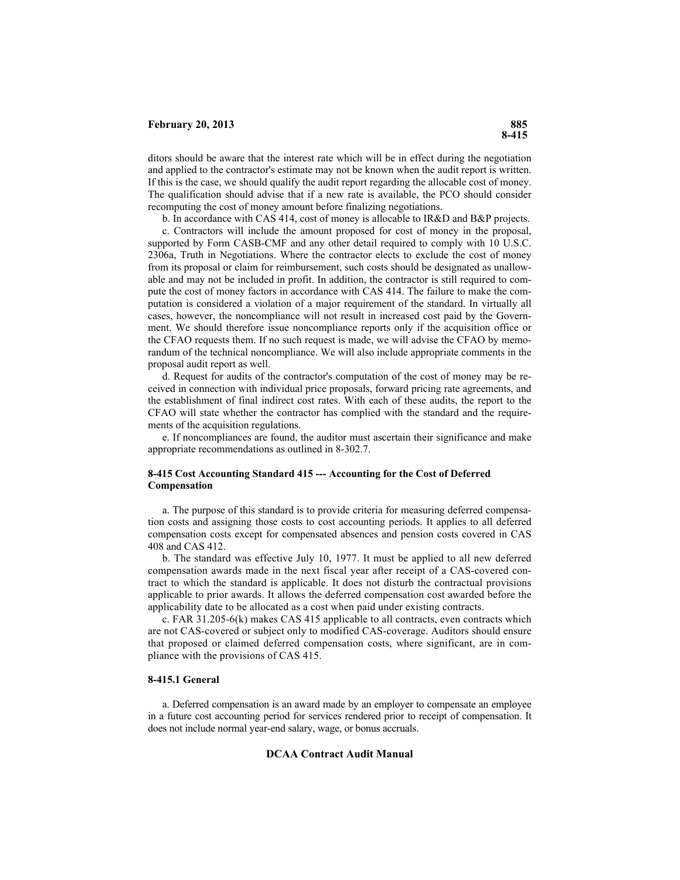ditors should be aware that the interest rate which will be in effect during the negotiation and applied to the contractor's estimate may not be known when the audit report is written. If this is the case, we should qualify the audit report regarding the allocable cost of money. The qualification should advise that if a new rate is available, the PCO should consider recomputing the cost of money amount before finalizing negotiations.

b. In accordance with CAS 414, cost of money is allocable to IR&D and B&P projects.

c. Contractors will include the amount proposed for cost of money in the proposal, supported by Form CASB-CMF and any other detail required to comply with 10 U.S.C. 2306a, Truth in Negotiations. Where the contractor elects to exclude the cost of money from its proposal or claim for reimbursement, such costs should be designated as unallowable and may not be included in profit. In addition, the contractor is still required to compute the cost of money factors in accordance with CAS 414. The failure to make the computation is considered a violation of a major requirement of the standard. In virtually all cases, however, the noncompliance will not result in increased cost paid by the Government. We should therefore issue noncompliance reports only if the acquisition office or the CFAO requests them. If no such request is made, we will advise the CFAO by memorandum of the technical noncompliance. We will also include appropriate comments in the proposal audit report as well.

d. Request for audits of the contractor's computation of the cost of money may be received in connection with individual price proposals, forward pricing rate agreements, and the establishment of final indirect cost rates. With each of these audits, the report to the CFAO will state whether the contractor has complied with the standard and the requirements of the acquisition regulations.

e. If noncompliances are found, the auditor must ascertain their significance and make appropriate recommendations as outlined in 8-302.7.

#### **8-415 Cost Accounting Standard 415 --- Accounting for the Cost of Deferred Compensation**

a. The purpose of this standard is to provide criteria for measuring deferred compensation costs and assigning those costs to cost accounting periods. It applies to all deferred compensation costs except for compensated absences and pension costs covered in CAS 408 and CAS 412.

b. The standard was effective July 10, 1977. It must be applied to all new deferred compensation awards made in the next fiscal year after receipt of a CAS-covered contract to which the standard is applicable. It does not disturb the contractual provisions applicable to prior awards. It allows the deferred compensation cost awarded before the applicability date to be allocated as a cost when paid under existing contracts.

c. FAR 31.205-6(k) makes CAS 415 applicable to all contracts, even contracts which are not CAS-covered or subject only to modified CAS-coverage. Auditors should ensure that proposed or claimed deferred compensation costs, where significant, are in compliance with the provisions of CAS 415.

#### **8-415.1 General**

a. Deferred compensation is an award made by an employer to compensate an employee in a future cost accounting period for services rendered prior to receipt of compensation. It does not include normal year-end salary, wage, or bonus accruals.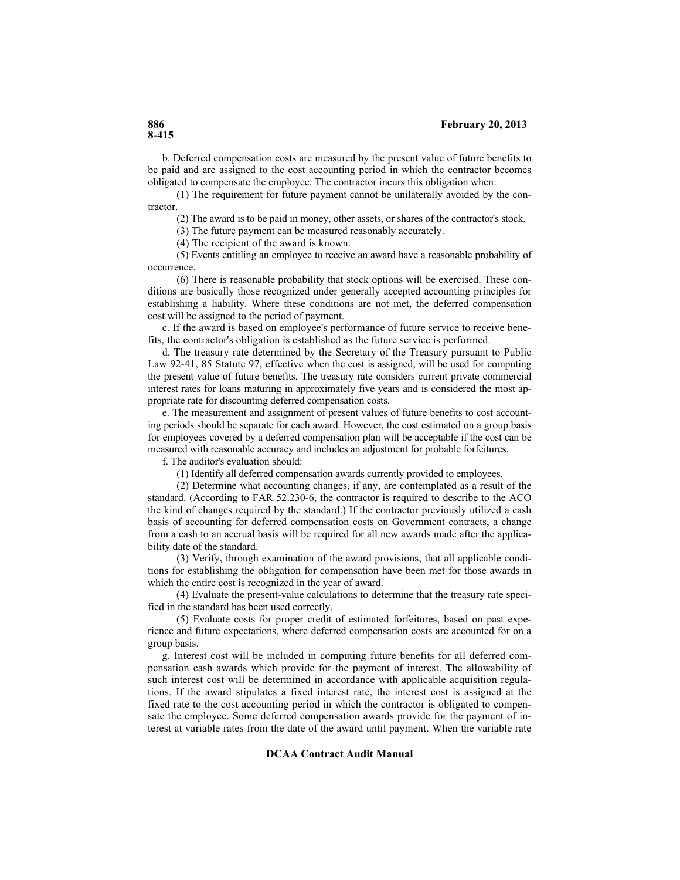b. Deferred compensation costs are measured by the present value of future benefits to be paid and are assigned to the cost accounting period in which the contractor becomes obligated to compensate the employee. The contractor incurs this obligation when:

(1) The requirement for future payment cannot be unilaterally avoided by the contractor.

(2) The award is to be paid in money, other assets, or shares of the contractor's stock.

(3) The future payment can be measured reasonably accurately.

(4) The recipient of the award is known.

(5) Events entitling an employee to receive an award have a reasonable probability of occurrence.

(6) There is reasonable probability that stock options will be exercised. These conditions are basically those recognized under generally accepted accounting principles for establishing a liability. Where these conditions are not met, the deferred compensation cost will be assigned to the period of payment.

c. If the award is based on employee's performance of future service to receive benefits, the contractor's obligation is established as the future service is performed.

d. The treasury rate determined by the Secretary of the Treasury pursuant to Public Law 92-41, 85 Statute 97, effective when the cost is assigned, will be used for computing the present value of future benefits. The treasury rate considers current private commercial interest rates for loans maturing in approximately five years and is considered the most appropriate rate for discounting deferred compensation costs.

e. The measurement and assignment of present values of future benefits to cost accounting periods should be separate for each award. However, the cost estimated on a group basis for employees covered by a deferred compensation plan will be acceptable if the cost can be measured with reasonable accuracy and includes an adjustment for probable forfeitures.

f. The auditor's evaluation should:

(1) Identify all deferred compensation awards currently provided to employees.

(2) Determine what accounting changes, if any, are contemplated as a result of the standard. (According to FAR 52.230-6, the contractor is required to describe to the ACO the kind of changes required by the standard.) If the contractor previously utilized a cash basis of accounting for deferred compensation costs on Government contracts, a change from a cash to an accrual basis will be required for all new awards made after the applicability date of the standard.

(3) Verify, through examination of the award provisions, that all applicable conditions for establishing the obligation for compensation have been met for those awards in which the entire cost is recognized in the year of award.

(4) Evaluate the present-value calculations to determine that the treasury rate specified in the standard has been used correctly.

(5) Evaluate costs for proper credit of estimated forfeitures, based on past experience and future expectations, where deferred compensation costs are accounted for on a group basis.

g. Interest cost will be included in computing future benefits for all deferred compensation cash awards which provide for the payment of interest. The allowability of such interest cost will be determined in accordance with applicable acquisition regulations. If the award stipulates a fixed interest rate, the interest cost is assigned at the fixed rate to the cost accounting period in which the contractor is obligated to compensate the employee. Some deferred compensation awards provide for the payment of interest at variable rates from the date of the award until payment. When the variable rate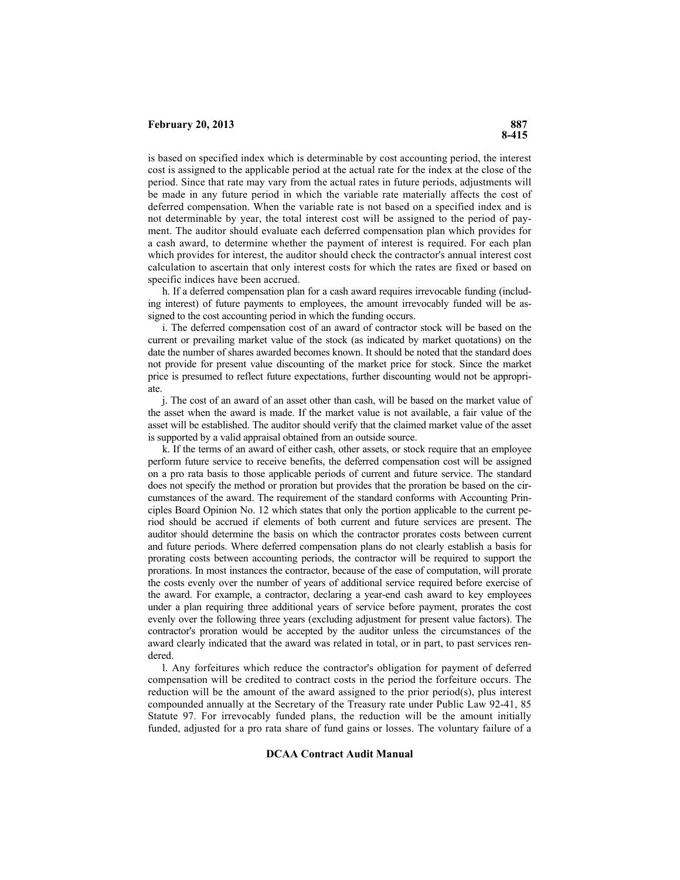is based on specified index which is determinable by cost accounting period, the interest cost is assigned to the applicable period at the actual rate for the index at the close of the period. Since that rate may vary from the actual rates in future periods, adjustments will be made in any future period in which the variable rate materially affects the cost of deferred compensation. When the variable rate is not based on a specified index and is not determinable by year, the total interest cost will be assigned to the period of payment. The auditor should evaluate each deferred compensation plan which provides for a cash award, to determine whether the payment of interest is required. For each plan which provides for interest, the auditor should check the contractor's annual interest cost calculation to ascertain that only interest costs for which the rates are fixed or based on specific indices have been accrued.

h. If a deferred compensation plan for a cash award requires irrevocable funding (including interest) of future payments to employees, the amount irrevocably funded will be assigned to the cost accounting period in which the funding occurs.

i. The deferred compensation cost of an award of contractor stock will be based on the current or prevailing market value of the stock (as indicated by market quotations) on the date the number of shares awarded becomes known. It should be noted that the standard does not provide for present value discounting of the market price for stock. Since the market price is presumed to reflect future expectations, further discounting would not be appropriate.

j. The cost of an award of an asset other than cash, will be based on the market value of the asset when the award is made. If the market value is not available, a fair value of the asset will be established. The auditor should verify that the claimed market value of the asset is supported by a valid appraisal obtained from an outside source.

k. If the terms of an award of either cash, other assets, or stock require that an employee perform future service to receive benefits, the deferred compensation cost will be assigned on a pro rata basis to those applicable periods of current and future service. The standard does not specify the method or proration but provides that the proration be based on the circumstances of the award. The requirement of the standard conforms with Accounting Principles Board Opinion No. 12 which states that only the portion applicable to the current period should be accrued if elements of both current and future services are present. The auditor should determine the basis on which the contractor prorates costs between current and future periods. Where deferred compensation plans do not clearly establish a basis for prorating costs between accounting periods, the contractor will be required to support the prorations. In most instances the contractor, because of the ease of computation, will prorate the costs evenly over the number of years of additional service required before exercise of the award. For example, a contractor, declaring a year-end cash award to key employees under a plan requiring three additional years of service before payment, prorates the cost evenly over the following three years (excluding adjustment for present value factors). The contractor's proration would be accepted by the auditor unless the circumstances of the award clearly indicated that the award was related in total, or in part, to past services rendered.

l. Any forfeitures which reduce the contractor's obligation for payment of deferred compensation will be credited to contract costs in the period the forfeiture occurs. The reduction will be the amount of the award assigned to the prior period(s), plus interest compounded annually at the Secretary of the Treasury rate under Public Law 92-41, 85 Statute 97. For irrevocably funded plans, the reduction will be the amount initially funded, adjusted for a pro rata share of fund gains or losses. The voluntary failure of a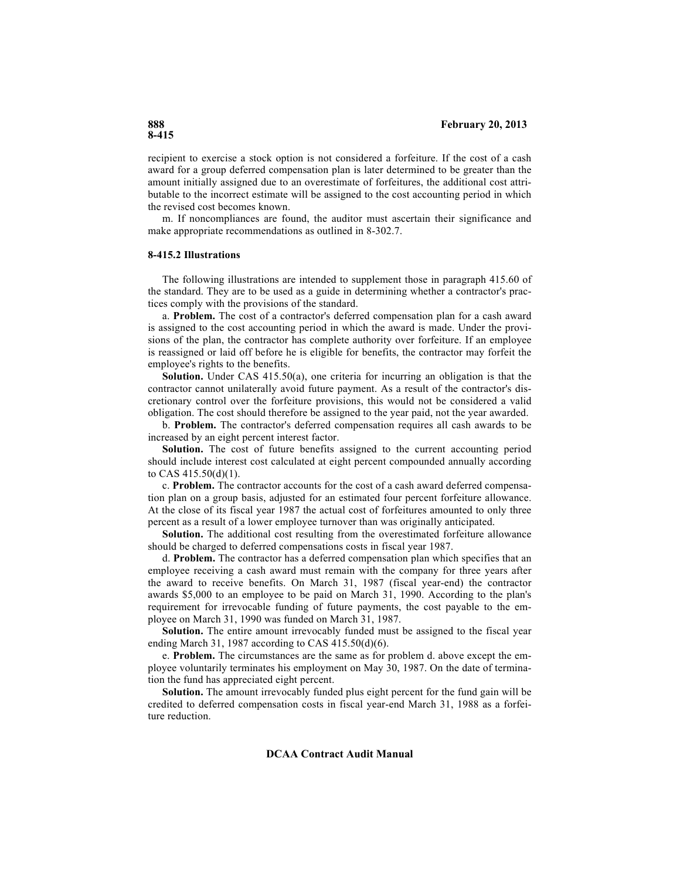recipient to exercise a stock option is not considered a forfeiture. If the cost of a cash award for a group deferred compensation plan is later determined to be greater than the amount initially assigned due to an overestimate of forfeitures, the additional cost attributable to the incorrect estimate will be assigned to the cost accounting period in which the revised cost becomes known.

m. If noncompliances are found, the auditor must ascertain their significance and make appropriate recommendations as outlined in 8-302.7.

# **8-415.2 Illustrations**

The following illustrations are intended to supplement those in paragraph 415.60 of the standard. They are to be used as a guide in determining whether a contractor's practices comply with the provisions of the standard.

a. **Problem.** The cost of a contractor's deferred compensation plan for a cash award is assigned to the cost accounting period in which the award is made. Under the provisions of the plan, the contractor has complete authority over forfeiture. If an employee is reassigned or laid off before he is eligible for benefits, the contractor may forfeit the employee's rights to the benefits.

**Solution.** Under CAS 415.50(a), one criteria for incurring an obligation is that the contractor cannot unilaterally avoid future payment. As a result of the contractor's discretionary control over the forfeiture provisions, this would not be considered a valid obligation. The cost should therefore be assigned to the year paid, not the year awarded.

b. **Problem.** The contractor's deferred compensation requires all cash awards to be increased by an eight percent interest factor.

**Solution.** The cost of future benefits assigned to the current accounting period should include interest cost calculated at eight percent compounded annually according to CAS 415.50(d)(1).

c. **Problem.** The contractor accounts for the cost of a cash award deferred compensation plan on a group basis, adjusted for an estimated four percent forfeiture allowance. At the close of its fiscal year 1987 the actual cost of forfeitures amounted to only three percent as a result of a lower employee turnover than was originally anticipated.

**Solution.** The additional cost resulting from the overestimated forfeiture allowance should be charged to deferred compensations costs in fiscal year 1987.

d. **Problem.** The contractor has a deferred compensation plan which specifies that an employee receiving a cash award must remain with the company for three years after the award to receive benefits. On March 31, 1987 (fiscal year-end) the contractor awards \$5,000 to an employee to be paid on March 31, 1990. According to the plan's requirement for irrevocable funding of future payments, the cost payable to the employee on March 31, 1990 was funded on March 31, 1987.

**Solution.** The entire amount irrevocably funded must be assigned to the fiscal year ending March 31, 1987 according to CAS 415.50(d)(6).

e. **Problem.** The circumstances are the same as for problem d. above except the employee voluntarily terminates his employment on May 30, 1987. On the date of termination the fund has appreciated eight percent.

**Solution.** The amount irrevocably funded plus eight percent for the fund gain will be credited to deferred compensation costs in fiscal year-end March 31, 1988 as a forfeiture reduction.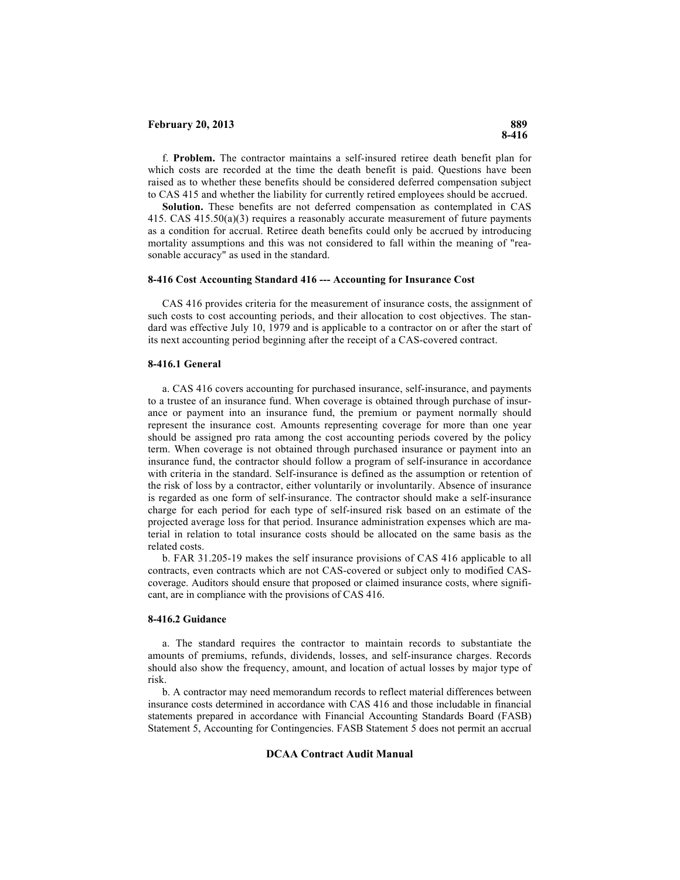f. **Problem.** The contractor maintains a self-insured retiree death benefit plan for which costs are recorded at the time the death benefit is paid. Questions have been raised as to whether these benefits should be considered deferred compensation subject to CAS 415 and whether the liability for currently retired employees should be accrued.

**Solution.** These benefits are not deferred compensation as contemplated in CAS 415. CAS 415.50(a)(3) requires a reasonably accurate measurement of future payments as a condition for accrual. Retiree death benefits could only be accrued by introducing mortality assumptions and this was not considered to fall within the meaning of "reasonable accuracy" as used in the standard.

#### **8-416 Cost Accounting Standard 416 --- Accounting for Insurance Cost**

CAS 416 provides criteria for the measurement of insurance costs, the assignment of such costs to cost accounting periods, and their allocation to cost objectives. The standard was effective July 10, 1979 and is applicable to a contractor on or after the start of its next accounting period beginning after the receipt of a CAS-covered contract.

#### **8-416.1 General**

a. CAS 416 covers accounting for purchased insurance, self-insurance, and payments to a trustee of an insurance fund. When coverage is obtained through purchase of insurance or payment into an insurance fund, the premium or payment normally should represent the insurance cost. Amounts representing coverage for more than one year should be assigned pro rata among the cost accounting periods covered by the policy term. When coverage is not obtained through purchased insurance or payment into an insurance fund, the contractor should follow a program of self-insurance in accordance with criteria in the standard. Self-insurance is defined as the assumption or retention of the risk of loss by a contractor, either voluntarily or involuntarily. Absence of insurance is regarded as one form of self-insurance. The contractor should make a self-insurance charge for each period for each type of self-insured risk based on an estimate of the projected average loss for that period. Insurance administration expenses which are material in relation to total insurance costs should be allocated on the same basis as the related costs.

b. FAR 31.205-19 makes the self insurance provisions of CAS 416 applicable to all contracts, even contracts which are not CAS-covered or subject only to modified CAScoverage. Auditors should ensure that proposed or claimed insurance costs, where significant, are in compliance with the provisions of CAS 416.

#### **8-416.2 Guidance**

a. The standard requires the contractor to maintain records to substantiate the amounts of premiums, refunds, dividends, losses, and self-insurance charges. Records should also show the frequency, amount, and location of actual losses by major type of risk.

b. A contractor may need memorandum records to reflect material differences between insurance costs determined in accordance with CAS 416 and those includable in financial statements prepared in accordance with Financial Accounting Standards Board (FASB) Statement 5, Accounting for Contingencies. FASB Statement 5 does not permit an accrual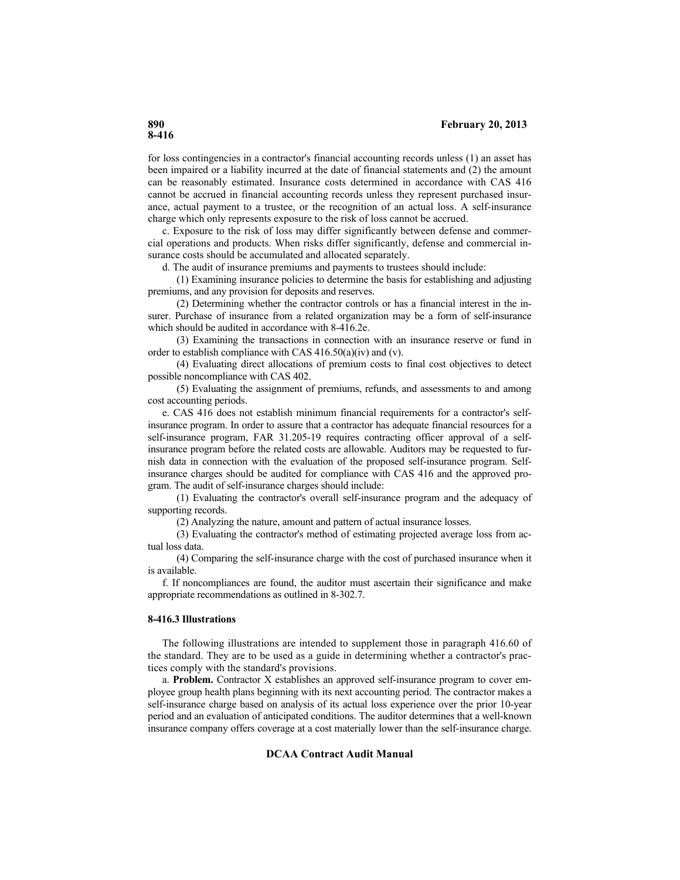for loss contingencies in a contractor's financial accounting records unless (1) an asset has been impaired or a liability incurred at the date of financial statements and (2) the amount can be reasonably estimated. Insurance costs determined in accordance with CAS 416 cannot be accrued in financial accounting records unless they represent purchased insurance, actual payment to a trustee, or the recognition of an actual loss. A self-insurance charge which only represents exposure to the risk of loss cannot be accrued.

c. Exposure to the risk of loss may differ significantly between defense and commercial operations and products. When risks differ significantly, defense and commercial insurance costs should be accumulated and allocated separately.

d. The audit of insurance premiums and payments to trustees should include:

(1) Examining insurance policies to determine the basis for establishing and adjusting premiums, and any provision for deposits and reserves.

(2) Determining whether the contractor controls or has a financial interest in the insurer. Purchase of insurance from a related organization may be a form of self-insurance which should be audited in accordance with 8-416.2e.

(3) Examining the transactions in connection with an insurance reserve or fund in order to establish compliance with CAS 416.50(a)(iv) and (v).

(4) Evaluating direct allocations of premium costs to final cost objectives to detect possible noncompliance with CAS 402.

(5) Evaluating the assignment of premiums, refunds, and assessments to and among cost accounting periods.

e. CAS 416 does not establish minimum financial requirements for a contractor's selfinsurance program. In order to assure that a contractor has adequate financial resources for a self-insurance program, FAR 31.205-19 requires contracting officer approval of a selfinsurance program before the related costs are allowable. Auditors may be requested to furnish data in connection with the evaluation of the proposed self-insurance program. Selfinsurance charges should be audited for compliance with CAS 416 and the approved program. The audit of self-insurance charges should include:

(1) Evaluating the contractor's overall self-insurance program and the adequacy of supporting records.

(2) Analyzing the nature, amount and pattern of actual insurance losses.

(3) Evaluating the contractor's method of estimating projected average loss from actual loss data.

(4) Comparing the self-insurance charge with the cost of purchased insurance when it is available.

f. If noncompliances are found, the auditor must ascertain their significance and make appropriate recommendations as outlined in 8-302.7.

# **8-416.3 Illustrations**

The following illustrations are intended to supplement those in paragraph 416.60 of the standard. They are to be used as a guide in determining whether a contractor's practices comply with the standard's provisions.

a. **Problem.** Contractor X establishes an approved self-insurance program to cover employee group health plans beginning with its next accounting period. The contractor makes a self-insurance charge based on analysis of its actual loss experience over the prior 10-year period and an evaluation of anticipated conditions. The auditor determines that a well-known insurance company offers coverage at a cost materially lower than the self-insurance charge.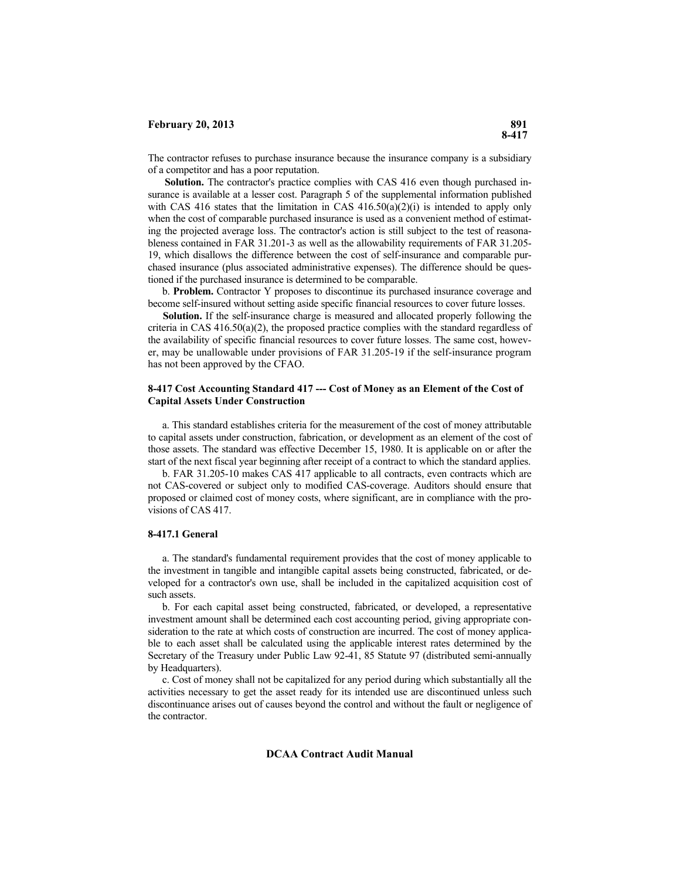The contractor refuses to purchase insurance because the insurance company is a subsidiary of a competitor and has a poor reputation.

**Solution.** The contractor's practice complies with CAS 416 even though purchased insurance is available at a lesser cost. Paragraph 5 of the supplemental information published with CAS 416 states that the limitation in CAS  $416.50(a)(2)(i)$  is intended to apply only when the cost of comparable purchased insurance is used as a convenient method of estimating the projected average loss. The contractor's action is still subject to the test of reasonableness contained in FAR 31.201-3 as well as the allowability requirements of FAR 31.205 19, which disallows the difference between the cost of self-insurance and comparable purchased insurance (plus associated administrative expenses). The difference should be questioned if the purchased insurance is determined to be comparable.

b. **Problem.** Contractor Y proposes to discontinue its purchased insurance coverage and become self-insured without setting aside specific financial resources to cover future losses.

**Solution.** If the self-insurance charge is measured and allocated properly following the criteria in  $CAS\ 416.50(a)(2)$ , the proposed practice complies with the standard regardless of the availability of specific financial resources to cover future losses. The same cost, however, may be unallowable under provisions of FAR 31.205-19 if the self-insurance program has not been approved by the CFAO.

#### **8-417 Cost Accounting Standard 417 --- Cost of Money as an Element of the Cost of Capital Assets Under Construction**

a. This standard establishes criteria for the measurement of the cost of money attributable to capital assets under construction, fabrication, or development as an element of the cost of those assets. The standard was effective December 15, 1980. It is applicable on or after the start of the next fiscal year beginning after receipt of a contract to which the standard applies.

b. FAR 31.205-10 makes CAS 417 applicable to all contracts, even contracts which are not CAS-covered or subject only to modified CAS-coverage. Auditors should ensure that proposed or claimed cost of money costs, where significant, are in compliance with the provisions of CAS 417.

#### **8-417.1 General**

a. The standard's fundamental requirement provides that the cost of money applicable to the investment in tangible and intangible capital assets being constructed, fabricated, or developed for a contractor's own use, shall be included in the capitalized acquisition cost of such assets.

b. For each capital asset being constructed, fabricated, or developed, a representative investment amount shall be determined each cost accounting period, giving appropriate consideration to the rate at which costs of construction are incurred. The cost of money applicable to each asset shall be calculated using the applicable interest rates determined by the Secretary of the Treasury under Public Law 92-41, 85 Statute 97 (distributed semi-annually by Headquarters).

c. Cost of money shall not be capitalized for any period during which substantially all the activities necessary to get the asset ready for its intended use are discontinued unless such discontinuance arises out of causes beyond the control and without the fault or negligence of the contractor.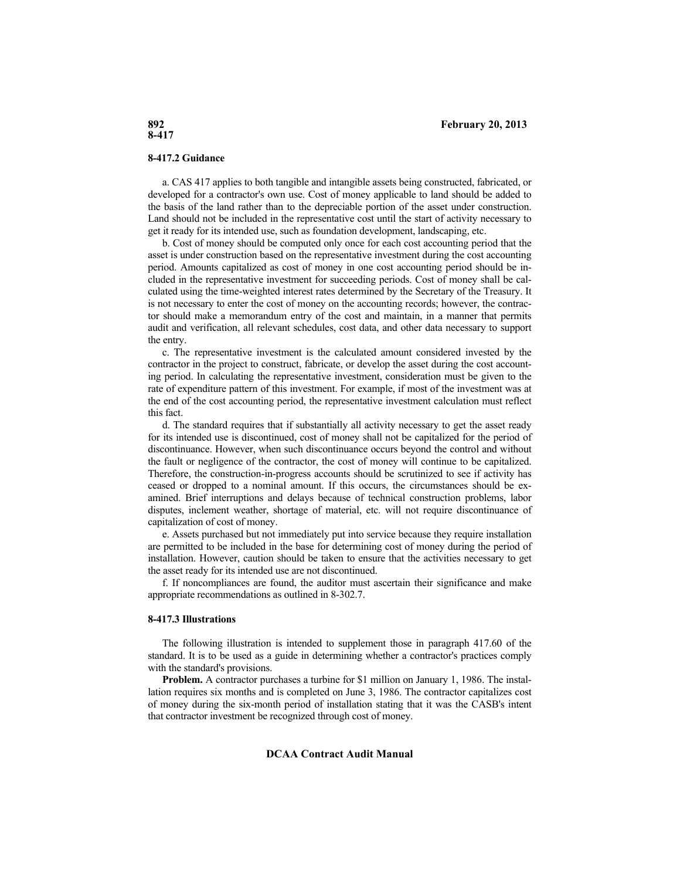#### **892 February 20, 2013**

# **8-417**

# **8-417.2 Guidance**

a. CAS 417 applies to both tangible and intangible assets being constructed, fabricated, or developed for a contractor's own use. Cost of money applicable to land should be added to the basis of the land rather than to the depreciable portion of the asset under construction. Land should not be included in the representative cost until the start of activity necessary to get it ready for its intended use, such as foundation development, landscaping, etc.

b. Cost of money should be computed only once for each cost accounting period that the asset is under construction based on the representative investment during the cost accounting period. Amounts capitalized as cost of money in one cost accounting period should be included in the representative investment for succeeding periods. Cost of money shall be calculated using the time-weighted interest rates determined by the Secretary of the Treasury. It is not necessary to enter the cost of money on the accounting records; however, the contractor should make a memorandum entry of the cost and maintain, in a manner that permits audit and verification, all relevant schedules, cost data, and other data necessary to support the entry.

c. The representative investment is the calculated amount considered invested by the contractor in the project to construct, fabricate, or develop the asset during the cost accounting period. In calculating the representative investment, consideration must be given to the rate of expenditure pattern of this investment. For example, if most of the investment was at the end of the cost accounting period, the representative investment calculation must reflect this fact.

d. The standard requires that if substantially all activity necessary to get the asset ready for its intended use is discontinued, cost of money shall not be capitalized for the period of discontinuance. However, when such discontinuance occurs beyond the control and without the fault or negligence of the contractor, the cost of money will continue to be capitalized. Therefore, the construction-in-progress accounts should be scrutinized to see if activity has ceased or dropped to a nominal amount. If this occurs, the circumstances should be examined. Brief interruptions and delays because of technical construction problems, labor disputes, inclement weather, shortage of material, etc. will not require discontinuance of capitalization of cost of money.

e. Assets purchased but not immediately put into service because they require installation are permitted to be included in the base for determining cost of money during the period of installation. However, caution should be taken to ensure that the activities necessary to get the asset ready for its intended use are not discontinued.

f. If noncompliances are found, the auditor must ascertain their significance and make appropriate recommendations as outlined in 8-302.7.

# **8-417.3 Illustrations**

The following illustration is intended to supplement those in paragraph 417.60 of the standard. It is to be used as a guide in determining whether a contractor's practices comply with the standard's provisions.

**Problem.** A contractor purchases a turbine for \$1 million on January 1, 1986. The installation requires six months and is completed on June 3, 1986. The contractor capitalizes cost of money during the six-month period of installation stating that it was the CASB's intent that contractor investment be recognized through cost of money.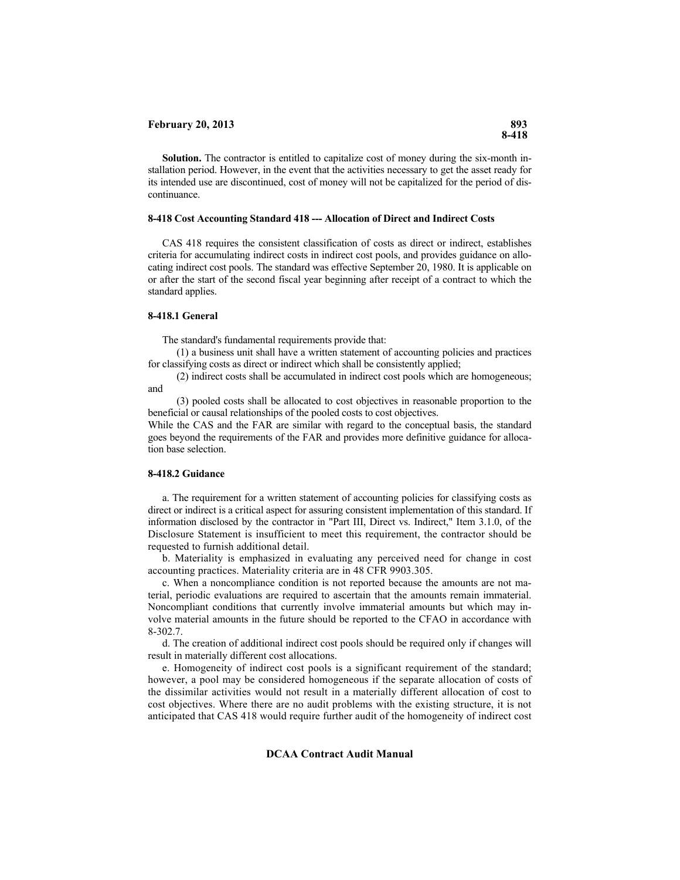**Solution.** The contractor is entitled to capitalize cost of money during the six-month installation period. However, in the event that the activities necessary to get the asset ready for its intended use are discontinued, cost of money will not be capitalized for the period of discontinuance.

#### **8-418 Cost Accounting Standard 418 --- Allocation of Direct and Indirect Costs**

CAS 418 requires the consistent classification of costs as direct or indirect, establishes criteria for accumulating indirect costs in indirect cost pools, and provides guidance on allocating indirect cost pools. The standard was effective September 20, 1980. It is applicable on or after the start of the second fiscal year beginning after receipt of a contract to which the standard applies.

#### **8-418.1 General**

The standard's fundamental requirements provide that:

(1) a business unit shall have a written statement of accounting policies and practices for classifying costs as direct or indirect which shall be consistently applied;

(2) indirect costs shall be accumulated in indirect cost pools which are homogeneous; and

(3) pooled costs shall be allocated to cost objectives in reasonable proportion to the beneficial or causal relationships of the pooled costs to cost objectives.

While the CAS and the FAR are similar with regard to the conceptual basis, the standard goes beyond the requirements of the FAR and provides more definitive guidance for allocation base selection.

#### **8-418.2 Guidance**

a. The requirement for a written statement of accounting policies for classifying costs as direct or indirect is a critical aspect for assuring consistent implementation of this standard. If information disclosed by the contractor in "Part III, Direct vs. Indirect," Item 3.1.0, of the Disclosure Statement is insufficient to meet this requirement, the contractor should be requested to furnish additional detail.

b. Materiality is emphasized in evaluating any perceived need for change in cost accounting practices. Materiality criteria are in 48 CFR 9903.305.

c. When a noncompliance condition is not reported because the amounts are not material, periodic evaluations are required to ascertain that the amounts remain immaterial. Noncompliant conditions that currently involve immaterial amounts but which may involve material amounts in the future should be reported to the CFAO in accordance with 8-302.7.

d. The creation of additional indirect cost pools should be required only if changes will result in materially different cost allocations.

e. Homogeneity of indirect cost pools is a significant requirement of the standard; however, a pool may be considered homogeneous if the separate allocation of costs of the dissimilar activities would not result in a materially different allocation of cost to cost objectives. Where there are no audit problems with the existing structure, it is not anticipated that CAS 418 would require further audit of the homogeneity of indirect cost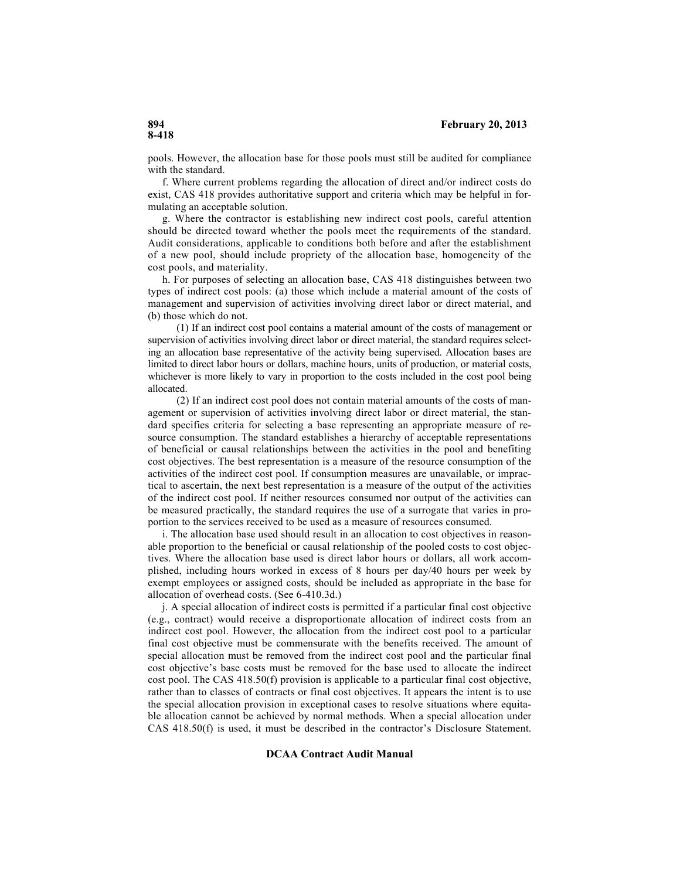pools. However, the allocation base for those pools must still be audited for compliance with the standard.

f. Where current problems regarding the allocation of direct and/or indirect costs do exist, CAS 418 provides authoritative support and criteria which may be helpful in formulating an acceptable solution.

g. Where the contractor is establishing new indirect cost pools, careful attention should be directed toward whether the pools meet the requirements of the standard. Audit considerations, applicable to conditions both before and after the establishment of a new pool, should include propriety of the allocation base, homogeneity of the cost pools, and materiality.

h. For purposes of selecting an allocation base, CAS 418 distinguishes between two types of indirect cost pools: (a) those which include a material amount of the costs of management and supervision of activities involving direct labor or direct material, and (b) those which do not.

(1) If an indirect cost pool contains a material amount of the costs of management or supervision of activities involving direct labor or direct material, the standard requires selecting an allocation base representative of the activity being supervised. Allocation bases are limited to direct labor hours or dollars, machine hours, units of production, or material costs, whichever is more likely to vary in proportion to the costs included in the cost pool being allocated.

(2) If an indirect cost pool does not contain material amounts of the costs of management or supervision of activities involving direct labor or direct material, the standard specifies criteria for selecting a base representing an appropriate measure of resource consumption. The standard establishes a hierarchy of acceptable representations of beneficial or causal relationships between the activities in the pool and benefiting cost objectives. The best representation is a measure of the resource consumption of the activities of the indirect cost pool. If consumption measures are unavailable, or impractical to ascertain, the next best representation is a measure of the output of the activities of the indirect cost pool. If neither resources consumed nor output of the activities can be measured practically, the standard requires the use of a surrogate that varies in proportion to the services received to be used as a measure of resources consumed.

i. The allocation base used should result in an allocation to cost objectives in reasonable proportion to the beneficial or causal relationship of the pooled costs to cost objectives. Where the allocation base used is direct labor hours or dollars, all work accomplished, including hours worked in excess of 8 hours per day/40 hours per week by exempt employees or assigned costs, should be included as appropriate in the base for allocation of overhead costs. (See 6-410.3d.)

j. A special allocation of indirect costs is permitted if a particular final cost objective (e.g., contract) would receive a disproportionate allocation of indirect costs from an indirect cost pool. However, the allocation from the indirect cost pool to a particular final cost objective must be commensurate with the benefits received. The amount of special allocation must be removed from the indirect cost pool and the particular final cost objective's base costs must be removed for the base used to allocate the indirect cost pool. The CAS 418.50(f) provision is applicable to a particular final cost objective, rather than to classes of contracts or final cost objectives. It appears the intent is to use the special allocation provision in exceptional cases to resolve situations where equitable allocation cannot be achieved by normal methods. When a special allocation under CAS 418.50(f) is used, it must be described in the contractor's Disclosure Statement.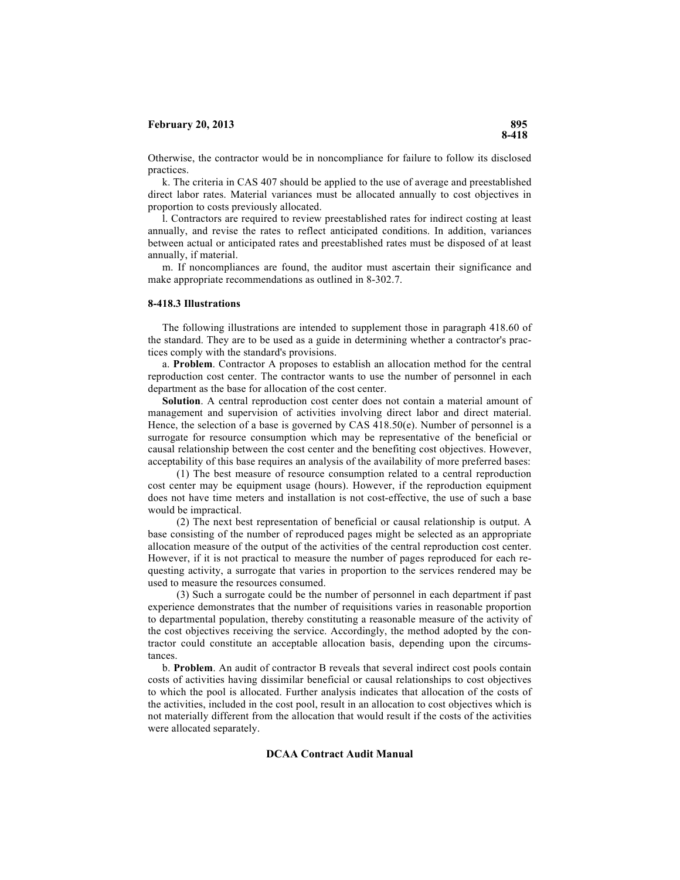#### **February 20, 2013** 895

Otherwise, the contractor would be in noncompliance for failure to follow its disclosed practices.

k. The criteria in CAS 407 should be applied to the use of average and preestablished direct labor rates. Material variances must be allocated annually to cost objectives in proportion to costs previously allocated.

l. Contractors are required to review preestablished rates for indirect costing at least annually, and revise the rates to reflect anticipated conditions. In addition, variances between actual or anticipated rates and preestablished rates must be disposed of at least annually, if material.

m. If noncompliances are found, the auditor must ascertain their significance and make appropriate recommendations as outlined in 8-302.7.

#### **8-418.3 Illustrations**

The following illustrations are intended to supplement those in paragraph 418.60 of the standard. They are to be used as a guide in determining whether a contractor's practices comply with the standard's provisions.

a. **Problem**. Contractor A proposes to establish an allocation method for the central reproduction cost center. The contractor wants to use the number of personnel in each department as the base for allocation of the cost center.

**Solution**. A central reproduction cost center does not contain a material amount of management and supervision of activities involving direct labor and direct material. Hence, the selection of a base is governed by CAS  $418.50(e)$ . Number of personnel is a surrogate for resource consumption which may be representative of the beneficial or causal relationship between the cost center and the benefiting cost objectives. However, acceptability of this base requires an analysis of the availability of more preferred bases:

(1) The best measure of resource consumption related to a central reproduction cost center may be equipment usage (hours). However, if the reproduction equipment does not have time meters and installation is not cost-effective, the use of such a base would be impractical.

(2) The next best representation of beneficial or causal relationship is output. A base consisting of the number of reproduced pages might be selected as an appropriate allocation measure of the output of the activities of the central reproduction cost center. However, if it is not practical to measure the number of pages reproduced for each requesting activity, a surrogate that varies in proportion to the services rendered may be used to measure the resources consumed.

(3) Such a surrogate could be the number of personnel in each department if past experience demonstrates that the number of requisitions varies in reasonable proportion to departmental population, thereby constituting a reasonable measure of the activity of the cost objectives receiving the service. Accordingly, the method adopted by the contractor could constitute an acceptable allocation basis, depending upon the circumstances.

b. **Problem**. An audit of contractor B reveals that several indirect cost pools contain costs of activities having dissimilar beneficial or causal relationships to cost objectives to which the pool is allocated. Further analysis indicates that allocation of the costs of the activities, included in the cost pool, result in an allocation to cost objectives which is not materially different from the allocation that would result if the costs of the activities were allocated separately.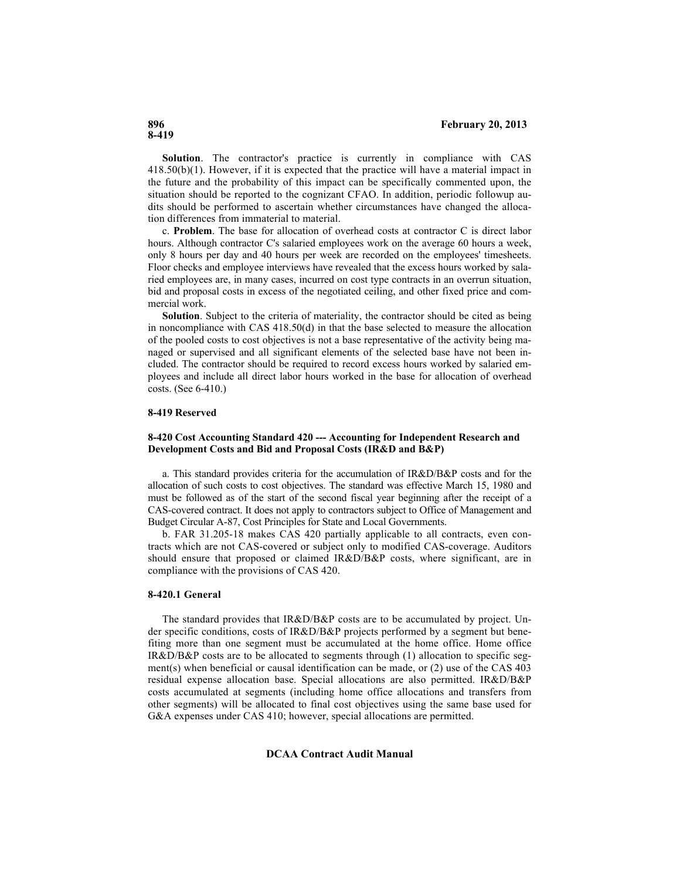# **8-419**

**Solution**. The contractor's practice is currently in compliance with CAS 418.50(b)(1). However, if it is expected that the practice will have a material impact in the future and the probability of this impact can be specifically commented upon, the situation should be reported to the cognizant CFAO. In addition, periodic followup audits should be performed to ascertain whether circumstances have changed the allocation differences from immaterial to material.

c. **Problem**. The base for allocation of overhead costs at contractor C is direct labor hours. Although contractor C's salaried employees work on the average 60 hours a week, only 8 hours per day and 40 hours per week are recorded on the employees' timesheets. Floor checks and employee interviews have revealed that the excess hours worked by salaried employees are, in many cases, incurred on cost type contracts in an overrun situation, bid and proposal costs in excess of the negotiated ceiling, and other fixed price and commercial work.

**Solution**. Subject to the criteria of materiality, the contractor should be cited as being in noncompliance with CAS 418.50(d) in that the base selected to measure the allocation of the pooled costs to cost objectives is not a base representative of the activity being managed or supervised and all significant elements of the selected base have not been included. The contractor should be required to record excess hours worked by salaried employees and include all direct labor hours worked in the base for allocation of overhead costs. (See 6-410.)

# **8-419 Reserved**

#### **8-420 Cost Accounting Standard 420 --- Accounting for Independent Research and Development Costs and Bid and Proposal Costs (IR&D and B&P)**

a. This standard provides criteria for the accumulation of IR&D/B&P costs and for the allocation of such costs to cost objectives. The standard was effective March 15, 1980 and must be followed as of the start of the second fiscal year beginning after the receipt of a CAS-covered contract. It does not apply to contractors subject to Office of Management and Budget Circular A-87, Cost Principles for State and Local Governments.

b. FAR 31.205-18 makes CAS 420 partially applicable to all contracts, even contracts which are not CAS-covered or subject only to modified CAS-coverage. Auditors should ensure that proposed or claimed IR&D/B&P costs, where significant, are in compliance with the provisions of CAS 420.

#### **8-420.1 General**

The standard provides that IR&D/B&P costs are to be accumulated by project. Under specific conditions, costs of IR&D/B&P projects performed by a segment but benefiting more than one segment must be accumulated at the home office. Home office IR&D/B&P costs are to be allocated to segments through (1) allocation to specific segment(s) when beneficial or causal identification can be made, or (2) use of the CAS 403 residual expense allocation base. Special allocations are also permitted. IR&D/B&P costs accumulated at segments (including home office allocations and transfers from other segments) will be allocated to final cost objectives using the same base used for G&A expenses under CAS 410; however, special allocations are permitted.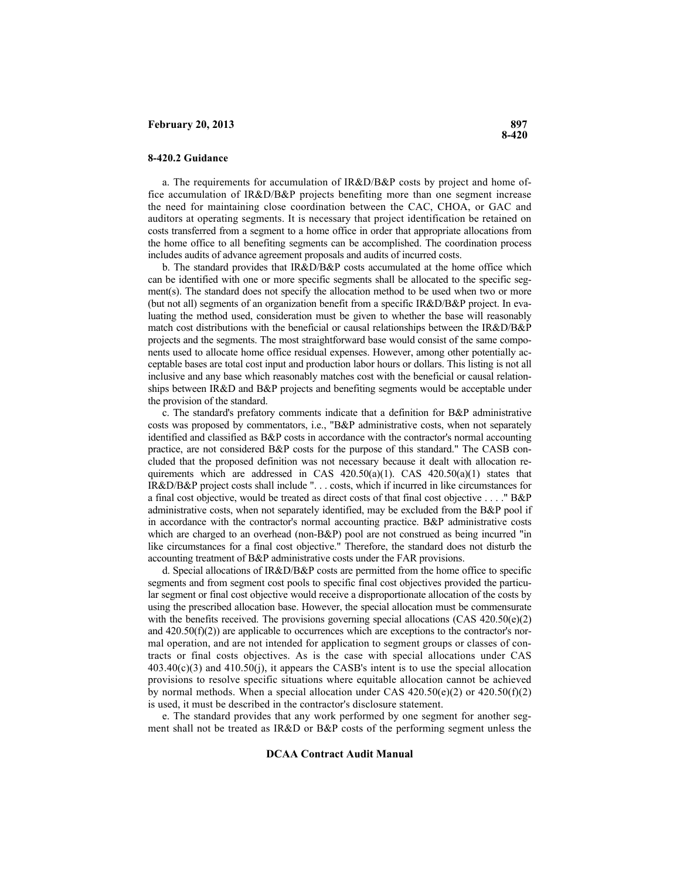#### **8-420.2 Guidance**

a. The requirements for accumulation of IR&D/B&P costs by project and home office accumulation of IR&D/B&P projects benefiting more than one segment increase the need for maintaining close coordination between the CAC, CHOA, or GAC and auditors at operating segments. It is necessary that project identification be retained on costs transferred from a segment to a home office in order that appropriate allocations from the home office to all benefiting segments can be accomplished. The coordination process includes audits of advance agreement proposals and audits of incurred costs.

b. The standard provides that IR&D/B&P costs accumulated at the home office which can be identified with one or more specific segments shall be allocated to the specific segment(s). The standard does not specify the allocation method to be used when two or more (but not all) segments of an organization benefit from a specific IR&D/B&P project. In evaluating the method used, consideration must be given to whether the base will reasonably match cost distributions with the beneficial or causal relationships between the IR&D/B&P projects and the segments. The most straightforward base would consist of the same components used to allocate home office residual expenses. However, among other potentially acceptable bases are total cost input and production labor hours or dollars. This listing is not all inclusive and any base which reasonably matches cost with the beneficial or causal relationships between IR&D and B&P projects and benefiting segments would be acceptable under the provision of the standard.

c. The standard's prefatory comments indicate that a definition for B&P administrative costs was proposed by commentators, i.e., "B&P administrative costs, when not separately identified and classified as B&P costs in accordance with the contractor's normal accounting practice, are not considered B&P costs for the purpose of this standard." The CASB concluded that the proposed definition was not necessary because it dealt with allocation requirements which are addressed in CAS  $420.50(a)(1)$ . CAS  $420.50(a)(1)$  states that IR&D/B&P project costs shall include ". . . costs, which if incurred in like circumstances for a final cost objective, would be treated as direct costs of that final cost objective . . . ." B&P administrative costs, when not separately identified, may be excluded from the B&P pool if in accordance with the contractor's normal accounting practice. B&P administrative costs which are charged to an overhead (non-B&P) pool are not construed as being incurred "in like circumstances for a final cost objective." Therefore, the standard does not disturb the accounting treatment of B&P administrative costs under the FAR provisions.

d. Special allocations of IR&D/B&P costs are permitted from the home office to specific segments and from segment cost pools to specific final cost objectives provided the particular segment or final cost objective would receive a disproportionate allocation of the costs by using the prescribed allocation base. However, the special allocation must be commensurate with the benefits received. The provisions governing special allocations (CAS 420.50(e)(2) and  $420.50(f)(2)$ ) are applicable to occurrences which are exceptions to the contractor's normal operation, and are not intended for application to segment groups or classes of contracts or final costs objectives. As is the case with special allocations under CAS  $403.40(c)(3)$  and  $410.50(i)$ , it appears the CASB's intent is to use the special allocation provisions to resolve specific situations where equitable allocation cannot be achieved by normal methods. When a special allocation under CAS  $420.50(e)(2)$  or  $420.50(f)(2)$ is used, it must be described in the contractor's disclosure statement.

e. The standard provides that any work performed by one segment for another segment shall not be treated as IR&D or B&P costs of the performing segment unless the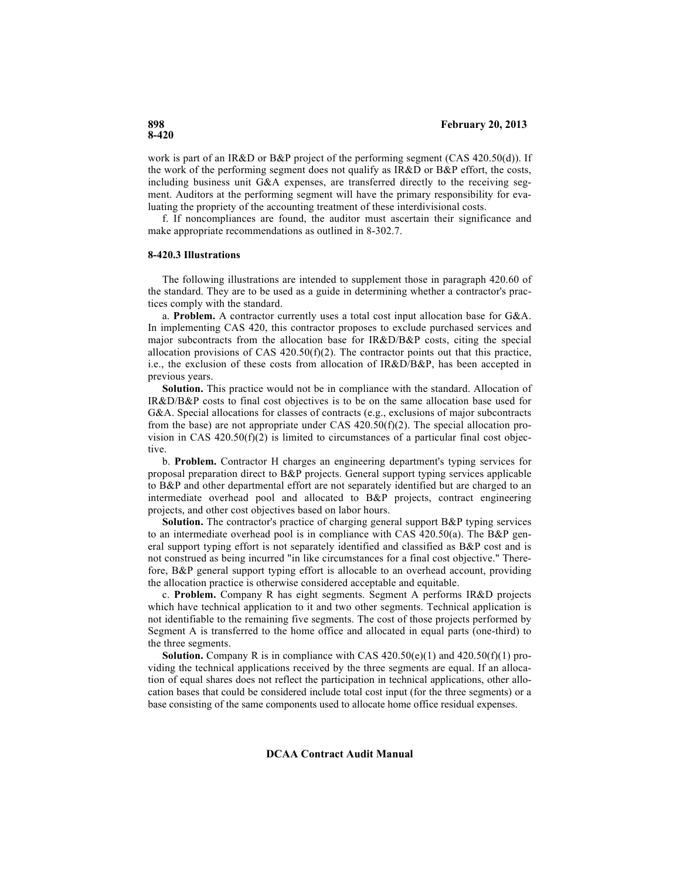work is part of an IR&D or B&P project of the performing segment (CAS 420.50(d)). If the work of the performing segment does not qualify as IR&D or B&P effort, the costs, including business unit G&A expenses, are transferred directly to the receiving segment. Auditors at the performing segment will have the primary responsibility for evaluating the propriety of the accounting treatment of these interdivisional costs.

f. If noncompliances are found, the auditor must ascertain their significance and make appropriate recommendations as outlined in 8-302.7.

# **8-420.3 Illustrations**

The following illustrations are intended to supplement those in paragraph 420.60 of the standard. They are to be used as a guide in determining whether a contractor's practices comply with the standard.

a. **Problem.** A contractor currently uses a total cost input allocation base for G&A. In implementing CAS 420, this contractor proposes to exclude purchased services and major subcontracts from the allocation base for IR&D/B&P costs, citing the special allocation provisions of CAS  $420.50(f)(2)$ . The contractor points out that this practice, i.e., the exclusion of these costs from allocation of IR&D/B&P, has been accepted in previous years.

**Solution.** This practice would not be in compliance with the standard. Allocation of IR&D/B&P costs to final cost objectives is to be on the same allocation base used for G&A. Special allocations for classes of contracts (e.g., exclusions of major subcontracts from the base) are not appropriate under CAS  $420.50(f)(2)$ . The special allocation provision in CAS  $420.50(f)(2)$  is limited to circumstances of a particular final cost objective.

b. **Problem.** Contractor H charges an engineering department's typing services for proposal preparation direct to B&P projects. General support typing services applicable to B&P and other departmental effort are not separately identified but are charged to an intermediate overhead pool and allocated to B&P projects, contract engineering projects, and other cost objectives based on labor hours.

**Solution.** The contractor's practice of charging general support B&P typing services to an intermediate overhead pool is in compliance with CAS 420.50(a). The B&P general support typing effort is not separately identified and classified as B&P cost and is not construed as being incurred "in like circumstances for a final cost objective." Therefore, B&P general support typing effort is allocable to an overhead account, providing the allocation practice is otherwise considered acceptable and equitable.

c. **Problem.** Company R has eight segments. Segment A performs IR&D projects which have technical application to it and two other segments. Technical application is not identifiable to the remaining five segments. The cost of those projects performed by Segment A is transferred to the home office and allocated in equal parts (one-third) to the three segments.

**Solution.** Company R is in compliance with CAS  $420.50(e)(1)$  and  $420.50(f)(1)$  providing the technical applications received by the three segments are equal. If an allocation of equal shares does not reflect the participation in technical applications, other allocation bases that could be considered include total cost input (for the three segments) or a base consisting of the same components used to allocate home office residual expenses.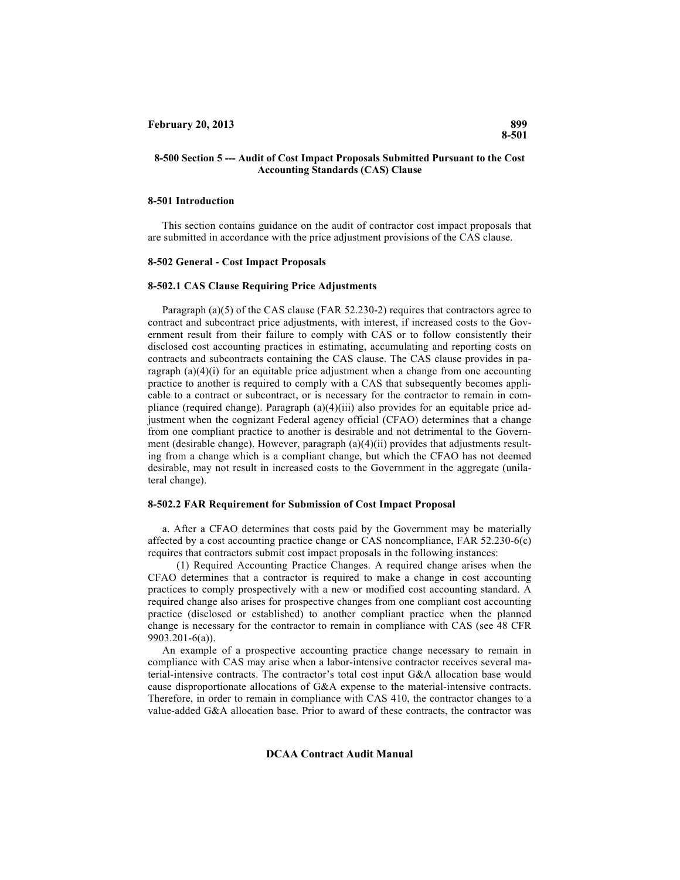### **8-500 Section 5 --- Audit of Cost Impact Proposals Submitted Pursuant to the Cost Accounting Standards (CAS) Clause**

### **8-501 Introduction**

This section contains guidance on the audit of contractor cost impact proposals that are submitted in accordance with the price adjustment provisions of the CAS clause.

# **8-502 General - Cost Impact Proposals**

#### **8-502.1 CAS Clause Requiring Price Adjustments**

Paragraph (a)(5) of the CAS clause (FAR 52.230-2) requires that contractors agree to contract and subcontract price adjustments, with interest, if increased costs to the Government result from their failure to comply with CAS or to follow consistently their disclosed cost accounting practices in estimating, accumulating and reporting costs on contracts and subcontracts containing the CAS clause. The CAS clause provides in paragraph  $(a)(4)(i)$  for an equitable price adjustment when a change from one accounting practice to another is required to comply with a CAS that subsequently becomes applicable to a contract or subcontract, or is necessary for the contractor to remain in compliance (required change). Paragraph  $(a)(4)(iii)$  also provides for an equitable price adjustment when the cognizant Federal agency official (CFAO) determines that a change from one compliant practice to another is desirable and not detrimental to the Government (desirable change). However, paragraph  $(a)(4)(ii)$  provides that adjustments resulting from a change which is a compliant change, but which the CFAO has not deemed desirable, may not result in increased costs to the Government in the aggregate (unilateral change).

#### **8-502.2 FAR Requirement for Submission of Cost Impact Proposal**

a. After a CFAO determines that costs paid by the Government may be materially affected by a cost accounting practice change or CAS noncompliance, FAR 52.230-6(c) requires that contractors submit cost impact proposals in the following instances:

(1) Required Accounting Practice Changes. A required change arises when the CFAO determines that a contractor is required to make a change in cost accounting practices to comply prospectively with a new or modified cost accounting standard. A required change also arises for prospective changes from one compliant cost accounting practice (disclosed or established) to another compliant practice when the planned change is necessary for the contractor to remain in compliance with CAS (see 48 CFR 9903.201-6(a)).

An example of a prospective accounting practice change necessary to remain in compliance with CAS may arise when a labor-intensive contractor receives several material-intensive contracts. The contractor's total cost input G&A allocation base would cause disproportionate allocations of G&A expense to the material-intensive contracts. Therefore, in order to remain in compliance with CAS 410, the contractor changes to a value-added G&A allocation base. Prior to award of these contracts, the contractor was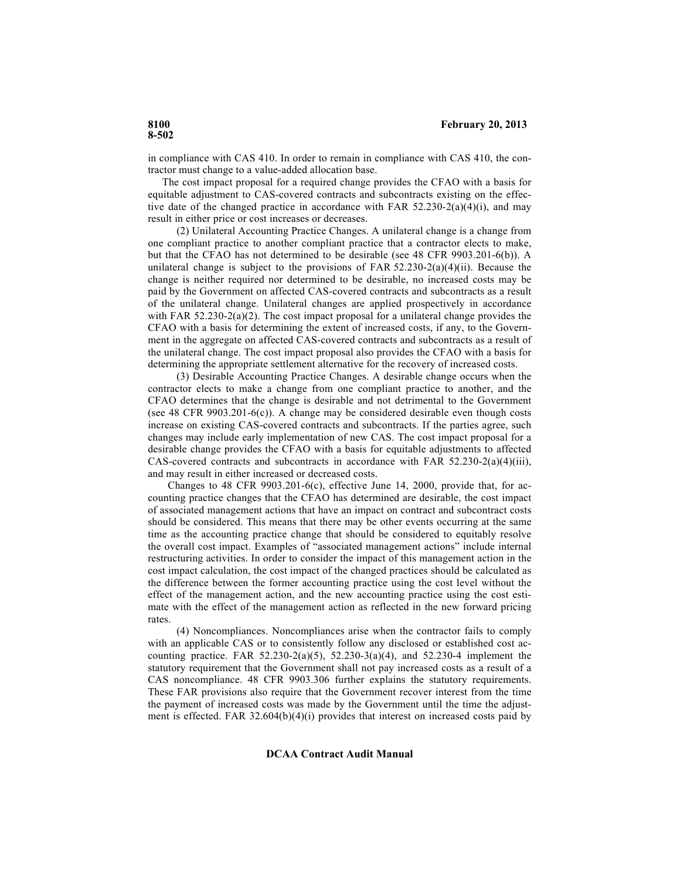in compliance with CAS 410. In order to remain in compliance with CAS 410, the contractor must change to a value-added allocation base.

The cost impact proposal for a required change provides the CFAO with a basis for equitable adjustment to CAS-covered contracts and subcontracts existing on the effective date of the changed practice in accordance with FAR 52.230-2(a)(4)(i), and may result in either price or cost increases or decreases.

(2) Unilateral Accounting Practice Changes. A unilateral change is a change from one compliant practice to another compliant practice that a contractor elects to make, but that the CFAO has not determined to be desirable (see 48 CFR 9903.201-6(b)). A unilateral change is subject to the provisions of FAR  $52.230-2(a)(4)(ii)$ . Because the change is neither required nor determined to be desirable, no increased costs may be paid by the Government on affected CAS-covered contracts and subcontracts as a result of the unilateral change. Unilateral changes are applied prospectively in accordance with FAR  $52.230-2(a)(2)$ . The cost impact proposal for a unilateral change provides the CFAO with a basis for determining the extent of increased costs, if any, to the Government in the aggregate on affected CAS-covered contracts and subcontracts as a result of the unilateral change. The cost impact proposal also provides the CFAO with a basis for determining the appropriate settlement alternative for the recovery of increased costs.

(3) Desirable Accounting Practice Changes. A desirable change occurs when the contractor elects to make a change from one compliant practice to another, and the CFAO determines that the change is desirable and not detrimental to the Government (see 48 CFR 9903.201-6(c)). A change may be considered desirable even though costs increase on existing CAS-covered contracts and subcontracts. If the parties agree, such changes may include early implementation of new CAS. The cost impact proposal for a desirable change provides the CFAO with a basis for equitable adjustments to affected CAS-covered contracts and subcontracts in accordance with FAR 52.230-2(a)(4)(iii), and may result in either increased or decreased costs.

Changes to 48 CFR 9903.201-6(c), effective June 14, 2000, provide that, for accounting practice changes that the CFAO has determined are desirable, the cost impact of associated management actions that have an impact on contract and subcontract costs should be considered. This means that there may be other events occurring at the same time as the accounting practice change that should be considered to equitably resolve the overall cost impact. Examples of "associated management actions" include internal restructuring activities. In order to consider the impact of this management action in the cost impact calculation, the cost impact of the changed practices should be calculated as the difference between the former accounting practice using the cost level without the effect of the management action, and the new accounting practice using the cost estimate with the effect of the management action as reflected in the new forward pricing rates.

(4) Noncompliances. Noncompliances arise when the contractor fails to comply with an applicable CAS or to consistently follow any disclosed or established cost accounting practice. FAR  $52.230-2(a)(5)$ ,  $52.230-3(a)(4)$ , and  $52.230-4$  implement the statutory requirement that the Government shall not pay increased costs as a result of a CAS noncompliance. 48 CFR 9903.306 further explains the statutory requirements. These FAR provisions also require that the Government recover interest from the time the payment of increased costs was made by the Government until the time the adjustment is effected. FAR  $32.604(b)(4)(i)$  provides that interest on increased costs paid by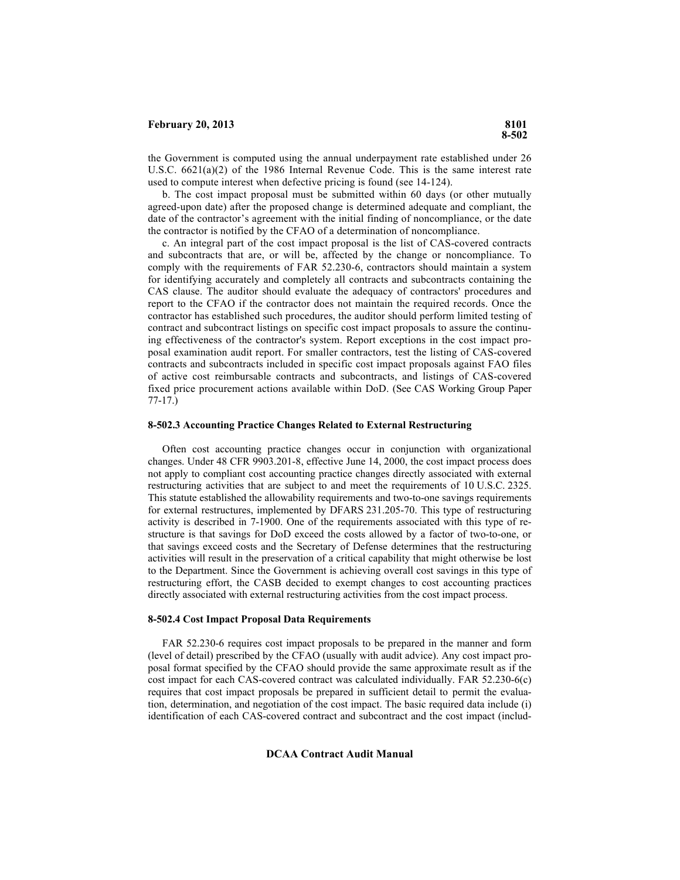the Government is computed using the annual underpayment rate established under 26 U.S.C. 6621(a)(2) of the 1986 Internal Revenue Code. This is the same interest rate used to compute interest when defective pricing is found (see 14-124).

b. The cost impact proposal must be submitted within 60 days (or other mutually agreed-upon date) after the proposed change is determined adequate and compliant, the date of the contractor's agreement with the initial finding of noncompliance, or the date the contractor is notified by the CFAO of a determination of noncompliance.

c. An integral part of the cost impact proposal is the list of CAS-covered contracts and subcontracts that are, or will be, affected by the change or noncompliance. To comply with the requirements of FAR 52.230-6, contractors should maintain a system for identifying accurately and completely all contracts and subcontracts containing the CAS clause. The auditor should evaluate the adequacy of contractors' procedures and report to the CFAO if the contractor does not maintain the required records. Once the contractor has established such procedures, the auditor should perform limited testing of contract and subcontract listings on specific cost impact proposals to assure the continuing effectiveness of the contractor's system. Report exceptions in the cost impact proposal examination audit report. For smaller contractors, test the listing of CAS-covered contracts and subcontracts included in specific cost impact proposals against FAO files of active cost reimbursable contracts and subcontracts, and listings of CAS-covered fixed price procurement actions available within DoD. (See CAS Working Group Paper 77-17.)

#### **8-502.3 Accounting Practice Changes Related to External Restructuring**

Often cost accounting practice changes occur in conjunction with organizational changes. Under 48 CFR 9903.201-8, effective June 14, 2000, the cost impact process does not apply to compliant cost accounting practice changes directly associated with external restructuring activities that are subject to and meet the requirements of 10 U.S.C. 2325. This statute established the allowability requirements and two-to-one savings requirements for external restructures, implemented by DFARS 231.205-70. This type of restructuring activity is described in 7-1900. One of the requirements associated with this type of restructure is that savings for DoD exceed the costs allowed by a factor of two-to-one, or that savings exceed costs and the Secretary of Defense determines that the restructuring activities will result in the preservation of a critical capability that might otherwise be lost to the Department. Since the Government is achieving overall cost savings in this type of restructuring effort, the CASB decided to exempt changes to cost accounting practices directly associated with external restructuring activities from the cost impact process.

#### **8-502.4 Cost Impact Proposal Data Requirements**

FAR 52.230-6 requires cost impact proposals to be prepared in the manner and form (level of detail) prescribed by the CFAO (usually with audit advice). Any cost impact proposal format specified by the CFAO should provide the same approximate result as if the cost impact for each CAS-covered contract was calculated individually. FAR 52.230-6(c) requires that cost impact proposals be prepared in sufficient detail to permit the evaluation, determination, and negotiation of the cost impact. The basic required data include (i) identification of each CAS-covered contract and subcontract and the cost impact (includ-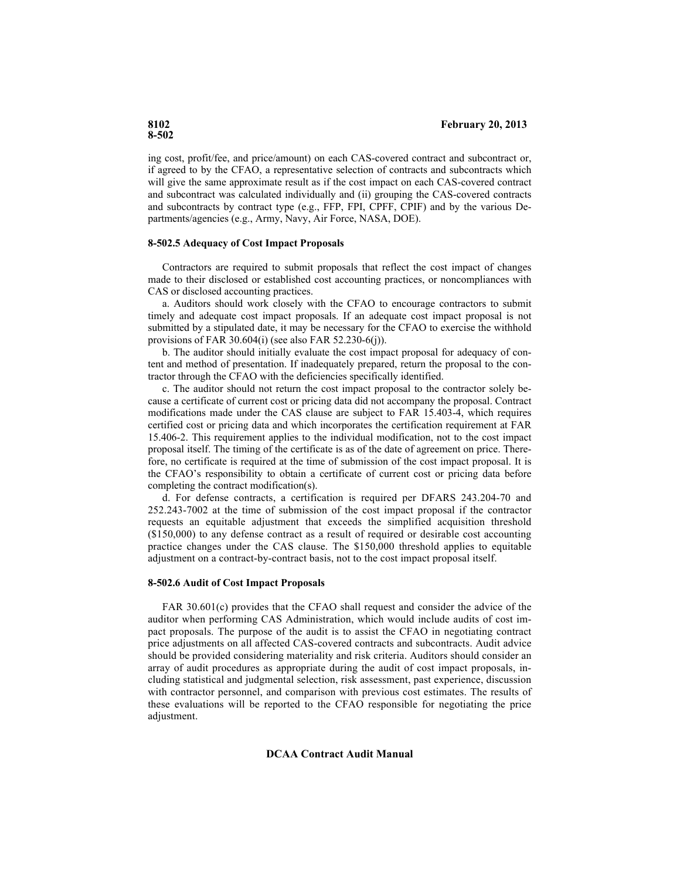ing cost, profit/fee, and price/amount) on each CAS-covered contract and subcontract or, if agreed to by the CFAO, a representative selection of contracts and subcontracts which will give the same approximate result as if the cost impact on each CAS-covered contract and subcontract was calculated individually and (ii) grouping the CAS-covered contracts and subcontracts by contract type (e.g., FFP, FPI, CPFF, CPIF) and by the various Departments/agencies (e.g., Army, Navy, Air Force, NASA, DOE).

# **8-502.5 Adequacy of Cost Impact Proposals**

Contractors are required to submit proposals that reflect the cost impact of changes made to their disclosed or established cost accounting practices, or noncompliances with CAS or disclosed accounting practices.

a. Auditors should work closely with the CFAO to encourage contractors to submit timely and adequate cost impact proposals. If an adequate cost impact proposal is not submitted by a stipulated date, it may be necessary for the CFAO to exercise the withhold provisions of FAR 30.604(i) (see also FAR 52.230-6(j)).

b. The auditor should initially evaluate the cost impact proposal for adequacy of content and method of presentation. If inadequately prepared, return the proposal to the contractor through the CFAO with the deficiencies specifically identified.

c. The auditor should not return the cost impact proposal to the contractor solely because a certificate of current cost or pricing data did not accompany the proposal. Contract modifications made under the CAS clause are subject to FAR 15.403-4, which requires certified cost or pricing data and which incorporates the certification requirement at FAR 15.406-2. This requirement applies to the individual modification, not to the cost impact proposal itself. The timing of the certificate is as of the date of agreement on price. Therefore, no certificate is required at the time of submission of the cost impact proposal. It is the CFAO's responsibility to obtain a certificate of current cost or pricing data before completing the contract modification(s).

d. For defense contracts, a certification is required per DFARS 243.204-70 and 252.243-7002 at the time of submission of the cost impact proposal if the contractor requests an equitable adjustment that exceeds the simplified acquisition threshold (\$150,000) to any defense contract as a result of required or desirable cost accounting practice changes under the CAS clause. The \$150,000 threshold applies to equitable adjustment on a contract-by-contract basis, not to the cost impact proposal itself.

# **8-502.6 Audit of Cost Impact Proposals**

FAR 30.601(c) provides that the CFAO shall request and consider the advice of the auditor when performing CAS Administration, which would include audits of cost impact proposals. The purpose of the audit is to assist the CFAO in negotiating contract price adjustments on all affected CAS-covered contracts and subcontracts. Audit advice should be provided considering materiality and risk criteria. Auditors should consider an array of audit procedures as appropriate during the audit of cost impact proposals, including statistical and judgmental selection, risk assessment, past experience, discussion with contractor personnel, and comparison with previous cost estimates. The results of these evaluations will be reported to the CFAO responsible for negotiating the price adjustment.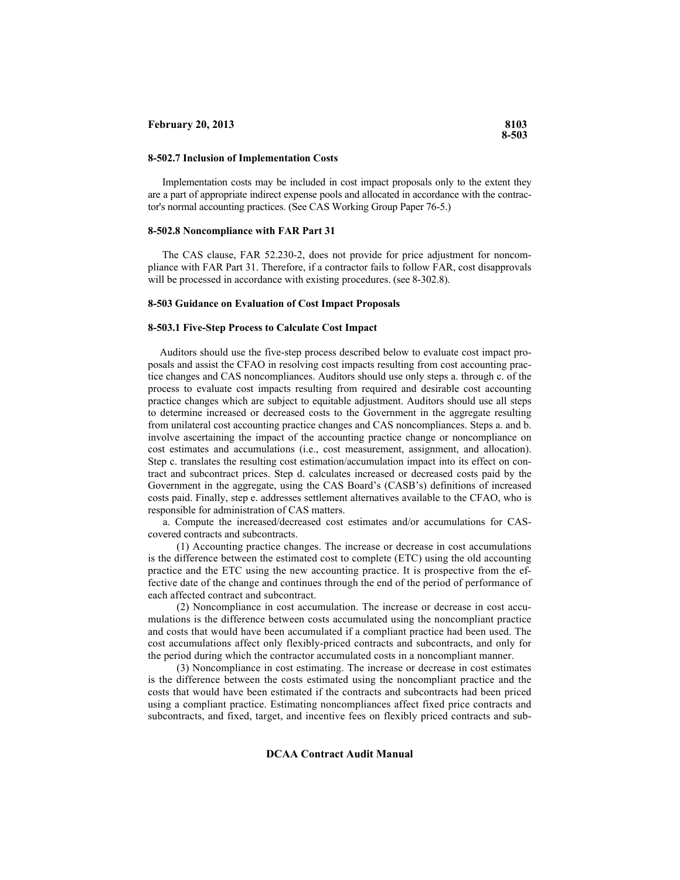## **8-502.7 Inclusion of Implementation Costs**

Implementation costs may be included in cost impact proposals only to the extent they are a part of appropriate indirect expense pools and allocated in accordance with the contractor's normal accounting practices. (See CAS Working Group Paper 76-5.)

#### **8-502.8 Noncompliance with FAR Part 31**

The CAS clause, FAR 52.230-2, does not provide for price adjustment for noncompliance with FAR Part 31. Therefore, if a contractor fails to follow FAR, cost disapprovals will be processed in accordance with existing procedures. (see 8-302.8).

#### **8-503 Guidance on Evaluation of Cost Impact Proposals**

#### **8-503.1 Five-Step Process to Calculate Cost Impact**

Auditors should use the five-step process described below to evaluate cost impact proposals and assist the CFAO in resolving cost impacts resulting from cost accounting practice changes and CAS noncompliances. Auditors should use only steps a. through c. of the process to evaluate cost impacts resulting from required and desirable cost accounting practice changes which are subject to equitable adjustment. Auditors should use all steps to determine increased or decreased costs to the Government in the aggregate resulting from unilateral cost accounting practice changes and CAS noncompliances. Steps a. and b. involve ascertaining the impact of the accounting practice change or noncompliance on cost estimates and accumulations (i.e., cost measurement, assignment, and allocation). Step c. translates the resulting cost estimation/accumulation impact into its effect on contract and subcontract prices. Step d. calculates increased or decreased costs paid by the Government in the aggregate, using the CAS Board's (CASB's) definitions of increased costs paid. Finally, step e. addresses settlement alternatives available to the CFAO, who is responsible for administration of CAS matters.

a. Compute the increased/decreased cost estimates and/or accumulations for CAScovered contracts and subcontracts.

(1) Accounting practice changes. The increase or decrease in cost accumulations is the difference between the estimated cost to complete (ETC) using the old accounting practice and the ETC using the new accounting practice. It is prospective from the effective date of the change and continues through the end of the period of performance of each affected contract and subcontract.

(2) Noncompliance in cost accumulation. The increase or decrease in cost accumulations is the difference between costs accumulated using the noncompliant practice and costs that would have been accumulated if a compliant practice had been used. The cost accumulations affect only flexibly-priced contracts and subcontracts, and only for the period during which the contractor accumulated costs in a noncompliant manner.

(3) Noncompliance in cost estimating. The increase or decrease in cost estimates is the difference between the costs estimated using the noncompliant practice and the costs that would have been estimated if the contracts and subcontracts had been priced using a compliant practice. Estimating noncompliances affect fixed price contracts and subcontracts, and fixed, target, and incentive fees on flexibly priced contracts and sub-

# **DCAA Contract Audit Manual**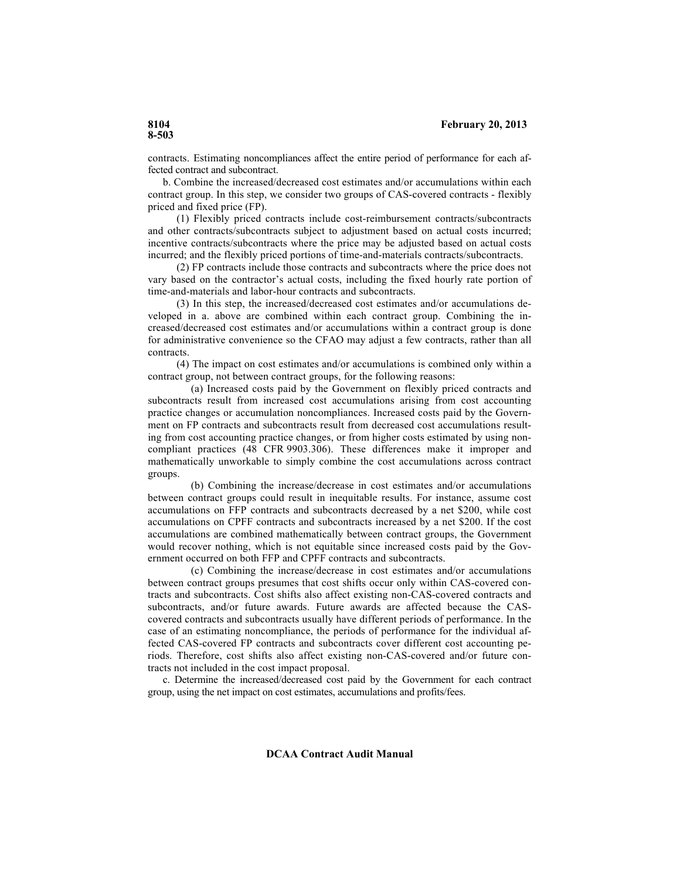contracts. Estimating noncompliances affect the entire period of performance for each affected contract and subcontract.

b. Combine the increased/decreased cost estimates and/or accumulations within each contract group. In this step, we consider two groups of CAS-covered contracts - flexibly priced and fixed price (FP).

(1) Flexibly priced contracts include cost-reimbursement contracts/subcontracts and other contracts/subcontracts subject to adjustment based on actual costs incurred; incentive contracts/subcontracts where the price may be adjusted based on actual costs incurred; and the flexibly priced portions of time-and-materials contracts/subcontracts.

(2) FP contracts include those contracts and subcontracts where the price does not vary based on the contractor's actual costs, including the fixed hourly rate portion of time-and-materials and labor-hour contracts and subcontracts.

(3) In this step, the increased/decreased cost estimates and/or accumulations developed in a. above are combined within each contract group. Combining the increased/decreased cost estimates and/or accumulations within a contract group is done for administrative convenience so the CFAO may adjust a few contracts, rather than all contracts.

(4) The impact on cost estimates and/or accumulations is combined only within a contract group, not between contract groups, for the following reasons:

(a) Increased costs paid by the Government on flexibly priced contracts and subcontracts result from increased cost accumulations arising from cost accounting practice changes or accumulation noncompliances. Increased costs paid by the Government on FP contracts and subcontracts result from decreased cost accumulations resulting from cost accounting practice changes, or from higher costs estimated by using noncompliant practices (48 CFR 9903.306). These differences make it improper and mathematically unworkable to simply combine the cost accumulations across contract groups.

(b) Combining the increase/decrease in cost estimates and/or accumulations between contract groups could result in inequitable results. For instance, assume cost accumulations on FFP contracts and subcontracts decreased by a net \$200, while cost accumulations on CPFF contracts and subcontracts increased by a net \$200. If the cost accumulations are combined mathematically between contract groups, the Government would recover nothing, which is not equitable since increased costs paid by the Government occurred on both FFP and CPFF contracts and subcontracts.

(c) Combining the increase/decrease in cost estimates and/or accumulations between contract groups presumes that cost shifts occur only within CAS-covered contracts and subcontracts. Cost shifts also affect existing non-CAS-covered contracts and subcontracts, and/or future awards. Future awards are affected because the CAScovered contracts and subcontracts usually have different periods of performance. In the case of an estimating noncompliance, the periods of performance for the individual affected CAS-covered FP contracts and subcontracts cover different cost accounting periods. Therefore, cost shifts also affect existing non-CAS-covered and/or future contracts not included in the cost impact proposal.

c. Determine the increased/decreased cost paid by the Government for each contract group, using the net impact on cost estimates, accumulations and profits/fees.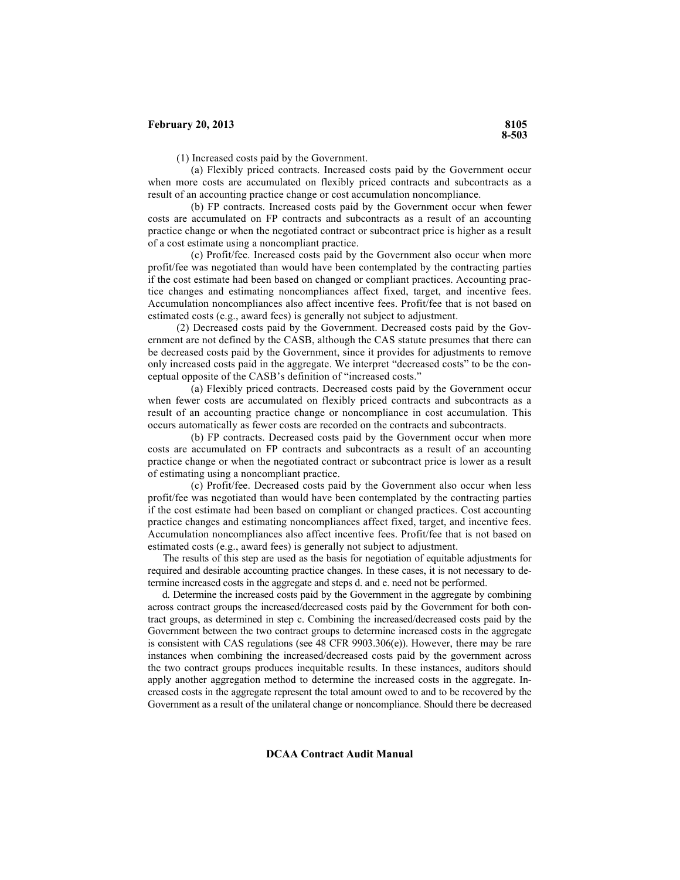(1) Increased costs paid by the Government.

(a) Flexibly priced contracts. Increased costs paid by the Government occur when more costs are accumulated on flexibly priced contracts and subcontracts as a result of an accounting practice change or cost accumulation noncompliance.

(b) FP contracts. Increased costs paid by the Government occur when fewer costs are accumulated on FP contracts and subcontracts as a result of an accounting practice change or when the negotiated contract or subcontract price is higher as a result of a cost estimate using a noncompliant practice.

(c) Profit/fee. Increased costs paid by the Government also occur when more profit/fee was negotiated than would have been contemplated by the contracting parties if the cost estimate had been based on changed or compliant practices. Accounting practice changes and estimating noncompliances affect fixed, target, and incentive fees. Accumulation noncompliances also affect incentive fees. Profit/fee that is not based on estimated costs (e.g., award fees) is generally not subject to adjustment.

(2) Decreased costs paid by the Government. Decreased costs paid by the Government are not defined by the CASB, although the CAS statute presumes that there can be decreased costs paid by the Government, since it provides for adjustments to remove only increased costs paid in the aggregate. We interpret "decreased costs" to be the conceptual opposite of the CASB's definition of "increased costs."

(a) Flexibly priced contracts. Decreased costs paid by the Government occur when fewer costs are accumulated on flexibly priced contracts and subcontracts as a result of an accounting practice change or noncompliance in cost accumulation. This occurs automatically as fewer costs are recorded on the contracts and subcontracts.

(b) FP contracts. Decreased costs paid by the Government occur when more costs are accumulated on FP contracts and subcontracts as a result of an accounting practice change or when the negotiated contract or subcontract price is lower as a result of estimating using a noncompliant practice.

(c) Profit/fee. Decreased costs paid by the Government also occur when less profit/fee was negotiated than would have been contemplated by the contracting parties if the cost estimate had been based on compliant or changed practices. Cost accounting practice changes and estimating noncompliances affect fixed, target, and incentive fees. Accumulation noncompliances also affect incentive fees. Profit/fee that is not based on estimated costs (e.g., award fees) is generally not subject to adjustment.

The results of this step are used as the basis for negotiation of equitable adjustments for required and desirable accounting practice changes. In these cases, it is not necessary to determine increased costs in the aggregate and steps d. and e. need not be performed.

d. Determine the increased costs paid by the Government in the aggregate by combining across contract groups the increased/decreased costs paid by the Government for both contract groups, as determined in step c. Combining the increased/decreased costs paid by the Government between the two contract groups to determine increased costs in the aggregate is consistent with CAS regulations (see 48 CFR 9903.306(e)). However, there may be rare instances when combining the increased/decreased costs paid by the government across the two contract groups produces inequitable results. In these instances, auditors should apply another aggregation method to determine the increased costs in the aggregate. Increased costs in the aggregate represent the total amount owed to and to be recovered by the Government as a result of the unilateral change or noncompliance. Should there be decreased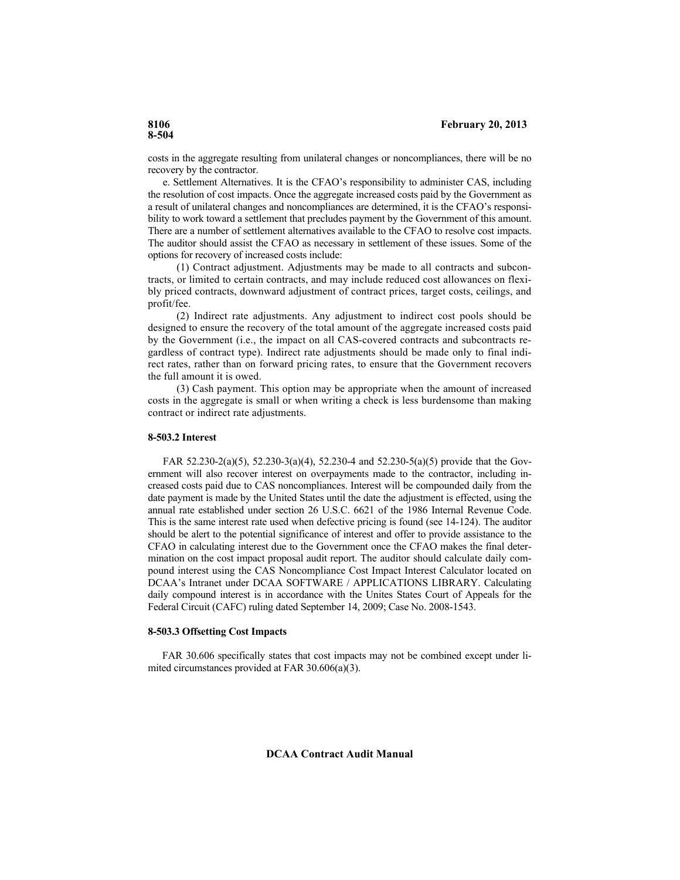costs in the aggregate resulting from unilateral changes or noncompliances, there will be no recovery by the contractor.

e. Settlement Alternatives. It is the CFAO's responsibility to administer CAS, including the resolution of cost impacts. Once the aggregate increased costs paid by the Government as a result of unilateral changes and noncompliances are determined, it is the CFAO's responsibility to work toward a settlement that precludes payment by the Government of this amount. There are a number of settlement alternatives available to the CFAO to resolve cost impacts. The auditor should assist the CFAO as necessary in settlement of these issues. Some of the options for recovery of increased costs include:

(1) Contract adjustment. Adjustments may be made to all contracts and subcontracts, or limited to certain contracts, and may include reduced cost allowances on flexibly priced contracts, downward adjustment of contract prices, target costs, ceilings, and profit/fee.

(2) Indirect rate adjustments. Any adjustment to indirect cost pools should be designed to ensure the recovery of the total amount of the aggregate increased costs paid by the Government (i.e., the impact on all CAS-covered contracts and subcontracts regardless of contract type). Indirect rate adjustments should be made only to final indirect rates, rather than on forward pricing rates, to ensure that the Government recovers the full amount it is owed.

(3) Cash payment. This option may be appropriate when the amount of increased costs in the aggregate is small or when writing a check is less burdensome than making contract or indirect rate adjustments.

# **8-503.2 Interest**

FAR 52.230-2(a)(5), 52.230-3(a)(4), 52.230-4 and 52.230-5(a)(5) provide that the Government will also recover interest on overpayments made to the contractor, including increased costs paid due to CAS noncompliances. Interest will be compounded daily from the date payment is made by the United States until the date the adjustment is effected, using the annual rate established under section 26 U.S.C. 6621 of the 1986 Internal Revenue Code. This is the same interest rate used when defective pricing is found (see 14-124). The auditor should be alert to the potential significance of interest and offer to provide assistance to the CFAO in calculating interest due to the Government once the CFAO makes the final determination on the cost impact proposal audit report. The auditor should calculate daily compound interest using the CAS Noncompliance Cost Impact Interest Calculator located on DCAA's Intranet under DCAA SOFTWARE / APPLICATIONS LIBRARY. Calculating daily compound interest is in accordance with the Unites States Court of Appeals for the Federal Circuit (CAFC) ruling dated September 14, 2009; Case No. 2008-1543.

# **8-503.3 Offsetting Cost Impacts**

FAR 30.606 specifically states that cost impacts may not be combined except under limited circumstances provided at FAR 30.606(a)(3).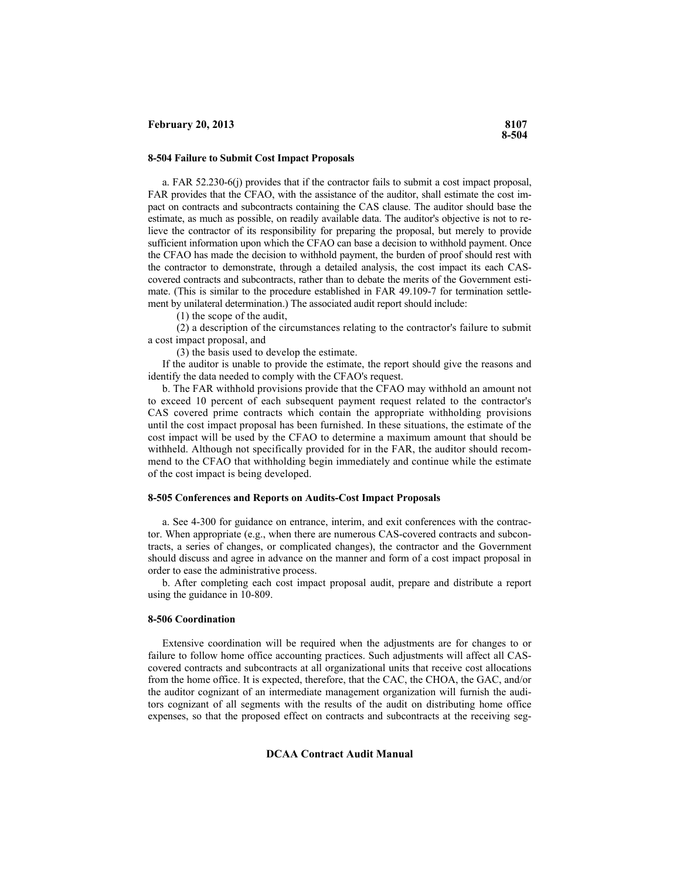#### **8-504 Failure to Submit Cost Impact Proposals**

a. FAR 52.230-6(j) provides that if the contractor fails to submit a cost impact proposal, FAR provides that the CFAO, with the assistance of the auditor, shall estimate the cost impact on contracts and subcontracts containing the CAS clause. The auditor should base the estimate, as much as possible, on readily available data. The auditor's objective is not to relieve the contractor of its responsibility for preparing the proposal, but merely to provide sufficient information upon which the CFAO can base a decision to withhold payment. Once the CFAO has made the decision to withhold payment, the burden of proof should rest with the contractor to demonstrate, through a detailed analysis, the cost impact its each CAScovered contracts and subcontracts, rather than to debate the merits of the Government estimate. (This is similar to the procedure established in FAR 49.109-7 for termination settlement by unilateral determination.) The associated audit report should include:

(1) the scope of the audit,

(2) a description of the circumstances relating to the contractor's failure to submit a cost impact proposal, and

(3) the basis used to develop the estimate.

If the auditor is unable to provide the estimate, the report should give the reasons and identify the data needed to comply with the CFAO's request.

b. The FAR withhold provisions provide that the CFAO may withhold an amount not to exceed 10 percent of each subsequent payment request related to the contractor's CAS covered prime contracts which contain the appropriate withholding provisions until the cost impact proposal has been furnished. In these situations, the estimate of the cost impact will be used by the CFAO to determine a maximum amount that should be withheld. Although not specifically provided for in the FAR, the auditor should recommend to the CFAO that withholding begin immediately and continue while the estimate of the cost impact is being developed.

## **8-505 Conferences and Reports on Audits-Cost Impact Proposals**

a. See 4-300 for guidance on entrance, interim, and exit conferences with the contractor. When appropriate (e.g., when there are numerous CAS-covered contracts and subcontracts, a series of changes, or complicated changes), the contractor and the Government should discuss and agree in advance on the manner and form of a cost impact proposal in order to ease the administrative process.

b. After completing each cost impact proposal audit, prepare and distribute a report using the guidance in 10-809.

## **8-506 Coordination**

Extensive coordination will be required when the adjustments are for changes to or failure to follow home office accounting practices. Such adjustments will affect all CAScovered contracts and subcontracts at all organizational units that receive cost allocations from the home office. It is expected, therefore, that the CAC, the CHOA, the GAC, and/or the auditor cognizant of an intermediate management organization will furnish the auditors cognizant of all segments with the results of the audit on distributing home office expenses, so that the proposed effect on contracts and subcontracts at the receiving seg-

# **DCAA Contract Audit Manual**